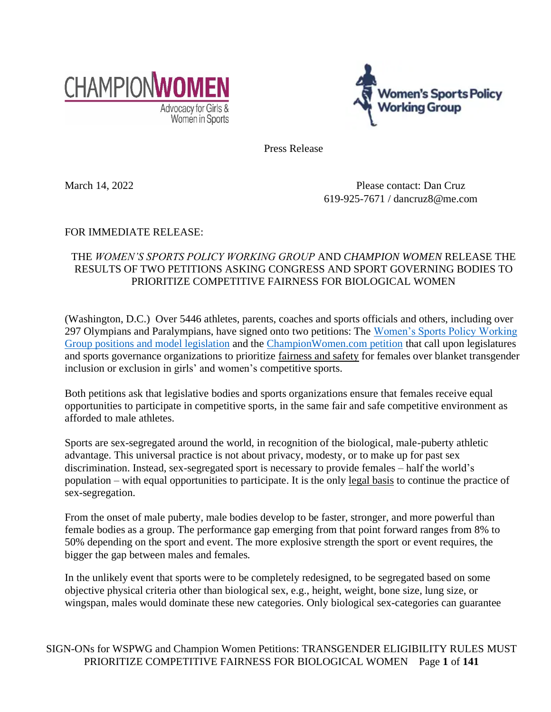



Press Release

March 14, 2022 Please contact: Dan Cruz 619-925-7671 / dancruz8@me.com

## FOR IMMEDIATE RELEASE:

# THE *WOMEN'S SPORTS POLICY WORKING GROUP* AND *CHAMPION WOMEN* RELEASE THE RESULTS OF TWO PETITIONS ASKING CONGRESS AND SPORT GOVERNING BODIES TO PRIORITIZE COMPETITIVE FAIRNESS FOR BIOLOGICAL WOMEN

(Washington, D.C.) Over 5446 athletes, parents, coaches and sports officials and others, including over 297 Olympians and Paralympians, have signed onto two petitions: The [Women's Sports Policy Working](https://womenssportspolicy.org/petition/)  [Group positions and model legislation](https://womenssportspolicy.org/petition/) and the [ChampionWomen.com petition](https://championwomen.dm.networkforgood.com/emails/1699012?recipient_id=ce4j9EwmCHpJeo2WURzJXw%7C%7Camhvb2tlckBpdS5lZHU=) that call upon legislatures and sports governance organizations to prioritize fairness and safety for females over blanket transgender inclusion or exclusion in girls' and women's competitive sports.

Both petitions ask that legislative bodies and sports organizations ensure that females receive equal opportunities to participate in competitive sports, in the same fair and safe competitive environment as afforded to male athletes.

Sports are sex-segregated around the world, in recognition of the biological, male-puberty athletic advantage. This universal practice is not about privacy, modesty, or to make up for past sex discrimination. Instead, sex-segregated sport is necessary to provide females – half the world's population – with equal opportunities to participate. It is the only legal basis to continue the practice of sex-segregation.

From the onset of male puberty, male bodies develop to be faster, stronger, and more powerful than female bodies as a group. The performance gap emerging from that point forward ranges from 8% to 50% depending on the sport and event. The more explosive strength the sport or event requires, the bigger the gap between males and females.

In the unlikely event that sports were to be completely redesigned, to be segregated based on some objective physical criteria other than biological sex, e.g., height, weight, bone size, lung size, or wingspan, males would dominate these new categories. Only biological sex-categories can guarantee

SIGN-ONs for WSPWG and Champion Women Petitions: TRANSGENDER ELIGIBILITY RULES MUST PRIORITIZE COMPETITIVE FAIRNESS FOR BIOLOGICAL WOMEN Page **1** of **141**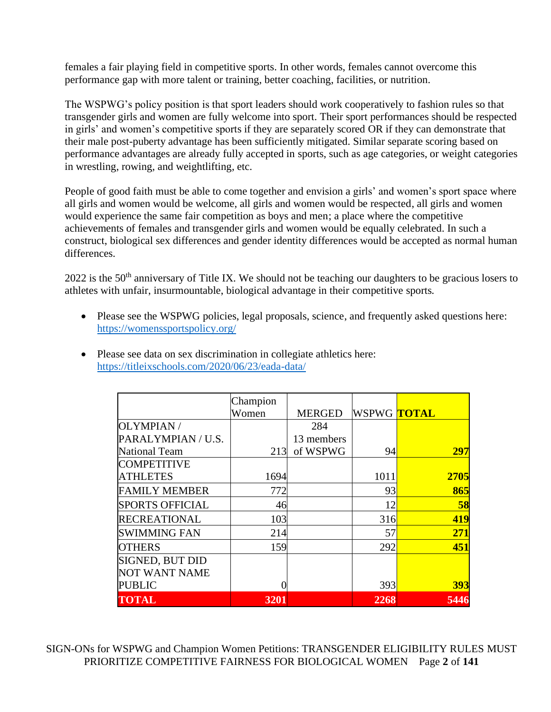females a fair playing field in competitive sports. In other words, females cannot overcome this performance gap with more talent or training, better coaching, facilities, or nutrition.

The WSPWG's policy position is that sport leaders should work cooperatively to fashion rules so that transgender girls and women are fully welcome into sport. Their sport performances should be respected in girls' and women's competitive sports if they are separately scored OR if they can demonstrate that their male post-puberty advantage has been sufficiently mitigated. Similar separate scoring based on performance advantages are already fully accepted in sports, such as age categories, or weight categories in wrestling, rowing, and weightlifting, etc.

People of good faith must be able to come together and envision a girls' and women's sport space where all girls and women would be welcome, all girls and women would be respected, all girls and women would experience the same fair competition as boys and men; a place where the competitive achievements of females and transgender girls and women would be equally celebrated. In such a construct, biological sex differences and gender identity differences would be accepted as normal human differences.

2022 is the 50<sup>th</sup> anniversary of Title IX. We should not be teaching our daughters to be gracious losers to athletes with unfair, insurmountable, biological advantage in their competitive sports.

• Please see the WSPWG policies, legal proposals, science, and frequently asked questions here: <https://womenssportspolicy.org/>

|                        | Champion |               |                          |            |
|------------------------|----------|---------------|--------------------------|------------|
|                        | Women    | <b>MERGED</b> | WSPWG <mark>TOTAL</mark> |            |
| OLYMPIAN /             |          | 284           |                          |            |
| PARALYMPIAN / U.S.     |          | 13 members    |                          |            |
| <b>National Team</b>   | 213      | of WSPWG      | 94                       | 297        |
| <b>COMPETITIVE</b>     |          |               |                          |            |
| <b>ATHLETES</b>        | 1694     |               | 1011                     | 2705       |
| <b>FAMILY MEMBER</b>   | 772      |               | 93                       | 865        |
| <b>SPORTS OFFICIAL</b> | 46       |               | 12                       | 58         |
| <b>RECREATIONAL</b>    | 103      |               | 316                      | 419        |
| <b>SWIMMING FAN</b>    | 214      |               | 57                       | 271        |
| <b>OTHERS</b>          | 159      |               | 292                      | 451        |
| <b>SIGNED, BUT DID</b> |          |               |                          |            |
| <b>NOT WANT NAME</b>   |          |               |                          |            |
| <b>PUBLIC</b>          |          |               | 393                      | <b>393</b> |
| <b>TOTAL</b>           | 3201     |               | 2268                     | 5446       |

• Please see data on sex discrimination in collegiate athletics here: <https://titleixschools.com/2020/06/23/eada-data/>

SIGN-ONs for WSPWG and Champion Women Petitions: TRANSGENDER ELIGIBILITY RULES MUST PRIORITIZE COMPETITIVE FAIRNESS FOR BIOLOGICAL WOMEN Page **2** of **141**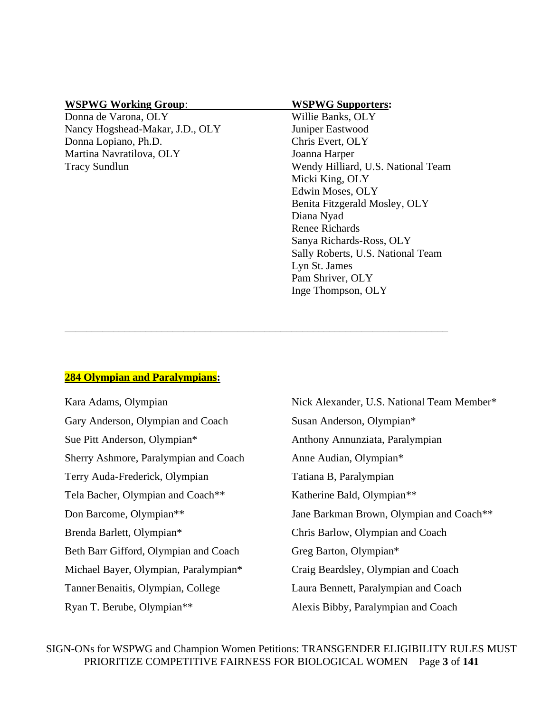### **WSPWG Working Group**: **WSPWG Supporters:**

Donna de Varona, OLY Willie Banks, OLY Nancy Hogshead-Makar, J.D., OLY Juniper Eastwood Donna Lopiano, Ph.D. Chris Evert, OLY Martina Navratilova, OLY Joanna Harper

Tracy Sundlun Wendy Hilliard, U.S. National Team Micki King, OLY Edwin Moses, OLY Benita Fitzgerald Mosley, OLY Diana Nyad Renee Richards Sanya Richards-Ross, OLY Sally Roberts, U.S. National Team Lyn St. James Pam Shriver, OLY Inge Thompson, OLY

### **284 Olympian and Paralympians:**

Kara Adams, Olympian Nick Alexander, U.S. National Team Member\* Gary Anderson, Olympian and Coach Susan Anderson, Olympian\* Sue Pitt Anderson, Olympian\* Anthony Annunziata, Paralympian Sherry Ashmore, Paralympian and Coach Anne Audian, Olympian\* Terry Auda-Frederick, Olympian Tatiana B, Paralympian Tela Bacher, Olympian and Coach<sup>\*\*</sup> Katherine Bald, Olympian<sup>\*\*</sup> Don Barcome, Olympian\*\* Jane Barkman Brown, Olympian and Coach\*\* Brenda Barlett, Olympian\* Chris Barlow, Olympian and Coach Beth Barr Gifford, Olympian and Coach Greg Barton, Olympian\* Michael Bayer, Olympian, Paralympian\* Craig Beardsley, Olympian and Coach Tanner Benaitis, Olympian, College Laura Bennett, Paralympian and Coach Ryan T. Berube, Olympian<sup>\*\*</sup> Alexis Bibby, Paralympian and Coach

\_\_\_\_\_\_\_\_\_\_\_\_\_\_\_\_\_\_\_\_\_\_\_\_\_\_\_\_\_\_\_\_\_\_\_\_\_\_\_\_\_\_\_\_\_\_\_\_\_\_\_\_\_\_\_\_\_\_\_\_\_\_\_\_\_\_\_\_\_\_\_

SIGN-ONs for WSPWG and Champion Women Petitions: TRANSGENDER ELIGIBILITY RULES MUST PRIORITIZE COMPETITIVE FAIRNESS FOR BIOLOGICAL WOMEN Page **3** of **141**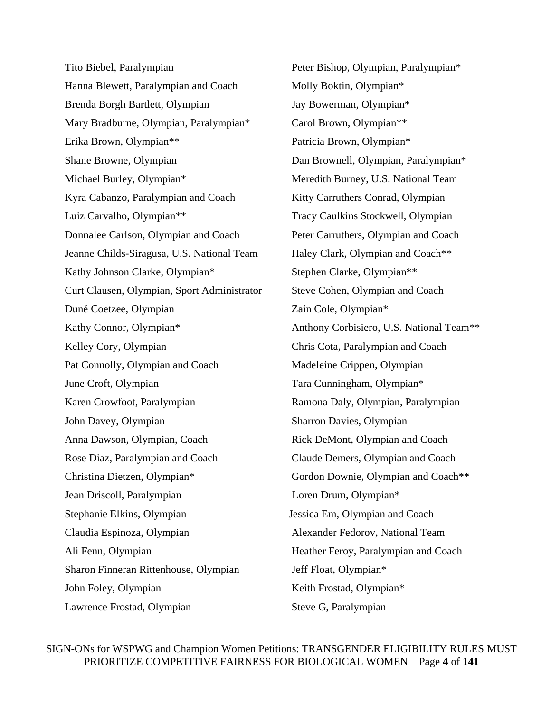Tito Biebel, Paralympian Peter Bishop, Olympian, Paralympian\* Hanna Blewett, Paralympian and Coach Molly Boktin, Olympian\* Brenda Borgh Bartlett, Olympian Jay Bowerman, Olympian\* Mary Bradburne, Olympian, Paralympian\* Carol Brown, Olympian\*\* Erika Brown, Olympian\*\* Patricia Brown, Olympian\* Shane Browne, Olympian **Dan Brownell, Olympian, Paralympian**\* Michael Burley, Olympian\* Meredith Burney, U.S. National Team Kyra Cabanzo, Paralympian and Coach Kitty Carruthers Conrad, Olympian Luiz Carvalho, Olympian\*\* Tracy Caulkins Stockwell, Olympian Donnalee Carlson, Olympian and Coach Peter Carruthers, Olympian and Coach Jeanne Childs-Siragusa, U.S. National Team Haley Clark, Olympian and Coach\*\* Kathy Johnson Clarke, Olympian\* Stephen Clarke, Olympian\*\* Curt Clausen, Olympian, Sport Administrator Steve Cohen, Olympian and Coach Duné Coetzee, Olympian Zain Cole, Olympian\* Kathy Connor, Olympian\* Anthony Corbisiero, U.S. National Team\*\* Kelley Cory, Olympian Chris Cota, Paralympian and Coach Pat Connolly, Olympian and Coach Madeleine Crippen, Olympian June Croft, Olympian Tara Cunningham, Olympian\* Karen Crowfoot, Paralympian Ramona Daly, Olympian, Paralympian John Davey, Olympian Sharron Davies, Olympian Anna Dawson, Olympian, Coach Rick DeMont, Olympian and Coach Rose Diaz, Paralympian and Coach Claude Demers, Olympian and Coach Christina Dietzen, Olympian\* Gordon Downie, Olympian and Coach\*\* Jean Driscoll, Paralympian Loren Drum, Olympian\* Stephanie Elkins, Olympian Jessica Em, Olympian and Coach Claudia Espinoza, Olympian Alexander Fedorov, National Team Ali Fenn, Olympian **Heather Feroy, Paralympian and Coach** Sharon Finneran Rittenhouse, Olympian Jeff Float, Olympian\* John Foley, Olympian Keith Frostad, Olympian\* Lawrence Frostad, Olympian Steve G, Paralympian

SIGN-ONs for WSPWG and Champion Women Petitions: TRANSGENDER ELIGIBILITY RULES MUST PRIORITIZE COMPETITIVE FAIRNESS FOR BIOLOGICAL WOMEN Page **4** of **141**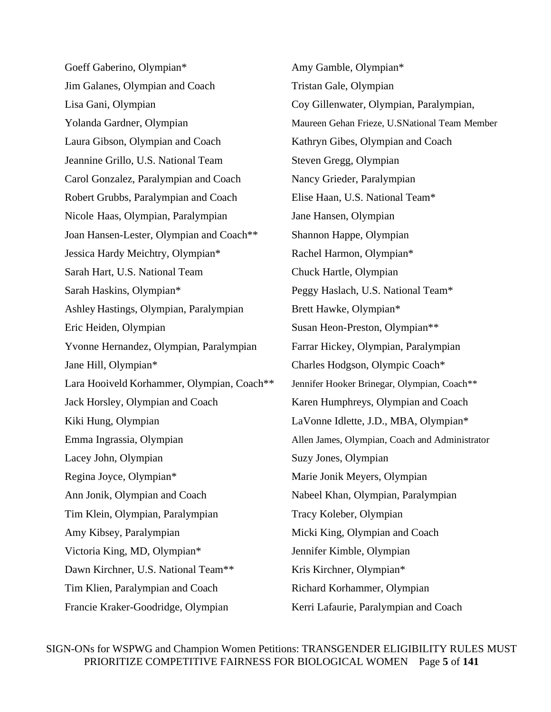Goeff Gaberino, Olympian\* Amy Gamble, Olympian\* Jim Galanes, Olympian and Coach Tristan Gale, Olympian Lisa Gani, Olympian Coy Gillenwater, Olympian, Paralympian, Laura Gibson, Olympian and Coach Kathryn Gibes, Olympian and Coach Jeannine Grillo, U.S. National Team Steven Gregg, Olympian Carol Gonzalez, Paralympian and Coach Nancy Grieder, Paralympian Robert Grubbs, Paralympian and Coach Elise Haan, U.S. National Team\* Nicole Haas, Olympian, Paralympian Jane Hansen, Olympian Joan Hansen-Lester, Olympian and Coach<sup>\*\*</sup> Shannon Happe, Olympian Jessica Hardy Meichtry, Olympian\* Rachel Harmon, Olympian\* Sarah Hart, U.S. National Team Chuck Hartle, Olympian Sarah Haskins, Olympian\* Peggy Haslach, U.S. National Team\* Ashley Hastings, Olympian, Paralympian Brett Hawke, Olympian\* Eric Heiden, Olympian Susan Heon-Preston, Olympian<sup>\*\*</sup> Yvonne Hernandez, Olympian, Paralympian Farrar Hickey, Olympian, Paralympian Jane Hill, Olympian\* Charles Hodgson, Olympic Coach\* Lara Hooiveld Korhammer, Olympian, Coach\*\* Jennifer Hooker Brinegar, Olympian, Coach\*\* Jack Horsley, Olympian and Coach Karen Humphreys, Olympian and Coach Kiki Hung, Olympian LaVonne Idlette, J.D., MBA, Olympian\* Emma Ingrassia, Olympian Allen James, Olympian, Coach and Administrator Lacey John, Olympian Suzy Jones, Olympian Regina Joyce, Olympian\* Marie Jonik Meyers, Olympian Ann Jonik, Olympian and Coach Nabeel Khan, Olympian, Paralympian Tim Klein, Olympian, Paralympian Tracy Koleber, Olympian Amy Kibsey, Paralympian Micki King, Olympian and Coach Victoria King, MD, Olympian\* Jennifer Kimble, Olympian Dawn Kirchner, U.S. National Team<sup>\*\*</sup> Kris Kirchner, Olympian<sup>\*</sup> Tim Klien, Paralympian and Coach Richard Korhammer, Olympian Francie Kraker-Goodridge, Olympian Kerri Lafaurie, Paralympian and Coach

Yolanda Gardner, Olympian Maureen Gehan Frieze, U.SNational Team Member

SIGN-ONs for WSPWG and Champion Women Petitions: TRANSGENDER ELIGIBILITY RULES MUST PRIORITIZE COMPETITIVE FAIRNESS FOR BIOLOGICAL WOMEN Page **5** of **141**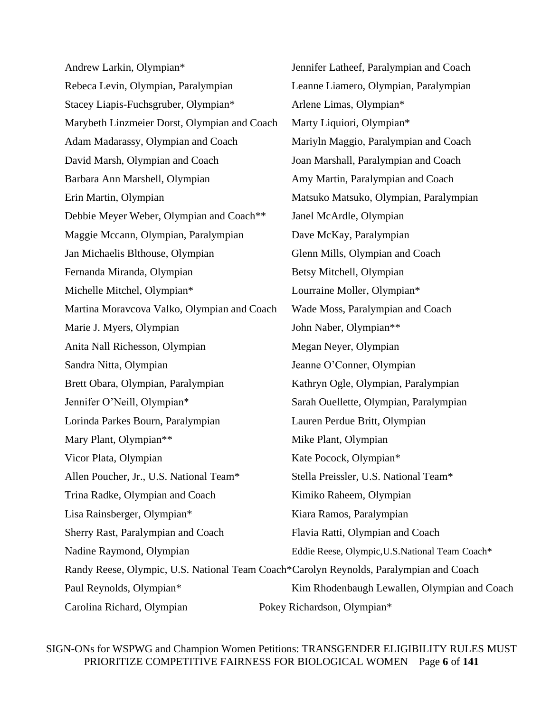Andrew Larkin, Olympian\* Jennifer Latheef, Paralympian and Coach Rebeca Levin, Olympian, Paralympian Leanne Liamero, Olympian, Paralympian Stacey Liapis-Fuchsgruber, Olympian\* Arlene Limas, Olympian\* Marybeth Linzmeier Dorst, Olympian and Coach Marty Liquiori, Olympian\* Adam Madarassy, Olympian and Coach Mariyln Maggio, Paralympian and Coach David Marsh, Olympian and Coach Joan Marshall, Paralympian and Coach Barbara Ann Marshell, Olympian Amy Martin, Paralympian and Coach Erin Martin, Olympian Matsuko Matsuko, Olympian, Paralympian Debbie Meyer Weber, Olympian and Coach\*\* Janel McArdle, Olympian Maggie Mccann, Olympian, Paralympian Dave McKay, Paralympian Jan Michaelis Blthouse, Olympian Glenn Mills, Olympian and Coach Fernanda Miranda, Olympian Betsy Mitchell, Olympian Michelle Mitchel, Olympian\* Lourraine Moller, Olympian\* Martina Moravcova Valko, Olympian and Coach Wade Moss, Paralympian and Coach Marie J. Myers, Olympian John Naber, Olympian<sup>\*\*</sup> Anita Nall Richesson, Olympian Megan Neyer, Olympian Sandra Nitta, Olympian Jeanne O'Conner, Olympian Brett Obara, Olympian, Paralympian Kathryn Ogle, Olympian, Paralympian Jennifer O'Neill, Olympian\* Sarah Ouellette, Olympian, Paralympian Lorinda Parkes Bourn, Paralympian Lauren Perdue Britt, Olympian Mary Plant, Olympian<sup>\*\*</sup> Mike Plant, Olympian Vicor Plata, Olympian Kate Pocock, Olympian Kate Pocock, Olympian \* Allen Poucher, Jr., U.S. National Team\* Stella Preissler, U.S. National Team\* Trina Radke, Olympian and Coach Kimiko Raheem, Olympian Lisa Rainsberger, Olympian\* Kiara Ramos, Paralympian Sherry Rast, Paralympian and Coach Flavia Ratti, Olympian and Coach Nadine Raymond, Olympian Eddie Reese, Olympic, U.S. National Team Coach\* Randy Reese, Olympic, U.S. National Team Coach\*Carolyn Reynolds, Paralympian and Coach Paul Reynolds, Olympian\* Kim Rhodenbaugh Lewallen, Olympian and Coach Carolina Richard, Olympian Pokey Richardson, Olympian\*

SIGN-ONs for WSPWG and Champion Women Petitions: TRANSGENDER ELIGIBILITY RULES MUST PRIORITIZE COMPETITIVE FAIRNESS FOR BIOLOGICAL WOMEN Page **6** of **141**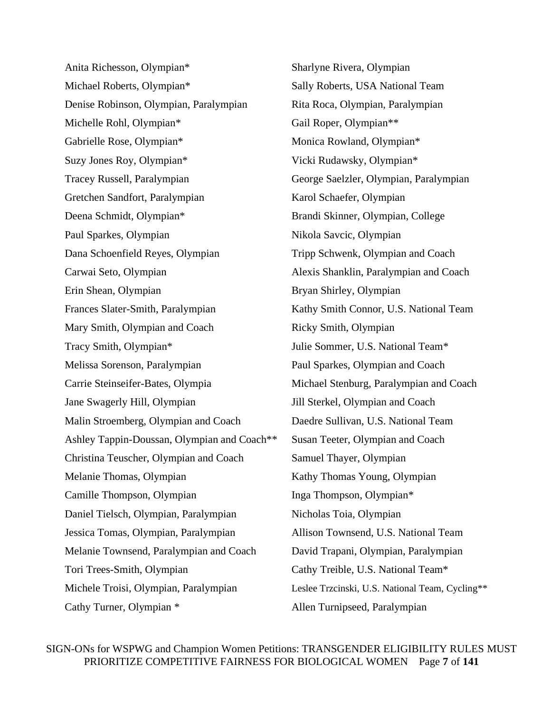Anita Richesson, Olympian\* Sharlyne Rivera, Olympian Michael Roberts, Olympian\* Sally Roberts, USA National Team Denise Robinson, Olympian, Paralympian Rita Roca, Olympian, Paralympian Michelle Rohl, Olympian\* Gail Roper, Olympian\*\* Gabrielle Rose, Olympian\* Monica Rowland, Olympian\* Suzy Jones Roy, Olympian\* Vicki Rudawsky, Olympian\* Tracey Russell, Paralympian George Saelzler, Olympian, Paralympian Gretchen Sandfort, Paralympian Karol Schaefer, Olympian Deena Schmidt, Olympian\* Brandi Skinner, Olympian, College Paul Sparkes, Olympian Nikola Savcic, Olympian Dana Schoenfield Reyes, Olympian Tripp Schwenk, Olympian and Coach Carwai Seto, Olympian Alexis Shanklin, Paralympian and Coach Erin Shean, Olympian Bryan Shirley, Olympian Frances Slater-Smith, Paralympian Kathy Smith Connor, U.S. National Team Mary Smith, Olympian and Coach Ricky Smith, Olympian Tracy Smith, Olympian\* Julie Sommer, U.S. National Team\* Melissa Sorenson, Paralympian Paul Sparkes, Olympian and Coach Carrie Steinseifer-Bates, Olympia Michael Stenburg, Paralympian and Coach Jane Swagerly Hill, Olympian Jill Sterkel, Olympian and Coach Malin Stroemberg, Olympian and Coach Daedre Sullivan, U.S. National Team Ashley Tappin-Doussan, Olympian and Coach\*\* Susan Teeter, Olympian and Coach Christina Teuscher, Olympian and Coach Samuel Thayer, Olympian Melanie Thomas, Olympian Kathy Thomas Young, Olympian Camille Thompson, Olympian Inga Thompson, Olympian\* Daniel Tielsch, Olympian, Paralympian Nicholas Toia, Olympian Jessica Tomas, Olympian, Paralympian Allison Townsend, U.S. National Team Melanie Townsend, Paralympian and Coach David Trapani, Olympian, Paralympian Tori Trees-Smith, Olympian Cathy Treible, U.S. National Team\* Michele Troisi, Olympian, Paralympian Leslee Trzcinski, U.S. National Team, Cycling\*\* Cathy Turner, Olympian \* Allen Turnipseed, Paralympian

SIGN-ONs for WSPWG and Champion Women Petitions: TRANSGENDER ELIGIBILITY RULES MUST PRIORITIZE COMPETITIVE FAIRNESS FOR BIOLOGICAL WOMEN Page **7** of **141**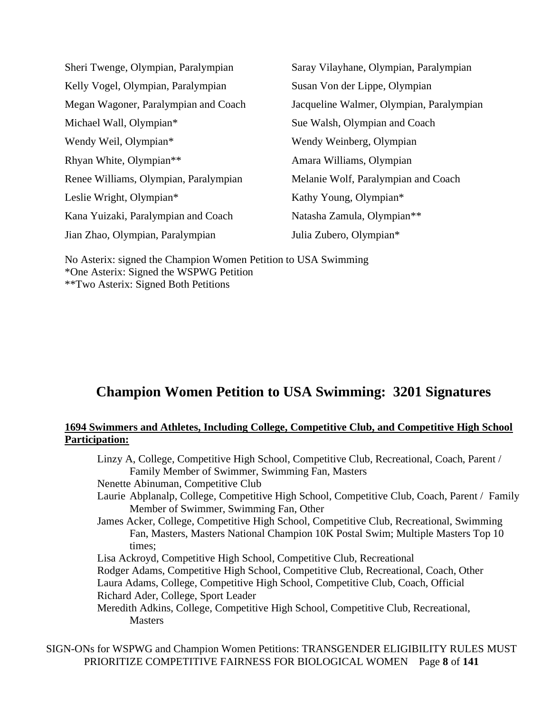| Sheri Twenge, Olympian, Paralympian   | Saray Vilayhane, Olympian, Paralympian   |  |  |
|---------------------------------------|------------------------------------------|--|--|
| Kelly Vogel, Olympian, Paralympian    | Susan Von der Lippe, Olympian            |  |  |
| Megan Wagoner, Paralympian and Coach  | Jacqueline Walmer, Olympian, Paralympian |  |  |
| Michael Wall, Olympian*               | Sue Walsh, Olympian and Coach            |  |  |
| Wendy Weil, Olympian*                 | Wendy Weinberg, Olympian                 |  |  |
| Rhyan White, Olympian**               | Amara Williams, Olympian                 |  |  |
| Renee Williams, Olympian, Paralympian | Melanie Wolf, Paralympian and Coach      |  |  |
| Leslie Wright, Olympian*              | Kathy Young, Olympian*                   |  |  |
| Kana Yuizaki, Paralympian and Coach   | Natasha Zamula, Olympian**               |  |  |
| Jian Zhao, Olympian, Paralympian      | Julia Zubero, Olympian*                  |  |  |

No Asterix: signed the Champion Women Petition to USA Swimming \*One Asterix: Signed the WSPWG Petition \*\*Two Asterix: Signed Both Petitions

# **Champion Women Petition to USA Swimming: 3201 Signatures**

# **1694 Swimmers and Athletes, Including College, Competitive Club, and Competitive High School Participation:**

| Linzy A, College, Competitive High School, Competitive Club, Recreational, Coach, Parent /   |
|----------------------------------------------------------------------------------------------|
| Family Member of Swimmer, Swimming Fan, Masters                                              |
| Nenette Abinuman, Competitive Club                                                           |
| Laurie Abplanalp, College, Competitive High School, Competitive Club, Coach, Parent / Family |
| Member of Swimmer, Swimming Fan, Other                                                       |
| James Acker, College, Competitive High School, Competitive Club, Recreational, Swimming      |
| Fan, Masters, Masters National Champion 10K Postal Swim; Multiple Masters Top 10             |
| times:                                                                                       |
| Lisa Ackroyd, Competitive High School, Competitive Club, Recreational                        |
| Rodger Adams, Competitive High School, Competitive Club, Recreational, Coach, Other          |
| Laura Adams, College, Competitive High School, Competitive Club, Coach, Official             |
| Richard Ader, College, Sport Leader                                                          |
| Meredith Adkins, College, Competitive High School, Competitive Club, Recreational,           |
| <b>Masters</b>                                                                               |
|                                                                                              |

SIGN-ONs for WSPWG and Champion Women Petitions: TRANSGENDER ELIGIBILITY RULES MUST PRIORITIZE COMPETITIVE FAIRNESS FOR BIOLOGICAL WOMEN Page **8** of **141**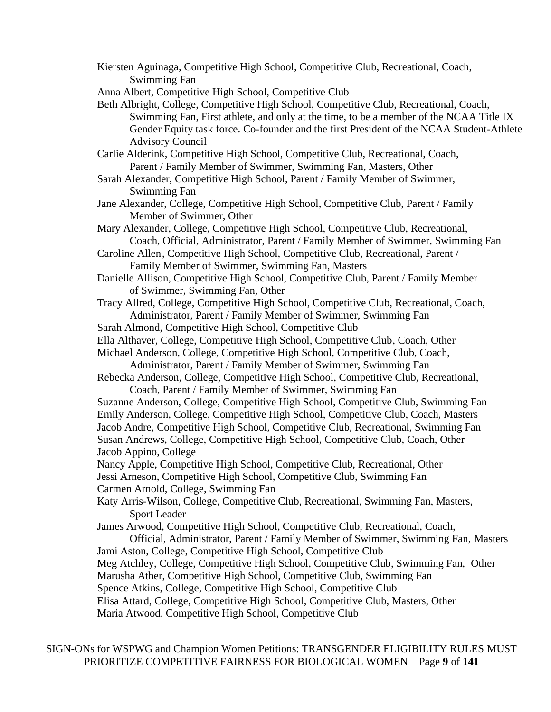- Kiersten Aguinaga, Competitive High School, Competitive Club, Recreational, Coach, Swimming Fan
- Anna Albert, Competitive High School, Competitive Club
- Beth Albright, College, Competitive High School, Competitive Club, Recreational, Coach, Swimming Fan, First athlete, and only at the time, to be a member of the NCAA Title IX Gender Equity task force. Co-founder and the first President of the NCAA Student-Athlete Advisory Council

Carlie Alderink, Competitive High School, Competitive Club, Recreational, Coach, Parent / Family Member of Swimmer, Swimming Fan, Masters, Other

- Sarah Alexander, Competitive High School, Parent / Family Member of Swimmer, Swimming Fan
- Jane Alexander, College, Competitive High School, Competitive Club, Parent / Family Member of Swimmer, Other
- Mary Alexander, College, Competitive High School, Competitive Club, Recreational, Coach, Official, Administrator, Parent / Family Member of Swimmer, Swimming Fan
- Caroline Allen, Competitive High School, Competitive Club, Recreational, Parent / Family Member of Swimmer, Swimming Fan, Masters
- Danielle Allison, Competitive High School, Competitive Club, Parent / Family Member of Swimmer, Swimming Fan, Other
- Tracy Allred, College, Competitive High School, Competitive Club, Recreational, Coach, Administrator, Parent / Family Member of Swimmer, Swimming Fan

Sarah Almond, Competitive High School, Competitive Club

Ella Althaver, College, Competitive High School, Competitive Club, Coach, Other

Michael Anderson, College, Competitive High School, Competitive Club, Coach,

Administrator, Parent / Family Member of Swimmer, Swimming Fan Rebecka Anderson, College, Competitive High School, Competitive Club, Recreational,

Coach, Parent / Family Member of Swimmer, Swimming Fan Suzanne Anderson, College, Competitive High School, Competitive Club, Swimming Fan Emily Anderson, College, Competitive High School, Competitive Club, Coach, Masters Jacob Andre, Competitive High School, Competitive Club, Recreational, Swimming Fan Susan Andrews, College, Competitive High School, Competitive Club, Coach, Other Jacob Appino, College

Nancy Apple, Competitive High School, Competitive Club, Recreational, Other Jessi Arneson, Competitive High School, Competitive Club, Swimming Fan

Carmen Arnold, College, Swimming Fan

Katy Arris-Wilson, College, Competitive Club, Recreational, Swimming Fan, Masters, Sport Leader

James Arwood, Competitive High School, Competitive Club, Recreational, Coach,

Official, Administrator, Parent / Family Member of Swimmer, Swimming Fan, Masters Jami Aston, College, Competitive High School, Competitive Club

Meg Atchley, College, Competitive High School, Competitive Club, Swimming Fan, Other

Marusha Ather, Competitive High School, Competitive Club, Swimming Fan

Spence Atkins, College, Competitive High School, Competitive Club

Elisa Attard, College, Competitive High School, Competitive Club, Masters, Other

Maria Atwood, Competitive High School, Competitive Club

SIGN-ONs for WSPWG and Champion Women Petitions: TRANSGENDER ELIGIBILITY RULES MUST PRIORITIZE COMPETITIVE FAIRNESS FOR BIOLOGICAL WOMEN Page **9** of **141**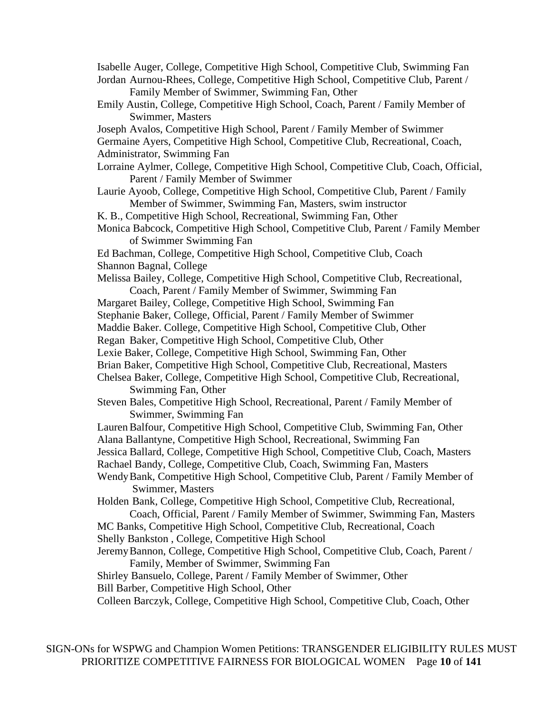Isabelle Auger, College, Competitive High School, Competitive Club, Swimming Fan Jordan Aurnou-Rhees, College, Competitive High School, Competitive Club, Parent / Family Member of Swimmer, Swimming Fan, Other

- Emily Austin, College, Competitive High School, Coach, Parent / Family Member of Swimmer, Masters
- Joseph Avalos, Competitive High School, Parent / Family Member of Swimmer

Germaine Ayers, Competitive High School, Competitive Club, Recreational, Coach, Administrator, Swimming Fan

Lorraine Aylmer, College, Competitive High School, Competitive Club, Coach, Official, Parent / Family Member of Swimmer

- Laurie Ayoob, College, Competitive High School, Competitive Club, Parent / Family Member of Swimmer, Swimming Fan, Masters, swim instructor
- K. B., Competitive High School, Recreational, Swimming Fan, Other

Monica Babcock, Competitive High School, Competitive Club, Parent / Family Member of Swimmer Swimming Fan

Ed Bachman, College, Competitive High School, Competitive Club, Coach Shannon Bagnal, College

Melissa Bailey, College, Competitive High School, Competitive Club, Recreational, Coach, Parent / Family Member of Swimmer, Swimming Fan

Margaret Bailey, College, Competitive High School, Swimming Fan

Stephanie Baker, College, Official, Parent / Family Member of Swimmer

Maddie Baker. College, Competitive High School, Competitive Club, Other

Regan Baker, Competitive High School, Competitive Club, Other

Lexie Baker, College, Competitive High School, Swimming Fan, Other

Brian Baker, Competitive High School, Competitive Club, Recreational, Masters

Chelsea Baker, College, Competitive High School, Competitive Club, Recreational, Swimming Fan, Other

Steven Bales, Competitive High School, Recreational, Parent / Family Member of Swimmer, Swimming Fan

Lauren Balfour, Competitive High School, Competitive Club, Swimming Fan, Other Alana Ballantyne, Competitive High School, Recreational, Swimming Fan

Jessica Ballard, College, Competitive High School, Competitive Club, Coach, Masters

Rachael Bandy, College, Competitive Club, Coach, Swimming Fan, Masters

WendyBank, Competitive High School, Competitive Club, Parent / Family Member of Swimmer, Masters

Holden Bank, College, Competitive High School, Competitive Club, Recreational, Coach, Official, Parent / Family Member of Swimmer, Swimming Fan, Masters

MC Banks, Competitive High School, Competitive Club, Recreational, Coach Shelly Bankston , College, Competitive High School

JeremyBannon, College, Competitive High School, Competitive Club, Coach, Parent / Family, Member of Swimmer, Swimming Fan

Shirley Bansuelo, College, Parent / Family Member of Swimmer, Other Bill Barber, Competitive High School, Other

Colleen Barczyk, College, Competitive High School, Competitive Club, Coach, Other

SIGN-ONs for WSPWG and Champion Women Petitions: TRANSGENDER ELIGIBILITY RULES MUST PRIORITIZE COMPETITIVE FAIRNESS FOR BIOLOGICAL WOMEN Page **10** of **141**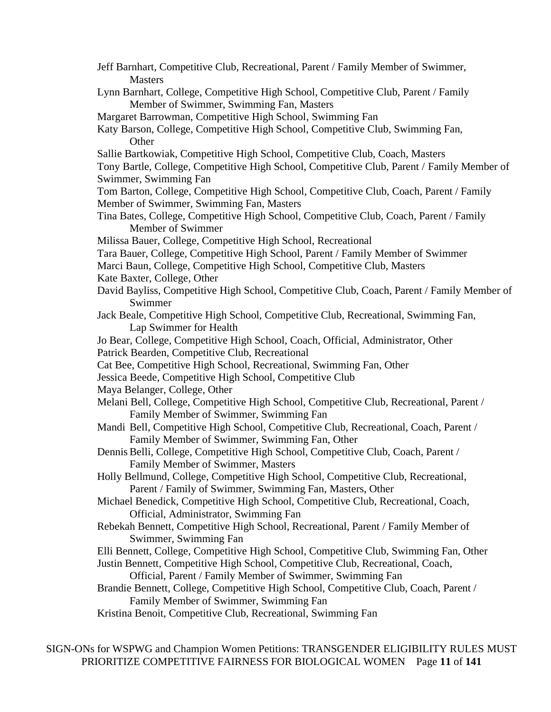| Jeff Barnhart, Competitive Club, Recreational, Parent / Family Member of Swimmer,<br><b>Masters</b>                               |
|-----------------------------------------------------------------------------------------------------------------------------------|
| Lynn Barnhart, College, Competitive High School, Competitive Club, Parent / Family                                                |
| Member of Swimmer, Swimming Fan, Masters                                                                                          |
| Margaret Barrowman, Competitive High School, Swimming Fan                                                                         |
| Katy Barson, College, Competitive High School, Competitive Club, Swimming Fan,<br>Other                                           |
| Sallie Bartkowiak, Competitive High School, Competitive Club, Coach, Masters                                                      |
| Tony Bartle, College, Competitive High School, Competitive Club, Parent / Family Member of<br>Swimmer, Swimming Fan               |
| Tom Barton, College, Competitive High School, Competitive Club, Coach, Parent / Family                                            |
| Member of Swimmer, Swimming Fan, Masters                                                                                          |
| Tina Bates, College, Competitive High School, Competitive Club, Coach, Parent / Family<br>Member of Swimmer                       |
| Milissa Bauer, College, Competitive High School, Recreational                                                                     |
| Tara Bauer, College, Competitive High School, Parent / Family Member of Swimmer                                                   |
| Marci Baun, College, Competitive High School, Competitive Club, Masters                                                           |
| Kate Baxter, College, Other                                                                                                       |
| David Bayliss, Competitive High School, Competitive Club, Coach, Parent / Family Member of                                        |
| Swimmer                                                                                                                           |
| Jack Beale, Competitive High School, Competitive Club, Recreational, Swimming Fan,                                                |
| Lap Swimmer for Health                                                                                                            |
| Jo Bear, College, Competitive High School, Coach, Official, Administrator, Other                                                  |
| Patrick Bearden, Competitive Club, Recreational                                                                                   |
| Cat Bee, Competitive High School, Recreational, Swimming Fan, Other                                                               |
| Jessica Beede, Competitive High School, Competitive Club                                                                          |
| Maya Belanger, College, Other                                                                                                     |
| Melani Bell, College, Competitive High School, Competitive Club, Recreational, Parent /<br>Family Member of Swimmer, Swimming Fan |
| Mandi Bell, Competitive High School, Competitive Club, Recreational, Coach, Parent /                                              |
| Family Member of Swimmer, Swimming Fan, Other                                                                                     |
| Dennis Belli, College, Competitive High School, Competitive Club, Coach, Parent /                                                 |
| Family Member of Swimmer, Masters                                                                                                 |
| Holly Bellmund, College, Competitive High School, Competitive Club, Recreational,                                                 |
| Parent / Family of Swimmer, Swimming Fan, Masters, Other                                                                          |
| Michael Benedick, Competitive High School, Competitive Club, Recreational, Coach,                                                 |
| Official, Administrator, Swimming Fan                                                                                             |
| Rebekah Bennett, Competitive High School, Recreational, Parent / Family Member of                                                 |
| Swimmer, Swimming Fan                                                                                                             |
| Elli Bennett, College, Competitive High School, Competitive Club, Swimming Fan, Other                                             |
| Justin Bennett, Competitive High School, Competitive Club, Recreational, Coach,                                                   |
| Official, Parent / Family Member of Swimmer, Swimming Fan                                                                         |
| Brandie Bennett, College, Competitive High School, Competitive Club, Coach, Parent /                                              |
| Family Member of Swimmer, Swimming Fan                                                                                            |
| Kristina Benoit, Competitive Club, Recreational, Swimming Fan                                                                     |
|                                                                                                                                   |
|                                                                                                                                   |

SIGN-ONs for WSPWG and Champion Women Petitions: TRANSGENDER ELIGIBILITY RULES MUST PRIORITIZE COMPETITIVE FAIRNESS FOR BIOLOGICAL WOMEN Page **11** of **141**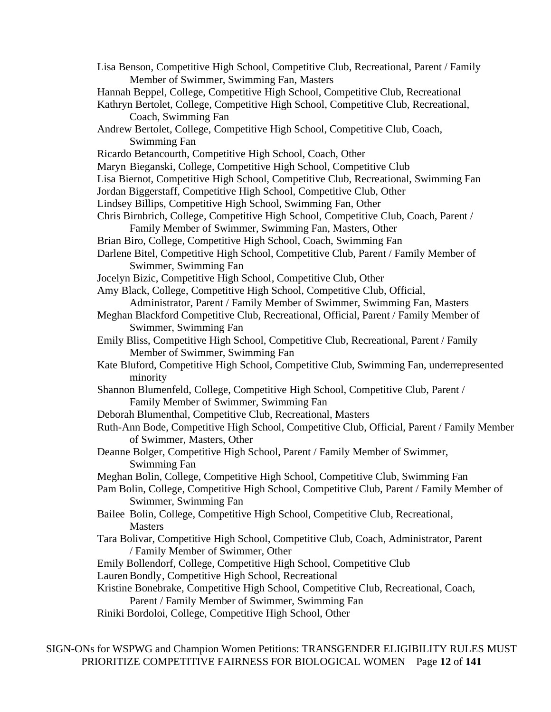Lisa Benson, Competitive High School, Competitive Club, Recreational, Parent / Family Member of Swimmer, Swimming Fan, Masters Hannah Beppel, College, Competitive High School, Competitive Club, Recreational Kathryn Bertolet, College, Competitive High School, Competitive Club, Recreational, Coach, Swimming Fan Andrew Bertolet, College, Competitive High School, Competitive Club, Coach, Swimming Fan Ricardo Betancourth, Competitive High School, Coach, Other Maryn Bieganski, College, Competitive High School, Competitive Club Lisa Biernot, Competitive High School, Competitive Club, Recreational, Swimming Fan Jordan Biggerstaff, Competitive High School, Competitive Club, Other Lindsey Billips, Competitive High School, Swimming Fan, Other Chris Birnbrich, College, Competitive High School, Competitive Club, Coach, Parent / Family Member of Swimmer, Swimming Fan, Masters, Other Brian Biro, College, Competitive High School, Coach, Swimming Fan Darlene Bitel, Competitive High School, Competitive Club, Parent / Family Member of Swimmer, Swimming Fan Jocelyn Bizic, Competitive High School, Competitive Club, Other Amy Black, College, Competitive High School, Competitive Club, Official, Administrator, Parent / Family Member of Swimmer, Swimming Fan, Masters Meghan Blackford Competitive Club, Recreational, Official, Parent / Family Member of Swimmer, Swimming Fan Emily Bliss, Competitive High School, Competitive Club, Recreational, Parent / Family Member of Swimmer, Swimming Fan Kate Bluford, Competitive High School, Competitive Club, Swimming Fan, underrepresented minority Shannon Blumenfeld, College, Competitive High School, Competitive Club, Parent / Family Member of Swimmer, Swimming Fan Deborah Blumenthal, Competitive Club, Recreational, Masters Ruth-Ann Bode, Competitive High School, Competitive Club, Official, Parent / Family Member of Swimmer, Masters, Other Deanne Bolger, Competitive High School, Parent / Family Member of Swimmer, Swimming Fan Meghan Bolin, College, Competitive High School, Competitive Club, Swimming Fan Pam Bolin, College, Competitive High School, Competitive Club, Parent / Family Member of Swimmer, Swimming Fan Bailee Bolin, College, Competitive High School, Competitive Club, Recreational, **Masters** Tara Bolivar, Competitive High School, Competitive Club, Coach, Administrator, Parent / Family Member of Swimmer, Other Emily Bollendorf, College, Competitive High School, Competitive Club LaurenBondly, Competitive High School, Recreational Kristine Bonebrake, Competitive High School, Competitive Club, Recreational, Coach, Parent / Family Member of Swimmer, Swimming Fan Riniki Bordoloi, College, Competitive High School, Other

SIGN-ONs for WSPWG and Champion Women Petitions: TRANSGENDER ELIGIBILITY RULES MUST PRIORITIZE COMPETITIVE FAIRNESS FOR BIOLOGICAL WOMEN Page **12** of **141**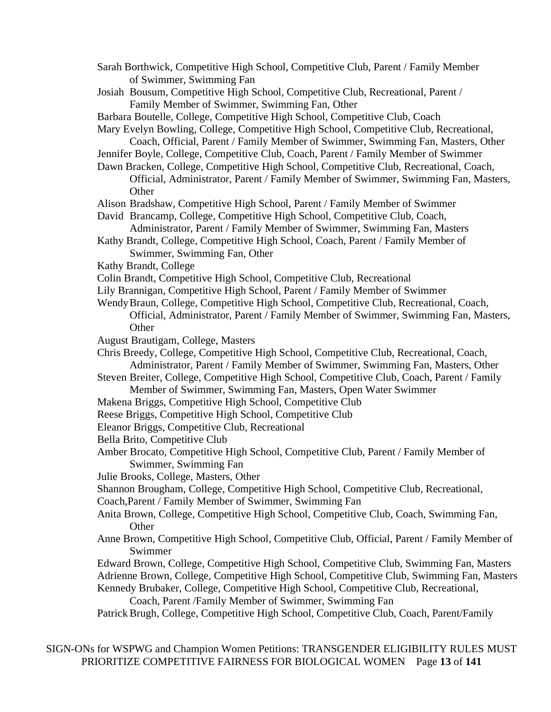- Sarah Borthwick, Competitive High School, Competitive Club, Parent / Family Member of Swimmer, Swimming Fan
- Josiah Bousum, Competitive High School, Competitive Club, Recreational, Parent / Family Member of Swimmer, Swimming Fan, Other
- Barbara Boutelle, College, Competitive High School, Competitive Club, Coach
- Mary Evelyn Bowling, College, Competitive High School, Competitive Club, Recreational,
- Coach, Official, Parent / Family Member of Swimmer, Swimming Fan, Masters, Other
- Jennifer Boyle, College, Competitive Club, Coach, Parent / Family Member of Swimmer
- Dawn Bracken, College, Competitive High School, Competitive Club, Recreational, Coach, Official, Administrator, Parent / Family Member of Swimmer, Swimming Fan, Masters,
	- **Other**
- Alison Bradshaw, Competitive High School, Parent / Family Member of Swimmer
- David Brancamp, College, Competitive High School, Competitive Club, Coach,
- Administrator, Parent / Family Member of Swimmer, Swimming Fan, Masters Kathy Brandt, College, Competitive High School, Coach, Parent / Family Member of
	- Swimmer, Swimming Fan, Other
- Kathy Brandt, College
- Colin Brandt, Competitive High School, Competitive Club, Recreational
- Lily Brannigan, Competitive High School, Parent / Family Member of Swimmer
- WendyBraun, College, Competitive High School, Competitive Club, Recreational, Coach, Official, Administrator, Parent / Family Member of Swimmer, Swimming Fan, Masters, **Other**
- August Brautigam, College, Masters
- Chris Breedy, College, Competitive High School, Competitive Club, Recreational, Coach, Administrator, Parent / Family Member of Swimmer, Swimming Fan, Masters, Other
- Steven Breiter, College, Competitive High School, Competitive Club, Coach, Parent / Family Member of Swimmer, Swimming Fan, Masters, Open Water Swimmer
- Makena Briggs, Competitive High School, Competitive Club
- Reese Briggs, Competitive High School, Competitive Club
- Eleanor Briggs, Competitive Club, Recreational
- Bella Brito, Competitive Club
- Amber Brocato, Competitive High School, Competitive Club, Parent / Family Member of Swimmer, Swimming Fan
- Julie Brooks, College, Masters, Other
- Shannon Brougham, College, Competitive High School, Competitive Club, Recreational,
- Coach,Parent / Family Member of Swimmer, Swimming Fan
- Anita Brown, College, Competitive High School, Competitive Club, Coach, Swimming Fan, **Other**
- Anne Brown, Competitive High School, Competitive Club, Official, Parent / Family Member of Swimmer
- Edward Brown, College, Competitive High School, Competitive Club, Swimming Fan, Masters Adrienne Brown, College, Competitive High School, Competitive Club, Swimming Fan, Masters Kennedy Brubaker, College, Competitive High School, Competitive Club, Recreational,

```
Coach, Parent /Family Member of Swimmer, Swimming Fan
```
Patrick Brugh, College, Competitive High School, Competitive Club, Coach, Parent/Family

SIGN-ONs for WSPWG and Champion Women Petitions: TRANSGENDER ELIGIBILITY RULES MUST PRIORITIZE COMPETITIVE FAIRNESS FOR BIOLOGICAL WOMEN Page **13** of **141**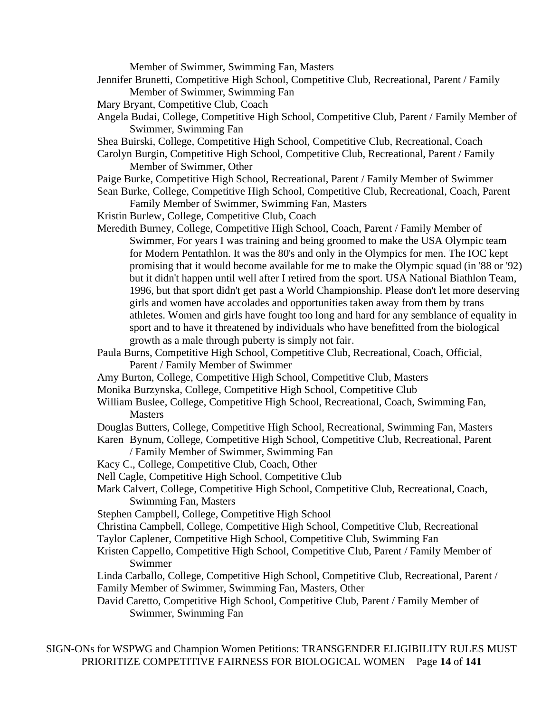Member of Swimmer, Swimming Fan, Masters

- Jennifer Brunetti, Competitive High School, Competitive Club, Recreational, Parent / Family Member of Swimmer, Swimming Fan
- Mary Bryant, Competitive Club, Coach
- Angela Budai, College, Competitive High School, Competitive Club, Parent / Family Member of Swimmer, Swimming Fan
- Shea Buirski, College, Competitive High School, Competitive Club, Recreational, Coach
- Carolyn Burgin, Competitive High School, Competitive Club, Recreational, Parent / Family Member of Swimmer, Other
- Paige Burke, Competitive High School, Recreational, Parent / Family Member of Swimmer
- Sean Burke, College, Competitive High School, Competitive Club, Recreational, Coach, Parent Family Member of Swimmer, Swimming Fan, Masters
- Kristin Burlew, College, Competitive Club, Coach
- Meredith Burney, College, Competitive High School, Coach, Parent / Family Member of Swimmer, For years I was training and being groomed to make the USA Olympic team for Modern Pentathlon. It was the 80's and only in the Olympics for men. The IOC kept promising that it would become available for me to make the Olympic squad (in '88 or '92) but it didn't happen until well after I retired from the sport. USA National Biathlon Team, 1996, but that sport didn't get past a World Championship. Please don't let more deserving girls and women have accolades and opportunities taken away from them by trans athletes. Women and girls have fought too long and hard for any semblance of equality in sport and to have it threatened by individuals who have benefitted from the biological growth as a male through puberty is simply not fair.
- Paula Burns, Competitive High School, Competitive Club, Recreational, Coach, Official, Parent / Family Member of Swimmer
- Amy Burton, College, Competitive High School, Competitive Club, Masters
- Monika Burzynska, College, Competitive High School, Competitive Club
- William Buslee, College, Competitive High School, Recreational, Coach, Swimming Fan, **Masters**

Douglas Butters, College, Competitive High School, Recreational, Swimming Fan, Masters Karen Bynum, College, Competitive High School, Competitive Club, Recreational, Parent

- / Family Member of Swimmer, Swimming Fan
- Kacy C., College, Competitive Club, Coach, Other
- Nell Cagle, Competitive High School, Competitive Club
- Mark Calvert, College, Competitive High School, Competitive Club, Recreational, Coach, Swimming Fan, Masters
- Stephen Campbell, College, Competitive High School
- Christina Campbell, College, Competitive High School, Competitive Club, Recreational
- Taylor Caplener, Competitive High School, Competitive Club, Swimming Fan
- Kristen Cappello, Competitive High School, Competitive Club, Parent / Family Member of Swimmer
- Linda Carballo, College, Competitive High School, Competitive Club, Recreational, Parent / Family Member of Swimmer, Swimming Fan, Masters, Other
- David Caretto, Competitive High School, Competitive Club, Parent / Family Member of Swimmer, Swimming Fan

SIGN-ONs for WSPWG and Champion Women Petitions: TRANSGENDER ELIGIBILITY RULES MUST PRIORITIZE COMPETITIVE FAIRNESS FOR BIOLOGICAL WOMEN Page **14** of **141**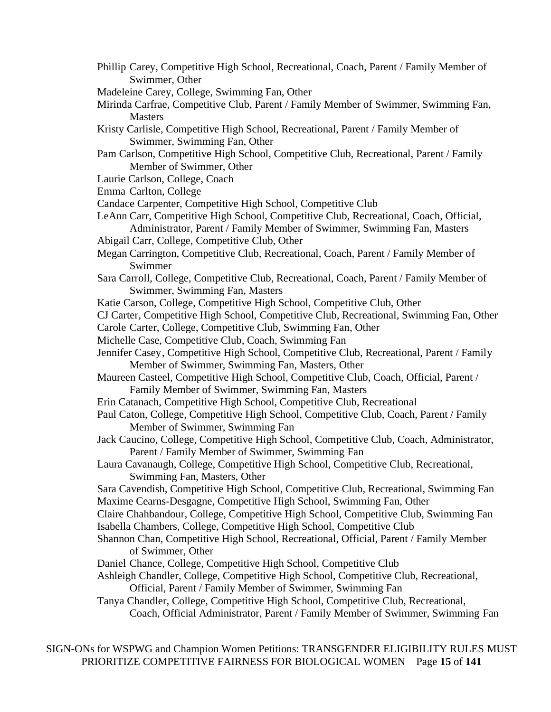- Phillip Carey, Competitive High School, Recreational, Coach, Parent / Family Member of Swimmer, Other
- Madeleine Carey, College, Swimming Fan, Other
- Mirinda Carfrae, Competitive Club, Parent / Family Member of Swimmer, Swimming Fan, **Masters**
- Kristy Carlisle, Competitive High School, Recreational, Parent / Family Member of Swimmer, Swimming Fan, Other
- Pam Carlson, Competitive High School, Competitive Club, Recreational, Parent / Family Member of Swimmer, Other
- Laurie Carlson, College, Coach
- Emma Carlton, College
- Candace Carpenter, Competitive High School, Competitive Club
- LeAnn Carr, Competitive High School, Competitive Club, Recreational, Coach, Official, Administrator, Parent / Family Member of Swimmer, Swimming Fan, Masters
- Abigail Carr, College, Competitive Club, Other
- Megan Carrington, Competitive Club, Recreational, Coach, Parent / Family Member of Swimmer
- Sara Carroll, College, Competitive Club, Recreational, Coach, Parent / Family Member of Swimmer, Swimming Fan, Masters
- Katie Carson, College, Competitive High School, Competitive Club, Other
- CJ Carter, Competitive High School, Competitive Club, Recreational, Swimming Fan, Other
- Carole Carter, College, Competitive Club, Swimming Fan, Other
- Michelle Case, Competitive Club, Coach, Swimming Fan
- Jennifer Casey, Competitive High School, Competitive Club, Recreational, Parent / Family Member of Swimmer, Swimming Fan, Masters, Other
- Maureen Casteel, Competitive High School, Competitive Club, Coach, Official, Parent / Family Member of Swimmer, Swimming Fan, Masters
- Erin Catanach, Competitive High School, Competitive Club, Recreational
- Paul Caton, College, Competitive High School, Competitive Club, Coach, Parent / Family Member of Swimmer, Swimming Fan
- Jack Caucino, College, Competitive High School, Competitive Club, Coach, Administrator, Parent / Family Member of Swimmer, Swimming Fan
- Laura Cavanaugh, College, Competitive High School, Competitive Club, Recreational, Swimming Fan, Masters, Other
- Sara Cavendish, Competitive High School, Competitive Club, Recreational, Swimming Fan Maxime Cearns-Desgagne, Competitive High School, Swimming Fan, Other
- Claire Chahbandour, College, Competitive High School, Competitive Club, Swimming Fan Isabella Chambers, College, Competitive High School, Competitive Club
- Shannon Chan, Competitive High School, Recreational, Official, Parent / Family Member of Swimmer, Other
- Daniel Chance, College, Competitive High School, Competitive Club
- Ashleigh Chandler, College, Competitive High School, Competitive Club, Recreational, Official, Parent / Family Member of Swimmer, Swimming Fan
- Tanya Chandler, College, Competitive High School, Competitive Club, Recreational, Coach, Official Administrator, Parent / Family Member of Swimmer, Swimming Fan

SIGN-ONs for WSPWG and Champion Women Petitions: TRANSGENDER ELIGIBILITY RULES MUST PRIORITIZE COMPETITIVE FAIRNESS FOR BIOLOGICAL WOMEN Page **15** of **141**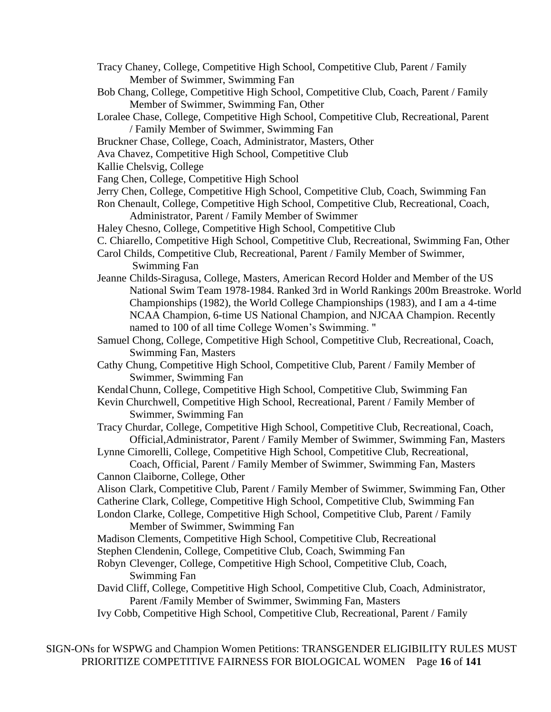- Tracy Chaney, College, Competitive High School, Competitive Club, Parent / Family Member of Swimmer, Swimming Fan
- Bob Chang, College, Competitive High School, Competitive Club, Coach, Parent / Family Member of Swimmer, Swimming Fan, Other
- Loralee Chase, College, Competitive High School, Competitive Club, Recreational, Parent / Family Member of Swimmer, Swimming Fan
- Bruckner Chase, College, Coach, Administrator, Masters, Other
- Ava Chavez, Competitive High School, Competitive Club
- Kallie Chelsvig, College
- Fang Chen, College, Competitive High School
- Jerry Chen, College, Competitive High School, Competitive Club, Coach, Swimming Fan
- Ron Chenault, College, Competitive High School, Competitive Club, Recreational, Coach, Administrator, Parent / Family Member of Swimmer
- Haley Chesno, College, Competitive High School, Competitive Club
- C. Chiarello, Competitive High School, Competitive Club, Recreational, Swimming Fan, Other
- Carol Childs, Competitive Club, Recreational, Parent / Family Member of Swimmer, Swimming Fan
- Jeanne Childs-Siragusa, College, Masters, American Record Holder and Member of the US National Swim Team 1978-1984. Ranked 3rd in World Rankings 200m Breastroke. World Championships (1982), the World College Championships (1983), and I am a 4-time NCAA Champion, 6-time US National Champion, and NJCAA Champion. Recently named to 100 of all time College Women's Swimming. "
- Samuel Chong, College, Competitive High School, Competitive Club, Recreational, Coach, Swimming Fan, Masters
- Cathy Chung, Competitive High School, Competitive Club, Parent / Family Member of Swimmer, Swimming Fan
- KendalChunn, College, Competitive High School, Competitive Club, Swimming Fan
- Kevin Churchwell, Competitive High School, Recreational, Parent / Family Member of Swimmer, Swimming Fan
- Tracy Churdar, College, Competitive High School, Competitive Club, Recreational, Coach, Official,Administrator, Parent / Family Member of Swimmer, Swimming Fan, Masters
- Lynne Cimorelli, College, Competitive High School, Competitive Club, Recreational,
- Coach, Official, Parent / Family Member of Swimmer, Swimming Fan, Masters Cannon Claiborne, College, Other
- Alison Clark, Competitive Club, Parent / Family Member of Swimmer, Swimming Fan, Other Catherine Clark, College, Competitive High School, Competitive Club, Swimming Fan
- London Clarke, College, Competitive High School, Competitive Club, Parent / Family
	- Member of Swimmer, Swimming Fan
- Madison Clements, Competitive High School, Competitive Club, Recreational
- Stephen Clendenin, College, Competitive Club, Coach, Swimming Fan
- Robyn Clevenger, College, Competitive High School, Competitive Club, Coach, Swimming Fan
- David Cliff, College, Competitive High School, Competitive Club, Coach, Administrator, Parent /Family Member of Swimmer, Swimming Fan, Masters
- Ivy Cobb, Competitive High School, Competitive Club, Recreational, Parent / Family

SIGN-ONs for WSPWG and Champion Women Petitions: TRANSGENDER ELIGIBILITY RULES MUST PRIORITIZE COMPETITIVE FAIRNESS FOR BIOLOGICAL WOMEN Page **16** of **141**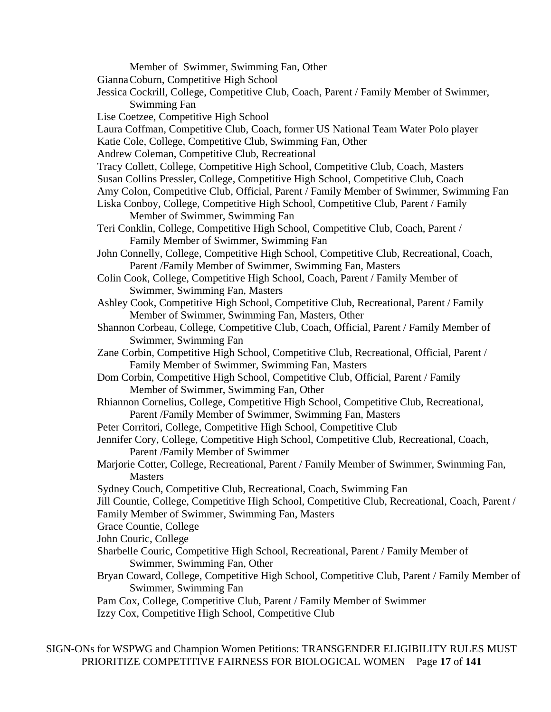Member of Swimmer, Swimming Fan, Other GiannaCoburn, Competitive High School Jessica Cockrill, College, Competitive Club, Coach, Parent / Family Member of Swimmer, Swimming Fan Lise Coetzee, Competitive High School Laura Coffman, Competitive Club, Coach, former US National Team Water Polo player Katie Cole, College, Competitive Club, Swimming Fan, Other Andrew Coleman, Competitive Club, Recreational Tracy Collett, College, Competitive High School, Competitive Club, Coach, Masters Susan Collins Pressler, College, Competitive High School, Competitive Club, Coach Amy Colon, Competitive Club, Official, Parent / Family Member of Swimmer, Swimming Fan Liska Conboy, College, Competitive High School, Competitive Club, Parent / Family Member of Swimmer, Swimming Fan Teri Conklin, College, Competitive High School, Competitive Club, Coach, Parent / Family Member of Swimmer, Swimming Fan John Connelly, College, Competitive High School, Competitive Club, Recreational, Coach, Parent /Family Member of Swimmer, Swimming Fan, Masters Colin Cook, College, Competitive High School, Coach, Parent / Family Member of Swimmer, Swimming Fan, Masters Ashley Cook, Competitive High School, Competitive Club, Recreational, Parent / Family Member of Swimmer, Swimming Fan, Masters, Other Shannon Corbeau, College, Competitive Club, Coach, Official, Parent / Family Member of Swimmer, Swimming Fan Zane Corbin, Competitive High School, Competitive Club, Recreational, Official, Parent / Family Member of Swimmer, Swimming Fan, Masters Dom Corbin, Competitive High School, Competitive Club, Official, Parent / Family Member of Swimmer, Swimming Fan, Other Rhiannon Cornelius, College, Competitive High School, Competitive Club, Recreational, Parent /Family Member of Swimmer, Swimming Fan, Masters Peter Corritori, College, Competitive High School, Competitive Club Jennifer Cory, College, Competitive High School, Competitive Club, Recreational, Coach, Parent /Family Member of Swimmer Marjorie Cotter, College, Recreational, Parent / Family Member of Swimmer, Swimming Fan, **Masters** Sydney Couch, Competitive Club, Recreational, Coach, Swimming Fan Jill Countie, College, Competitive High School, Competitive Club, Recreational, Coach, Parent / Family Member of Swimmer, Swimming Fan, Masters Grace Countie, College John Couric, College Sharbelle Couric, Competitive High School, Recreational, Parent / Family Member of Swimmer, Swimming Fan, Other Bryan Coward, College, Competitive High School, Competitive Club, Parent / Family Member of Swimmer, Swimming Fan Pam Cox, College, Competitive Club, Parent / Family Member of Swimmer Izzy Cox, Competitive High School, Competitive Club

SIGN-ONs for WSPWG and Champion Women Petitions: TRANSGENDER ELIGIBILITY RULES MUST PRIORITIZE COMPETITIVE FAIRNESS FOR BIOLOGICAL WOMEN Page **17** of **141**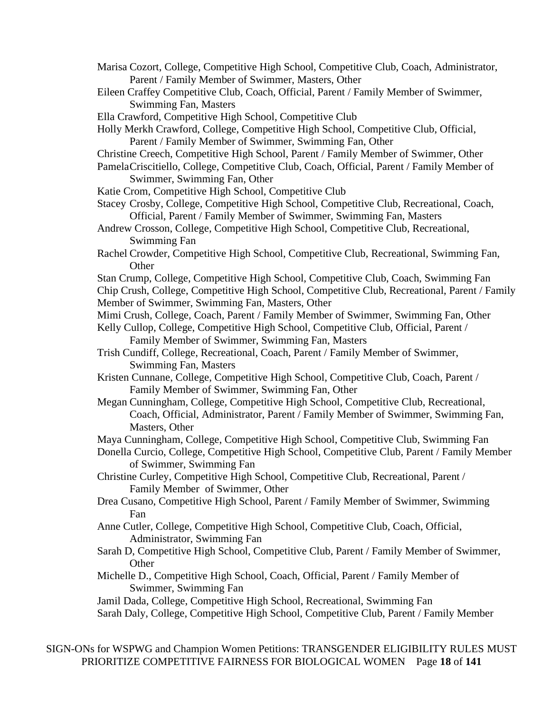- Marisa Cozort, College, Competitive High School, Competitive Club, Coach, Administrator, Parent / Family Member of Swimmer, Masters, Other
- Eileen Craffey Competitive Club, Coach, Official, Parent / Family Member of Swimmer, Swimming Fan, Masters
- Ella Crawford, Competitive High School, Competitive Club
- Holly Merkh Crawford, College, Competitive High School, Competitive Club, Official, Parent / Family Member of Swimmer, Swimming Fan, Other
- Christine Creech, Competitive High School, Parent / Family Member of Swimmer, Other
- PamelaCriscitiello, College, Competitive Club, Coach, Official, Parent / Family Member of Swimmer, Swimming Fan, Other
- Katie Crom, Competitive High School, Competitive Club
- Stacey Crosby, College, Competitive High School, Competitive Club, Recreational, Coach, Official, Parent / Family Member of Swimmer, Swimming Fan, Masters
- Andrew Crosson, College, Competitive High School, Competitive Club, Recreational, Swimming Fan
- Rachel Crowder, Competitive High School, Competitive Club, Recreational, Swimming Fan, **Other**
- Stan Crump, College, Competitive High School, Competitive Club, Coach, Swimming Fan Chip Crush, College, Competitive High School, Competitive Club, Recreational, Parent / Family
- Member of Swimmer, Swimming Fan, Masters, Other
- Mimi Crush, College, Coach, Parent / Family Member of Swimmer, Swimming Fan, Other
- Kelly Cullop, College, Competitive High School, Competitive Club, Official, Parent / Family Member of Swimmer, Swimming Fan, Masters
- Trish Cundiff, College, Recreational, Coach, Parent / Family Member of Swimmer, Swimming Fan, Masters
- Kristen Cunnane, College, Competitive High School, Competitive Club, Coach, Parent / Family Member of Swimmer, Swimming Fan, Other
- Megan Cunningham, College, Competitive High School, Competitive Club, Recreational, Coach, Official, Administrator, Parent / Family Member of Swimmer, Swimming Fan, Masters, Other
- Maya Cunningham, College, Competitive High School, Competitive Club, Swimming Fan
- Donella Curcio, College, Competitive High School, Competitive Club, Parent / Family Member of Swimmer, Swimming Fan
- Christine Curley, Competitive High School, Competitive Club, Recreational, Parent / Family Member of Swimmer, Other
- Drea Cusano, Competitive High School, Parent / Family Member of Swimmer, Swimming Fan
- Anne Cutler, College, Competitive High School, Competitive Club, Coach, Official, Administrator, Swimming Fan
- Sarah D, Competitive High School, Competitive Club, Parent / Family Member of Swimmer, **Other**
- Michelle D., Competitive High School, Coach, Official, Parent / Family Member of Swimmer, Swimming Fan

Jamil Dada, College, Competitive High School, Recreational, Swimming Fan

Sarah Daly, College, Competitive High School, Competitive Club, Parent / Family Member

SIGN-ONs for WSPWG and Champion Women Petitions: TRANSGENDER ELIGIBILITY RULES MUST PRIORITIZE COMPETITIVE FAIRNESS FOR BIOLOGICAL WOMEN Page **18** of **141**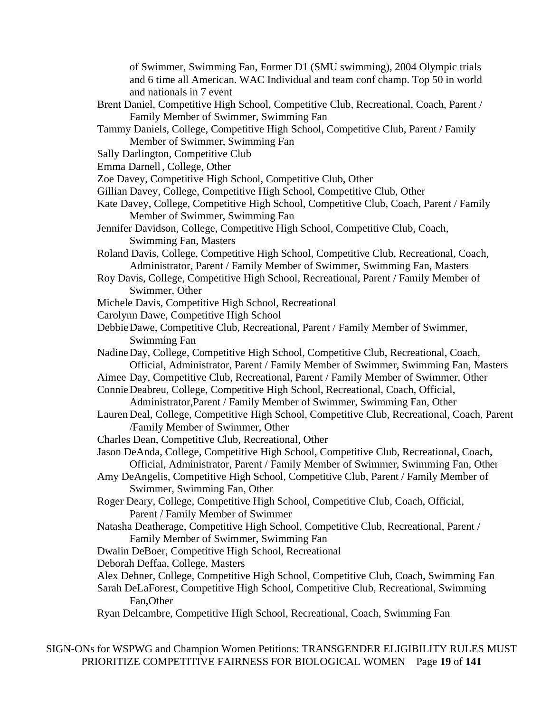of Swimmer, Swimming Fan, Former D1 (SMU swimming), 2004 Olympic trials and 6 time all American. WAC Individual and team conf champ. Top 50 in world and nationals in 7 event

- Brent Daniel, Competitive High School, Competitive Club, Recreational, Coach, Parent / Family Member of Swimmer, Swimming Fan
- Tammy Daniels, College, Competitive High School, Competitive Club, Parent / Family Member of Swimmer, Swimming Fan
- Sally Darlington, Competitive Club
- Emma Darnell, College, Other
- Zoe Davey, Competitive High School, Competitive Club, Other
- Gillian Davey, College, Competitive High School, Competitive Club, Other
- Kate Davey, College, Competitive High School, Competitive Club, Coach, Parent / Family Member of Swimmer, Swimming Fan
- Jennifer Davidson, College, Competitive High School, Competitive Club, Coach, Swimming Fan, Masters
- Roland Davis, College, Competitive High School, Competitive Club, Recreational, Coach, Administrator, Parent / Family Member of Swimmer, Swimming Fan, Masters
- Roy Davis, College, Competitive High School, Recreational, Parent / Family Member of Swimmer, Other
- Michele Davis, Competitive High School, Recreational
- Carolynn Dawe, Competitive High School
- DebbieDawe, Competitive Club, Recreational, Parent / Family Member of Swimmer, Swimming Fan
- NadineDay, College, Competitive High School, Competitive Club, Recreational, Coach, Official, Administrator, Parent / Family Member of Swimmer, Swimming Fan, Masters
- Aimee Day, Competitive Club, Recreational, Parent / Family Member of Swimmer, Other
- ConnieDeabreu, College, Competitive High School, Recreational, Coach, Official,
	- Administrator,Parent / Family Member of Swimmer, Swimming Fan, Other
- Lauren Deal, College, Competitive High School, Competitive Club, Recreational, Coach, Parent /Family Member of Swimmer, Other
- Charles Dean, Competitive Club, Recreational, Other
- Jason DeAnda, College, Competitive High School, Competitive Club, Recreational, Coach, Official, Administrator, Parent / Family Member of Swimmer, Swimming Fan, Other
- Amy DeAngelis, Competitive High School, Competitive Club, Parent / Family Member of Swimmer, Swimming Fan, Other
- Roger Deary, College, Competitive High School, Competitive Club, Coach, Official, Parent / Family Member of Swimmer
- Natasha Deatherage, Competitive High School, Competitive Club, Recreational, Parent / Family Member of Swimmer, Swimming Fan
- Dwalin DeBoer, Competitive High School, Recreational
- Deborah Deffaa, College, Masters
- Alex Dehner, College, Competitive High School, Competitive Club, Coach, Swimming Fan Sarah DeLaForest, Competitive High School, Competitive Club, Recreational, Swimming Fan,Other
- Ryan Delcambre, Competitive High School, Recreational, Coach, Swimming Fan

SIGN-ONs for WSPWG and Champion Women Petitions: TRANSGENDER ELIGIBILITY RULES MUST PRIORITIZE COMPETITIVE FAIRNESS FOR BIOLOGICAL WOMEN Page **19** of **141**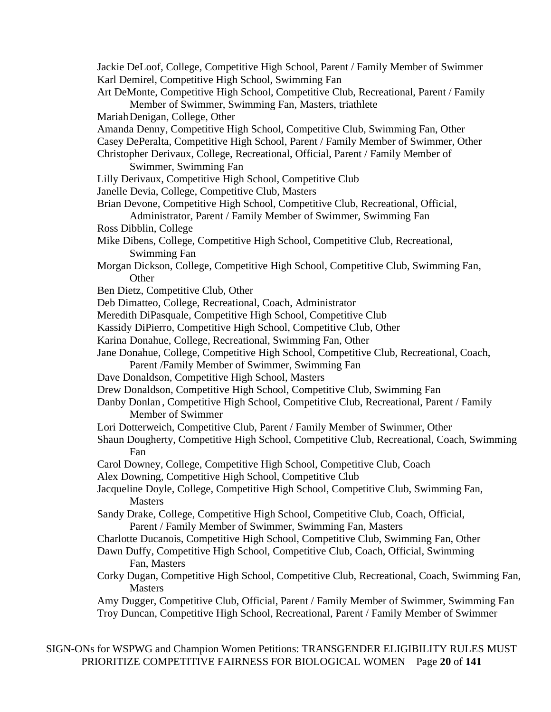- Jackie DeLoof, College, Competitive High School, Parent / Family Member of Swimmer Karl Demirel, Competitive High School, Swimming Fan
- Art DeMonte, Competitive High School, Competitive Club, Recreational, Parent / Family Member of Swimmer, Swimming Fan, Masters, triathlete
- MariahDenigan, College, Other
- Amanda Denny, Competitive High School, Competitive Club, Swimming Fan, Other
- Casey DePeralta, Competitive High School, Parent / Family Member of Swimmer, Other

Christopher Derivaux, College, Recreational, Official, Parent / Family Member of Swimmer, Swimming Fan

- Lilly Derivaux, Competitive High School, Competitive Club
- Janelle Devia, College, Competitive Club, Masters
- Brian Devone, Competitive High School, Competitive Club, Recreational, Official,
- Administrator, Parent / Family Member of Swimmer, Swimming Fan Ross Dibblin, College
- Mike Dibens, College, Competitive High School, Competitive Club, Recreational, Swimming Fan
- Morgan Dickson, College, Competitive High School, Competitive Club, Swimming Fan, **Other**
- Ben Dietz, Competitive Club, Other
- Deb Dimatteo, College, Recreational, Coach, Administrator
- Meredith DiPasquale, Competitive High School, Competitive Club

Kassidy DiPierro, Competitive High School, Competitive Club, Other

- Karina Donahue, College, Recreational, Swimming Fan, Other
- Jane Donahue, College, Competitive High School, Competitive Club, Recreational, Coach,

Parent /Family Member of Swimmer, Swimming Fan

- Dave Donaldson, Competitive High School, Masters
- Drew Donaldson, Competitive High School, Competitive Club, Swimming Fan
- Danby Donlan, Competitive High School, Competitive Club, Recreational, Parent / Family Member of Swimmer
- Lori Dotterweich, Competitive Club, Parent / Family Member of Swimmer, Other
- Shaun Dougherty, Competitive High School, Competitive Club, Recreational, Coach, Swimming Fan
- Carol Downey, College, Competitive High School, Competitive Club, Coach
- Alex Downing, Competitive High School, Competitive Club
- Jacqueline Doyle, College, Competitive High School, Competitive Club, Swimming Fan, Masters
- Sandy Drake, College, Competitive High School, Competitive Club, Coach, Official, Parent / Family Member of Swimmer, Swimming Fan, Masters
- Charlotte Ducanois, Competitive High School, Competitive Club, Swimming Fan, Other
- Dawn Duffy, Competitive High School, Competitive Club, Coach, Official, Swimming Fan, Masters
- Corky Dugan, Competitive High School, Competitive Club, Recreational, Coach, Swimming Fan, **Masters**

Amy Dugger, Competitive Club, Official, Parent / Family Member of Swimmer, Swimming Fan Troy Duncan, Competitive High School, Recreational, Parent / Family Member of Swimmer

SIGN-ONs for WSPWG and Champion Women Petitions: TRANSGENDER ELIGIBILITY RULES MUST PRIORITIZE COMPETITIVE FAIRNESS FOR BIOLOGICAL WOMEN Page **20** of **141**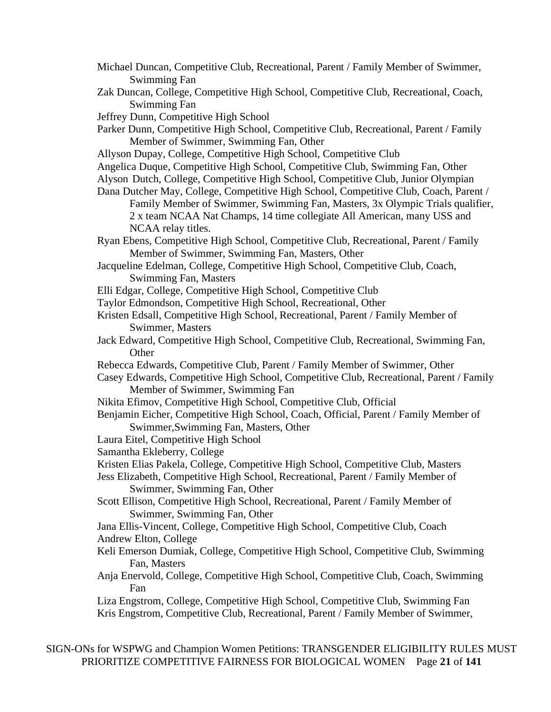- Michael Duncan, Competitive Club, Recreational, Parent / Family Member of Swimmer, Swimming Fan
- Zak Duncan, College, Competitive High School, Competitive Club, Recreational, Coach, Swimming Fan

Jeffrey Dunn, Competitive High School

- Parker Dunn, Competitive High School, Competitive Club, Recreational, Parent / Family Member of Swimmer, Swimming Fan, Other
- Allyson Dupay, College, Competitive High School, Competitive Club
- Angelica Duque, Competitive High School, Competitive Club, Swimming Fan, Other
- Alyson Dutch, College, Competitive High School, Competitive Club, Junior Olympian
- Dana Dutcher May, College, Competitive High School, Competitive Club, Coach, Parent / Family Member of Swimmer, Swimming Fan, Masters, 3x Olympic Trials qualifier, 2 x team NCAA Nat Champs, 14 time collegiate All American, many USS and NCAA relay titles.
- Ryan Ebens, Competitive High School, Competitive Club, Recreational, Parent / Family Member of Swimmer, Swimming Fan, Masters, Other
- Jacqueline Edelman, College, Competitive High School, Competitive Club, Coach, Swimming Fan, Masters
- Elli Edgar, College, Competitive High School, Competitive Club
- Taylor Edmondson, Competitive High School, Recreational, Other
- Kristen Edsall, Competitive High School, Recreational, Parent / Family Member of Swimmer, Masters
- Jack Edward, Competitive High School, Competitive Club, Recreational, Swimming Fan, **Other**
- Rebecca Edwards, Competitive Club, Parent / Family Member of Swimmer, Other
- Casey Edwards, Competitive High School, Competitive Club, Recreational, Parent / Family Member of Swimmer, Swimming Fan
- Nikita Efimov, Competitive High School, Competitive Club, Official
- Benjamin Eicher, Competitive High School, Coach, Official, Parent / Family Member of Swimmer,Swimming Fan, Masters, Other
- Laura Eitel, Competitive High School
- Samantha Ekleberry, College
- Kristen Elias Pakela, College, Competitive High School, Competitive Club, Masters
- Jess Elizabeth, Competitive High School, Recreational, Parent / Family Member of Swimmer, Swimming Fan, Other
- Scott Ellison, Competitive High School, Recreational, Parent / Family Member of Swimmer, Swimming Fan, Other
- Jana Ellis-Vincent, College, Competitive High School, Competitive Club, Coach Andrew Elton, College
- Keli Emerson Dumiak, College, Competitive High School, Competitive Club, Swimming Fan, Masters
- Anja Enervold, College, Competitive High School, Competitive Club, Coach, Swimming Fan

Liza Engstrom, College, Competitive High School, Competitive Club, Swimming Fan Kris Engstrom, Competitive Club, Recreational, Parent / Family Member of Swimmer,

SIGN-ONs for WSPWG and Champion Women Petitions: TRANSGENDER ELIGIBILITY RULES MUST PRIORITIZE COMPETITIVE FAIRNESS FOR BIOLOGICAL WOMEN Page **21** of **141**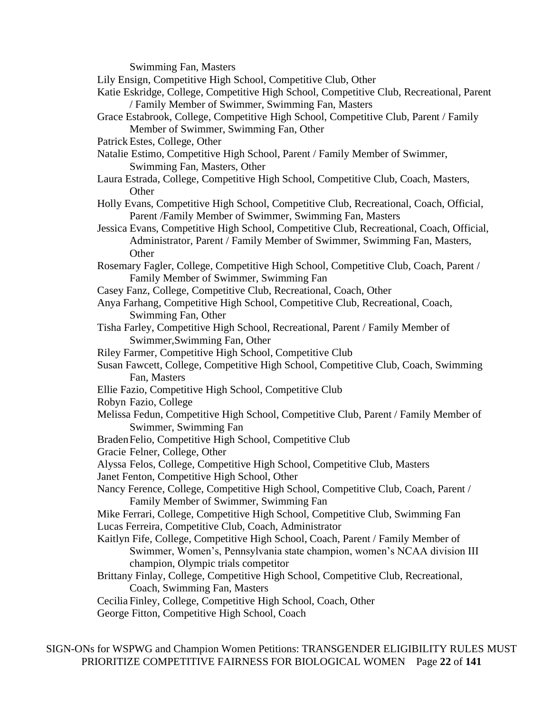Swimming Fan, Masters

Lily Ensign, Competitive High School, Competitive Club, Other

- Katie Eskridge, College, Competitive High School, Competitive Club, Recreational, Parent / Family Member of Swimmer, Swimming Fan, Masters
- Grace Estabrook, College, Competitive High School, Competitive Club, Parent / Family Member of Swimmer, Swimming Fan, Other
- Patrick Estes, College, Other
- Natalie Estimo, Competitive High School, Parent / Family Member of Swimmer, Swimming Fan, Masters, Other
- Laura Estrada, College, Competitive High School, Competitive Club, Coach, Masters, **Other**
- Holly Evans, Competitive High School, Competitive Club, Recreational, Coach, Official, Parent /Family Member of Swimmer, Swimming Fan, Masters
- Jessica Evans, Competitive High School, Competitive Club, Recreational, Coach, Official, Administrator, Parent / Family Member of Swimmer, Swimming Fan, Masters, **Other**
- Rosemary Fagler, College, Competitive High School, Competitive Club, Coach, Parent / Family Member of Swimmer, Swimming Fan
- Casey Fanz, College, Competitive Club, Recreational, Coach, Other
- Anya Farhang, Competitive High School, Competitive Club, Recreational, Coach, Swimming Fan, Other
- Tisha Farley, Competitive High School, Recreational, Parent / Family Member of Swimmer,Swimming Fan, Other
- Riley Farmer, Competitive High School, Competitive Club
- Susan Fawcett, College, Competitive High School, Competitive Club, Coach, Swimming Fan, Masters
- Ellie Fazio, Competitive High School, Competitive Club
- Robyn Fazio, College
- Melissa Fedun, Competitive High School, Competitive Club, Parent / Family Member of Swimmer, Swimming Fan
- BradenFelio, Competitive High School, Competitive Club
- Gracie Felner, College, Other
- Alyssa Felos, College, Competitive High School, Competitive Club, Masters
- Janet Fenton, Competitive High School, Other
- Nancy Ference, College, Competitive High School, Competitive Club, Coach, Parent / Family Member of Swimmer, Swimming Fan
- Mike Ferrari, College, Competitive High School, Competitive Club, Swimming Fan
- Lucas Ferreira, Competitive Club, Coach, Administrator
- Kaitlyn Fife, College, Competitive High School, Coach, Parent / Family Member of Swimmer, Women's, Pennsylvania state champion, women's NCAA division III champion, Olympic trials competitor
- Brittany Finlay, College, Competitive High School, Competitive Club, Recreational, Coach, Swimming Fan, Masters
- Cecilia Finley, College, Competitive High School, Coach, Other
- George Fitton, Competitive High School, Coach

SIGN-ONs for WSPWG and Champion Women Petitions: TRANSGENDER ELIGIBILITY RULES MUST PRIORITIZE COMPETITIVE FAIRNESS FOR BIOLOGICAL WOMEN Page **22** of **141**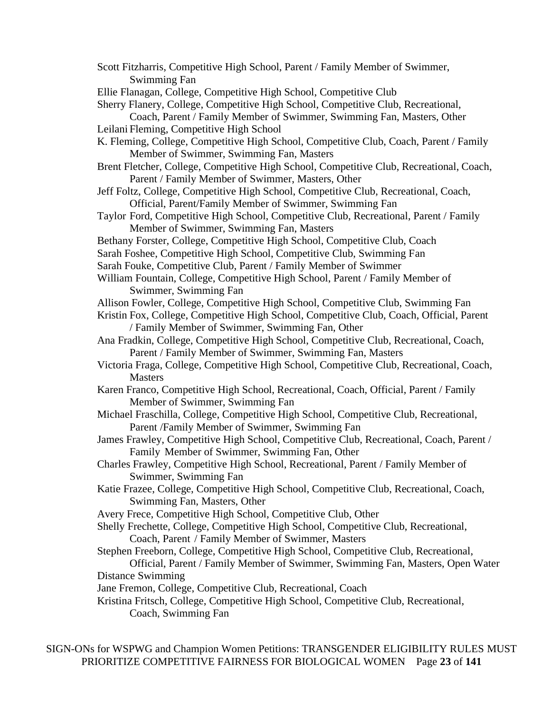- Scott Fitzharris, Competitive High School, Parent / Family Member of Swimmer, Swimming Fan
- Ellie Flanagan, College, Competitive High School, Competitive Club

Sherry Flanery, College, Competitive High School, Competitive Club, Recreational,

Coach, Parent / Family Member of Swimmer, Swimming Fan, Masters, Other Leilani Fleming, Competitive High School

- K. Fleming, College, Competitive High School, Competitive Club, Coach, Parent / Family Member of Swimmer, Swimming Fan, Masters
- Brent Fletcher, College, Competitive High School, Competitive Club, Recreational, Coach, Parent / Family Member of Swimmer, Masters, Other
- Jeff Foltz, College, Competitive High School, Competitive Club, Recreational, Coach, Official, Parent/Family Member of Swimmer, Swimming Fan
- Taylor Ford, Competitive High School, Competitive Club, Recreational, Parent / Family Member of Swimmer, Swimming Fan, Masters
- Bethany Forster, College, Competitive High School, Competitive Club, Coach
- Sarah Foshee, Competitive High School, Competitive Club, Swimming Fan

Sarah Fouke, Competitive Club, Parent / Family Member of Swimmer

- William Fountain, College, Competitive High School, Parent / Family Member of Swimmer, Swimming Fan
- Allison Fowler, College, Competitive High School, Competitive Club, Swimming Fan
- Kristin Fox, College, Competitive High School, Competitive Club, Coach, Official, Parent / Family Member of Swimmer, Swimming Fan, Other
- Ana Fradkin, College, Competitive High School, Competitive Club, Recreational, Coach, Parent / Family Member of Swimmer, Swimming Fan, Masters
- Victoria Fraga, College, Competitive High School, Competitive Club, Recreational, Coach, **Masters**
- Karen Franco, Competitive High School, Recreational, Coach, Official, Parent / Family Member of Swimmer, Swimming Fan
- Michael Fraschilla, College, Competitive High School, Competitive Club, Recreational, Parent /Family Member of Swimmer, Swimming Fan
- James Frawley, Competitive High School, Competitive Club, Recreational, Coach, Parent / Family Member of Swimmer, Swimming Fan, Other
- Charles Frawley, Competitive High School, Recreational, Parent / Family Member of Swimmer, Swimming Fan
- Katie Frazee, College, Competitive High School, Competitive Club, Recreational, Coach, Swimming Fan, Masters, Other
- Avery Frece, Competitive High School, Competitive Club, Other
- Shelly Frechette, College, Competitive High School, Competitive Club, Recreational,
	- Coach, Parent / Family Member of Swimmer, Masters
- Stephen Freeborn, College, Competitive High School, Competitive Club, Recreational,

Official, Parent / Family Member of Swimmer, Swimming Fan, Masters, Open Water Distance Swimming

Jane Fremon, College, Competitive Club, Recreational, Coach

Kristina Fritsch, College, Competitive High School, Competitive Club, Recreational, Coach, Swimming Fan

SIGN-ONs for WSPWG and Champion Women Petitions: TRANSGENDER ELIGIBILITY RULES MUST PRIORITIZE COMPETITIVE FAIRNESS FOR BIOLOGICAL WOMEN Page **23** of **141**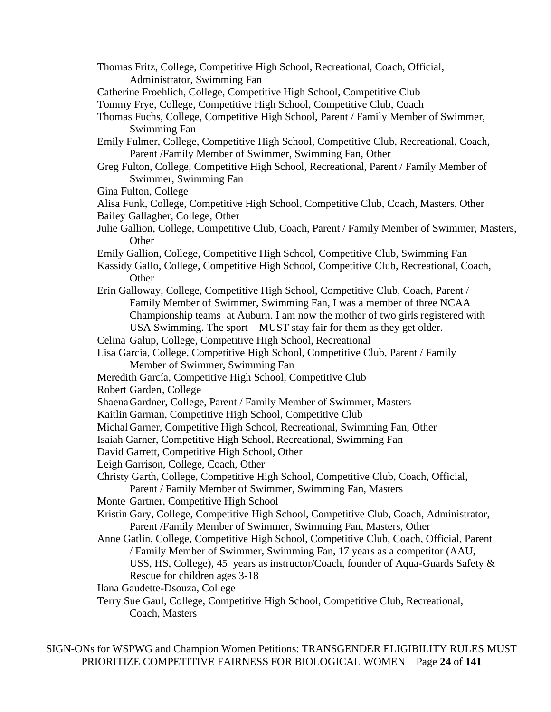- Thomas Fritz, College, Competitive High School, Recreational, Coach, Official, Administrator, Swimming Fan
- Catherine Froehlich, College, Competitive High School, Competitive Club

Tommy Frye, College, Competitive High School, Competitive Club, Coach

- Thomas Fuchs, College, Competitive High School, Parent / Family Member of Swimmer, Swimming Fan
- Emily Fulmer, College, Competitive High School, Competitive Club, Recreational, Coach, Parent /Family Member of Swimmer, Swimming Fan, Other
- Greg Fulton, College, Competitive High School, Recreational, Parent / Family Member of Swimmer, Swimming Fan
- Gina Fulton, College
- Alisa Funk, College, Competitive High School, Competitive Club, Coach, Masters, Other Bailey Gallagher, College, Other
- Julie Gallion, College, Competitive Club, Coach, Parent / Family Member of Swimmer, Masters, **Other**
- Emily Gallion, College, Competitive High School, Competitive Club, Swimming Fan
- Kassidy Gallo, College, Competitive High School, Competitive Club, Recreational, Coach, **Other**
- Erin Galloway, College, Competitive High School, Competitive Club, Coach, Parent / Family Member of Swimmer, Swimming Fan, I was a member of three NCAA Championship teams at Auburn. I am now the mother of two girls registered with USA Swimming. The sport MUST stay fair for them as they get older.
- Celina Galup, College, Competitive High School, Recreational

Lisa Garcia, College, Competitive High School, Competitive Club, Parent / Family Member of Swimmer, Swimming Fan

- Meredith García, Competitive High School, Competitive Club
- Robert Garden, College
- ShaenaGardner, College, Parent / Family Member of Swimmer, Masters
- Kaitlin Garman, Competitive High School, Competitive Club
- Michal Garner, Competitive High School, Recreational, Swimming Fan, Other
- Isaiah Garner, Competitive High School, Recreational, Swimming Fan
- David Garrett, Competitive High School, Other
- Leigh Garrison, College, Coach, Other
- Christy Garth, College, Competitive High School, Competitive Club, Coach, Official,
	- Parent / Family Member of Swimmer, Swimming Fan, Masters
- Monte Gartner, Competitive High School
- Kristin Gary, College, Competitive High School, Competitive Club, Coach, Administrator, Parent /Family Member of Swimmer, Swimming Fan, Masters, Other
- Anne Gatlin, College, Competitive High School, Competitive Club, Coach, Official, Parent / Family Member of Swimmer, Swimming Fan, 17 years as a competitor (AAU, USS, HS, College), 45 years as instructor/Coach, founder of Aqua-Guards Safety & Rescue for children ages 3-18
- Ilana Gaudette-Dsouza, College
- Terry Sue Gaul, College, Competitive High School, Competitive Club, Recreational, Coach, Masters

SIGN-ONs for WSPWG and Champion Women Petitions: TRANSGENDER ELIGIBILITY RULES MUST PRIORITIZE COMPETITIVE FAIRNESS FOR BIOLOGICAL WOMEN Page **24** of **141**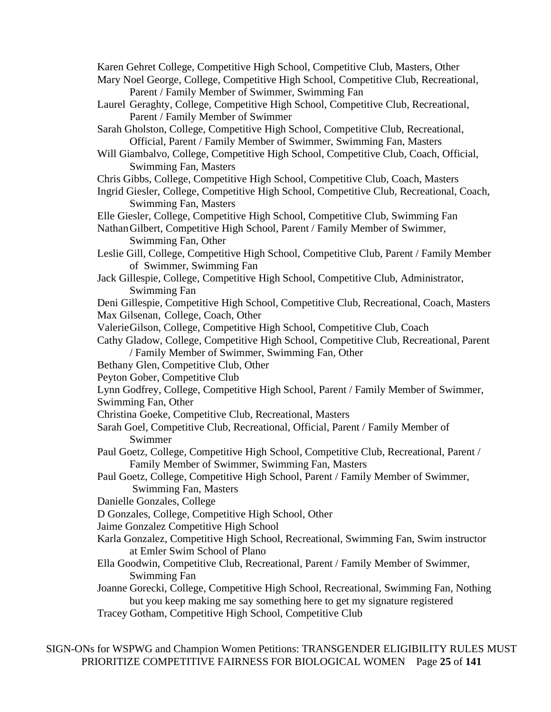Karen Gehret College, Competitive High School, Competitive Club, Masters, Other

- Mary Noel George, College, Competitive High School, Competitive Club, Recreational, Parent / Family Member of Swimmer, Swimming Fan
- Laurel Geraghty, College, Competitive High School, Competitive Club, Recreational, Parent / Family Member of Swimmer
- Sarah Gholston, College, Competitive High School, Competitive Club, Recreational, Official, Parent / Family Member of Swimmer, Swimming Fan, Masters
- Will Giambalvo, College, Competitive High School, Competitive Club, Coach, Official, Swimming Fan, Masters
- Chris Gibbs, College, Competitive High School, Competitive Club, Coach, Masters
- Ingrid Giesler, College, Competitive High School, Competitive Club, Recreational, Coach, Swimming Fan, Masters
- Elle Giesler, College, Competitive High School, Competitive Club, Swimming Fan
- NathanGilbert, Competitive High School, Parent / Family Member of Swimmer, Swimming Fan, Other
- Leslie Gill, College, Competitive High School, Competitive Club, Parent / Family Member of Swimmer, Swimming Fan
- Jack Gillespie, College, Competitive High School, Competitive Club, Administrator, Swimming Fan

Deni Gillespie, Competitive High School, Competitive Club, Recreational, Coach, Masters

- Max Gilsenan, College, Coach, Other
- ValerieGilson, College, Competitive High School, Competitive Club, Coach
- Cathy Gladow, College, Competitive High School, Competitive Club, Recreational, Parent / Family Member of Swimmer, Swimming Fan, Other
- Bethany Glen, Competitive Club, Other
- Peyton Gober, Competitive Club
- Lynn Godfrey, College, Competitive High School, Parent / Family Member of Swimmer,
- Swimming Fan, Other
- Christina Goeke, Competitive Club, Recreational, Masters
- Sarah Goel, Competitive Club, Recreational, Official, Parent / Family Member of Swimmer
- Paul Goetz, College, Competitive High School, Competitive Club, Recreational, Parent / Family Member of Swimmer, Swimming Fan, Masters
- Paul Goetz, College, Competitive High School, Parent / Family Member of Swimmer, Swimming Fan, Masters
- Danielle Gonzales, College
- D Gonzales, College, Competitive High School, Other
- Jaime Gonzalez Competitive High School
- Karla Gonzalez, Competitive High School, Recreational, Swimming Fan, Swim instructor at Emler Swim School of Plano
- Ella Goodwin, Competitive Club, Recreational, Parent / Family Member of Swimmer, Swimming Fan
- Joanne Gorecki, College, Competitive High School, Recreational, Swimming Fan, Nothing but you keep making me say something here to get my signature registered
- Tracey Gotham, Competitive High School, Competitive Club

SIGN-ONs for WSPWG and Champion Women Petitions: TRANSGENDER ELIGIBILITY RULES MUST PRIORITIZE COMPETITIVE FAIRNESS FOR BIOLOGICAL WOMEN Page **25** of **141**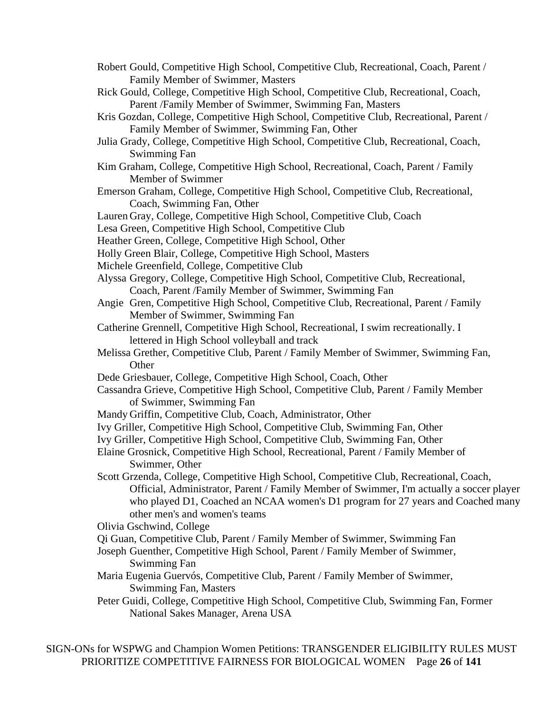- Robert Gould, Competitive High School, Competitive Club, Recreational, Coach, Parent / Family Member of Swimmer, Masters
- Rick Gould, College, Competitive High School, Competitive Club, Recreational, Coach, Parent /Family Member of Swimmer, Swimming Fan, Masters
- Kris Gozdan, College, Competitive High School, Competitive Club, Recreational, Parent / Family Member of Swimmer, Swimming Fan, Other
- Julia Grady, College, Competitive High School, Competitive Club, Recreational, Coach, Swimming Fan
- Kim Graham, College, Competitive High School, Recreational, Coach, Parent / Family Member of Swimmer
- Emerson Graham, College, Competitive High School, Competitive Club, Recreational, Coach, Swimming Fan, Other
- Lauren Gray, College, Competitive High School, Competitive Club, Coach

Lesa Green, Competitive High School, Competitive Club

- Heather Green, College, Competitive High School, Other
- Holly Green Blair, College, Competitive High School, Masters
- Michele Greenfield, College, Competitive Club
- Alyssa Gregory, College, Competitive High School, Competitive Club, Recreational, Coach, Parent /Family Member of Swimmer, Swimming Fan
- Angie Gren, Competitive High School, Competitive Club, Recreational, Parent / Family Member of Swimmer, Swimming Fan
- Catherine Grennell, Competitive High School, Recreational, I swim recreationally. I lettered in High School volleyball and track
- Melissa Grether, Competitive Club, Parent / Family Member of Swimmer, Swimming Fan, **Other**
- Dede Griesbauer, College, Competitive High School, Coach, Other
- Cassandra Grieve, Competitive High School, Competitive Club, Parent / Family Member of Swimmer, Swimming Fan
- Mandy Griffin, Competitive Club, Coach, Administrator, Other
- Ivy Griller, Competitive High School, Competitive Club, Swimming Fan, Other
- Ivy Griller, Competitive High School, Competitive Club, Swimming Fan, Other
- Elaine Grosnick, Competitive High School, Recreational, Parent / Family Member of Swimmer, Other
- Scott Grzenda, College, Competitive High School, Competitive Club, Recreational, Coach, Official, Administrator, Parent / Family Member of Swimmer, I'm actually a soccer player who played D1, Coached an NCAA women's D1 program for 27 years and Coached many other men's and women's teams

Olivia Gschwind, College

- Qi Guan, Competitive Club, Parent / Family Member of Swimmer, Swimming Fan
- Joseph Guenther, Competitive High School, Parent / Family Member of Swimmer, Swimming Fan
- Maria Eugenia Guervós, Competitive Club, Parent / Family Member of Swimmer, Swimming Fan, Masters
- Peter Guidi, College, Competitive High School, Competitive Club, Swimming Fan, Former National Sakes Manager, Arena USA

SIGN-ONs for WSPWG and Champion Women Petitions: TRANSGENDER ELIGIBILITY RULES MUST PRIORITIZE COMPETITIVE FAIRNESS FOR BIOLOGICAL WOMEN Page **26** of **141**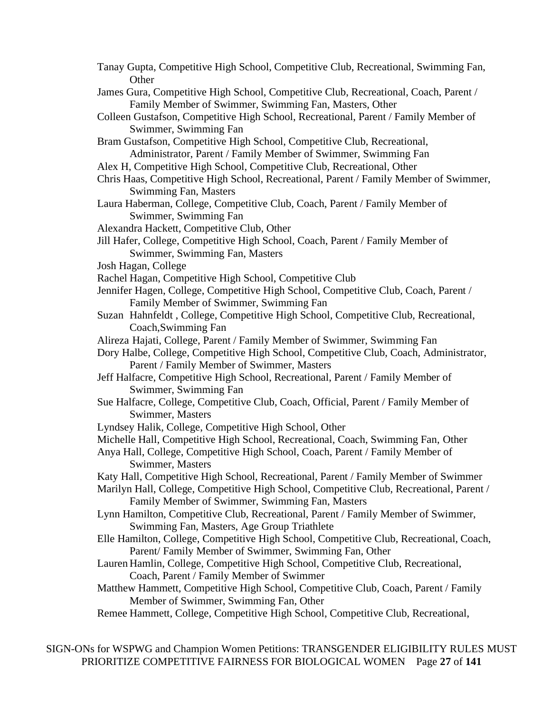| Tanay Gupta, Competitive High School, Competitive Club, Recreational, Swimming Fan,<br>Other                                                                      |
|-------------------------------------------------------------------------------------------------------------------------------------------------------------------|
| James Gura, Competitive High School, Competitive Club, Recreational, Coach, Parent /                                                                              |
| Family Member of Swimmer, Swimming Fan, Masters, Other                                                                                                            |
| Colleen Gustafson, Competitive High School, Recreational, Parent / Family Member of                                                                               |
| Swimmer, Swimming Fan                                                                                                                                             |
| Bram Gustafson, Competitive High School, Competitive Club, Recreational,                                                                                          |
| Administrator, Parent / Family Member of Swimmer, Swimming Fan                                                                                                    |
| Alex H, Competitive High School, Competitive Club, Recreational, Other                                                                                            |
| Chris Haas, Competitive High School, Recreational, Parent / Family Member of Swimmer,                                                                             |
| <b>Swimming Fan, Masters</b>                                                                                                                                      |
| Laura Haberman, College, Competitive Club, Coach, Parent / Family Member of                                                                                       |
| Swimmer, Swimming Fan                                                                                                                                             |
| Alexandra Hackett, Competitive Club, Other                                                                                                                        |
| Jill Hafer, College, Competitive High School, Coach, Parent / Family Member of                                                                                    |
| Swimmer, Swimming Fan, Masters                                                                                                                                    |
| Josh Hagan, College                                                                                                                                               |
| Rachel Hagan, Competitive High School, Competitive Club                                                                                                           |
| Jennifer Hagen, College, Competitive High School, Competitive Club, Coach, Parent /                                                                               |
| Family Member of Swimmer, Swimming Fan                                                                                                                            |
| Suzan Hahnfeldt, College, Competitive High School, Competitive Club, Recreational,                                                                                |
| Coach, Swimming Fan                                                                                                                                               |
| Alireza Hajati, College, Parent / Family Member of Swimmer, Swimming Fan<br>Dory Halbe, College, Competitive High School, Competitive Club, Coach, Administrator, |
| Parent / Family Member of Swimmer, Masters                                                                                                                        |
| Jeff Halfacre, Competitive High School, Recreational, Parent / Family Member of                                                                                   |
| Swimmer, Swimming Fan                                                                                                                                             |
| Sue Halfacre, College, Competitive Club, Coach, Official, Parent / Family Member of                                                                               |
| Swimmer, Masters                                                                                                                                                  |
| Lyndsey Halik, College, Competitive High School, Other                                                                                                            |
| Michelle Hall, Competitive High School, Recreational, Coach, Swimming Fan, Other                                                                                  |
| Anya Hall, College, Competitive High School, Coach, Parent / Family Member of                                                                                     |
| Swimmer, Masters                                                                                                                                                  |
| Katy Hall, Competitive High School, Recreational, Parent / Family Member of Swimmer                                                                               |
| Marilyn Hall, College, Competitive High School, Competitive Club, Recreational, Parent /                                                                          |
| Family Member of Swimmer, Swimming Fan, Masters                                                                                                                   |
| Lynn Hamilton, Competitive Club, Recreational, Parent / Family Member of Swimmer,                                                                                 |
| Swimming Fan, Masters, Age Group Triathlete                                                                                                                       |
| Elle Hamilton, College, Competitive High School, Competitive Club, Recreational, Coach,                                                                           |
| Parent/ Family Member of Swimmer, Swimming Fan, Other                                                                                                             |
| Lauren Hamlin, College, Competitive High School, Competitive Club, Recreational,                                                                                  |
| Coach, Parent / Family Member of Swimmer                                                                                                                          |
| Matthew Hammett, Competitive High School, Competitive Club, Coach, Parent / Family                                                                                |
| Member of Swimmer, Swimming Fan, Other                                                                                                                            |
| Remee Hammett, College, Competitive High School, Competitive Club, Recreational,                                                                                  |
|                                                                                                                                                                   |

SIGN-ONs for WSPWG and Champion Women Petitions: TRANSGENDER ELIGIBILITY RULES MUST PRIORITIZE COMPETITIVE FAIRNESS FOR BIOLOGICAL WOMEN Page **27** of **141**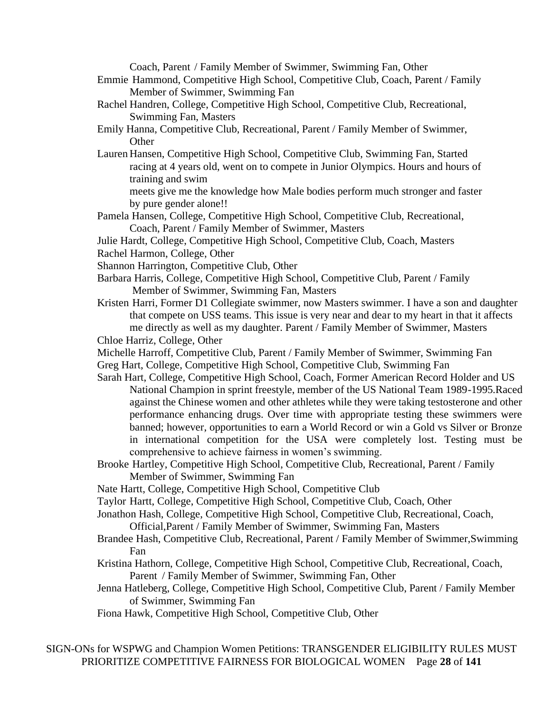Coach, Parent / Family Member of Swimmer, Swimming Fan, Other

- Emmie Hammond, Competitive High School, Competitive Club, Coach, Parent / Family Member of Swimmer, Swimming Fan
- Rachel Handren, College, Competitive High School, Competitive Club, Recreational, Swimming Fan, Masters
- Emily Hanna, Competitive Club, Recreational, Parent / Family Member of Swimmer, **Other**
- Lauren Hansen, Competitive High School, Competitive Club, Swimming Fan, Started racing at 4 years old, went on to compete in Junior Olympics. Hours and hours of training and swim

meets give me the knowledge how Male bodies perform much stronger and faster by pure gender alone!!

- Pamela Hansen, College, Competitive High School, Competitive Club, Recreational, Coach, Parent / Family Member of Swimmer, Masters
- Julie Hardt, College, Competitive High School, Competitive Club, Coach, Masters
- Rachel Harmon, College, Other
- Shannon Harrington, Competitive Club, Other
- Barbara Harris, College, Competitive High School, Competitive Club, Parent / Family Member of Swimmer, Swimming Fan, Masters
- Kristen Harri, Former D1 Collegiate swimmer, now Masters swimmer. I have a son and daughter that compete on USS teams. This issue is very near and dear to my heart in that it affects me directly as well as my daughter. Parent / Family Member of Swimmer, Masters
- Chloe Harriz, College, Other
- Michelle Harroff, Competitive Club, Parent / Family Member of Swimmer, Swimming Fan
- Greg Hart, College, Competitive High School, Competitive Club, Swimming Fan
- Sarah Hart, College, Competitive High School, Coach, Former American Record Holder and US National Champion in sprint freestyle, member of the US National Team 1989-1995.Raced against the Chinese women and other athletes while they were taking testosterone and other performance enhancing drugs. Over time with appropriate testing these swimmers were banned; however, opportunities to earn a World Record or win a Gold vs Silver or Bronze in international competition for the USA were completely lost. Testing must be comprehensive to achieve fairness in women's swimming.
- Brooke Hartley, Competitive High School, Competitive Club, Recreational, Parent / Family Member of Swimmer, Swimming Fan
- Nate Hartt, College, Competitive High School, Competitive Club
- Taylor Hartt, College, Competitive High School, Competitive Club, Coach, Other
- Jonathon Hash, College, Competitive High School, Competitive Club, Recreational, Coach,

Official,Parent / Family Member of Swimmer, Swimming Fan, Masters

- Brandee Hash, Competitive Club, Recreational, Parent / Family Member of Swimmer,Swimming Fan
- Kristina Hathorn, College, Competitive High School, Competitive Club, Recreational, Coach, Parent / Family Member of Swimmer, Swimming Fan, Other
- Jenna Hatleberg, College, Competitive High School, Competitive Club, Parent / Family Member of Swimmer, Swimming Fan
- Fiona Hawk, Competitive High School, Competitive Club, Other

SIGN-ONs for WSPWG and Champion Women Petitions: TRANSGENDER ELIGIBILITY RULES MUST PRIORITIZE COMPETITIVE FAIRNESS FOR BIOLOGICAL WOMEN Page **28** of **141**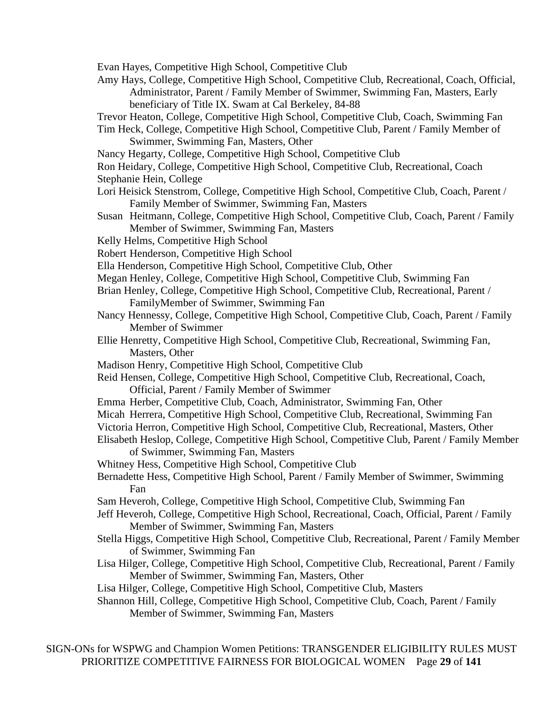- Evan Hayes, Competitive High School, Competitive Club
- Amy Hays, College, Competitive High School, Competitive Club, Recreational, Coach, Official, Administrator, Parent / Family Member of Swimmer, Swimming Fan, Masters, Early beneficiary of Title IX. Swam at Cal Berkeley, 84-88
- Trevor Heaton, College, Competitive High School, Competitive Club, Coach, Swimming Fan
- Tim Heck, College, Competitive High School, Competitive Club, Parent / Family Member of Swimmer, Swimming Fan, Masters, Other
- Nancy Hegarty, College, Competitive High School, Competitive Club
- Ron Heidary, College, Competitive High School, Competitive Club, Recreational, Coach
- Stephanie Hein, College
- Lori Heisick Stenstrom, College, Competitive High School, Competitive Club, Coach, Parent / Family Member of Swimmer, Swimming Fan, Masters
- Susan Heitmann, College, Competitive High School, Competitive Club, Coach, Parent / Family Member of Swimmer, Swimming Fan, Masters
- Kelly Helms, Competitive High School
- Robert Henderson, Competitive High School
- Ella Henderson, Competitive High School, Competitive Club, Other
- Megan Henley, College, Competitive High School, Competitive Club, Swimming Fan
- Brian Henley, College, Competitive High School, Competitive Club, Recreational, Parent / FamilyMember of Swimmer, Swimming Fan
- Nancy Hennessy, College, Competitive High School, Competitive Club, Coach, Parent / Family Member of Swimmer
- Ellie Henretty, Competitive High School, Competitive Club, Recreational, Swimming Fan, Masters, Other
- Madison Henry, Competitive High School, Competitive Club
- Reid Hensen, College, Competitive High School, Competitive Club, Recreational, Coach, Official, Parent / Family Member of Swimmer
- Emma Herber, Competitive Club, Coach, Administrator, Swimming Fan, Other
- Micah Herrera, Competitive High School, Competitive Club, Recreational, Swimming Fan
- Victoria Herron, Competitive High School, Competitive Club, Recreational, Masters, Other
- Elisabeth Heslop, College, Competitive High School, Competitive Club, Parent / Family Member of Swimmer, Swimming Fan, Masters
- Whitney Hess, Competitive High School, Competitive Club
- Bernadette Hess, Competitive High School, Parent / Family Member of Swimmer, Swimming Fan
- Sam Heveroh, College, Competitive High School, Competitive Club, Swimming Fan
- Jeff Heveroh, College, Competitive High School, Recreational, Coach, Official, Parent / Family Member of Swimmer, Swimming Fan, Masters
- Stella Higgs, Competitive High School, Competitive Club, Recreational, Parent / Family Member of Swimmer, Swimming Fan
- Lisa Hilger, College, Competitive High School, Competitive Club, Recreational, Parent / Family Member of Swimmer, Swimming Fan, Masters, Other
- Lisa Hilger, College, Competitive High School, Competitive Club, Masters

Shannon Hill, College, Competitive High School, Competitive Club, Coach, Parent / Family Member of Swimmer, Swimming Fan, Masters

SIGN-ONs for WSPWG and Champion Women Petitions: TRANSGENDER ELIGIBILITY RULES MUST PRIORITIZE COMPETITIVE FAIRNESS FOR BIOLOGICAL WOMEN Page **29** of **141**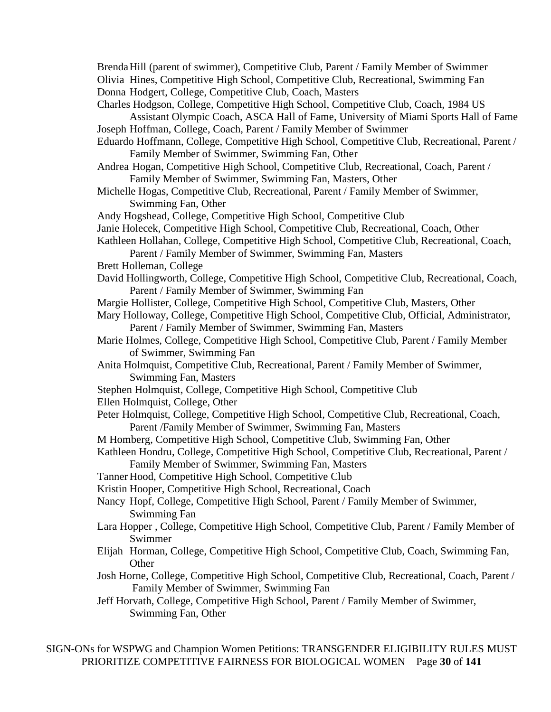BrendaHill (parent of swimmer), Competitive Club, Parent / Family Member of Swimmer Olivia Hines, Competitive High School, Competitive Club, Recreational, Swimming Fan Donna Hodgert, College, Competitive Club, Coach, Masters

Charles Hodgson, College, Competitive High School, Competitive Club, Coach, 1984 US Assistant Olympic Coach, ASCA Hall of Fame, University of Miami Sports Hall of Fame Joseph Hoffman, College, Coach, Parent / Family Member of Swimmer

- Eduardo Hoffmann, College, Competitive High School, Competitive Club, Recreational, Parent / Family Member of Swimmer, Swimming Fan, Other
- Andrea Hogan, Competitive High School, Competitive Club, Recreational, Coach, Parent / Family Member of Swimmer, Swimming Fan, Masters, Other
- Michelle Hogas, Competitive Club, Recreational, Parent / Family Member of Swimmer, Swimming Fan, Other

Andy Hogshead, College, Competitive High School, Competitive Club

- Janie Holecek, Competitive High School, Competitive Club, Recreational, Coach, Other
- Kathleen Hollahan, College, Competitive High School, Competitive Club, Recreational, Coach,

Parent / Family Member of Swimmer, Swimming Fan, Masters

- Brett Holleman, College
- David Hollingworth, College, Competitive High School, Competitive Club, Recreational, Coach, Parent / Family Member of Swimmer, Swimming Fan
- Margie Hollister, College, Competitive High School, Competitive Club, Masters, Other
- Mary Holloway, College, Competitive High School, Competitive Club, Official, Administrator, Parent / Family Member of Swimmer, Swimming Fan, Masters
- Marie Holmes, College, Competitive High School, Competitive Club, Parent / Family Member of Swimmer, Swimming Fan
- Anita Holmquist, Competitive Club, Recreational, Parent / Family Member of Swimmer, Swimming Fan, Masters
- Stephen Holmquist, College, Competitive High School, Competitive Club

Ellen Holmquist, College, Other

- Peter Holmquist, College, Competitive High School, Competitive Club, Recreational, Coach, Parent /Family Member of Swimmer, Swimming Fan, Masters
- M Homberg, Competitive High School, Competitive Club, Swimming Fan, Other
- Kathleen Hondru, College, Competitive High School, Competitive Club, Recreational, Parent / Family Member of Swimmer, Swimming Fan, Masters

Tanner Hood, Competitive High School, Competitive Club

Kristin Hooper, Competitive High School, Recreational, Coach

- Nancy Hopf, College, Competitive High School, Parent / Family Member of Swimmer, Swimming Fan
- Lara Hopper , College, Competitive High School, Competitive Club, Parent / Family Member of Swimmer
- Elijah Horman, College, Competitive High School, Competitive Club, Coach, Swimming Fan, **Other**
- Josh Horne, College, Competitive High School, Competitive Club, Recreational, Coach, Parent / Family Member of Swimmer, Swimming Fan
- Jeff Horvath, College, Competitive High School, Parent / Family Member of Swimmer, Swimming Fan, Other

SIGN-ONs for WSPWG and Champion Women Petitions: TRANSGENDER ELIGIBILITY RULES MUST PRIORITIZE COMPETITIVE FAIRNESS FOR BIOLOGICAL WOMEN Page **30** of **141**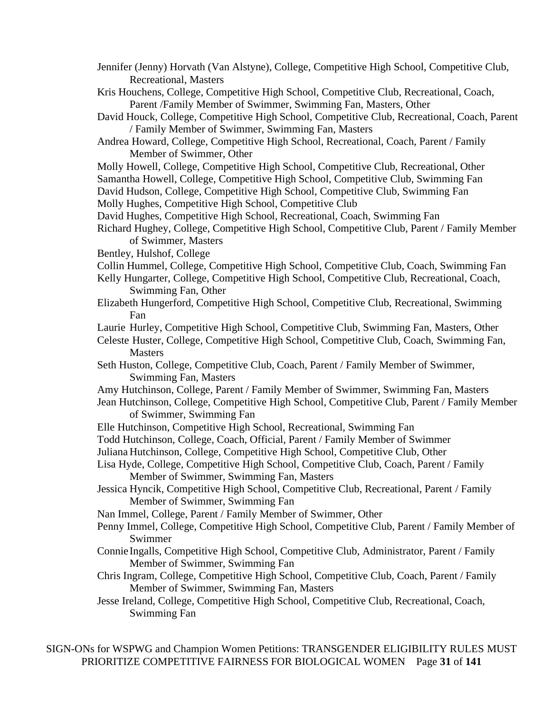- Jennifer (Jenny) Horvath (Van Alstyne), College, Competitive High School, Competitive Club, Recreational, Masters
- Kris Houchens, College, Competitive High School, Competitive Club, Recreational, Coach, Parent /Family Member of Swimmer, Swimming Fan, Masters, Other
- David Houck, College, Competitive High School, Competitive Club, Recreational, Coach, Parent / Family Member of Swimmer, Swimming Fan, Masters
- Andrea Howard, College, Competitive High School, Recreational, Coach, Parent / Family Member of Swimmer, Other
- Molly Howell, College, Competitive High School, Competitive Club, Recreational, Other
- Samantha Howell, College, Competitive High School, Competitive Club, Swimming Fan

David Hudson, College, Competitive High School, Competitive Club, Swimming Fan Molly Hughes, Competitive High School, Competitive Club

David Hughes, Competitive High School, Recreational, Coach, Swimming Fan

- Richard Hughey, College, Competitive High School, Competitive Club, Parent / Family Member of Swimmer, Masters
- Bentley, Hulshof, College
- Collin Hummel, College, Competitive High School, Competitive Club, Coach, Swimming Fan
- Kelly Hungarter, College, Competitive High School, Competitive Club, Recreational, Coach, Swimming Fan, Other
- Elizabeth Hungerford, Competitive High School, Competitive Club, Recreational, Swimming Fan
- Laurie Hurley, Competitive High School, Competitive Club, Swimming Fan, Masters, Other
- Celeste Huster, College, Competitive High School, Competitive Club, Coach, Swimming Fan, Masters
- Seth Huston, College, Competitive Club, Coach, Parent / Family Member of Swimmer, Swimming Fan, Masters
- Amy Hutchinson, College, Parent / Family Member of Swimmer, Swimming Fan, Masters
- Jean Hutchinson, College, Competitive High School, Competitive Club, Parent / Family Member of Swimmer, Swimming Fan
- Elle Hutchinson, Competitive High School, Recreational, Swimming Fan
- Todd Hutchinson, College, Coach, Official, Parent / Family Member of Swimmer

Juliana Hutchinson, College, Competitive High School, Competitive Club, Other

- Lisa Hyde, College, Competitive High School, Competitive Club, Coach, Parent / Family Member of Swimmer, Swimming Fan, Masters
- Jessica Hyncik, Competitive High School, Competitive Club, Recreational, Parent / Family Member of Swimmer, Swimming Fan
- Nan Immel, College, Parent / Family Member of Swimmer, Other
- Penny Immel, College, Competitive High School, Competitive Club, Parent / Family Member of Swimmer
- Connie Ingalls, Competitive High School, Competitive Club, Administrator, Parent / Family Member of Swimmer, Swimming Fan
- Chris Ingram, College, Competitive High School, Competitive Club, Coach, Parent / Family Member of Swimmer, Swimming Fan, Masters
- Jesse Ireland, College, Competitive High School, Competitive Club, Recreational, Coach, Swimming Fan

SIGN-ONs for WSPWG and Champion Women Petitions: TRANSGENDER ELIGIBILITY RULES MUST PRIORITIZE COMPETITIVE FAIRNESS FOR BIOLOGICAL WOMEN Page **31** of **141**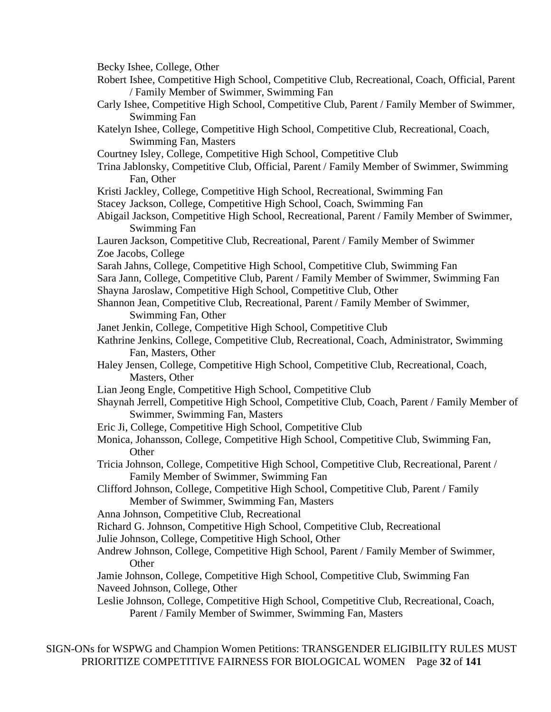Becky Ishee, College, Other

Robert Ishee, Competitive High School, Competitive Club, Recreational, Coach, Official, Parent / Family Member of Swimmer, Swimming Fan

- Carly Ishee, Competitive High School, Competitive Club, Parent / Family Member of Swimmer, Swimming Fan
- Katelyn Ishee, College, Competitive High School, Competitive Club, Recreational, Coach, Swimming Fan, Masters
- Courtney Isley, College, Competitive High School, Competitive Club
- Trina Jablonsky, Competitive Club, Official, Parent / Family Member of Swimmer, Swimming Fan, Other
- Kristi Jackley, College, Competitive High School, Recreational, Swimming Fan Stacey Jackson, College, Competitive High School, Coach, Swimming Fan
- Abigail Jackson, Competitive High School, Recreational, Parent / Family Member of Swimmer, Swimming Fan
- Lauren Jackson, Competitive Club, Recreational, Parent / Family Member of Swimmer Zoe Jacobs, College
- Sarah Jahns, College, Competitive High School, Competitive Club, Swimming Fan
- Sara Jann, College, Competitive Club, Parent / Family Member of Swimmer, Swimming Fan Shayna Jaroslaw, Competitive High School, Competitive Club, Other
- Shannon Jean, Competitive Club, Recreational, Parent / Family Member of Swimmer, Swimming Fan, Other
- Janet Jenkin, College, Competitive High School, Competitive Club
- Kathrine Jenkins, College, Competitive Club, Recreational, Coach, Administrator, Swimming Fan, Masters, Other
- Haley Jensen, College, Competitive High School, Competitive Club, Recreational, Coach, Masters, Other
- Lian Jeong Engle, Competitive High School, Competitive Club
- Shaynah Jerrell, Competitive High School, Competitive Club, Coach, Parent / Family Member of Swimmer, Swimming Fan, Masters
- Eric Ji, College, Competitive High School, Competitive Club
- Monica, Johansson, College, Competitive High School, Competitive Club, Swimming Fan, **Other**
- Tricia Johnson, College, Competitive High School, Competitive Club, Recreational, Parent / Family Member of Swimmer, Swimming Fan
- Clifford Johnson, College, Competitive High School, Competitive Club, Parent / Family Member of Swimmer, Swimming Fan, Masters
- Anna Johnson, Competitive Club, Recreational
- Richard G. Johnson, Competitive High School, Competitive Club, Recreational
- Julie Johnson, College, Competitive High School, Other
- Andrew Johnson, College, Competitive High School, Parent / Family Member of Swimmer, **Other**
- Jamie Johnson, College, Competitive High School, Competitive Club, Swimming Fan Naveed Johnson, College, Other
- Leslie Johnson, College, Competitive High School, Competitive Club, Recreational, Coach, Parent / Family Member of Swimmer, Swimming Fan, Masters

SIGN-ONs for WSPWG and Champion Women Petitions: TRANSGENDER ELIGIBILITY RULES MUST PRIORITIZE COMPETITIVE FAIRNESS FOR BIOLOGICAL WOMEN Page **32** of **141**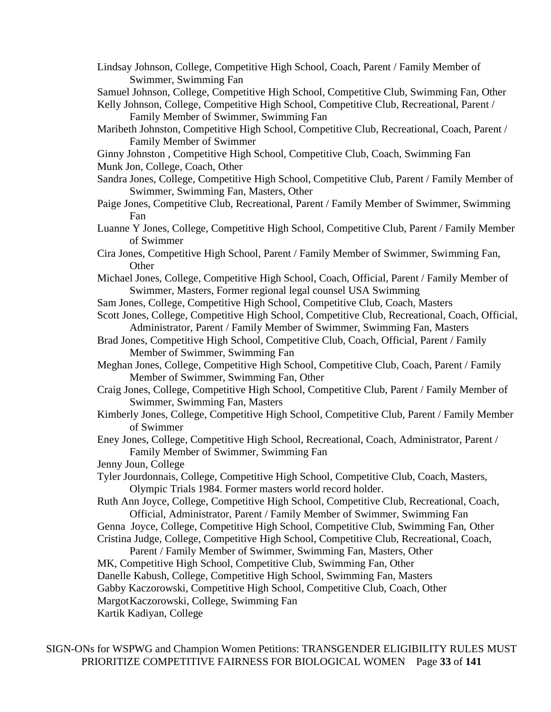Lindsay Johnson, College, Competitive High School, Coach, Parent / Family Member of Swimmer, Swimming Fan

Samuel Johnson, College, Competitive High School, Competitive Club, Swimming Fan, Other

Kelly Johnson, College, Competitive High School, Competitive Club, Recreational, Parent / Family Member of Swimmer, Swimming Fan

- Maribeth Johnston, Competitive High School, Competitive Club, Recreational, Coach, Parent / Family Member of Swimmer
- Ginny Johnston , Competitive High School, Competitive Club, Coach, Swimming Fan Munk Jon, College, Coach, Other
- Sandra Jones, College, Competitive High School, Competitive Club, Parent / Family Member of Swimmer, Swimming Fan, Masters, Other
- Paige Jones, Competitive Club, Recreational, Parent / Family Member of Swimmer, Swimming Fan
- Luanne Y Jones, College, Competitive High School, Competitive Club, Parent / Family Member of Swimmer
- Cira Jones, Competitive High School, Parent / Family Member of Swimmer, Swimming Fan, **Other**
- Michael Jones, College, Competitive High School, Coach, Official, Parent / Family Member of Swimmer, Masters, Former regional legal counsel USA Swimming
- Sam Jones, College, Competitive High School, Competitive Club, Coach, Masters
- Scott Jones, College, Competitive High School, Competitive Club, Recreational, Coach, Official, Administrator, Parent / Family Member of Swimmer, Swimming Fan, Masters
- Brad Jones, Competitive High School, Competitive Club, Coach, Official, Parent / Family Member of Swimmer, Swimming Fan
- Meghan Jones, College, Competitive High School, Competitive Club, Coach, Parent / Family Member of Swimmer, Swimming Fan, Other
- Craig Jones, College, Competitive High School, Competitive Club, Parent / Family Member of Swimmer, Swimming Fan, Masters
- Kimberly Jones, College, Competitive High School, Competitive Club, Parent / Family Member of Swimmer

Eney Jones, College, Competitive High School, Recreational, Coach, Administrator, Parent / Family Member of Swimmer, Swimming Fan

- Jenny Joun, College
- Tyler Jourdonnais, College, Competitive High School, Competitive Club, Coach, Masters, Olympic Trials 1984. Former masters world record holder.
- Ruth Ann Joyce, College, Competitive High School, Competitive Club, Recreational, Coach, Official, Administrator, Parent / Family Member of Swimmer, Swimming Fan

Genna Joyce, College, Competitive High School, Competitive Club, Swimming Fan, Other Cristina Judge, College, Competitive High School, Competitive Club, Recreational, Coach,

Parent / Family Member of Swimmer, Swimming Fan, Masters, Other MK, Competitive High School, Competitive Club, Swimming Fan, Other Danelle Kabush, College, Competitive High School, Swimming Fan, Masters Gabby Kaczorowski, Competitive High School, Competitive Club, Coach, Other MargotKaczorowski, College, Swimming Fan

Kartik Kadiyan, College

SIGN-ONs for WSPWG and Champion Women Petitions: TRANSGENDER ELIGIBILITY RULES MUST PRIORITIZE COMPETITIVE FAIRNESS FOR BIOLOGICAL WOMEN Page **33** of **141**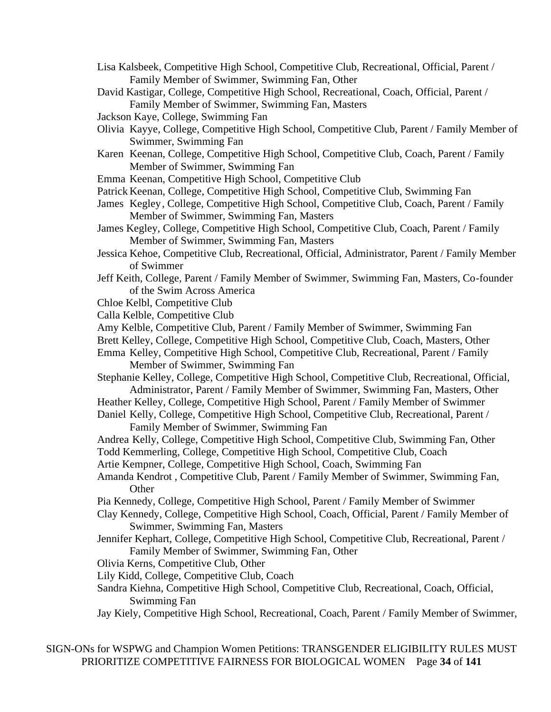- Lisa Kalsbeek, Competitive High School, Competitive Club, Recreational, Official, Parent / Family Member of Swimmer, Swimming Fan, Other
- David Kastigar, College, Competitive High School, Recreational, Coach, Official, Parent / Family Member of Swimmer, Swimming Fan, Masters
- Jackson Kaye, College, Swimming Fan
- Olivia Kayye, College, Competitive High School, Competitive Club, Parent / Family Member of Swimmer, Swimming Fan
- Karen Keenan, College, Competitive High School, Competitive Club, Coach, Parent / Family Member of Swimmer, Swimming Fan
- Emma Keenan, Competitive High School, Competitive Club
- Patrick Keenan, College, Competitive High School, Competitive Club, Swimming Fan
- James Kegley, College, Competitive High School, Competitive Club, Coach, Parent / Family Member of Swimmer, Swimming Fan, Masters
- James Kegley, College, Competitive High School, Competitive Club, Coach, Parent / Family Member of Swimmer, Swimming Fan, Masters
- Jessica Kehoe, Competitive Club, Recreational, Official, Administrator, Parent / Family Member of Swimmer
- Jeff Keith, College, Parent / Family Member of Swimmer, Swimming Fan, Masters, Co-founder of the Swim Across America
- Chloe Kelbl, Competitive Club
- Calla Kelble, Competitive Club

Amy Kelble, Competitive Club, Parent / Family Member of Swimmer, Swimming Fan

- Brett Kelley, College, Competitive High School, Competitive Club, Coach, Masters, Other
- Emma Kelley, Competitive High School, Competitive Club, Recreational, Parent / Family Member of Swimmer, Swimming Fan

Stephanie Kelley, College, Competitive High School, Competitive Club, Recreational, Official, Administrator, Parent / Family Member of Swimmer, Swimming Fan, Masters, Other

Heather Kelley, College, Competitive High School, Parent / Family Member of Swimmer

Daniel Kelly, College, Competitive High School, Competitive Club, Recreational, Parent / Family Member of Swimmer, Swimming Fan

Andrea Kelly, College, Competitive High School, Competitive Club, Swimming Fan, Other Todd Kemmerling, College, Competitive High School, Competitive Club, Coach

Artie Kempner, College, Competitive High School, Coach, Swimming Fan

Amanda Kendrot , Competitive Club, Parent / Family Member of Swimmer, Swimming Fan, **Other** 

Pia Kennedy, College, Competitive High School, Parent / Family Member of Swimmer

- Clay Kennedy, College, Competitive High School, Coach, Official, Parent / Family Member of Swimmer, Swimming Fan, Masters
- Jennifer Kephart, College, Competitive High School, Competitive Club, Recreational, Parent / Family Member of Swimmer, Swimming Fan, Other

Olivia Kerns, Competitive Club, Other

Lily Kidd, College, Competitive Club, Coach

- Sandra Kiehna, Competitive High School, Competitive Club, Recreational, Coach, Official, Swimming Fan
- Jay Kiely, Competitive High School, Recreational, Coach, Parent / Family Member of Swimmer,

SIGN-ONs for WSPWG and Champion Women Petitions: TRANSGENDER ELIGIBILITY RULES MUST PRIORITIZE COMPETITIVE FAIRNESS FOR BIOLOGICAL WOMEN Page **34** of **141**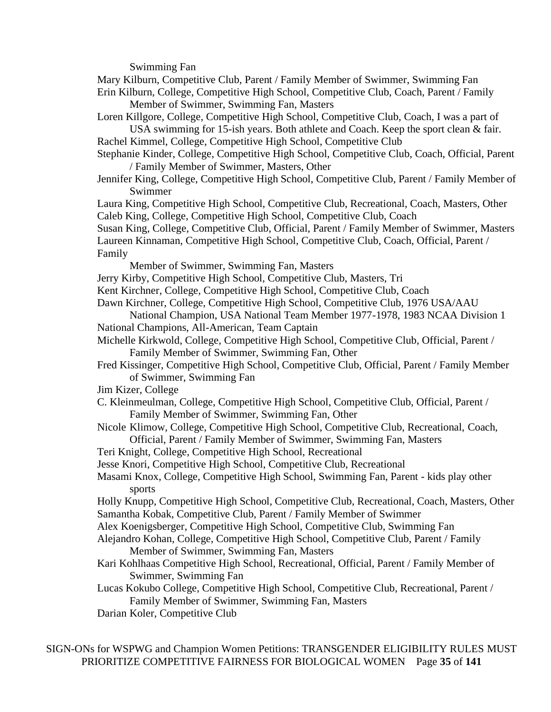Swimming Fan

Mary Kilburn, Competitive Club, Parent / Family Member of Swimmer, Swimming Fan Erin Kilburn, College, Competitive High School, Competitive Club, Coach, Parent / Family Member of Swimmer, Swimming Fan, Masters

- Loren Killgore, College, Competitive High School, Competitive Club, Coach, I was a part of USA swimming for 15-ish years. Both athlete and Coach. Keep the sport clean & fair.
- Rachel Kimmel, College, Competitive High School, Competitive Club
- Stephanie Kinder, College, Competitive High School, Competitive Club, Coach, Official, Parent / Family Member of Swimmer, Masters, Other
- Jennifer King, College, Competitive High School, Competitive Club, Parent / Family Member of Swimmer
- Laura King, Competitive High School, Competitive Club, Recreational, Coach, Masters, Other Caleb King, College, Competitive High School, Competitive Club, Coach

Susan King, College, Competitive Club, Official, Parent / Family Member of Swimmer, Masters Laureen Kinnaman, Competitive High School, Competitive Club, Coach, Official, Parent / Family

- Member of Swimmer, Swimming Fan, Masters
- Jerry Kirby, Competitive High School, Competitive Club, Masters, Tri
- Kent Kirchner, College, Competitive High School, Competitive Club, Coach
- Dawn Kirchner, College, Competitive High School, Competitive Club, 1976 USA/AAU

National Champion, USA National Team Member 1977-1978, 1983 NCAA Division 1 National Champions, All-American, Team Captain

- Michelle Kirkwold, College, Competitive High School, Competitive Club, Official, Parent / Family Member of Swimmer, Swimming Fan, Other
- Fred Kissinger, Competitive High School, Competitive Club, Official, Parent / Family Member of Swimmer, Swimming Fan
- Jim Kizer, College
- C. Kleinmeulman, College, Competitive High School, Competitive Club, Official, Parent / Family Member of Swimmer, Swimming Fan, Other
- Nicole Klimow, College, Competitive High School, Competitive Club, Recreational, Coach, Official, Parent / Family Member of Swimmer, Swimming Fan, Masters
- Teri Knight, College, Competitive High School, Recreational
- Jesse Knori, Competitive High School, Competitive Club, Recreational
- Masami Knox, College, Competitive High School, Swimming Fan, Parent kids play other sports

Holly Knupp, Competitive High School, Competitive Club, Recreational, Coach, Masters, Other Samantha Kobak, Competitive Club, Parent / Family Member of Swimmer

- Alex Koenigsberger, Competitive High School, Competitive Club, Swimming Fan
- Alejandro Kohan, College, Competitive High School, Competitive Club, Parent / Family Member of Swimmer, Swimming Fan, Masters
- Kari Kohlhaas Competitive High School, Recreational, Official, Parent / Family Member of Swimmer, Swimming Fan
- Lucas Kokubo College, Competitive High School, Competitive Club, Recreational, Parent / Family Member of Swimmer, Swimming Fan, Masters
- Darian Koler, Competitive Club

SIGN-ONs for WSPWG and Champion Women Petitions: TRANSGENDER ELIGIBILITY RULES MUST PRIORITIZE COMPETITIVE FAIRNESS FOR BIOLOGICAL WOMEN Page **35** of **141**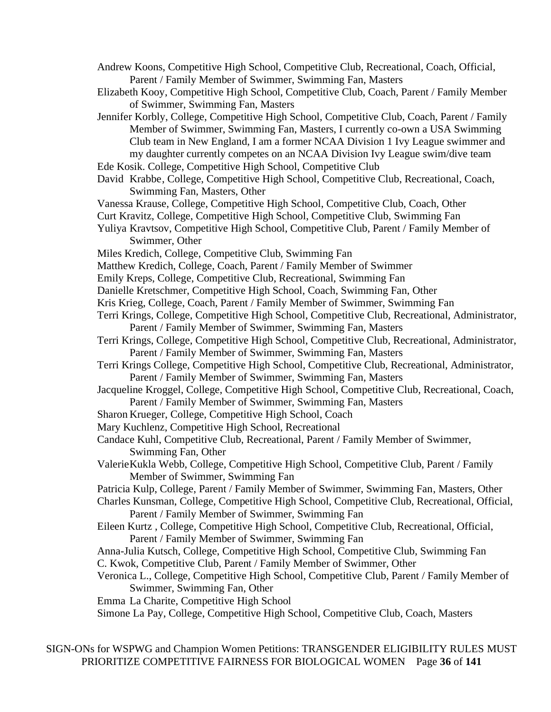- Andrew Koons, Competitive High School, Competitive Club, Recreational, Coach, Official, Parent / Family Member of Swimmer, Swimming Fan, Masters
- Elizabeth Kooy, Competitive High School, Competitive Club, Coach, Parent / Family Member of Swimmer, Swimming Fan, Masters
- Jennifer Korbly, College, Competitive High School, Competitive Club, Coach, Parent / Family Member of Swimmer, Swimming Fan, Masters, I currently co-own a USA Swimming Club team in New England, I am a former NCAA Division 1 Ivy League swimmer and my daughter currently competes on an NCAA Division Ivy League swim/dive team Ede Kosik. College, Competitive High School, Competitive Club
- David Krabbe, College, Competitive High School, Competitive Club, Recreational, Coach, Swimming Fan, Masters, Other
- Vanessa Krause, College, Competitive High School, Competitive Club, Coach, Other
- Curt Kravitz, College, Competitive High School, Competitive Club, Swimming Fan
- Yuliya Kravtsov, Competitive High School, Competitive Club, Parent / Family Member of Swimmer, Other
- Miles Kredich, College, Competitive Club, Swimming Fan
- Matthew Kredich, College, Coach, Parent / Family Member of Swimmer
- Emily Kreps, College, Competitive Club, Recreational, Swimming Fan
- Danielle Kretschmer, Competitive High School, Coach, Swimming Fan, Other
- Kris Krieg, College, Coach, Parent / Family Member of Swimmer, Swimming Fan
- Terri Krings, College, Competitive High School, Competitive Club, Recreational, Administrator, Parent / Family Member of Swimmer, Swimming Fan, Masters
- Terri Krings, College, Competitive High School, Competitive Club, Recreational, Administrator, Parent / Family Member of Swimmer, Swimming Fan, Masters
- Terri Krings College, Competitive High School, Competitive Club, Recreational, Administrator, Parent / Family Member of Swimmer, Swimming Fan, Masters
- Jacqueline Kroggel, College, Competitive High School, Competitive Club, Recreational, Coach, Parent / Family Member of Swimmer, Swimming Fan, Masters
- Sharon Krueger, College, Competitive High School, Coach
- Mary Kuchlenz, Competitive High School, Recreational
- Candace Kuhl, Competitive Club, Recreational, Parent / Family Member of Swimmer, Swimming Fan, Other
- ValerieKukla Webb, College, Competitive High School, Competitive Club, Parent / Family Member of Swimmer, Swimming Fan
- Patricia Kulp, College, Parent / Family Member of Swimmer, Swimming Fan, Masters, Other

Charles Kunsman, College, Competitive High School, Competitive Club, Recreational, Official, Parent / Family Member of Swimmer, Swimming Fan

- Eileen Kurtz , College, Competitive High School, Competitive Club, Recreational, Official, Parent / Family Member of Swimmer, Swimming Fan
- Anna-Julia Kutsch, College, Competitive High School, Competitive Club, Swimming Fan C. Kwok, Competitive Club, Parent / Family Member of Swimmer, Other
- Veronica L., College, Competitive High School, Competitive Club, Parent / Family Member of Swimmer, Swimming Fan, Other
- Emma La Charite, Competitive High School
- Simone La Pay, College, Competitive High School, Competitive Club, Coach, Masters

SIGN-ONs for WSPWG and Champion Women Petitions: TRANSGENDER ELIGIBILITY RULES MUST PRIORITIZE COMPETITIVE FAIRNESS FOR BIOLOGICAL WOMEN Page **36** of **141**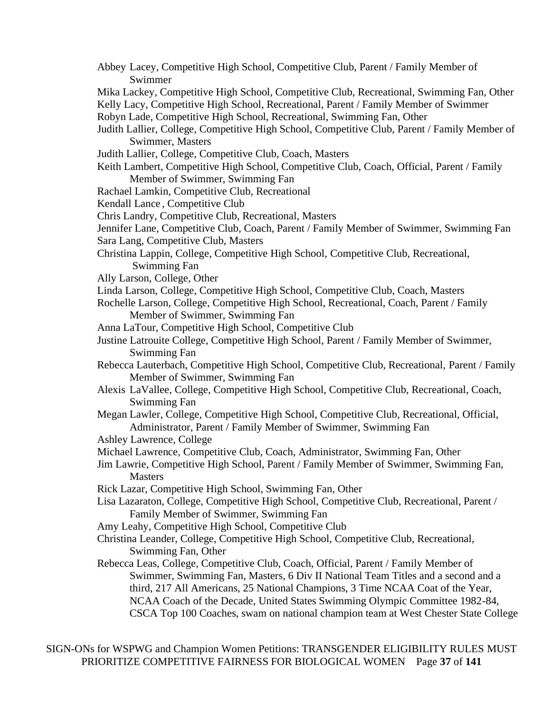- Abbey Lacey, Competitive High School, Competitive Club, Parent / Family Member of Swimmer
- Mika Lackey, Competitive High School, Competitive Club, Recreational, Swimming Fan, Other Kelly Lacy, Competitive High School, Recreational, Parent / Family Member of Swimmer
- Robyn Lade, Competitive High School, Recreational, Swimming Fan, Other
- Judith Lallier, College, Competitive High School, Competitive Club, Parent / Family Member of Swimmer, Masters
- Judith Lallier, College, Competitive Club, Coach, Masters
- Keith Lambert, Competitive High School, Competitive Club, Coach, Official, Parent / Family Member of Swimmer, Swimming Fan
- Rachael Lamkin, Competitive Club, Recreational
- Kendall Lance , Competitive Club
- Chris Landry, Competitive Club, Recreational, Masters
- Jennifer Lane, Competitive Club, Coach, Parent / Family Member of Swimmer, Swimming Fan Sara Lang, Competitive Club, Masters
- Christina Lappin, College, Competitive High School, Competitive Club, Recreational, Swimming Fan
- Ally Larson, College, Other
- Linda Larson, College, Competitive High School, Competitive Club, Coach, Masters
- Rochelle Larson, College, Competitive High School, Recreational, Coach, Parent / Family Member of Swimmer, Swimming Fan
- Anna LaTour, Competitive High School, Competitive Club
- Justine Latrouite College, Competitive High School, Parent / Family Member of Swimmer, Swimming Fan
- Rebecca Lauterbach, Competitive High School, Competitive Club, Recreational, Parent / Family Member of Swimmer, Swimming Fan
- Alexis LaVallee, College, Competitive High School, Competitive Club, Recreational, Coach, Swimming Fan
- Megan Lawler, College, Competitive High School, Competitive Club, Recreational, Official, Administrator, Parent / Family Member of Swimmer, Swimming Fan
- Ashley Lawrence, College
- Michael Lawrence, Competitive Club, Coach, Administrator, Swimming Fan, Other
- Jim Lawrie, Competitive High School, Parent / Family Member of Swimmer, Swimming Fan, **Masters**
- Rick Lazar, Competitive High School, Swimming Fan, Other
- Lisa Lazaraton, College, Competitive High School, Competitive Club, Recreational, Parent / Family Member of Swimmer, Swimming Fan
- Amy Leahy, Competitive High School, Competitive Club
- Christina Leander, College, Competitive High School, Competitive Club, Recreational, Swimming Fan, Other
- Rebecca Leas, College, Competitive Club, Coach, Official, Parent / Family Member of Swimmer, Swimming Fan, Masters, 6 Div II National Team Titles and a second and a third, 217 All Americans, 25 National Champions, 3 Time NCAA Coat of the Year, NCAA Coach of the Decade, United States Swimming Olympic Committee 1982-84, CSCA Top 100 Coaches, swam on national champion team at West Chester State College

SIGN-ONs for WSPWG and Champion Women Petitions: TRANSGENDER ELIGIBILITY RULES MUST PRIORITIZE COMPETITIVE FAIRNESS FOR BIOLOGICAL WOMEN Page **37** of **141**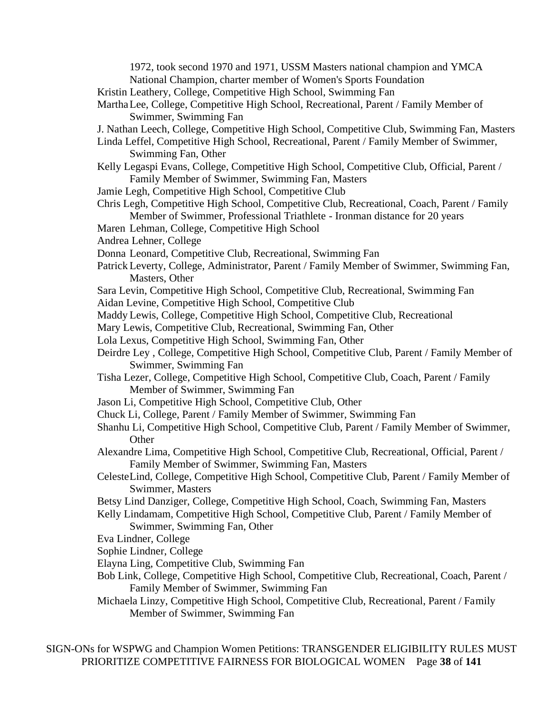1972, took second 1970 and 1971, USSM Masters national champion and YMCA National Champion, charter member of Women's Sports Foundation

Kristin Leathery, College, Competitive High School, Swimming Fan

- MarthaLee, College, Competitive High School, Recreational, Parent / Family Member of Swimmer, Swimming Fan
- J. Nathan Leech, College, Competitive High School, Competitive Club, Swimming Fan, Masters
- Linda Leffel, Competitive High School, Recreational, Parent / Family Member of Swimmer, Swimming Fan, Other
- Kelly Legaspi Evans, College, Competitive High School, Competitive Club, Official, Parent / Family Member of Swimmer, Swimming Fan, Masters
- Jamie Legh, Competitive High School, Competitive Club
- Chris Legh, Competitive High School, Competitive Club, Recreational, Coach, Parent / Family Member of Swimmer, Professional Triathlete - Ironman distance for 20 years
- Maren Lehman, College, Competitive High School
- Andrea Lehner, College
- Donna Leonard, Competitive Club, Recreational, Swimming Fan
- Patrick Leverty, College, Administrator, Parent / Family Member of Swimmer, Swimming Fan, Masters, Other
- Sara Levin, Competitive High School, Competitive Club, Recreational, Swimming Fan
- Aidan Levine, Competitive High School, Competitive Club
- Maddy Lewis, College, Competitive High School, Competitive Club, Recreational
- Mary Lewis, Competitive Club, Recreational, Swimming Fan, Other
- Lola Lexus, Competitive High School, Swimming Fan, Other
- Deirdre Ley , College, Competitive High School, Competitive Club, Parent / Family Member of Swimmer, Swimming Fan
- Tisha Lezer, College, Competitive High School, Competitive Club, Coach, Parent / Family Member of Swimmer, Swimming Fan
- Jason Li, Competitive High School, Competitive Club, Other
- Chuck Li, College, Parent / Family Member of Swimmer, Swimming Fan
- Shanhu Li, Competitive High School, Competitive Club, Parent / Family Member of Swimmer, **Other**
- Alexandre Lima, Competitive High School, Competitive Club, Recreational, Official, Parent / Family Member of Swimmer, Swimming Fan, Masters
- CelesteLind, College, Competitive High School, Competitive Club, Parent / Family Member of Swimmer, Masters
- Betsy Lind Danziger, College, Competitive High School, Coach, Swimming Fan, Masters
- Kelly Lindamam, Competitive High School, Competitive Club, Parent / Family Member of Swimmer, Swimming Fan, Other
- Eva Lindner, College
- Sophie Lindner, College
- Elayna Ling, Competitive Club, Swimming Fan
- Bob Link, College, Competitive High School, Competitive Club, Recreational, Coach, Parent / Family Member of Swimmer, Swimming Fan
- Michaela Linzy, Competitive High School, Competitive Club, Recreational, Parent / Family Member of Swimmer, Swimming Fan

SIGN-ONs for WSPWG and Champion Women Petitions: TRANSGENDER ELIGIBILITY RULES MUST PRIORITIZE COMPETITIVE FAIRNESS FOR BIOLOGICAL WOMEN Page **38** of **141**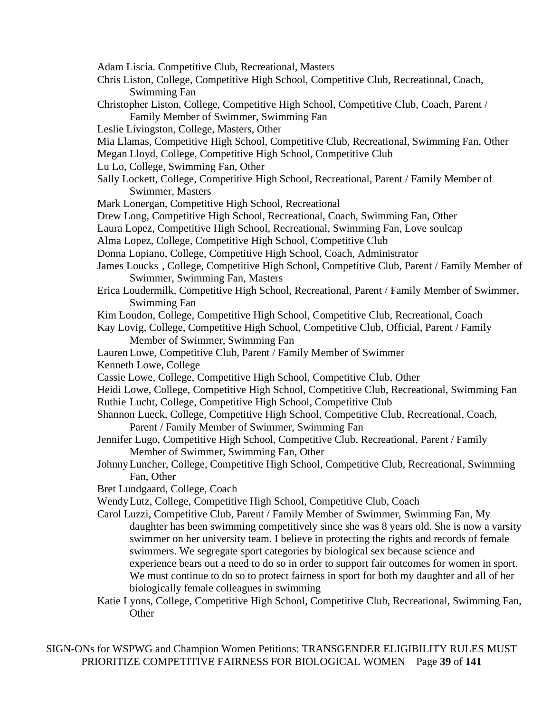- Adam Liscia. Competitive Club, Recreational, Masters
- Chris Liston, College, Competitive High School, Competitive Club, Recreational, Coach, Swimming Fan
- Christopher Liston, College, Competitive High School, Competitive Club, Coach, Parent / Family Member of Swimmer, Swimming Fan
- Leslie Livingston, College, Masters, Other
- Mia Llamas, Competitive High School, Competitive Club, Recreational, Swimming Fan, Other
- Megan Lloyd, College, Competitive High School, Competitive Club
- Lu Lo, College, Swimming Fan, Other
- Sally Lockett, College, Competitive High School, Recreational, Parent / Family Member of Swimmer, Masters
- Mark Lonergan, Competitive High School, Recreational
- Drew Long, Competitive High School, Recreational, Coach, Swimming Fan, Other
- Laura Lopez, Competitive High School, Recreational, Swimming Fan, Love soulcap
- Alma Lopez, College, Competitive High School, Competitive Club
- Donna Lopiano, College, Competitive High School, Coach, Administrator
- James Loucks , College, Competitive High School, Competitive Club, Parent / Family Member of Swimmer, Swimming Fan, Masters
- Erica Loudermilk, Competitive High School, Recreational, Parent / Family Member of Swimmer, Swimming Fan
- Kim Loudon, College, Competitive High School, Competitive Club, Recreational, Coach
- Kay Lovig, College, Competitive High School, Competitive Club, Official, Parent / Family Member of Swimmer, Swimming Fan
- Lauren Lowe, Competitive Club, Parent / Family Member of Swimmer
- Kenneth Lowe, College
- Cassie Lowe, College, Competitive High School, Competitive Club, Other
- Heidi Lowe, College, Competitive High School, Competitive Club, Recreational, Swimming Fan Ruthie Lucht, College, Competitive High School, Competitive Club
- Shannon Lueck, College, Competitive High School, Competitive Club, Recreational, Coach, Parent / Family Member of Swimmer, Swimming Fan
- Jennifer Lugo, Competitive High School, Competitive Club, Recreational, Parent / Family Member of Swimmer, Swimming Fan, Other
- JohnnyLuncher, College, Competitive High School, Competitive Club, Recreational, Swimming Fan, Other
- Bret Lundgaard, College, Coach
- WendyLutz, College, Competitive High School, Competitive Club, Coach
- Carol Luzzi, Competitive Club, Parent / Family Member of Swimmer, Swimming Fan, My daughter has been swimming competitively since she was 8 years old. She is now a varsity swimmer on her university team. I believe in protecting the rights and records of female swimmers. We segregate sport categories by biological sex because science and experience bears out a need to do so in order to support fair outcomes for women in sport. We must continue to do so to protect fairness in sport for both my daughter and all of her biologically female colleagues in swimming
- Katie Lyons, College, Competitive High School, Competitive Club, Recreational, Swimming Fan, **Other**

SIGN-ONs for WSPWG and Champion Women Petitions: TRANSGENDER ELIGIBILITY RULES MUST PRIORITIZE COMPETITIVE FAIRNESS FOR BIOLOGICAL WOMEN Page **39** of **141**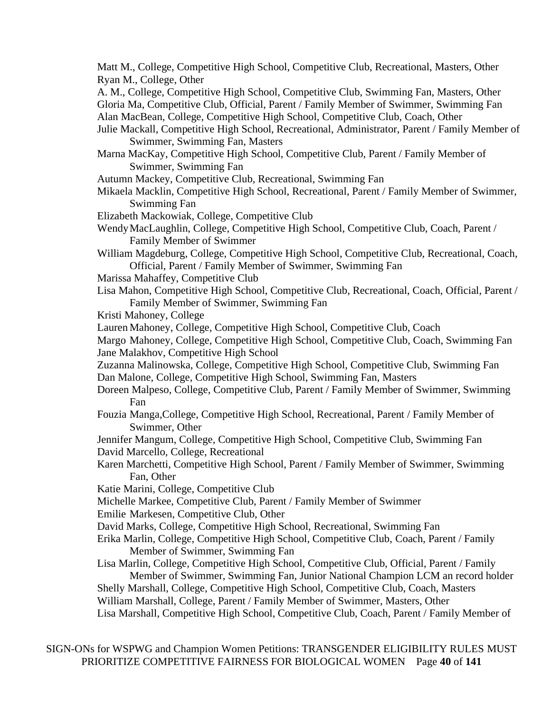Matt M., College, Competitive High School, Competitive Club, Recreational, Masters, Other Ryan M., College, Other

A. M., College, Competitive High School, Competitive Club, Swimming Fan, Masters, Other Gloria Ma, Competitive Club, Official, Parent / Family Member of Swimmer, Swimming Fan Alan MacBean, College, Competitive High School, Competitive Club, Coach, Other

- Julie Mackall, Competitive High School, Recreational, Administrator, Parent / Family Member of Swimmer, Swimming Fan, Masters
- Marna MacKay, Competitive High School, Competitive Club, Parent / Family Member of Swimmer, Swimming Fan
- Autumn Mackey, Competitive Club, Recreational, Swimming Fan
- Mikaela Macklin, Competitive High School, Recreational, Parent / Family Member of Swimmer, Swimming Fan
- Elizabeth Mackowiak, College, Competitive Club
- WendyMacLaughlin, College, Competitive High School, Competitive Club, Coach, Parent / Family Member of Swimmer
- William Magdeburg, College, Competitive High School, Competitive Club, Recreational, Coach, Official, Parent / Family Member of Swimmer, Swimming Fan
- Marissa Mahaffey, Competitive Club
- Lisa Mahon, Competitive High School, Competitive Club, Recreational, Coach, Official, Parent / Family Member of Swimmer, Swimming Fan
- Kristi Mahoney, College
- Lauren Mahoney, College, Competitive High School, Competitive Club, Coach

Margo Mahoney, College, Competitive High School, Competitive Club, Coach, Swimming Fan Jane Malakhov, Competitive High School

Zuzanna Malinowska, College, Competitive High School, Competitive Club, Swimming Fan Dan Malone, College, Competitive High School, Swimming Fan, Masters

- Doreen Malpeso, College, Competitive Club, Parent / Family Member of Swimmer, Swimming Fan
- Fouzia Manga,College, Competitive High School, Recreational, Parent / Family Member of Swimmer, Other
- Jennifer Mangum, College, Competitive High School, Competitive Club, Swimming Fan David Marcello, College, Recreational
- Karen Marchetti, Competitive High School, Parent / Family Member of Swimmer, Swimming Fan, Other
- Katie Marini, College, Competitive Club
- Michelle Markee, Competitive Club, Parent / Family Member of Swimmer

Emilie Markesen, Competitive Club, Other

- David Marks, College, Competitive High School, Recreational, Swimming Fan
- Erika Marlin, College, Competitive High School, Competitive Club, Coach, Parent / Family Member of Swimmer, Swimming Fan

Lisa Marlin, College, Competitive High School, Competitive Club, Official, Parent / Family Member of Swimmer, Swimming Fan, Junior National Champion LCM an record holder Shelly Marshall, College, Competitive High School, Competitive Club, Coach, Masters

William Marshall, College, Parent / Family Member of Swimmer, Masters, Other

Lisa Marshall, Competitive High School, Competitive Club, Coach, Parent / Family Member of

SIGN-ONs for WSPWG and Champion Women Petitions: TRANSGENDER ELIGIBILITY RULES MUST PRIORITIZE COMPETITIVE FAIRNESS FOR BIOLOGICAL WOMEN Page **40** of **141**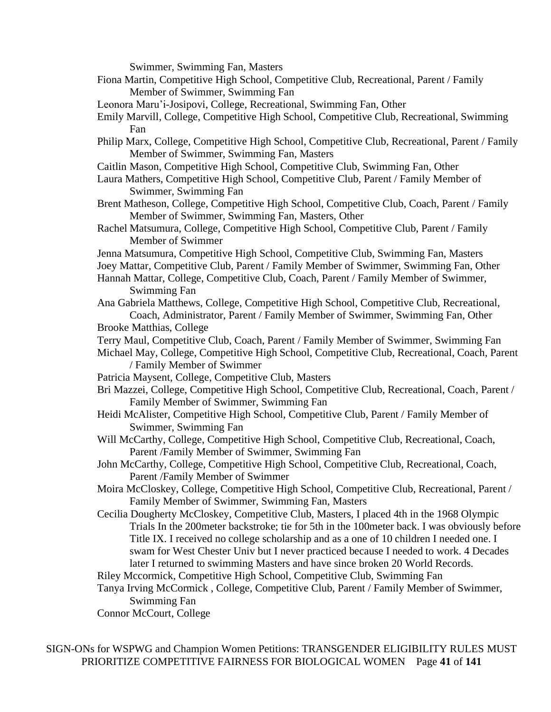Swimmer, Swimming Fan, Masters

Fiona Martin, Competitive High School, Competitive Club, Recreational, Parent / Family Member of Swimmer, Swimming Fan Leonora Maru'i-Josipovi, College, Recreational, Swimming Fan, Other Emily Marvill, College, Competitive High School, Competitive Club, Recreational, Swimming Fan Philip Marx, College, Competitive High School, Competitive Club, Recreational, Parent / Family Member of Swimmer, Swimming Fan, Masters Caitlin Mason, Competitive High School, Competitive Club, Swimming Fan, Other Laura Mathers, Competitive High School, Competitive Club, Parent / Family Member of Swimmer, Swimming Fan Brent Matheson, College, Competitive High School, Competitive Club, Coach, Parent / Family Member of Swimmer, Swimming Fan, Masters, Other Rachel Matsumura, College, Competitive High School, Competitive Club, Parent / Family Member of Swimmer Jenna Matsumura, Competitive High School, Competitive Club, Swimming Fan, Masters Joey Mattar, Competitive Club, Parent / Family Member of Swimmer, Swimming Fan, Other Hannah Mattar, College, Competitive Club, Coach, Parent / Family Member of Swimmer, Swimming Fan Ana Gabriela Matthews, College, Competitive High School, Competitive Club, Recreational, Coach, Administrator, Parent / Family Member of Swimmer, Swimming Fan, Other Brooke Matthias, College Terry Maul, Competitive Club, Coach, Parent / Family Member of Swimmer, Swimming Fan Michael May, College, Competitive High School, Competitive Club, Recreational, Coach, Parent / Family Member of Swimmer Patricia Maysent, College, Competitive Club, Masters Bri Mazzei, College, Competitive High School, Competitive Club, Recreational, Coach, Parent / Family Member of Swimmer, Swimming Fan Heidi McAlister, Competitive High School, Competitive Club, Parent / Family Member of Swimmer, Swimming Fan Will McCarthy, College, Competitive High School, Competitive Club, Recreational, Coach, Parent /Family Member of Swimmer, Swimming Fan John McCarthy, College, Competitive High School, Competitive Club, Recreational, Coach, Parent /Family Member of Swimmer Moira McCloskey, College, Competitive High School, Competitive Club, Recreational, Parent / Family Member of Swimmer, Swimming Fan, Masters Cecilia Dougherty McCloskey, Competitive Club, Masters, I placed 4th in the 1968 Olympic Trials In the 200meter backstroke; tie for 5th in the 100meter back. I was obviously before Title IX. I received no college scholarship and as a one of 10 children I needed one. I swam for West Chester Univ but I never practiced because I needed to work. 4 Decades later I returned to swimming Masters and have since broken 20 World Records. Riley Mccormick, Competitive High School, Competitive Club, Swimming Fan Tanya Irving McCormick , College, Competitive Club, Parent / Family Member of Swimmer, Swimming Fan Connor McCourt, College

SIGN-ONs for WSPWG and Champion Women Petitions: TRANSGENDER ELIGIBILITY RULES MUST PRIORITIZE COMPETITIVE FAIRNESS FOR BIOLOGICAL WOMEN Page **41** of **141**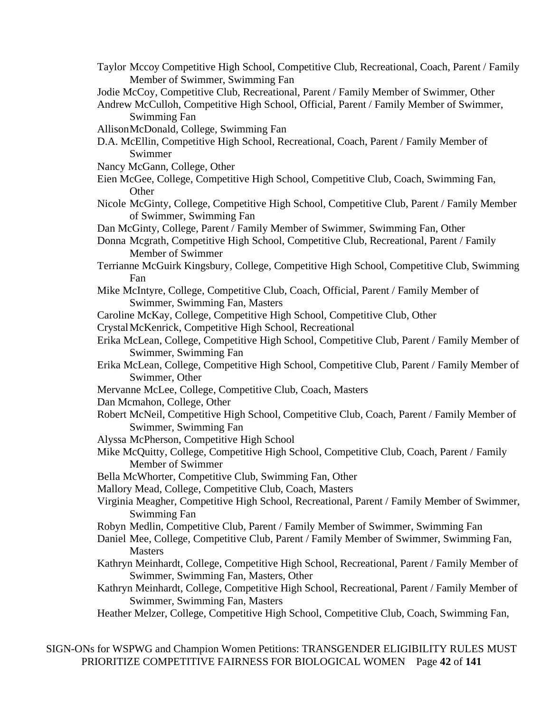- Taylor Mccoy Competitive High School, Competitive Club, Recreational, Coach, Parent / Family Member of Swimmer, Swimming Fan
- Jodie McCoy, Competitive Club, Recreational, Parent / Family Member of Swimmer, Other
- Andrew McCulloh, Competitive High School, Official, Parent / Family Member of Swimmer, Swimming Fan
- AllisonMcDonald, College, Swimming Fan
- D.A. McEllin, Competitive High School, Recreational, Coach, Parent / Family Member of Swimmer
- Nancy McGann, College, Other
- Eien McGee, College, Competitive High School, Competitive Club, Coach, Swimming Fan, **Other**
- Nicole McGinty, College, Competitive High School, Competitive Club, Parent / Family Member of Swimmer, Swimming Fan
- Dan McGinty, College, Parent / Family Member of Swimmer, Swimming Fan, Other
- Donna Mcgrath, Competitive High School, Competitive Club, Recreational, Parent / Family Member of Swimmer
- Terrianne McGuirk Kingsbury, College, Competitive High School, Competitive Club, Swimming Fan
- Mike McIntyre, College, Competitive Club, Coach, Official, Parent / Family Member of Swimmer, Swimming Fan, Masters
- Caroline McKay, College, Competitive High School, Competitive Club, Other
- CrystalMcKenrick, Competitive High School, Recreational
- Erika McLean, College, Competitive High School, Competitive Club, Parent / Family Member of Swimmer, Swimming Fan
- Erika McLean, College, Competitive High School, Competitive Club, Parent / Family Member of Swimmer, Other
- Mervanne McLee, College, Competitive Club, Coach, Masters
- Dan Mcmahon, College, Other
- Robert McNeil, Competitive High School, Competitive Club, Coach, Parent / Family Member of Swimmer, Swimming Fan
- Alyssa McPherson, Competitive High School
- Mike McQuitty, College, Competitive High School, Competitive Club, Coach, Parent / Family Member of Swimmer
- Bella McWhorter, Competitive Club, Swimming Fan, Other
- Mallory Mead, College, Competitive Club, Coach, Masters
- Virginia Meagher, Competitive High School, Recreational, Parent / Family Member of Swimmer, Swimming Fan
- Robyn Medlin, Competitive Club, Parent / Family Member of Swimmer, Swimming Fan
- Daniel Mee, College, Competitive Club, Parent / Family Member of Swimmer, Swimming Fan, **Masters**
- Kathryn Meinhardt, College, Competitive High School, Recreational, Parent / Family Member of Swimmer, Swimming Fan, Masters, Other
- Kathryn Meinhardt, College, Competitive High School, Recreational, Parent / Family Member of Swimmer, Swimming Fan, Masters
- Heather Melzer, College, Competitive High School, Competitive Club, Coach, Swimming Fan,

SIGN-ONs for WSPWG and Champion Women Petitions: TRANSGENDER ELIGIBILITY RULES MUST PRIORITIZE COMPETITIVE FAIRNESS FOR BIOLOGICAL WOMEN Page **42** of **141**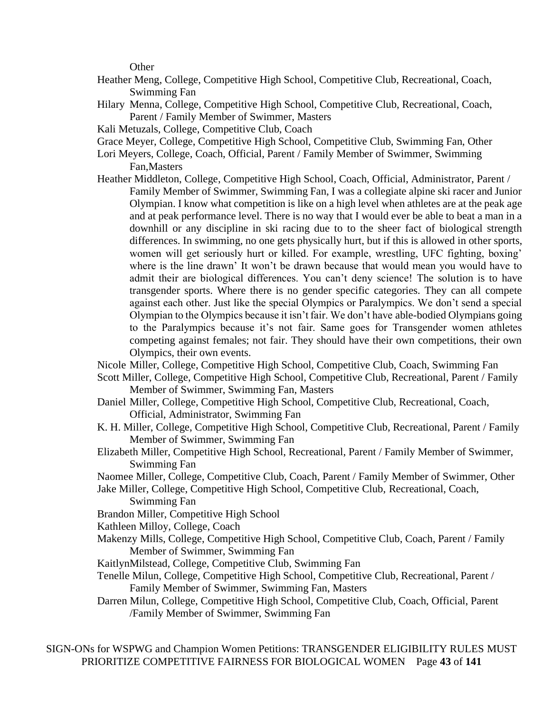**Other** 

- Heather Meng, College, Competitive High School, Competitive Club, Recreational, Coach, Swimming Fan
- Hilary Menna, College, Competitive High School, Competitive Club, Recreational, Coach, Parent / Family Member of Swimmer, Masters
- Kali Metuzals, College, Competitive Club, Coach
- Grace Meyer, College, Competitive High School, Competitive Club, Swimming Fan, Other
- Lori Meyers, College, Coach, Official, Parent / Family Member of Swimmer, Swimming Fan,Masters
- Heather Middleton, College, Competitive High School, Coach, Official, Administrator, Parent / Family Member of Swimmer, Swimming Fan, I was a collegiate alpine ski racer and Junior Olympian. I know what competition is like on a high level when athletes are at the peak age and at peak performance level. There is no way that I would ever be able to beat a man in a downhill or any discipline in ski racing due to to the sheer fact of biological strength differences. In swimming, no one gets physically hurt, but if this is allowed in other sports, women will get seriously hurt or killed. For example, wrestling, UFC fighting, boxing' where is the line drawn' It won't be drawn because that would mean you would have to admit their are biological differences. You can't deny science! The solution is to have transgender sports. Where there is no gender specific categories. They can all compete against each other. Just like the special Olympics or Paralympics. We don't send a special Olympian to the Olympics because it isn't fair. We don't have able-bodied Olympians going to the Paralympics because it's not fair. Same goes for Transgender women athletes competing against females; not fair. They should have their own competitions, their own Olympics, their own events.
- Nicole Miller, College, Competitive High School, Competitive Club, Coach, Swimming Fan
- Scott Miller, College, Competitive High School, Competitive Club, Recreational, Parent / Family Member of Swimmer, Swimming Fan, Masters
- Daniel Miller, College, Competitive High School, Competitive Club, Recreational, Coach, Official, Administrator, Swimming Fan
- K. H. Miller, College, Competitive High School, Competitive Club, Recreational, Parent / Family Member of Swimmer, Swimming Fan
- Elizabeth Miller, Competitive High School, Recreational, Parent / Family Member of Swimmer, Swimming Fan
- Naomee Miller, College, Competitive Club, Coach, Parent / Family Member of Swimmer, Other
- Jake Miller, College, Competitive High School, Competitive Club, Recreational, Coach, Swimming Fan
- Brandon Miller, Competitive High School
- Kathleen Milloy, College, Coach
- Makenzy Mills, College, Competitive High School, Competitive Club, Coach, Parent / Family Member of Swimmer, Swimming Fan
- KaitlynMilstead, College, Competitive Club, Swimming Fan
- Tenelle Milun, College, Competitive High School, Competitive Club, Recreational, Parent / Family Member of Swimmer, Swimming Fan, Masters
- Darren Milun, College, Competitive High School, Competitive Club, Coach, Official, Parent /Family Member of Swimmer, Swimming Fan

SIGN-ONs for WSPWG and Champion Women Petitions: TRANSGENDER ELIGIBILITY RULES MUST PRIORITIZE COMPETITIVE FAIRNESS FOR BIOLOGICAL WOMEN Page **43** of **141**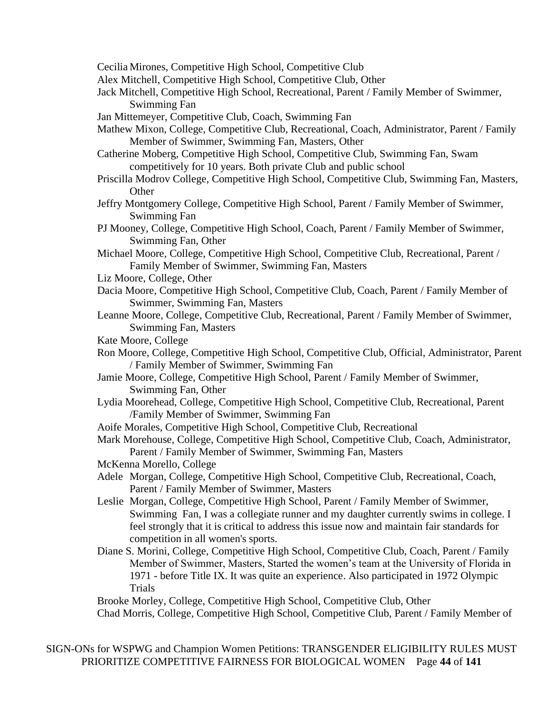Cecilia Mirones, Competitive High School, Competitive Club

- Alex Mitchell, Competitive High School, Competitive Club, Other
- Jack Mitchell, Competitive High School, Recreational, Parent / Family Member of Swimmer, Swimming Fan
- Jan Mittemeyer, Competitive Club, Coach, Swimming Fan
- Mathew Mixon, College, Competitive Club, Recreational, Coach, Administrator, Parent / Family Member of Swimmer, Swimming Fan, Masters, Other
- Catherine Moberg, Competitive High School, Competitive Club, Swimming Fan, Swam competitively for 10 years. Both private Club and public school
- Priscilla Modrov College, Competitive High School, Competitive Club, Swimming Fan, Masters, **Other**
- Jeffry Montgomery College, Competitive High School, Parent / Family Member of Swimmer, Swimming Fan
- PJ Mooney, College, Competitive High School, Coach, Parent / Family Member of Swimmer, Swimming Fan, Other
- Michael Moore, College, Competitive High School, Competitive Club, Recreational, Parent / Family Member of Swimmer, Swimming Fan, Masters
- Liz Moore, College, Other
- Dacia Moore, Competitive High School, Competitive Club, Coach, Parent / Family Member of Swimmer, Swimming Fan, Masters
- Leanne Moore, College, Competitive Club, Recreational, Parent / Family Member of Swimmer, Swimming Fan, Masters
- Kate Moore, College
- Ron Moore, College, Competitive High School, Competitive Club, Official, Administrator, Parent / Family Member of Swimmer, Swimming Fan
- Jamie Moore, College, Competitive High School, Parent / Family Member of Swimmer, Swimming Fan, Other
- Lydia Moorehead, College, Competitive High School, Competitive Club, Recreational, Parent /Family Member of Swimmer, Swimming Fan
- Aoife Morales, Competitive High School, Competitive Club, Recreational

Mark Morehouse, College, Competitive High School, Competitive Club, Coach, Administrator, Parent / Family Member of Swimmer, Swimming Fan, Masters

- McKenna Morello, College
- Adele Morgan, College, Competitive High School, Competitive Club, Recreational, Coach, Parent / Family Member of Swimmer, Masters
- Leslie Morgan, College, Competitive High School, Parent / Family Member of Swimmer, Swimming Fan, I was a collegiate runner and my daughter currently swims in college. I feel strongly that it is critical to address this issue now and maintain fair standards for competition in all women's sports.
- Diane S. Morini, College, Competitive High School, Competitive Club, Coach, Parent / Family Member of Swimmer, Masters, Started the women's team at the University of Florida in 1971 - before Title IX. It was quite an experience. Also participated in 1972 Olympic Trials

Brooke Morley, College, Competitive High School, Competitive Club, Other

Chad Morris, College, Competitive High School, Competitive Club, Parent / Family Member of

SIGN-ONs for WSPWG and Champion Women Petitions: TRANSGENDER ELIGIBILITY RULES MUST PRIORITIZE COMPETITIVE FAIRNESS FOR BIOLOGICAL WOMEN Page **44** of **141**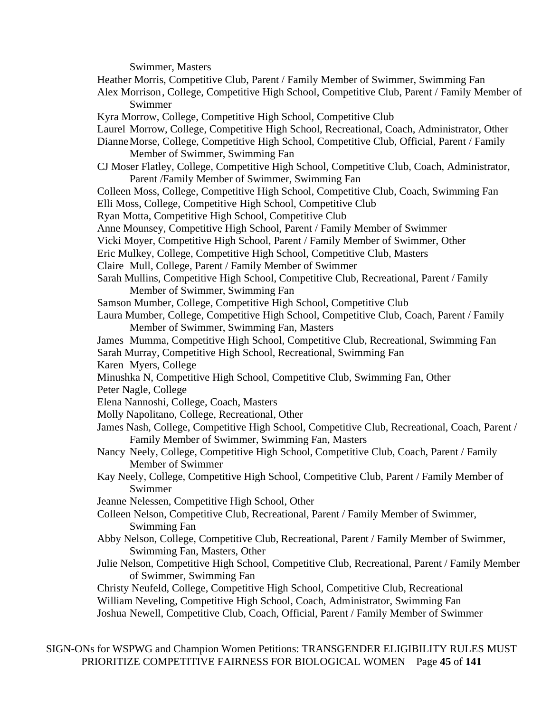Swimmer, Masters

Heather Morris, Competitive Club, Parent / Family Member of Swimmer, Swimming Fan

Alex Morrison, College, Competitive High School, Competitive Club, Parent / Family Member of Swimmer

Kyra Morrow, College, Competitive High School, Competitive Club

Laurel Morrow, College, Competitive High School, Recreational, Coach, Administrator, Other

DianneMorse, College, Competitive High School, Competitive Club, Official, Parent / Family Member of Swimmer, Swimming Fan

CJ Moser Flatley, College, Competitive High School, Competitive Club, Coach, Administrator, Parent /Family Member of Swimmer, Swimming Fan

Colleen Moss, College, Competitive High School, Competitive Club, Coach, Swimming Fan Elli Moss, College, Competitive High School, Competitive Club

Ryan Motta, Competitive High School, Competitive Club

Anne Mounsey, Competitive High School, Parent / Family Member of Swimmer

Vicki Moyer, Competitive High School, Parent / Family Member of Swimmer, Other

Eric Mulkey, College, Competitive High School, Competitive Club, Masters

Claire Mull, College, Parent / Family Member of Swimmer

- Sarah Mullins, Competitive High School, Competitive Club, Recreational, Parent / Family Member of Swimmer, Swimming Fan
- Samson Mumber, College, Competitive High School, Competitive Club
- Laura Mumber, College, Competitive High School, Competitive Club, Coach, Parent / Family Member of Swimmer, Swimming Fan, Masters

James Mumma, Competitive High School, Competitive Club, Recreational, Swimming Fan

Sarah Murray, Competitive High School, Recreational, Swimming Fan

Karen Myers, College

Minushka N, Competitive High School, Competitive Club, Swimming Fan, Other

Peter Nagle, College

- Elena Nannoshi, College, Coach, Masters
- Molly Napolitano, College, Recreational, Other
- James Nash, College, Competitive High School, Competitive Club, Recreational, Coach, Parent / Family Member of Swimmer, Swimming Fan, Masters
- Nancy Neely, College, Competitive High School, Competitive Club, Coach, Parent / Family Member of Swimmer
- Kay Neely, College, Competitive High School, Competitive Club, Parent / Family Member of Swimmer

Jeanne Nelessen, Competitive High School, Other

- Colleen Nelson, Competitive Club, Recreational, Parent / Family Member of Swimmer, Swimming Fan
- Abby Nelson, College, Competitive Club, Recreational, Parent / Family Member of Swimmer, Swimming Fan, Masters, Other
- Julie Nelson, Competitive High School, Competitive Club, Recreational, Parent / Family Member of Swimmer, Swimming Fan

Christy Neufeld, College, Competitive High School, Competitive Club, Recreational William Neveling, Competitive High School, Coach, Administrator, Swimming Fan Joshua Newell, Competitive Club, Coach, Official, Parent / Family Member of Swimmer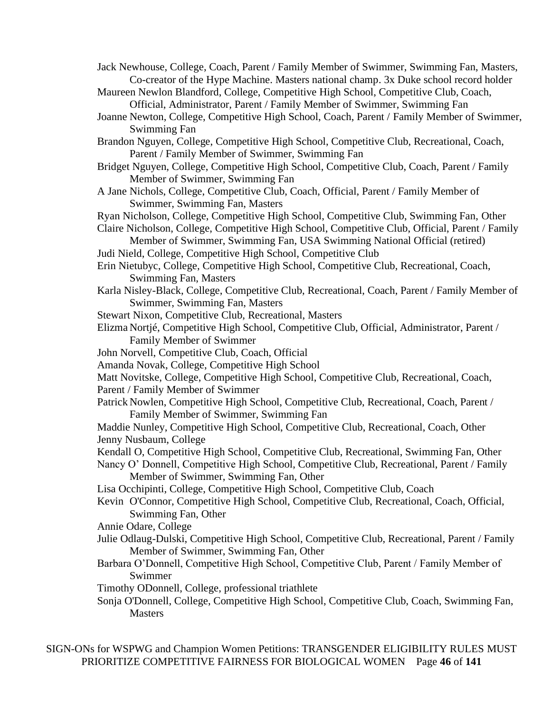Jack Newhouse, College, Coach, Parent / Family Member of Swimmer, Swimming Fan, Masters, Co-creator of the Hype Machine. Masters national champ. 3x Duke school record holder

- Maureen Newlon Blandford, College, Competitive High School, Competitive Club, Coach, Official, Administrator, Parent / Family Member of Swimmer, Swimming Fan
- Joanne Newton, College, Competitive High School, Coach, Parent / Family Member of Swimmer, Swimming Fan
- Brandon Nguyen, College, Competitive High School, Competitive Club, Recreational, Coach, Parent / Family Member of Swimmer, Swimming Fan
- Bridget Nguyen, College, Competitive High School, Competitive Club, Coach, Parent / Family Member of Swimmer, Swimming Fan
- A Jane Nichols, College, Competitive Club, Coach, Official, Parent / Family Member of Swimmer, Swimming Fan, Masters

Ryan Nicholson, College, Competitive High School, Competitive Club, Swimming Fan, Other

Claire Nicholson, College, Competitive High School, Competitive Club, Official, Parent / Family

Member of Swimmer, Swimming Fan, USA Swimming National Official (retired) Judi Nield, College, Competitive High School, Competitive Club

- Erin Nietubyc, College, Competitive High School, Competitive Club, Recreational, Coach, Swimming Fan, Masters
- Karla Nisley-Black, College, Competitive Club, Recreational, Coach, Parent / Family Member of Swimmer, Swimming Fan, Masters
- Stewart Nixon, Competitive Club, Recreational, Masters
- Elizma Nortjé, Competitive High School, Competitive Club, Official, Administrator, Parent / Family Member of Swimmer
- John Norvell, Competitive Club, Coach, Official
- Amanda Novak, College, Competitive High School
- Matt Novitske, College, Competitive High School, Competitive Club, Recreational, Coach,
- Parent / Family Member of Swimmer
- Patrick Nowlen, Competitive High School, Competitive Club, Recreational, Coach, Parent / Family Member of Swimmer, Swimming Fan
- Maddie Nunley, Competitive High School, Competitive Club, Recreational, Coach, Other Jenny Nusbaum, College
- Kendall O, Competitive High School, Competitive Club, Recreational, Swimming Fan, Other
- Nancy O' Donnell, Competitive High School, Competitive Club, Recreational, Parent / Family Member of Swimmer, Swimming Fan, Other
- Lisa Occhipinti, College, Competitive High School, Competitive Club, Coach
- Kevin O'Connor, Competitive High School, Competitive Club, Recreational, Coach, Official, Swimming Fan, Other

Annie Odare, College

- Julie Odlaug-Dulski, Competitive High School, Competitive Club, Recreational, Parent / Family Member of Swimmer, Swimming Fan, Other
- Barbara O'Donnell, Competitive High School, Competitive Club, Parent / Family Member of Swimmer
- Timothy ODonnell, College, professional triathlete
- Sonja O'Donnell, College, Competitive High School, Competitive Club, Coach, Swimming Fan, Masters

SIGN-ONs for WSPWG and Champion Women Petitions: TRANSGENDER ELIGIBILITY RULES MUST PRIORITIZE COMPETITIVE FAIRNESS FOR BIOLOGICAL WOMEN Page **46** of **141**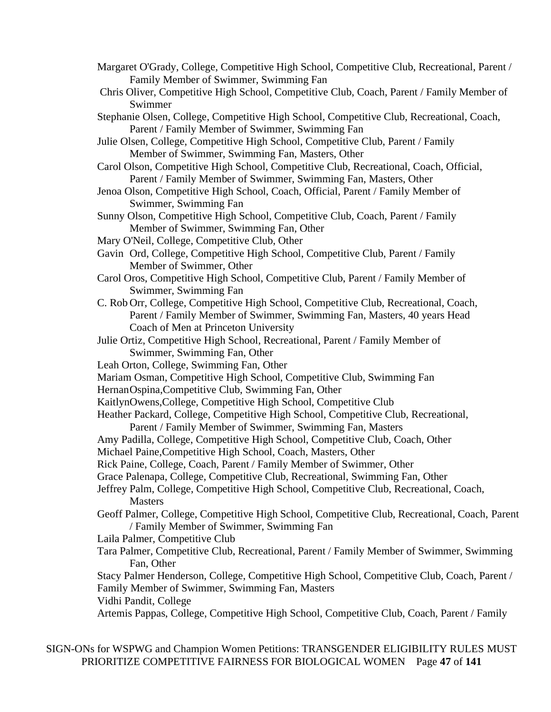- Margaret O'Grady, College, Competitive High School, Competitive Club, Recreational, Parent / Family Member of Swimmer, Swimming Fan
- Chris Oliver, Competitive High School, Competitive Club, Coach, Parent / Family Member of Swimmer
- Stephanie Olsen, College, Competitive High School, Competitive Club, Recreational, Coach, Parent / Family Member of Swimmer, Swimming Fan
- Julie Olsen, College, Competitive High School, Competitive Club, Parent / Family Member of Swimmer, Swimming Fan, Masters, Other
- Carol Olson, Competitive High School, Competitive Club, Recreational, Coach, Official, Parent / Family Member of Swimmer, Swimming Fan, Masters, Other
- Jenoa Olson, Competitive High School, Coach, Official, Parent / Family Member of Swimmer, Swimming Fan
- Sunny Olson, Competitive High School, Competitive Club, Coach, Parent / Family Member of Swimmer, Swimming Fan, Other
- Mary O'Neil, College, Competitive Club, Other
- Gavin Ord, College, Competitive High School, Competitive Club, Parent / Family Member of Swimmer, Other
- Carol Oros, Competitive High School, Competitive Club, Parent / Family Member of Swimmer, Swimming Fan
- C. Rob Orr, College, Competitive High School, Competitive Club, Recreational, Coach, Parent / Family Member of Swimmer, Swimming Fan, Masters, 40 years Head Coach of Men at Princeton University
- Julie Ortiz, Competitive High School, Recreational, Parent / Family Member of Swimmer, Swimming Fan, Other
- Leah Orton, College, Swimming Fan, Other
- Mariam Osman, Competitive High School, Competitive Club, Swimming Fan
- HernanOspina,Competitive Club, Swimming Fan, Other
- KaitlynOwens,College, Competitive High School, Competitive Club
- Heather Packard, College, Competitive High School, Competitive Club, Recreational,

Parent / Family Member of Swimmer, Swimming Fan, Masters

Amy Padilla, College, Competitive High School, Competitive Club, Coach, Other

Michael Paine,Competitive High School, Coach, Masters, Other

Rick Paine, College, Coach, Parent / Family Member of Swimmer, Other

- Grace Palenapa, College, Competitive Club, Recreational, Swimming Fan, Other
- Jeffrey Palm, College, Competitive High School, Competitive Club, Recreational, Coach, Masters
- Geoff Palmer, College, Competitive High School, Competitive Club, Recreational, Coach, Parent / Family Member of Swimmer, Swimming Fan

Laila Palmer, Competitive Club

Tara Palmer, Competitive Club, Recreational, Parent / Family Member of Swimmer, Swimming Fan, Other

Stacy Palmer Henderson, College, Competitive High School, Competitive Club, Coach, Parent / Family Member of Swimmer, Swimming Fan, Masters

Vidhi Pandit, College

Artemis Pappas, College, Competitive High School, Competitive Club, Coach, Parent / Family

SIGN-ONs for WSPWG and Champion Women Petitions: TRANSGENDER ELIGIBILITY RULES MUST PRIORITIZE COMPETITIVE FAIRNESS FOR BIOLOGICAL WOMEN Page **47** of **141**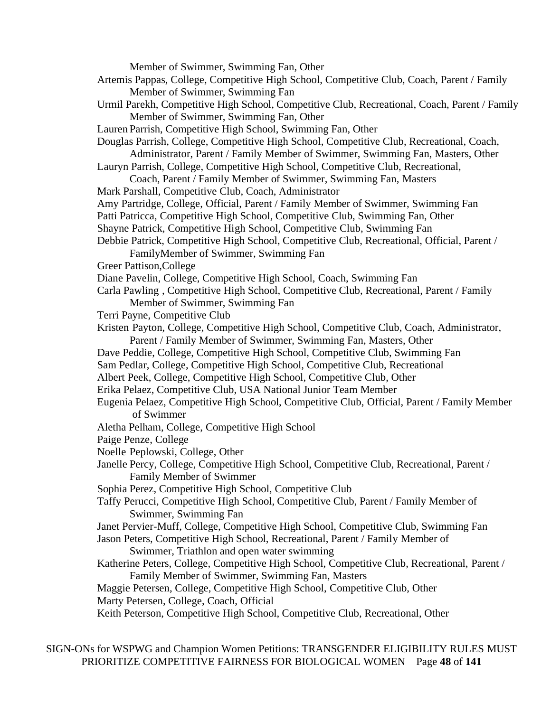Member of Swimmer, Swimming Fan, Other

- Artemis Pappas, College, Competitive High School, Competitive Club, Coach, Parent / Family Member of Swimmer, Swimming Fan
- Urmil Parekh, Competitive High School, Competitive Club, Recreational, Coach, Parent / Family Member of Swimmer, Swimming Fan, Other
- Lauren Parrish, Competitive High School, Swimming Fan, Other

Douglas Parrish, College, Competitive High School, Competitive Club, Recreational, Coach, Administrator, Parent / Family Member of Swimmer, Swimming Fan, Masters, Other

Lauryn Parrish, College, Competitive High School, Competitive Club, Recreational,

- Coach, Parent / Family Member of Swimmer, Swimming Fan, Masters
- Mark Parshall, Competitive Club, Coach, Administrator

Amy Partridge, College, Official, Parent / Family Member of Swimmer, Swimming Fan

Patti Patricca, Competitive High School, Competitive Club, Swimming Fan, Other

- Shayne Patrick, Competitive High School, Competitive Club, Swimming Fan
- Debbie Patrick, Competitive High School, Competitive Club, Recreational, Official, Parent /
	- FamilyMember of Swimmer, Swimming Fan
- Greer Pattison,College

Diane Pavelin, College, Competitive High School, Coach, Swimming Fan

Carla Pawling , Competitive High School, Competitive Club, Recreational, Parent / Family Member of Swimmer, Swimming Fan

Terri Payne, Competitive Club

Kristen Payton, College, Competitive High School, Competitive Club, Coach, Administrator, Parent / Family Member of Swimmer, Swimming Fan, Masters, Other

- Dave Peddie, College, Competitive High School, Competitive Club, Swimming Fan
- Sam Pedlar, College, Competitive High School, Competitive Club, Recreational
- Albert Peek, College, Competitive High School, Competitive Club, Other
- Erika Pelaez, Competitive Club, USA National Junior Team Member
- Eugenia Pelaez, Competitive High School, Competitive Club, Official, Parent / Family Member of Swimmer
- Aletha Pelham, College, Competitive High School
- Paige Penze, College
- Noelle Peplowski, College, Other
- Janelle Percy, College, Competitive High School, Competitive Club, Recreational, Parent / Family Member of Swimmer

Sophia Perez, Competitive High School, Competitive Club

Taffy Perucci, Competitive High School, Competitive Club, Parent / Family Member of Swimmer, Swimming Fan

Janet Pervier-Muff, College, Competitive High School, Competitive Club, Swimming Fan

- Jason Peters, Competitive High School, Recreational, Parent / Family Member of Swimmer, Triathlon and open water swimming
- Katherine Peters, College, Competitive High School, Competitive Club, Recreational, Parent / Family Member of Swimmer, Swimming Fan, Masters

Maggie Petersen, College, Competitive High School, Competitive Club, Other Marty Petersen, College, Coach, Official

Keith Peterson, Competitive High School, Competitive Club, Recreational, Other

SIGN-ONs for WSPWG and Champion Women Petitions: TRANSGENDER ELIGIBILITY RULES MUST PRIORITIZE COMPETITIVE FAIRNESS FOR BIOLOGICAL WOMEN Page **48** of **141**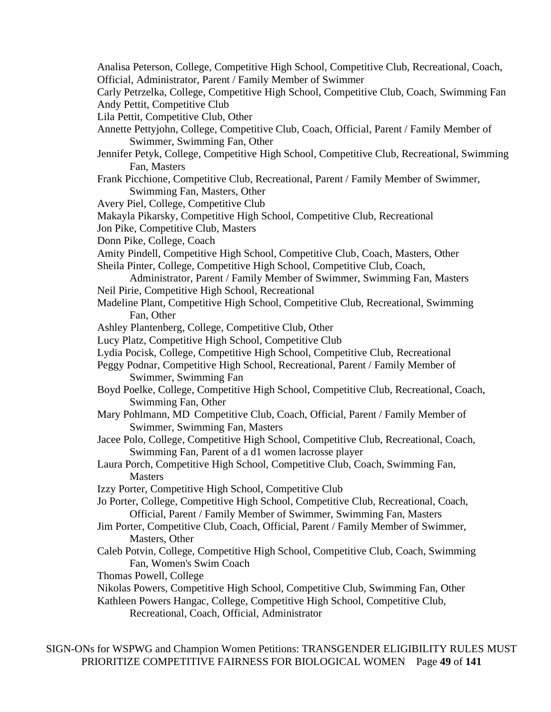- Analisa Peterson, College, Competitive High School, Competitive Club, Recreational, Coach, Official, Administrator, Parent / Family Member of Swimmer
- Carly Petrzelka, College, Competitive High School, Competitive Club, Coach, Swimming Fan Andy Pettit, Competitive Club
- Lila Pettit, Competitive Club, Other
- Annette Pettyjohn, College, Competitive Club, Coach, Official, Parent / Family Member of Swimmer, Swimming Fan, Other
- Jennifer Petyk, College, Competitive High School, Competitive Club, Recreational, Swimming Fan, Masters
- Frank Picchione, Competitive Club, Recreational, Parent / Family Member of Swimmer, Swimming Fan, Masters, Other
- Avery Piel, College, Competitive Club
- Makayla Pikarsky, Competitive High School, Competitive Club, Recreational
- Jon Pike, Competitive Club, Masters
- Donn Pike, College, Coach
- Amity Pindell, Competitive High School, Competitive Club, Coach, Masters, Other Sheila Pinter, College, Competitive High School, Competitive Club, Coach,
- Administrator, Parent / Family Member of Swimmer, Swimming Fan, Masters Neil Pirie, Competitive High School, Recreational
- Madeline Plant, Competitive High School, Competitive Club, Recreational, Swimming Fan, Other
- Ashley Plantenberg, College, Competitive Club, Other
- Lucy Platz, Competitive High School, Competitive Club
- Lydia Pocisk, College, Competitive High School, Competitive Club, Recreational
- Peggy Podnar, Competitive High School, Recreational, Parent / Family Member of Swimmer, Swimming Fan
- Boyd Poelke, College, Competitive High School, Competitive Club, Recreational, Coach, Swimming Fan, Other
- Mary Pohlmann, MD Competitive Club, Coach, Official, Parent / Family Member of Swimmer, Swimming Fan, Masters
- Jacee Polo, College, Competitive High School, Competitive Club, Recreational, Coach, Swimming Fan, Parent of a d1 women lacrosse player
- Laura Porch, Competitive High School, Competitive Club, Coach, Swimming Fan, **Masters**
- Izzy Porter, Competitive High School, Competitive Club
- Jo Porter, College, Competitive High School, Competitive Club, Recreational, Coach, Official, Parent / Family Member of Swimmer, Swimming Fan, Masters
- Jim Porter, Competitive Club, Coach, Official, Parent / Family Member of Swimmer, Masters, Other
- Caleb Potvin, College, Competitive High School, Competitive Club, Coach, Swimming Fan, Women's Swim Coach

Thomas Powell, College

Nikolas Powers, Competitive High School, Competitive Club, Swimming Fan, Other Kathleen Powers Hangac, College, Competitive High School, Competitive Club,

Recreational, Coach, Official, Administrator

SIGN-ONs for WSPWG and Champion Women Petitions: TRANSGENDER ELIGIBILITY RULES MUST PRIORITIZE COMPETITIVE FAIRNESS FOR BIOLOGICAL WOMEN Page **49** of **141**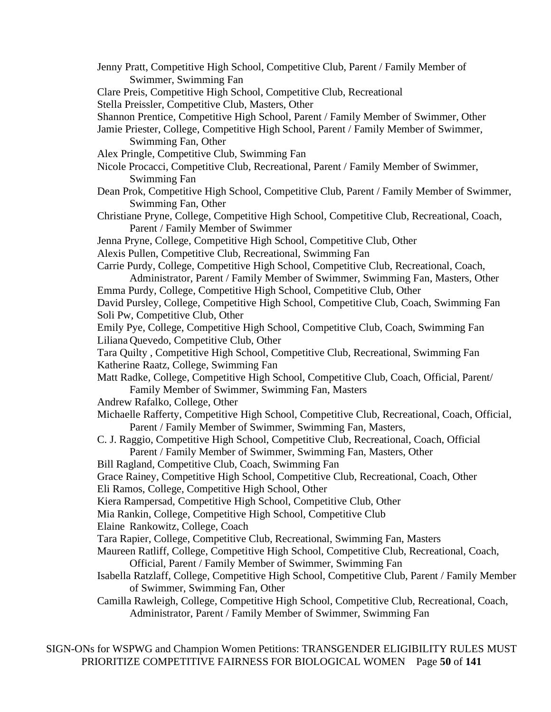Jenny Pratt, Competitive High School, Competitive Club, Parent / Family Member of Swimmer, Swimming Fan Clare Preis, Competitive High School, Competitive Club, Recreational Stella Preissler, Competitive Club, Masters, Other Shannon Prentice, Competitive High School, Parent / Family Member of Swimmer, Other Jamie Priester, College, Competitive High School, Parent / Family Member of Swimmer, Swimming Fan, Other Alex Pringle, Competitive Club, Swimming Fan Nicole Procacci, Competitive Club, Recreational, Parent / Family Member of Swimmer, Swimming Fan Dean Prok, Competitive High School, Competitive Club, Parent / Family Member of Swimmer, Swimming Fan, Other Christiane Pryne, College, Competitive High School, Competitive Club, Recreational, Coach, Parent / Family Member of Swimmer Jenna Pryne, College, Competitive High School, Competitive Club, Other Alexis Pullen, Competitive Club, Recreational, Swimming Fan Carrie Purdy, College, Competitive High School, Competitive Club, Recreational, Coach, Administrator, Parent / Family Member of Swimmer, Swimming Fan, Masters, Other Emma Purdy, College, Competitive High School, Competitive Club, Other David Pursley, College, Competitive High School, Competitive Club, Coach, Swimming Fan Soli Pw, Competitive Club, Other Emily Pye, College, Competitive High School, Competitive Club, Coach, Swimming Fan Liliana Quevedo, Competitive Club, Other Tara Quilty , Competitive High School, Competitive Club, Recreational, Swimming Fan Katherine Raatz, College, Swimming Fan Matt Radke, College, Competitive High School, Competitive Club, Coach, Official, Parent/ Family Member of Swimmer, Swimming Fan, Masters Andrew Rafalko, College, Other Michaelle Rafferty, Competitive High School, Competitive Club, Recreational, Coach, Official, Parent / Family Member of Swimmer, Swimming Fan, Masters, C. J. Raggio, Competitive High School, Competitive Club, Recreational, Coach, Official Parent / Family Member of Swimmer, Swimming Fan, Masters, Other Bill Ragland, Competitive Club, Coach, Swimming Fan Grace Rainey, Competitive High School, Competitive Club, Recreational, Coach, Other Eli Ramos, College, Competitive High School, Other Kiera Rampersad, Competitive High School, Competitive Club, Other Mia Rankin, College, Competitive High School, Competitive Club Elaine Rankowitz, College, Coach Tara Rapier, College, Competitive Club, Recreational, Swimming Fan, Masters Maureen Ratliff, College, Competitive High School, Competitive Club, Recreational, Coach, Official, Parent / Family Member of Swimmer, Swimming Fan Isabella Ratzlaff, College, Competitive High School, Competitive Club, Parent / Family Member of Swimmer, Swimming Fan, Other Camilla Rawleigh, College, Competitive High School, Competitive Club, Recreational, Coach, Administrator, Parent / Family Member of Swimmer, Swimming Fan

SIGN-ONs for WSPWG and Champion Women Petitions: TRANSGENDER ELIGIBILITY RULES MUST PRIORITIZE COMPETITIVE FAIRNESS FOR BIOLOGICAL WOMEN Page **50** of **141**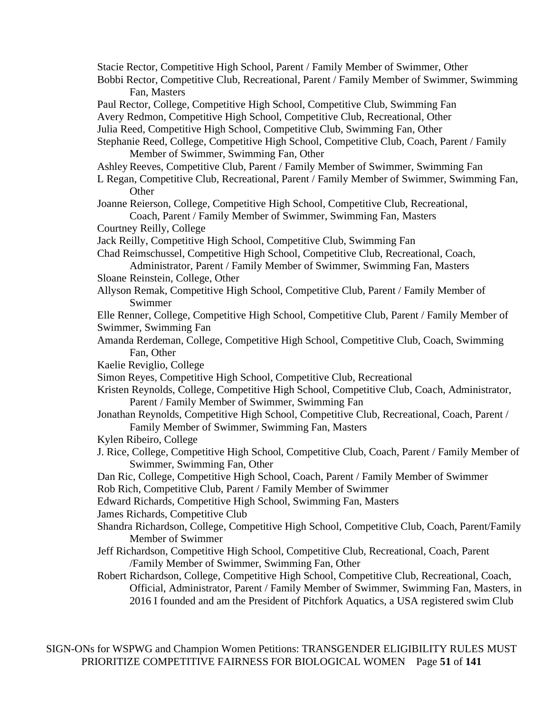Stacie Rector, Competitive High School, Parent / Family Member of Swimmer, Other

Bobbi Rector, Competitive Club, Recreational, Parent / Family Member of Swimmer, Swimming Fan, Masters

Paul Rector, College, Competitive High School, Competitive Club, Swimming Fan Avery Redmon, Competitive High School, Competitive Club, Recreational, Other Julia Reed, Competitive High School, Competitive Club, Swimming Fan, Other Stephanie Reed, College, Competitive High School, Competitive Club, Coach, Parent / Family

Member of Swimmer, Swimming Fan, Other

Ashley Reeves, Competitive Club, Parent / Family Member of Swimmer, Swimming Fan

L Regan, Competitive Club, Recreational, Parent / Family Member of Swimmer, Swimming Fan, **Other** 

Joanne Reierson, College, Competitive High School, Competitive Club, Recreational,

Coach, Parent / Family Member of Swimmer, Swimming Fan, Masters Courtney Reilly, College

Jack Reilly, Competitive High School, Competitive Club, Swimming Fan

Chad Reimschussel, Competitive High School, Competitive Club, Recreational, Coach, Administrator, Parent / Family Member of Swimmer, Swimming Fan, Masters

- Sloane Reinstein, College, Other
- Allyson Remak, Competitive High School, Competitive Club, Parent / Family Member of Swimmer

Elle Renner, College, Competitive High School, Competitive Club, Parent / Family Member of Swimmer, Swimming Fan

- Amanda Rerdeman, College, Competitive High School, Competitive Club, Coach, Swimming Fan, Other
- Kaelie Reviglio, College
- Simon Reyes, Competitive High School, Competitive Club, Recreational
- Kristen Reynolds, College, Competitive High School, Competitive Club, Coach, Administrator, Parent / Family Member of Swimmer, Swimming Fan
- Jonathan Reynolds, Competitive High School, Competitive Club, Recreational, Coach, Parent / Family Member of Swimmer, Swimming Fan, Masters
- Kylen Ribeiro, College
- J. Rice, College, Competitive High School, Competitive Club, Coach, Parent / Family Member of Swimmer, Swimming Fan, Other
- Dan Ric, College, Competitive High School, Coach, Parent / Family Member of Swimmer

Rob Rich, Competitive Club, Parent / Family Member of Swimmer

Edward Richards, Competitive High School, Swimming Fan, Masters

James Richards, Competitive Club

- Shandra Richardson, College, Competitive High School, Competitive Club, Coach, Parent/Family Member of Swimmer
- Jeff Richardson, Competitive High School, Competitive Club, Recreational, Coach, Parent /Family Member of Swimmer, Swimming Fan, Other

Robert Richardson, College, Competitive High School, Competitive Club, Recreational, Coach, Official, Administrator, Parent / Family Member of Swimmer, Swimming Fan, Masters, in 2016 I founded and am the President of Pitchfork Aquatics, a USA registered swim Club

SIGN-ONs for WSPWG and Champion Women Petitions: TRANSGENDER ELIGIBILITY RULES MUST PRIORITIZE COMPETITIVE FAIRNESS FOR BIOLOGICAL WOMEN Page **51** of **141**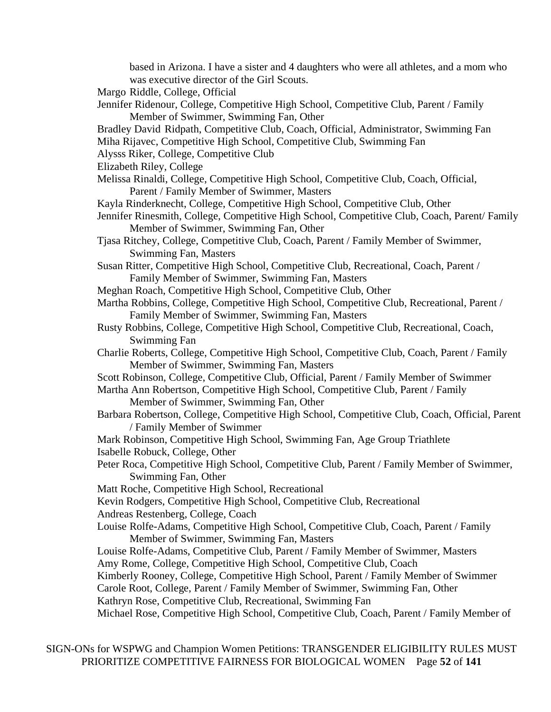based in Arizona. I have a sister and 4 daughters who were all athletes, and a mom who was executive director of the Girl Scouts. Margo Riddle, College, Official Jennifer Ridenour, College, Competitive High School, Competitive Club, Parent / Family Member of Swimmer, Swimming Fan, Other Bradley David Ridpath, Competitive Club, Coach, Official, Administrator, Swimming Fan Miha Rijavec, Competitive High School, Competitive Club, Swimming Fan Alysss Riker, College, Competitive Club Elizabeth Riley, College Melissa Rinaldi, College, Competitive High School, Competitive Club, Coach, Official, Parent / Family Member of Swimmer, Masters Kayla Rinderknecht, College, Competitive High School, Competitive Club, Other Jennifer Rinesmith, College, Competitive High School, Competitive Club, Coach, Parent/ Family Member of Swimmer, Swimming Fan, Other Tjasa Ritchey, College, Competitive Club, Coach, Parent / Family Member of Swimmer, Swimming Fan, Masters Susan Ritter, Competitive High School, Competitive Club, Recreational, Coach, Parent / Family Member of Swimmer, Swimming Fan, Masters Meghan Roach, Competitive High School, Competitive Club, Other Martha Robbins, College, Competitive High School, Competitive Club, Recreational, Parent / Family Member of Swimmer, Swimming Fan, Masters Rusty Robbins, College, Competitive High School, Competitive Club, Recreational, Coach, Swimming Fan Charlie Roberts, College, Competitive High School, Competitive Club, Coach, Parent / Family Member of Swimmer, Swimming Fan, Masters Scott Robinson, College, Competitive Club, Official, Parent / Family Member of Swimmer Martha Ann Robertson, Competitive High School, Competitive Club, Parent / Family Member of Swimmer, Swimming Fan, Other Barbara Robertson, College, Competitive High School, Competitive Club, Coach, Official, Parent / Family Member of Swimmer Mark Robinson, Competitive High School, Swimming Fan, Age Group Triathlete Isabelle Robuck, College, Other Peter Roca, Competitive High School, Competitive Club, Parent / Family Member of Swimmer, Swimming Fan, Other Matt Roche, Competitive High School, Recreational Kevin Rodgers, Competitive High School, Competitive Club, Recreational Andreas Restenberg, College, Coach Louise Rolfe-Adams, Competitive High School, Competitive Club, Coach, Parent / Family Member of Swimmer, Swimming Fan, Masters Louise Rolfe-Adams, Competitive Club, Parent / Family Member of Swimmer, Masters Amy Rome, College, Competitive High School, Competitive Club, Coach Kimberly Rooney, College, Competitive High School, Parent / Family Member of Swimmer Carole Root, College, Parent / Family Member of Swimmer, Swimming Fan, Other Kathryn Rose, Competitive Club, Recreational, Swimming Fan Michael Rose, Competitive High School, Competitive Club, Coach, Parent / Family Member of

SIGN-ONs for WSPWG and Champion Women Petitions: TRANSGENDER ELIGIBILITY RULES MUST PRIORITIZE COMPETITIVE FAIRNESS FOR BIOLOGICAL WOMEN Page **52** of **141**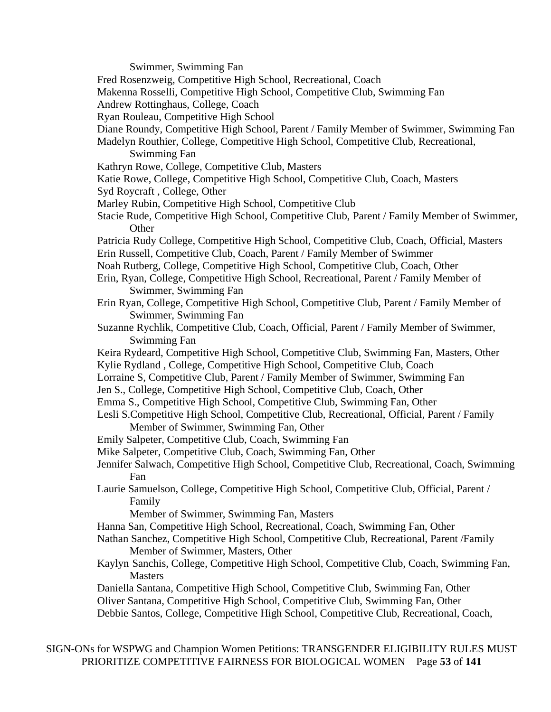Swimmer, Swimming Fan

Fred Rosenzweig, Competitive High School, Recreational, Coach

Makenna Rosselli, Competitive High School, Competitive Club, Swimming Fan

Andrew Rottinghaus, College, Coach

Ryan Rouleau, Competitive High School

Diane Roundy, Competitive High School, Parent / Family Member of Swimmer, Swimming Fan

Madelyn Routhier, College, Competitive High School, Competitive Club, Recreational,

Swimming Fan

Kathryn Rowe, College, Competitive Club, Masters

Katie Rowe, College, Competitive High School, Competitive Club, Coach, Masters

- Syd Roycraft , College, Other
- Marley Rubin, Competitive High School, Competitive Club
- Stacie Rude, Competitive High School, Competitive Club, Parent / Family Member of Swimmer, **Other**
- Patricia Rudy College, Competitive High School, Competitive Club, Coach, Official, Masters Erin Russell, Competitive Club, Coach, Parent / Family Member of Swimmer
- Noah Rutberg, College, Competitive High School, Competitive Club, Coach, Other
- Erin, Ryan, College, Competitive High School, Recreational, Parent / Family Member of Swimmer, Swimming Fan
- Erin Ryan, College, Competitive High School, Competitive Club, Parent / Family Member of Swimmer, Swimming Fan
- Suzanne Rychlik, Competitive Club, Coach, Official, Parent / Family Member of Swimmer, Swimming Fan
- Keira Rydeard, Competitive High School, Competitive Club, Swimming Fan, Masters, Other Kylie Rydland , College, Competitive High School, Competitive Club, Coach
- Lorraine S, Competitive Club, Parent / Family Member of Swimmer, Swimming Fan
- Jen S., College, Competitive High School, Competitive Club, Coach, Other
- Emma S., Competitive High School, Competitive Club, Swimming Fan, Other

Lesli S.Competitive High School, Competitive Club, Recreational, Official, Parent / Family Member of Swimmer, Swimming Fan, Other

- Emily Salpeter, Competitive Club, Coach, Swimming Fan
- Mike Salpeter, Competitive Club, Coach, Swimming Fan, Other
- Jennifer Salwach, Competitive High School, Competitive Club, Recreational, Coach, Swimming Fan
- Laurie Samuelson, College, Competitive High School, Competitive Club, Official, Parent / Family

Member of Swimmer, Swimming Fan, Masters

Hanna San, Competitive High School, Recreational, Coach, Swimming Fan, Other

- Nathan Sanchez, Competitive High School, Competitive Club, Recreational, Parent /Family Member of Swimmer, Masters, Other
- Kaylyn Sanchis, College, Competitive High School, Competitive Club, Coach, Swimming Fan, **Masters**

Daniella Santana, Competitive High School, Competitive Club, Swimming Fan, Other Oliver Santana, Competitive High School, Competitive Club, Swimming Fan, Other Debbie Santos, College, Competitive High School, Competitive Club, Recreational, Coach,

SIGN-ONs for WSPWG and Champion Women Petitions: TRANSGENDER ELIGIBILITY RULES MUST PRIORITIZE COMPETITIVE FAIRNESS FOR BIOLOGICAL WOMEN Page **53** of **141**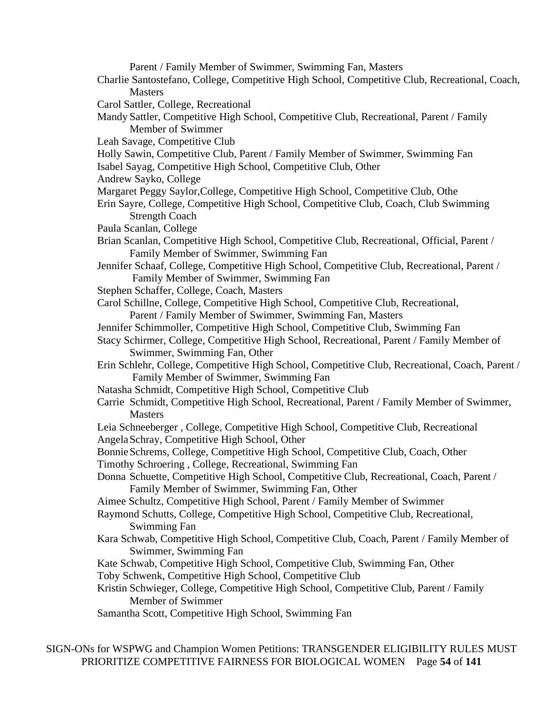Parent / Family Member of Swimmer, Swimming Fan, Masters

- Charlie Santostefano, College, Competitive High School, Competitive Club, Recreational, Coach, **Masters**
- Carol Sattler, College, Recreational
- Mandy Sattler, Competitive High School, Competitive Club, Recreational, Parent / Family Member of Swimmer
- Leah Savage, Competitive Club
- Holly Sawin, Competitive Club, Parent / Family Member of Swimmer, Swimming Fan
- Isabel Sayag, Competitive High School, Competitive Club, Other
- Andrew Sayko, College
- Margaret Peggy Saylor,College, Competitive High School, Competitive Club, Othe
- Erin Sayre, College, Competitive High School, Competitive Club, Coach, Club Swimming Strength Coach
- Paula Scanlan, College
- Brian Scanlan, Competitive High School, Competitive Club, Recreational, Official, Parent / Family Member of Swimmer, Swimming Fan
- Jennifer Schaaf, College, Competitive High School, Competitive Club, Recreational, Parent / Family Member of Swimmer, Swimming Fan
- Stephen Schaffer, College, Coach, Masters
- Carol Schillne, College, Competitive High School, Competitive Club, Recreational, Parent / Family Member of Swimmer, Swimming Fan, Masters
- Jennifer Schimmoller, Competitive High School, Competitive Club, Swimming Fan
- Stacy Schirmer, College, Competitive High School, Recreational, Parent / Family Member of Swimmer, Swimming Fan, Other
- Erin Schlehr, College, Competitive High School, Competitive Club, Recreational, Coach, Parent / Family Member of Swimmer, Swimming Fan
- Natasha Schmidt, Competitive High School, Competitive Club
- Carrie Schmidt, Competitive High School, Recreational, Parent / Family Member of Swimmer, **Masters**
- Leia Schneeberger , College, Competitive High School, Competitive Club, Recreational AngelaSchray, Competitive High School, Other
- BonnieSchrems, College, Competitive High School, Competitive Club, Coach, Other
- Timothy Schroering , College, Recreational, Swimming Fan
- Donna Schuette, Competitive High School, Competitive Club, Recreational, Coach, Parent / Family Member of Swimmer, Swimming Fan, Other
- Aimee Schultz, Competitive High School, Parent / Family Member of Swimmer
- Raymond Schutts, College, Competitive High School, Competitive Club, Recreational, Swimming Fan
- Kara Schwab, Competitive High School, Competitive Club, Coach, Parent / Family Member of Swimmer, Swimming Fan
- Kate Schwab, Competitive High School, Competitive Club, Swimming Fan, Other Toby Schwenk, Competitive High School, Competitive Club
- Kristin Schwieger, College, Competitive High School, Competitive Club, Parent / Family Member of Swimmer
- Samantha Scott, Competitive High School, Swimming Fan

SIGN-ONs for WSPWG and Champion Women Petitions: TRANSGENDER ELIGIBILITY RULES MUST PRIORITIZE COMPETITIVE FAIRNESS FOR BIOLOGICAL WOMEN Page **54** of **141**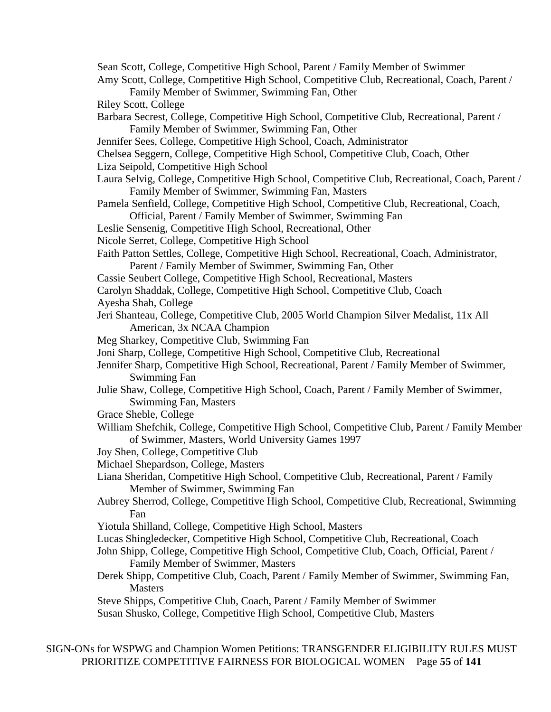Sean Scott, College, Competitive High School, Parent / Family Member of Swimmer Amy Scott, College, Competitive High School, Competitive Club, Recreational, Coach, Parent / Family Member of Swimmer, Swimming Fan, Other Riley Scott, College Barbara Secrest, College, Competitive High School, Competitive Club, Recreational, Parent / Family Member of Swimmer, Swimming Fan, Other Jennifer Sees, College, Competitive High School, Coach, Administrator Chelsea Seggern, College, Competitive High School, Competitive Club, Coach, Other Liza Seipold, Competitive High School Laura Selvig, College, Competitive High School, Competitive Club, Recreational, Coach, Parent / Family Member of Swimmer, Swimming Fan, Masters Pamela Senfield, College, Competitive High School, Competitive Club, Recreational, Coach, Official, Parent / Family Member of Swimmer, Swimming Fan Leslie Sensenig, Competitive High School, Recreational, Other Nicole Serret, College, Competitive High School Faith Patton Settles, College, Competitive High School, Recreational, Coach, Administrator, Parent / Family Member of Swimmer, Swimming Fan, Other Cassie Seubert College, Competitive High School, Recreational, Masters Carolyn Shaddak, College, Competitive High School, Competitive Club, Coach Ayesha Shah, College Jeri Shanteau, College, Competitive Club, 2005 World Champion Silver Medalist, 11x All American, 3x NCAA Champion Meg Sharkey, Competitive Club, Swimming Fan Joni Sharp, College, Competitive High School, Competitive Club, Recreational Jennifer Sharp, Competitive High School, Recreational, Parent / Family Member of Swimmer, Swimming Fan Julie Shaw, College, Competitive High School, Coach, Parent / Family Member of Swimmer, Swimming Fan, Masters Grace Sheble, College William Shefchik, College, Competitive High School, Competitive Club, Parent / Family Member of Swimmer, Masters, World University Games 1997 Joy Shen, College, Competitive Club Michael Shepardson, College, Masters Liana Sheridan, Competitive High School, Competitive Club, Recreational, Parent / Family Member of Swimmer, Swimming Fan Aubrey Sherrod, College, Competitive High School, Competitive Club, Recreational, Swimming Fan Yiotula Shilland, College, Competitive High School, Masters Lucas Shingledecker, Competitive High School, Competitive Club, Recreational, Coach John Shipp, College, Competitive High School, Competitive Club, Coach, Official, Parent / Family Member of Swimmer, Masters Derek Shipp, Competitive Club, Coach, Parent / Family Member of Swimmer, Swimming Fan, **Masters** Steve Shipps, Competitive Club, Coach, Parent / Family Member of Swimmer Susan Shusko, College, Competitive High School, Competitive Club, Masters

SIGN-ONs for WSPWG and Champion Women Petitions: TRANSGENDER ELIGIBILITY RULES MUST PRIORITIZE COMPETITIVE FAIRNESS FOR BIOLOGICAL WOMEN Page **55** of **141**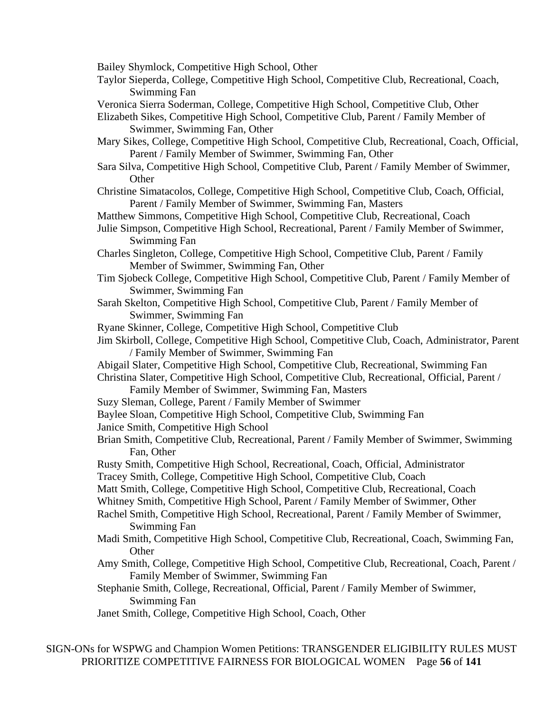Bailey Shymlock, Competitive High School, Other

- Taylor Sieperda, College, Competitive High School, Competitive Club, Recreational, Coach, Swimming Fan
- Veronica Sierra Soderman, College, Competitive High School, Competitive Club, Other
- Elizabeth Sikes, Competitive High School, Competitive Club, Parent / Family Member of Swimmer, Swimming Fan, Other
- Mary Sikes, College, Competitive High School, Competitive Club, Recreational, Coach, Official, Parent / Family Member of Swimmer, Swimming Fan, Other
- Sara Silva, Competitive High School, Competitive Club, Parent / Family Member of Swimmer, **Other**
- Christine Simatacolos, College, Competitive High School, Competitive Club, Coach, Official, Parent / Family Member of Swimmer, Swimming Fan, Masters
- Matthew Simmons, Competitive High School, Competitive Club, Recreational, Coach
- Julie Simpson, Competitive High School, Recreational, Parent / Family Member of Swimmer, Swimming Fan
- Charles Singleton, College, Competitive High School, Competitive Club, Parent / Family Member of Swimmer, Swimming Fan, Other
- Tim Sjobeck College, Competitive High School, Competitive Club, Parent / Family Member of Swimmer, Swimming Fan
- Sarah Skelton, Competitive High School, Competitive Club, Parent / Family Member of Swimmer, Swimming Fan
- Ryane Skinner, College, Competitive High School, Competitive Club
- Jim Skirboll, College, Competitive High School, Competitive Club, Coach, Administrator, Parent / Family Member of Swimmer, Swimming Fan
- Abigail Slater, Competitive High School, Competitive Club, Recreational, Swimming Fan
- Christina Slater, Competitive High School, Competitive Club, Recreational, Official, Parent / Family Member of Swimmer, Swimming Fan, Masters
- Suzy Sleman, College, Parent / Family Member of Swimmer
- Baylee Sloan, Competitive High School, Competitive Club, Swimming Fan
- Janice Smith, Competitive High School
- Brian Smith, Competitive Club, Recreational, Parent / Family Member of Swimmer, Swimming Fan, Other
- Rusty Smith, Competitive High School, Recreational, Coach, Official, Administrator Tracey Smith, College, Competitive High School, Competitive Club, Coach
- 
- Matt Smith, College, Competitive High School, Competitive Club, Recreational, Coach
- Whitney Smith, Competitive High School, Parent / Family Member of Swimmer, Other
- Rachel Smith, Competitive High School, Recreational, Parent / Family Member of Swimmer, Swimming Fan
- Madi Smith, Competitive High School, Competitive Club, Recreational, Coach, Swimming Fan, **Other**
- Amy Smith, College, Competitive High School, Competitive Club, Recreational, Coach, Parent / Family Member of Swimmer, Swimming Fan
- Stephanie Smith, College, Recreational, Official, Parent / Family Member of Swimmer, Swimming Fan
- Janet Smith, College, Competitive High School, Coach, Other

SIGN-ONs for WSPWG and Champion Women Petitions: TRANSGENDER ELIGIBILITY RULES MUST PRIORITIZE COMPETITIVE FAIRNESS FOR BIOLOGICAL WOMEN Page **56** of **141**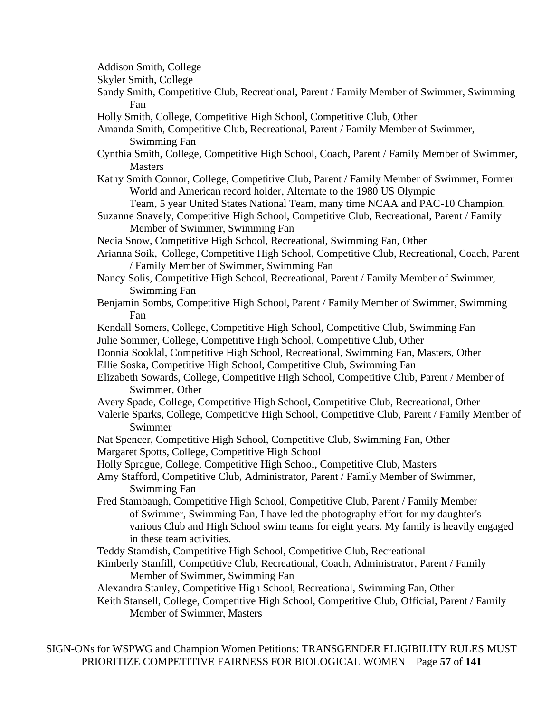Addison Smith, College

Skyler Smith, College

- Sandy Smith, Competitive Club, Recreational, Parent / Family Member of Swimmer, Swimming Fan
- Holly Smith, College, Competitive High School, Competitive Club, Other

Amanda Smith, Competitive Club, Recreational, Parent / Family Member of Swimmer, Swimming Fan

- Cynthia Smith, College, Competitive High School, Coach, Parent / Family Member of Swimmer, Masters
- Kathy Smith Connor, College, Competitive Club, Parent / Family Member of Swimmer, Former World and American record holder, Alternate to the 1980 US Olympic
	- Team, 5 year United States National Team, many time NCAA and PAC-10 Champion.
- Suzanne Snavely, Competitive High School, Competitive Club, Recreational, Parent / Family Member of Swimmer, Swimming Fan
- Necia Snow, Competitive High School, Recreational, Swimming Fan, Other
- Arianna Soik, College, Competitive High School, Competitive Club, Recreational, Coach, Parent / Family Member of Swimmer, Swimming Fan
- Nancy Solis, Competitive High School, Recreational, Parent / Family Member of Swimmer, Swimming Fan
- Benjamin Sombs, Competitive High School, Parent / Family Member of Swimmer, Swimming Fan
- Kendall Somers, College, Competitive High School, Competitive Club, Swimming Fan Julie Sommer, College, Competitive High School, Competitive Club, Other
- Donnia Sooklal, Competitive High School, Recreational, Swimming Fan, Masters, Other
- Ellie Soska, Competitive High School, Competitive Club, Swimming Fan
- Elizabeth Sowards, College, Competitive High School, Competitive Club, Parent / Member of Swimmer, Other
- Avery Spade, College, Competitive High School, Competitive Club, Recreational, Other
- Valerie Sparks, College, Competitive High School, Competitive Club, Parent / Family Member of Swimmer
- Nat Spencer, Competitive High School, Competitive Club, Swimming Fan, Other Margaret Spotts, College, Competitive High School
- Holly Sprague, College, Competitive High School, Competitive Club, Masters
- Amy Stafford, Competitive Club, Administrator, Parent / Family Member of Swimmer, Swimming Fan
- Fred Stambaugh, Competitive High School, Competitive Club, Parent / Family Member of Swimmer, Swimming Fan, I have led the photography effort for my daughter's various Club and High School swim teams for eight years. My family is heavily engaged in these team activities.
- Teddy Stamdish, Competitive High School, Competitive Club, Recreational
- Kimberly Stanfill, Competitive Club, Recreational, Coach, Administrator, Parent / Family Member of Swimmer, Swimming Fan
- Alexandra Stanley, Competitive High School, Recreational, Swimming Fan, Other Keith Stansell, College, Competitive High School, Competitive Club, Official, Parent / Family Member of Swimmer, Masters

SIGN-ONs for WSPWG and Champion Women Petitions: TRANSGENDER ELIGIBILITY RULES MUST PRIORITIZE COMPETITIVE FAIRNESS FOR BIOLOGICAL WOMEN Page **57** of **141**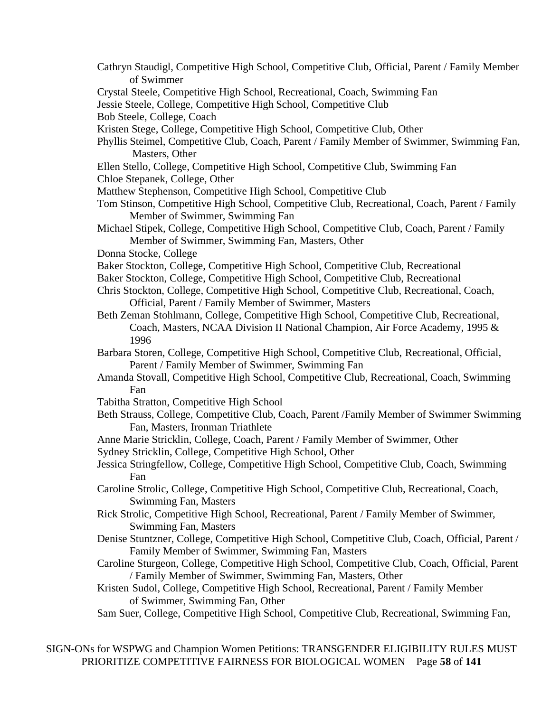Cathryn Staudigl, Competitive High School, Competitive Club, Official, Parent / Family Member of Swimmer Crystal Steele, Competitive High School, Recreational, Coach, Swimming Fan Jessie Steele, College, Competitive High School, Competitive Club Bob Steele, College, Coach Kristen Stege, College, Competitive High School, Competitive Club, Other Phyllis Steimel, Competitive Club, Coach, Parent / Family Member of Swimmer, Swimming Fan, Masters, Other Ellen Stello, College, Competitive High School, Competitive Club, Swimming Fan Chloe Stepanek, College, Other Matthew Stephenson, Competitive High School, Competitive Club Tom Stinson, Competitive High School, Competitive Club, Recreational, Coach, Parent / Family Member of Swimmer, Swimming Fan Michael Stipek, College, Competitive High School, Competitive Club, Coach, Parent / Family Member of Swimmer, Swimming Fan, Masters, Other Donna Stocke, College Baker Stockton, College, Competitive High School, Competitive Club, Recreational Baker Stockton, College, Competitive High School, Competitive Club, Recreational Chris Stockton, College, Competitive High School, Competitive Club, Recreational, Coach, Official, Parent / Family Member of Swimmer, Masters Beth Zeman Stohlmann, College, Competitive High School, Competitive Club, Recreational, Coach, Masters, NCAA Division II National Champion, Air Force Academy, 1995 & 1996 Barbara Storen, College, Competitive High School, Competitive Club, Recreational, Official, Parent / Family Member of Swimmer, Swimming Fan Amanda Stovall, Competitive High School, Competitive Club, Recreational, Coach, Swimming Fan Tabitha Stratton, Competitive High School Beth Strauss, College, Competitive Club, Coach, Parent /Family Member of Swimmer Swimming Fan, Masters, Ironman Triathlete Anne Marie Stricklin, College, Coach, Parent / Family Member of Swimmer, Other Sydney Stricklin, College, Competitive High School, Other Jessica Stringfellow, College, Competitive High School, Competitive Club, Coach, Swimming Fan Caroline Strolic, College, Competitive High School, Competitive Club, Recreational, Coach, Swimming Fan, Masters Rick Strolic, Competitive High School, Recreational, Parent / Family Member of Swimmer, Swimming Fan, Masters Denise Stuntzner, College, Competitive High School, Competitive Club, Coach, Official, Parent / Family Member of Swimmer, Swimming Fan, Masters Caroline Sturgeon, College, Competitive High School, Competitive Club, Coach, Official, Parent / Family Member of Swimmer, Swimming Fan, Masters, Other Kristen Sudol, College, Competitive High School, Recreational, Parent / Family Member of Swimmer, Swimming Fan, Other Sam Suer, College, Competitive High School, Competitive Club, Recreational, Swimming Fan,

SIGN-ONs for WSPWG and Champion Women Petitions: TRANSGENDER ELIGIBILITY RULES MUST PRIORITIZE COMPETITIVE FAIRNESS FOR BIOLOGICAL WOMEN Page **58** of **141**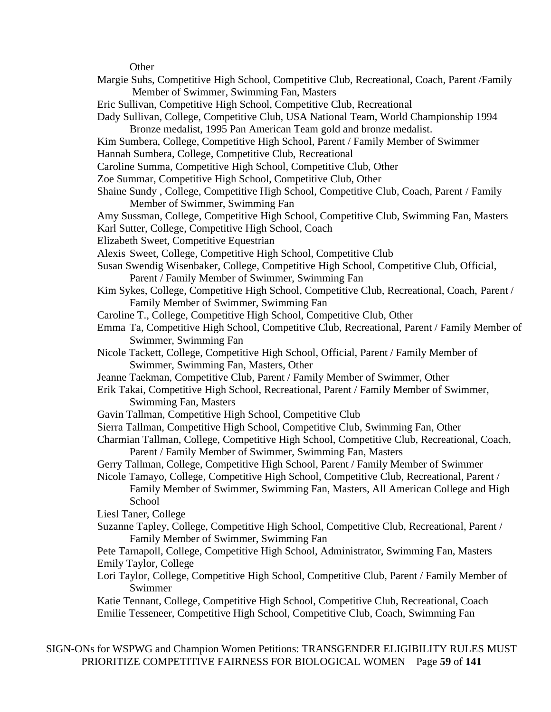**Other** 

Margie Suhs, Competitive High School, Competitive Club, Recreational, Coach, Parent /Family Member of Swimmer, Swimming Fan, Masters Eric Sullivan, Competitive High School, Competitive Club, Recreational Dady Sullivan, College, Competitive Club, USA National Team, World Championship 1994 Bronze medalist, 1995 Pan American Team gold and bronze medalist. Kim Sumbera, College, Competitive High School, Parent / Family Member of Swimmer Hannah Sumbera, College, Competitive Club, Recreational Caroline Summa, Competitive High School, Competitive Club, Other Zoe Summar, Competitive High School, Competitive Club, Other Shaine Sundy , College, Competitive High School, Competitive Club, Coach, Parent / Family Member of Swimmer, Swimming Fan Amy Sussman, College, Competitive High School, Competitive Club, Swimming Fan, Masters Karl Sutter, College, Competitive High School, Coach Elizabeth Sweet, Competitive Equestrian Alexis Sweet, College, Competitive High School, Competitive Club Susan Swendig Wisenbaker, College, Competitive High School, Competitive Club, Official, Parent / Family Member of Swimmer, Swimming Fan Kim Sykes, College, Competitive High School, Competitive Club, Recreational, Coach, Parent / Family Member of Swimmer, Swimming Fan Caroline T., College, Competitive High School, Competitive Club, Other Emma Ta, Competitive High School, Competitive Club, Recreational, Parent / Family Member of Swimmer, Swimming Fan Nicole Tackett, College, Competitive High School, Official, Parent / Family Member of Swimmer, Swimming Fan, Masters, Other Jeanne Taekman, Competitive Club, Parent / Family Member of Swimmer, Other Erik Takai, Competitive High School, Recreational, Parent / Family Member of Swimmer, Swimming Fan, Masters Gavin Tallman, Competitive High School, Competitive Club Sierra Tallman, Competitive High School, Competitive Club, Swimming Fan, Other Charmian Tallman, College, Competitive High School, Competitive Club, Recreational, Coach, Parent / Family Member of Swimmer, Swimming Fan, Masters Gerry Tallman, College, Competitive High School, Parent / Family Member of Swimmer Nicole Tamayo, College, Competitive High School, Competitive Club, Recreational, Parent / Family Member of Swimmer, Swimming Fan, Masters, All American College and High **School** Liesl Taner, College Suzanne Tapley, College, Competitive High School, Competitive Club, Recreational, Parent / Family Member of Swimmer, Swimming Fan Pete Tarnapoll, College, Competitive High School, Administrator, Swimming Fan, Masters Emily Taylor, College Lori Taylor, College, Competitive High School, Competitive Club, Parent / Family Member of Swimmer Katie Tennant, College, Competitive High School, Competitive Club, Recreational, Coach Emilie Tesseneer, Competitive High School, Competitive Club, Coach, Swimming Fan

SIGN-ONs for WSPWG and Champion Women Petitions: TRANSGENDER ELIGIBILITY RULES MUST PRIORITIZE COMPETITIVE FAIRNESS FOR BIOLOGICAL WOMEN Page **59** of **141**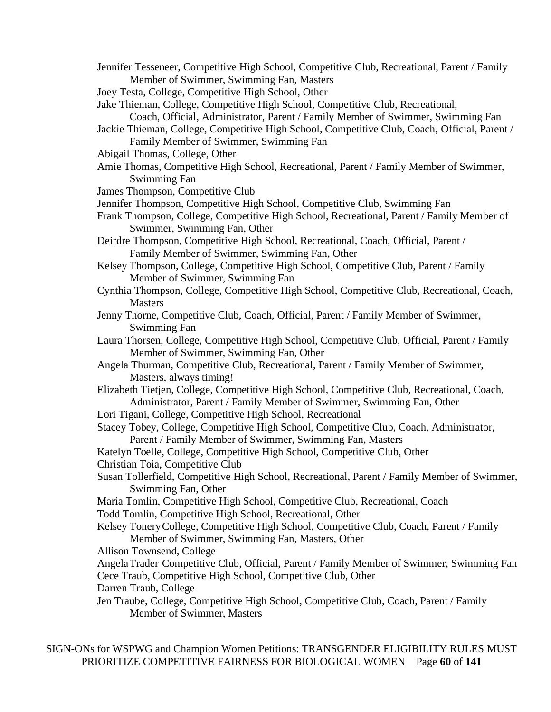- Jennifer Tesseneer, Competitive High School, Competitive Club, Recreational, Parent / Family Member of Swimmer, Swimming Fan, Masters
- Joey Testa, College, Competitive High School, Other

Jake Thieman, College, Competitive High School, Competitive Club, Recreational,

- Coach, Official, Administrator, Parent / Family Member of Swimmer, Swimming Fan
- Jackie Thieman, College, Competitive High School, Competitive Club, Coach, Official, Parent / Family Member of Swimmer, Swimming Fan
- Abigail Thomas, College, Other
- Amie Thomas, Competitive High School, Recreational, Parent / Family Member of Swimmer, Swimming Fan
- James Thompson, Competitive Club
- Jennifer Thompson, Competitive High School, Competitive Club, Swimming Fan
- Frank Thompson, College, Competitive High School, Recreational, Parent / Family Member of Swimmer, Swimming Fan, Other
- Deirdre Thompson, Competitive High School, Recreational, Coach, Official, Parent / Family Member of Swimmer, Swimming Fan, Other
- Kelsey Thompson, College, Competitive High School, Competitive Club, Parent / Family Member of Swimmer, Swimming Fan
- Cynthia Thompson, College, Competitive High School, Competitive Club, Recreational, Coach, **Masters**
- Jenny Thorne, Competitive Club, Coach, Official, Parent / Family Member of Swimmer, Swimming Fan
- Laura Thorsen, College, Competitive High School, Competitive Club, Official, Parent / Family Member of Swimmer, Swimming Fan, Other
- Angela Thurman, Competitive Club, Recreational, Parent / Family Member of Swimmer, Masters, always timing!
- Elizabeth Tietjen, College, Competitive High School, Competitive Club, Recreational, Coach, Administrator, Parent / Family Member of Swimmer, Swimming Fan, Other
- Lori Tigani, College, Competitive High School, Recreational
- Stacey Tobey, College, Competitive High School, Competitive Club, Coach, Administrator, Parent / Family Member of Swimmer, Swimming Fan, Masters
- Katelyn Toelle, College, Competitive High School, Competitive Club, Other Christian Toia, Competitive Club
- Susan Tollerfield, Competitive High School, Recreational, Parent / Family Member of Swimmer, Swimming Fan, Other
- Maria Tomlin, Competitive High School, Competitive Club, Recreational, Coach
- Todd Tomlin, Competitive High School, Recreational, Other
- Kelsey ToneryCollege, Competitive High School, Competitive Club, Coach, Parent / Family Member of Swimmer, Swimming Fan, Masters, Other
- Allison Townsend, College
- AngelaTrader Competitive Club, Official, Parent / Family Member of Swimmer, Swimming Fan Cece Traub, Competitive High School, Competitive Club, Other
- Darren Traub, College
- Jen Traube, College, Competitive High School, Competitive Club, Coach, Parent / Family Member of Swimmer, Masters

SIGN-ONs for WSPWG and Champion Women Petitions: TRANSGENDER ELIGIBILITY RULES MUST PRIORITIZE COMPETITIVE FAIRNESS FOR BIOLOGICAL WOMEN Page **60** of **141**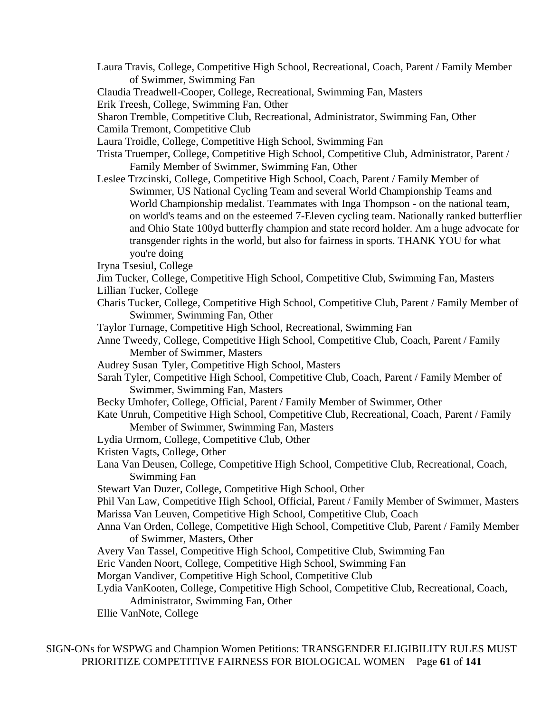- Laura Travis, College, Competitive High School, Recreational, Coach, Parent / Family Member of Swimmer, Swimming Fan
- Claudia Treadwell-Cooper, College, Recreational, Swimming Fan, Masters

Erik Treesh, College, Swimming Fan, Other

- Sharon Tremble, Competitive Club, Recreational, Administrator, Swimming Fan, Other
- Camila Tremont, Competitive Club
- Laura Troidle, College, Competitive High School, Swimming Fan
- Trista Truemper, College, Competitive High School, Competitive Club, Administrator, Parent / Family Member of Swimmer, Swimming Fan, Other
- Leslee Trzcinski, College, Competitive High School, Coach, Parent / Family Member of Swimmer, US National Cycling Team and several World Championship Teams and World Championship medalist. Teammates with Inga Thompson - on the national team, on world's teams and on the esteemed 7-Eleven cycling team. Nationally ranked butterflier and Ohio State 100yd butterfly champion and state record holder. Am a huge advocate for transgender rights in the world, but also for fairness in sports. THANK YOU for what you're doing
- Iryna Tsesiul, College
- Jim Tucker, College, Competitive High School, Competitive Club, Swimming Fan, Masters
- Lillian Tucker, College
- Charis Tucker, College, Competitive High School, Competitive Club, Parent / Family Member of Swimmer, Swimming Fan, Other
- Taylor Turnage, Competitive High School, Recreational, Swimming Fan
- Anne Tweedy, College, Competitive High School, Competitive Club, Coach, Parent / Family Member of Swimmer, Masters
- Audrey Susan Tyler, Competitive High School, Masters
- Sarah Tyler, Competitive High School, Competitive Club, Coach, Parent / Family Member of Swimmer, Swimming Fan, Masters
- Becky Umhofer, College, Official, Parent / Family Member of Swimmer, Other
- Kate Unruh, Competitive High School, Competitive Club, Recreational, Coach, Parent / Family Member of Swimmer, Swimming Fan, Masters
- Lydia Urmom, College, Competitive Club, Other
- Kristen Vagts, College, Other
- Lana Van Deusen, College, Competitive High School, Competitive Club, Recreational, Coach, Swimming Fan
- Stewart Van Duzer, College, Competitive High School, Other
- Phil Van Law, Competitive High School, Official, Parent / Family Member of Swimmer, Masters Marissa Van Leuven, Competitive High School, Competitive Club, Coach
- Anna Van Orden, College, Competitive High School, Competitive Club, Parent / Family Member of Swimmer, Masters, Other
- Avery Van Tassel, Competitive High School, Competitive Club, Swimming Fan
- Eric Vanden Noort, College, Competitive High School, Swimming Fan
- Morgan Vandiver, Competitive High School, Competitive Club
- Lydia VanKooten, College, Competitive High School, Competitive Club, Recreational, Coach, Administrator, Swimming Fan, Other
- Ellie VanNote, College

SIGN-ONs for WSPWG and Champion Women Petitions: TRANSGENDER ELIGIBILITY RULES MUST PRIORITIZE COMPETITIVE FAIRNESS FOR BIOLOGICAL WOMEN Page **61** of **141**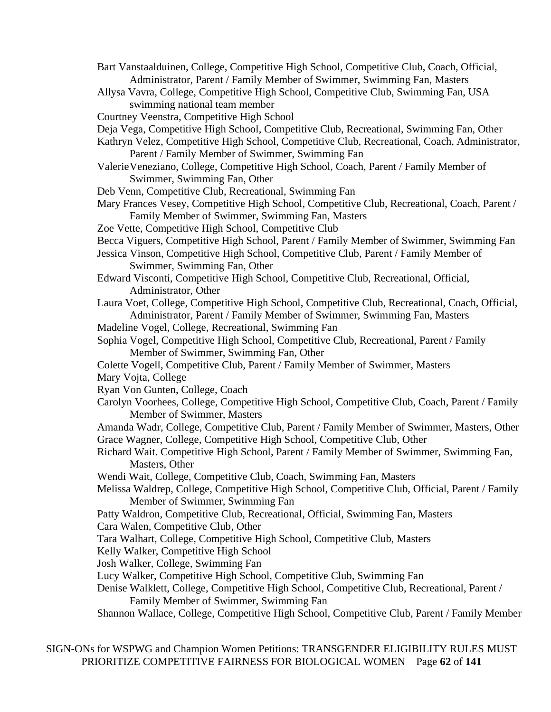- Bart Vanstaalduinen, College, Competitive High School, Competitive Club, Coach, Official, Administrator, Parent / Family Member of Swimmer, Swimming Fan, Masters
- Allysa Vavra, College, Competitive High School, Competitive Club, Swimming Fan, USA swimming national team member
- Courtney Veenstra, Competitive High School
- Deja Vega, Competitive High School, Competitive Club, Recreational, Swimming Fan, Other
- Kathryn Velez, Competitive High School, Competitive Club, Recreational, Coach, Administrator, Parent / Family Member of Swimmer, Swimming Fan
- ValerieVeneziano, College, Competitive High School, Coach, Parent / Family Member of Swimmer, Swimming Fan, Other
- Deb Venn, Competitive Club, Recreational, Swimming Fan
- Mary Frances Vesey, Competitive High School, Competitive Club, Recreational, Coach, Parent / Family Member of Swimmer, Swimming Fan, Masters
- Zoe Vette, Competitive High School, Competitive Club
- Becca Viguers, Competitive High School, Parent / Family Member of Swimmer, Swimming Fan
- Jessica Vinson, Competitive High School, Competitive Club, Parent / Family Member of Swimmer, Swimming Fan, Other
- Edward Visconti, Competitive High School, Competitive Club, Recreational, Official, Administrator, Other
- Laura Voet, College, Competitive High School, Competitive Club, Recreational, Coach, Official, Administrator, Parent / Family Member of Swimmer, Swimming Fan, Masters
- Madeline Vogel, College, Recreational, Swimming Fan
- Sophia Vogel, Competitive High School, Competitive Club, Recreational, Parent / Family Member of Swimmer, Swimming Fan, Other
- Colette Vogell, Competitive Club, Parent / Family Member of Swimmer, Masters
- Mary Vojta, College
- Ryan Von Gunten, College, Coach
- Carolyn Voorhees, College, Competitive High School, Competitive Club, Coach, Parent / Family Member of Swimmer, Masters
- Amanda Wadr, College, Competitive Club, Parent / Family Member of Swimmer, Masters, Other Grace Wagner, College, Competitive High School, Competitive Club, Other
- Richard Wait. Competitive High School, Parent / Family Member of Swimmer, Swimming Fan, Masters, Other
- Wendi Wait, College, Competitive Club, Coach, Swimming Fan, Masters
- Melissa Waldrep, College, Competitive High School, Competitive Club, Official, Parent / Family Member of Swimmer, Swimming Fan
- Patty Waldron, Competitive Club, Recreational, Official, Swimming Fan, Masters
- Cara Walen, Competitive Club, Other
- Tara Walhart, College, Competitive High School, Competitive Club, Masters
- Kelly Walker, Competitive High School
- Josh Walker, College, Swimming Fan
- Lucy Walker, Competitive High School, Competitive Club, Swimming Fan
- Denise Walklett, College, Competitive High School, Competitive Club, Recreational, Parent / Family Member of Swimmer, Swimming Fan
- Shannon Wallace, College, Competitive High School, Competitive Club, Parent / Family Member

SIGN-ONs for WSPWG and Champion Women Petitions: TRANSGENDER ELIGIBILITY RULES MUST PRIORITIZE COMPETITIVE FAIRNESS FOR BIOLOGICAL WOMEN Page **62** of **141**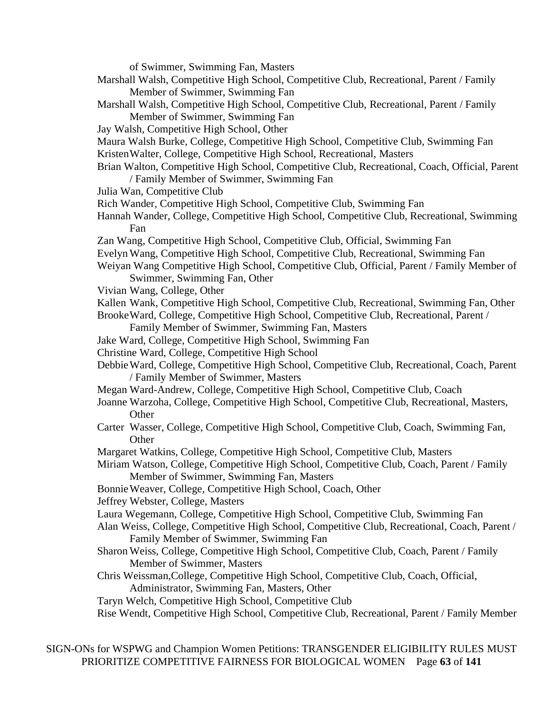of Swimmer, Swimming Fan, Masters

- Marshall Walsh, Competitive High School, Competitive Club, Recreational, Parent / Family Member of Swimmer, Swimming Fan
- Marshall Walsh, Competitive High School, Competitive Club, Recreational, Parent / Family Member of Swimmer, Swimming Fan
- Jay Walsh, Competitive High School, Other
- Maura Walsh Burke, College, Competitive High School, Competitive Club, Swimming Fan
- KristenWalter, College, Competitive High School, Recreational, Masters
- Brian Walton, Competitive High School, Competitive Club, Recreational, Coach, Official, Parent / Family Member of Swimmer, Swimming Fan
- Julia Wan, Competitive Club
- Rich Wander, Competitive High School, Competitive Club, Swimming Fan
- Hannah Wander, College, Competitive High School, Competitive Club, Recreational, Swimming Fan
- Zan Wang, Competitive High School, Competitive Club, Official, Swimming Fan
- EvelynWang, Competitive High School, Competitive Club, Recreational, Swimming Fan
- Weiyan Wang Competitive High School, Competitive Club, Official, Parent / Family Member of Swimmer, Swimming Fan, Other
- Vivian Wang, College, Other
- Kallen Wank, Competitive High School, Competitive Club, Recreational, Swimming Fan, Other
- BrookeWard, College, Competitive High School, Competitive Club, Recreational, Parent / Family Member of Swimmer, Swimming Fan, Masters
- Jake Ward, College, Competitive High School, Swimming Fan
- Christine Ward, College, Competitive High School
- DebbieWard, College, Competitive High School, Competitive Club, Recreational, Coach, Parent / Family Member of Swimmer, Masters
- Megan Ward-Andrew, College, Competitive High School, Competitive Club, Coach
- Joanne Warzoha, College, Competitive High School, Competitive Club, Recreational, Masters, **Other**
- Carter Wasser, College, Competitive High School, Competitive Club, Coach, Swimming Fan, **Other**
- Margaret Watkins, College, Competitive High School, Competitive Club, Masters
- Miriam Watson, College, Competitive High School, Competitive Club, Coach, Parent / Family Member of Swimmer, Swimming Fan, Masters
- BonnieWeaver, College, Competitive High School, Coach, Other
- Jeffrey Webster, College, Masters
- Laura Wegemann, College, Competitive High School, Competitive Club, Swimming Fan
- Alan Weiss, College, Competitive High School, Competitive Club, Recreational, Coach, Parent / Family Member of Swimmer, Swimming Fan
- Sharon Weiss, College, Competitive High School, Competitive Club, Coach, Parent / Family Member of Swimmer, Masters
- Chris Weissman,College, Competitive High School, Competitive Club, Coach, Official, Administrator, Swimming Fan, Masters, Other
- Taryn Welch, Competitive High School, Competitive Club
- Rise Wendt, Competitive High School, Competitive Club, Recreational, Parent / Family Member

SIGN-ONs for WSPWG and Champion Women Petitions: TRANSGENDER ELIGIBILITY RULES MUST PRIORITIZE COMPETITIVE FAIRNESS FOR BIOLOGICAL WOMEN Page **63** of **141**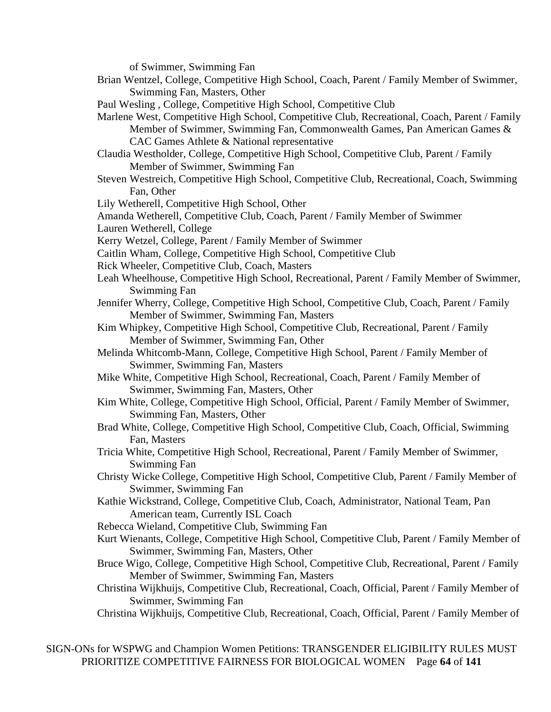of Swimmer, Swimming Fan

- Brian Wentzel, College, Competitive High School, Coach, Parent / Family Member of Swimmer, Swimming Fan, Masters, Other
- Paul Wesling , College, Competitive High School, Competitive Club
- Marlene West, Competitive High School, Competitive Club, Recreational, Coach, Parent / Family Member of Swimmer, Swimming Fan, Commonwealth Games, Pan American Games & CAC Games Athlete & National representative
- Claudia Westholder, College, Competitive High School, Competitive Club, Parent / Family Member of Swimmer, Swimming Fan
- Steven Westreich, Competitive High School, Competitive Club, Recreational, Coach, Swimming Fan, Other
- Lily Wetherell, Competitive High School, Other
- Amanda Wetherell, Competitive Club, Coach, Parent / Family Member of Swimmer
- Lauren Wetherell, College
- Kerry Wetzel, College, Parent / Family Member of Swimmer
- Caitlin Wham, College, Competitive High School, Competitive Club
- Rick Wheeler, Competitive Club, Coach, Masters
- Leah Wheelhouse, Competitive High School, Recreational, Parent / Family Member of Swimmer, Swimming Fan
- Jennifer Wherry, College, Competitive High School, Competitive Club, Coach, Parent / Family Member of Swimmer, Swimming Fan, Masters
- Kim Whipkey, Competitive High School, Competitive Club, Recreational, Parent / Family Member of Swimmer, Swimming Fan, Other
- Melinda Whitcomb-Mann, College, Competitive High School, Parent / Family Member of Swimmer, Swimming Fan, Masters
- Mike White, Competitive High School, Recreational, Coach, Parent / Family Member of Swimmer, Swimming Fan, Masters, Other
- Kim White, College, Competitive High School, Official, Parent / Family Member of Swimmer, Swimming Fan, Masters, Other
- Brad White, College, Competitive High School, Competitive Club, Coach, Official, Swimming Fan, Masters
- Tricia White, Competitive High School, Recreational, Parent / Family Member of Swimmer, Swimming Fan
- Christy Wicke College, Competitive High School, Competitive Club, Parent / Family Member of Swimmer, Swimming Fan
- Kathie Wickstrand, College, Competitive Club, Coach, Administrator, National Team, Pan American team, Currently ISL Coach
- Rebecca Wieland, Competitive Club, Swimming Fan
- Kurt Wienants, College, Competitive High School, Competitive Club, Parent / Family Member of Swimmer, Swimming Fan, Masters, Other
- Bruce Wigo, College, Competitive High School, Competitive Club, Recreational, Parent / Family Member of Swimmer, Swimming Fan, Masters
- Christina Wijkhuijs, Competitive Club, Recreational, Coach, Official, Parent / Family Member of Swimmer, Swimming Fan
- Christina Wijkhuijs, Competitive Club, Recreational, Coach, Official, Parent / Family Member of

SIGN-ONs for WSPWG and Champion Women Petitions: TRANSGENDER ELIGIBILITY RULES MUST PRIORITIZE COMPETITIVE FAIRNESS FOR BIOLOGICAL WOMEN Page **64** of **141**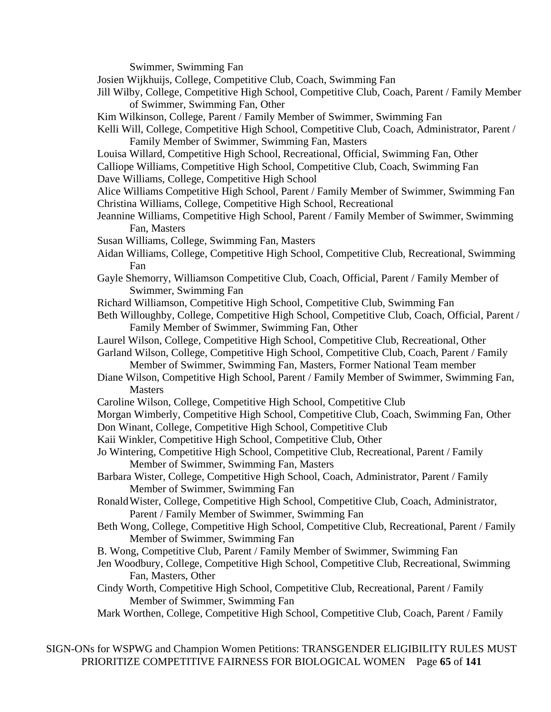Swimmer, Swimming Fan

Josien Wijkhuijs, College, Competitive Club, Coach, Swimming Fan

- Jill Wilby, College, Competitive High School, Competitive Club, Coach, Parent / Family Member of Swimmer, Swimming Fan, Other
- Kim Wilkinson, College, Parent / Family Member of Swimmer, Swimming Fan
- Kelli Will, College, Competitive High School, Competitive Club, Coach, Administrator, Parent / Family Member of Swimmer, Swimming Fan, Masters
- Louisa Willard, Competitive High School, Recreational, Official, Swimming Fan, Other Calliope Williams, Competitive High School, Competitive Club, Coach, Swimming Fan
- Dave Williams, College, Competitive High School
- Alice Williams Competitive High School, Parent / Family Member of Swimmer, Swimming Fan Christina Williams, College, Competitive High School, Recreational
- Jeannine Williams, Competitive High School, Parent / Family Member of Swimmer, Swimming Fan, Masters
- Susan Williams, College, Swimming Fan, Masters
- Aidan Williams, College, Competitive High School, Competitive Club, Recreational, Swimming Fan
- Gayle Shemorry, Williamson Competitive Club, Coach, Official, Parent / Family Member of Swimmer, Swimming Fan
- Richard Williamson, Competitive High School, Competitive Club, Swimming Fan
- Beth Willoughby, College, Competitive High School, Competitive Club, Coach, Official, Parent / Family Member of Swimmer, Swimming Fan, Other
- Laurel Wilson, College, Competitive High School, Competitive Club, Recreational, Other
- Garland Wilson, College, Competitive High School, Competitive Club, Coach, Parent / Family Member of Swimmer, Swimming Fan, Masters, Former National Team member
- Diane Wilson, Competitive High School, Parent / Family Member of Swimmer, Swimming Fan, **Masters**
- Caroline Wilson, College, Competitive High School, Competitive Club
- Morgan Wimberly, Competitive High School, Competitive Club, Coach, Swimming Fan, Other
- Don Winant, College, Competitive High School, Competitive Club
- Kaii Winkler, Competitive High School, Competitive Club, Other
- Jo Wintering, Competitive High School, Competitive Club, Recreational, Parent / Family Member of Swimmer, Swimming Fan, Masters
- Barbara Wister, College, Competitive High School, Coach, Administrator, Parent / Family Member of Swimmer, Swimming Fan
- RonaldWister, College, Competitive High School, Competitive Club, Coach, Administrator, Parent / Family Member of Swimmer, Swimming Fan
- Beth Wong, College, Competitive High School, Competitive Club, Recreational, Parent / Family Member of Swimmer, Swimming Fan
- B. Wong, Competitive Club, Parent / Family Member of Swimmer, Swimming Fan
- Jen Woodbury, College, Competitive High School, Competitive Club, Recreational, Swimming Fan, Masters, Other
- Cindy Worth, Competitive High School, Competitive Club, Recreational, Parent / Family Member of Swimmer, Swimming Fan
- Mark Worthen, College, Competitive High School, Competitive Club, Coach, Parent / Family

SIGN-ONs for WSPWG and Champion Women Petitions: TRANSGENDER ELIGIBILITY RULES MUST PRIORITIZE COMPETITIVE FAIRNESS FOR BIOLOGICAL WOMEN Page **65** of **141**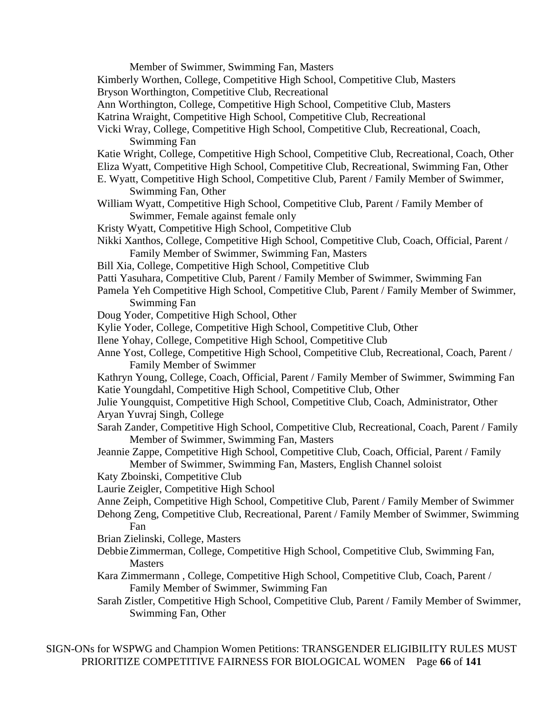Member of Swimmer, Swimming Fan, Masters Kimberly Worthen, College, Competitive High School, Competitive Club, Masters Bryson Worthington, Competitive Club, Recreational Ann Worthington, College, Competitive High School, Competitive Club, Masters Katrina Wraight, Competitive High School, Competitive Club, Recreational Vicki Wray, College, Competitive High School, Competitive Club, Recreational, Coach, Swimming Fan Katie Wright, College, Competitive High School, Competitive Club, Recreational, Coach, Other Eliza Wyatt, Competitive High School, Competitive Club, Recreational, Swimming Fan, Other E. Wyatt, Competitive High School, Competitive Club, Parent / Family Member of Swimmer, Swimming Fan, Other William Wyatt, Competitive High School, Competitive Club, Parent / Family Member of Swimmer, Female against female only Kristy Wyatt, Competitive High School, Competitive Club Nikki Xanthos, College, Competitive High School, Competitive Club, Coach, Official, Parent / Family Member of Swimmer, Swimming Fan, Masters Bill Xia, College, Competitive High School, Competitive Club Patti Yasuhara, Competitive Club, Parent / Family Member of Swimmer, Swimming Fan Pamela Yeh Competitive High School, Competitive Club, Parent / Family Member of Swimmer, Swimming Fan Doug Yoder, Competitive High School, Other Kylie Yoder, College, Competitive High School, Competitive Club, Other Ilene Yohay, College, Competitive High School, Competitive Club Anne Yost, College, Competitive High School, Competitive Club, Recreational, Coach, Parent / Family Member of Swimmer Kathryn Young, College, Coach, Official, Parent / Family Member of Swimmer, Swimming Fan Katie Youngdahl, Competitive High School, Competitive Club, Other Julie Youngquist, Competitive High School, Competitive Club, Coach, Administrator, Other Aryan Yuvraj Singh, College Sarah Zander, Competitive High School, Competitive Club, Recreational, Coach, Parent / Family Member of Swimmer, Swimming Fan, Masters Jeannie Zappe, Competitive High School, Competitive Club, Coach, Official, Parent / Family Member of Swimmer, Swimming Fan, Masters, English Channel soloist Katy Zboinski, Competitive Club Laurie Zeigler, Competitive High School Anne Zeiph, Competitive High School, Competitive Club, Parent / Family Member of Swimmer Dehong Zeng, Competitive Club, Recreational, Parent / Family Member of Swimmer, Swimming Fan Brian Zielinski, College, Masters DebbieZimmerman, College, Competitive High School, Competitive Club, Swimming Fan, **Masters** Kara Zimmermann , College, Competitive High School, Competitive Club, Coach, Parent / Family Member of Swimmer, Swimming Fan Sarah Zistler, Competitive High School, Competitive Club, Parent / Family Member of Swimmer, Swimming Fan, Other

SIGN-ONs for WSPWG and Champion Women Petitions: TRANSGENDER ELIGIBILITY RULES MUST PRIORITIZE COMPETITIVE FAIRNESS FOR BIOLOGICAL WOMEN Page **66** of **141**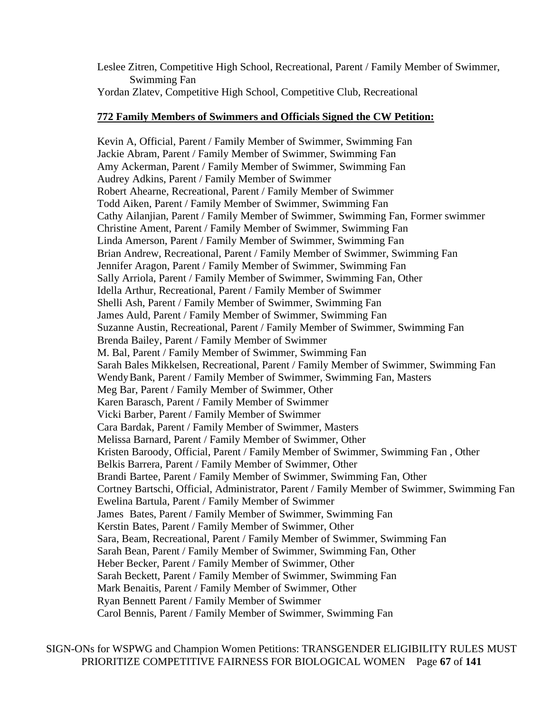Leslee Zitren, Competitive High School, Recreational, Parent / Family Member of Swimmer, Swimming Fan

Yordan Zlatev, Competitive High School, Competitive Club, Recreational

## **772 Family Members of Swimmers and Officials Signed the CW Petition:**

Kevin A, Official, Parent / Family Member of Swimmer, Swimming Fan Jackie Abram, Parent / Family Member of Swimmer, Swimming Fan Amy Ackerman, Parent / Family Member of Swimmer, Swimming Fan Audrey Adkins, Parent / Family Member of Swimmer Robert Ahearne, Recreational, Parent / Family Member of Swimmer Todd Aiken, Parent / Family Member of Swimmer, Swimming Fan Cathy Ailanjian, Parent / Family Member of Swimmer, Swimming Fan, Former swimmer Christine Ament, Parent / Family Member of Swimmer, Swimming Fan Linda Amerson, Parent / Family Member of Swimmer, Swimming Fan Brian Andrew, Recreational, Parent / Family Member of Swimmer, Swimming Fan Jennifer Aragon, Parent / Family Member of Swimmer, Swimming Fan Sally Arriola, Parent / Family Member of Swimmer, Swimming Fan, Other Idella Arthur, Recreational, Parent / Family Member of Swimmer Shelli Ash, Parent / Family Member of Swimmer, Swimming Fan James Auld, Parent / Family Member of Swimmer, Swimming Fan Suzanne Austin, Recreational, Parent / Family Member of Swimmer, Swimming Fan Brenda Bailey, Parent / Family Member of Swimmer M. Bal, Parent / Family Member of Swimmer, Swimming Fan Sarah Bales Mikkelsen, Recreational, Parent / Family Member of Swimmer, Swimming Fan WendyBank, Parent / Family Member of Swimmer, Swimming Fan, Masters Meg Bar, Parent / Family Member of Swimmer, Other Karen Barasch, Parent / Family Member of Swimmer Vicki Barber, Parent / Family Member of Swimmer Cara Bardak, Parent / Family Member of Swimmer, Masters Melissa Barnard, Parent / Family Member of Swimmer, Other Kristen Baroody, Official, Parent / Family Member of Swimmer, Swimming Fan , Other Belkis Barrera, Parent / Family Member of Swimmer, Other Brandi Bartee, Parent / Family Member of Swimmer, Swimming Fan, Other Cortney Bartschi, Official, Administrator, Parent / Family Member of Swimmer, Swimming Fan Ewelina Bartula, Parent / Family Member of Swimmer James Bates, Parent / Family Member of Swimmer, Swimming Fan Kerstin Bates, Parent / Family Member of Swimmer, Other Sara, Beam, Recreational, Parent / Family Member of Swimmer, Swimming Fan Sarah Bean, Parent / Family Member of Swimmer, Swimming Fan, Other Heber Becker, Parent / Family Member of Swimmer, Other Sarah Beckett, Parent / Family Member of Swimmer, Swimming Fan Mark Benaitis, Parent / Family Member of Swimmer, Other Ryan Bennett Parent / Family Member of Swimmer Carol Bennis, Parent / Family Member of Swimmer, Swimming Fan

SIGN-ONs for WSPWG and Champion Women Petitions: TRANSGENDER ELIGIBILITY RULES MUST PRIORITIZE COMPETITIVE FAIRNESS FOR BIOLOGICAL WOMEN Page **67** of **141**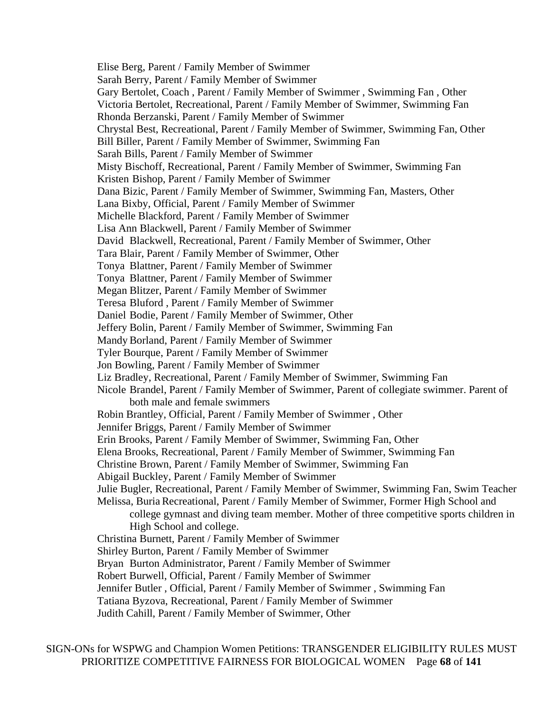Elise Berg, Parent / Family Member of Swimmer Sarah Berry, Parent / Family Member of Swimmer Gary Bertolet, Coach , Parent / Family Member of Swimmer , Swimming Fan , Other Victoria Bertolet, Recreational, Parent / Family Member of Swimmer, Swimming Fan Rhonda Berzanski, Parent / Family Member of Swimmer Chrystal Best, Recreational, Parent / Family Member of Swimmer, Swimming Fan, Other Bill Biller, Parent / Family Member of Swimmer, Swimming Fan Sarah Bills, Parent / Family Member of Swimmer Misty Bischoff, Recreational, Parent / Family Member of Swimmer, Swimming Fan Kristen Bishop, Parent / Family Member of Swimmer Dana Bizic, Parent / Family Member of Swimmer, Swimming Fan, Masters, Other Lana Bixby, Official, Parent / Family Member of Swimmer Michelle Blackford, Parent / Family Member of Swimmer Lisa Ann Blackwell, Parent / Family Member of Swimmer David Blackwell, Recreational, Parent / Family Member of Swimmer, Other Tara Blair, Parent / Family Member of Swimmer, Other Tonya Blattner, Parent / Family Member of Swimmer Tonya Blattner, Parent / Family Member of Swimmer Megan Blitzer, Parent / Family Member of Swimmer Teresa Bluford , Parent / Family Member of Swimmer Daniel Bodie, Parent / Family Member of Swimmer, Other Jeffery Bolin, Parent / Family Member of Swimmer, Swimming Fan Mandy Borland, Parent / Family Member of Swimmer Tyler Bourque, Parent / Family Member of Swimmer Jon Bowling, Parent / Family Member of Swimmer Liz Bradley, Recreational, Parent / Family Member of Swimmer, Swimming Fan Nicole Brandel, Parent / Family Member of Swimmer, Parent of collegiate swimmer. Parent of both male and female swimmers Robin Brantley, Official, Parent / Family Member of Swimmer , Other Jennifer Briggs, Parent / Family Member of Swimmer Erin Brooks, Parent / Family Member of Swimmer, Swimming Fan, Other Elena Brooks, Recreational, Parent / Family Member of Swimmer, Swimming Fan Christine Brown, Parent / Family Member of Swimmer, Swimming Fan Abigail Buckley, Parent / Family Member of Swimmer Julie Bugler, Recreational, Parent / Family Member of Swimmer, Swimming Fan, Swim Teacher Melissa, BuriaRecreational, Parent / Family Member of Swimmer, Former High School and college gymnast and diving team member. Mother of three competitive sports children in High School and college. Christina Burnett, Parent / Family Member of Swimmer Shirley Burton, Parent / Family Member of Swimmer Bryan Burton Administrator, Parent / Family Member of Swimmer Robert Burwell, Official, Parent / Family Member of Swimmer Jennifer Butler , Official, Parent / Family Member of Swimmer , Swimming Fan Tatiana Byzova, Recreational, Parent / Family Member of Swimmer Judith Cahill, Parent / Family Member of Swimmer, Other

SIGN-ONs for WSPWG and Champion Women Petitions: TRANSGENDER ELIGIBILITY RULES MUST PRIORITIZE COMPETITIVE FAIRNESS FOR BIOLOGICAL WOMEN Page **68** of **141**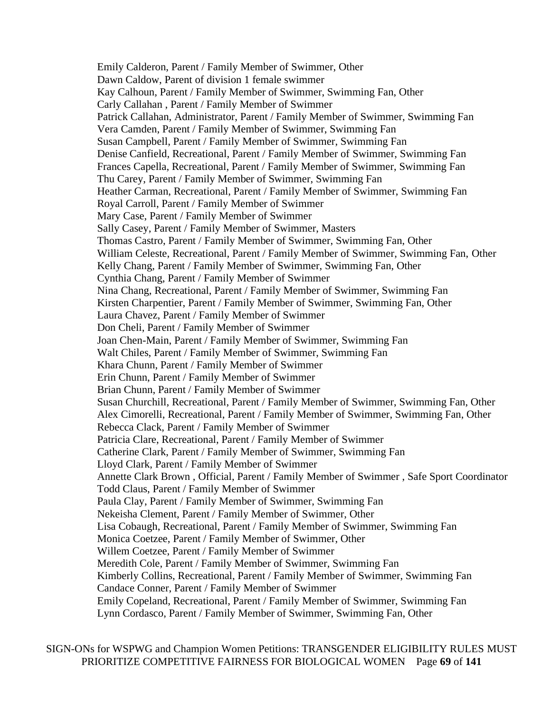Emily Calderon, Parent / Family Member of Swimmer, Other Dawn Caldow, Parent of division 1 female swimmer Kay Calhoun, Parent / Family Member of Swimmer, Swimming Fan, Other Carly Callahan , Parent / Family Member of Swimmer Patrick Callahan, Administrator, Parent / Family Member of Swimmer, Swimming Fan Vera Camden, Parent / Family Member of Swimmer, Swimming Fan Susan Campbell, Parent / Family Member of Swimmer, Swimming Fan Denise Canfield, Recreational, Parent / Family Member of Swimmer, Swimming Fan Frances Capella, Recreational, Parent / Family Member of Swimmer, Swimming Fan Thu Carey, Parent / Family Member of Swimmer, Swimming Fan Heather Carman, Recreational, Parent / Family Member of Swimmer, Swimming Fan Royal Carroll, Parent / Family Member of Swimmer Mary Case, Parent / Family Member of Swimmer Sally Casey, Parent / Family Member of Swimmer, Masters Thomas Castro, Parent / Family Member of Swimmer, Swimming Fan, Other William Celeste, Recreational, Parent / Family Member of Swimmer, Swimming Fan, Other Kelly Chang, Parent / Family Member of Swimmer, Swimming Fan, Other Cynthia Chang, Parent / Family Member of Swimmer Nina Chang, Recreational, Parent / Family Member of Swimmer, Swimming Fan Kirsten Charpentier, Parent / Family Member of Swimmer, Swimming Fan, Other Laura Chavez, Parent / Family Member of Swimmer Don Cheli, Parent / Family Member of Swimmer Joan Chen-Main, Parent / Family Member of Swimmer, Swimming Fan Walt Chiles, Parent / Family Member of Swimmer, Swimming Fan Khara Chunn, Parent / Family Member of Swimmer Erin Chunn, Parent / Family Member of Swimmer Brian Chunn, Parent / Family Member of Swimmer Susan Churchill, Recreational, Parent / Family Member of Swimmer, Swimming Fan, Other Alex Cimorelli, Recreational, Parent / Family Member of Swimmer, Swimming Fan, Other Rebecca Clack, Parent / Family Member of Swimmer Patricia Clare, Recreational, Parent / Family Member of Swimmer Catherine Clark, Parent / Family Member of Swimmer, Swimming Fan Lloyd Clark, Parent / Family Member of Swimmer Annette Clark Brown , Official, Parent / Family Member of Swimmer , Safe Sport Coordinator Todd Claus, Parent / Family Member of Swimmer Paula Clay, Parent / Family Member of Swimmer, Swimming Fan Nekeisha Clement, Parent / Family Member of Swimmer, Other Lisa Cobaugh, Recreational, Parent / Family Member of Swimmer, Swimming Fan Monica Coetzee, Parent / Family Member of Swimmer, Other Willem Coetzee, Parent / Family Member of Swimmer Meredith Cole, Parent / Family Member of Swimmer, Swimming Fan Kimberly Collins, Recreational, Parent / Family Member of Swimmer, Swimming Fan Candace Conner, Parent / Family Member of Swimmer Emily Copeland, Recreational, Parent / Family Member of Swimmer, Swimming Fan Lynn Cordasco, Parent / Family Member of Swimmer, Swimming Fan, Other

SIGN-ONs for WSPWG and Champion Women Petitions: TRANSGENDER ELIGIBILITY RULES MUST PRIORITIZE COMPETITIVE FAIRNESS FOR BIOLOGICAL WOMEN Page **69** of **141**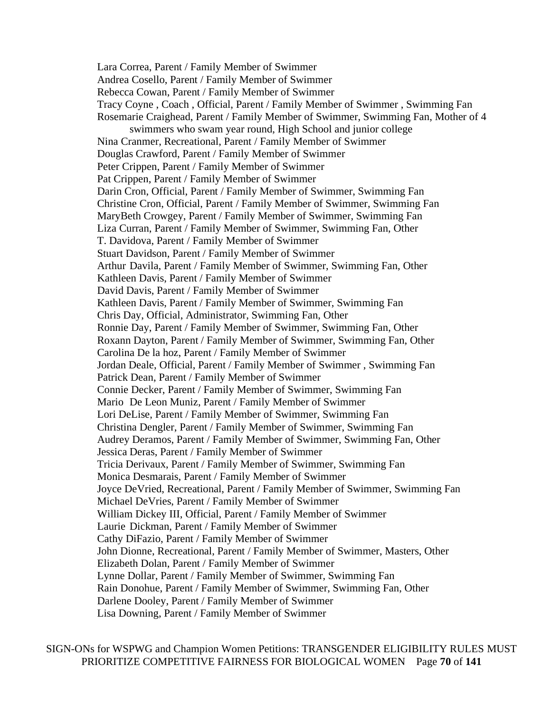Lara Correa, Parent / Family Member of Swimmer Andrea Cosello, Parent / Family Member of Swimmer Rebecca Cowan, Parent / Family Member of Swimmer Tracy Coyne , Coach , Official, Parent / Family Member of Swimmer , Swimming Fan Rosemarie Craighead, Parent / Family Member of Swimmer, Swimming Fan, Mother of 4 swimmers who swam year round, High School and junior college Nina Cranmer, Recreational, Parent / Family Member of Swimmer Douglas Crawford, Parent / Family Member of Swimmer Peter Crippen, Parent / Family Member of Swimmer Pat Crippen, Parent / Family Member of Swimmer Darin Cron, Official, Parent / Family Member of Swimmer, Swimming Fan Christine Cron, Official, Parent / Family Member of Swimmer, Swimming Fan MaryBeth Crowgey, Parent / Family Member of Swimmer, Swimming Fan Liza Curran, Parent / Family Member of Swimmer, Swimming Fan, Other T. Davidova, Parent / Family Member of Swimmer Stuart Davidson, Parent / Family Member of Swimmer Arthur Davila, Parent / Family Member of Swimmer, Swimming Fan, Other Kathleen Davis, Parent / Family Member of Swimmer David Davis, Parent / Family Member of Swimmer Kathleen Davis, Parent / Family Member of Swimmer, Swimming Fan Chris Day, Official, Administrator, Swimming Fan, Other Ronnie Day, Parent / Family Member of Swimmer, Swimming Fan, Other Roxann Dayton, Parent / Family Member of Swimmer, Swimming Fan, Other Carolina De la hoz, Parent / Family Member of Swimmer Jordan Deale, Official, Parent / Family Member of Swimmer , Swimming Fan Patrick Dean, Parent / Family Member of Swimmer Connie Decker, Parent / Family Member of Swimmer, Swimming Fan Mario De Leon Muniz, Parent / Family Member of Swimmer Lori DeLise, Parent / Family Member of Swimmer, Swimming Fan Christina Dengler, Parent / Family Member of Swimmer, Swimming Fan Audrey Deramos, Parent / Family Member of Swimmer, Swimming Fan, Other Jessica Deras, Parent / Family Member of Swimmer Tricia Derivaux, Parent / Family Member of Swimmer, Swimming Fan Monica Desmarais, Parent / Family Member of Swimmer Joyce DeVried, Recreational, Parent / Family Member of Swimmer, Swimming Fan Michael DeVries, Parent / Family Member of Swimmer William Dickey III, Official, Parent / Family Member of Swimmer Laurie Dickman, Parent / Family Member of Swimmer Cathy DiFazio, Parent / Family Member of Swimmer John Dionne, Recreational, Parent / Family Member of Swimmer, Masters, Other Elizabeth Dolan, Parent / Family Member of Swimmer Lynne Dollar, Parent / Family Member of Swimmer, Swimming Fan Rain Donohue, Parent / Family Member of Swimmer, Swimming Fan, Other Darlene Dooley, Parent / Family Member of Swimmer Lisa Downing, Parent / Family Member of Swimmer

SIGN-ONs for WSPWG and Champion Women Petitions: TRANSGENDER ELIGIBILITY RULES MUST PRIORITIZE COMPETITIVE FAIRNESS FOR BIOLOGICAL WOMEN Page **70** of **141**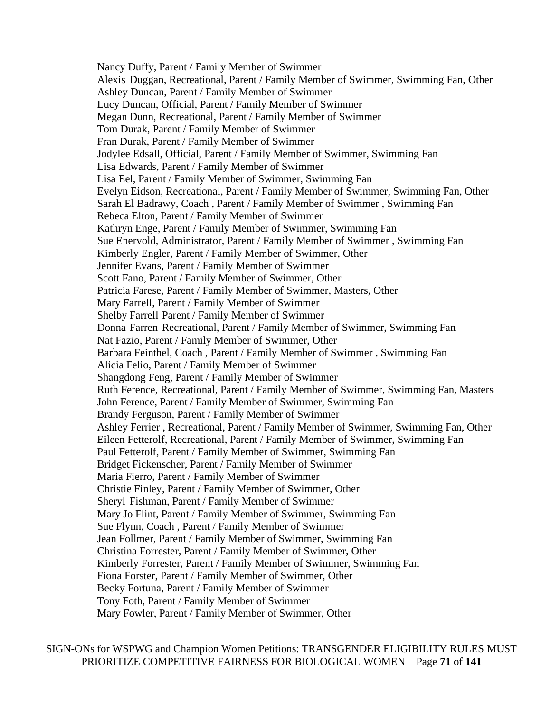Nancy Duffy, Parent / Family Member of Swimmer Alexis Duggan, Recreational, Parent / Family Member of Swimmer, Swimming Fan, Other Ashley Duncan, Parent / Family Member of Swimmer Lucy Duncan, Official, Parent / Family Member of Swimmer Megan Dunn, Recreational, Parent / Family Member of Swimmer Tom Durak, Parent / Family Member of Swimmer Fran Durak, Parent / Family Member of Swimmer Jodylee Edsall, Official, Parent / Family Member of Swimmer, Swimming Fan Lisa Edwards, Parent / Family Member of Swimmer Lisa Eel, Parent / Family Member of Swimmer, Swimming Fan Evelyn Eidson, Recreational, Parent / Family Member of Swimmer, Swimming Fan, Other Sarah El Badrawy, Coach , Parent / Family Member of Swimmer , Swimming Fan Rebeca Elton, Parent / Family Member of Swimmer Kathryn Enge, Parent / Family Member of Swimmer, Swimming Fan Sue Enervold, Administrator, Parent / Family Member of Swimmer , Swimming Fan Kimberly Engler, Parent / Family Member of Swimmer, Other Jennifer Evans, Parent / Family Member of Swimmer Scott Fano, Parent / Family Member of Swimmer, Other Patricia Farese, Parent / Family Member of Swimmer, Masters, Other Mary Farrell, Parent / Family Member of Swimmer Shelby Farrell Parent / Family Member of Swimmer Donna Farren Recreational, Parent / Family Member of Swimmer, Swimming Fan Nat Fazio, Parent / Family Member of Swimmer, Other Barbara Feinthel, Coach , Parent / Family Member of Swimmer , Swimming Fan Alicia Felio, Parent / Family Member of Swimmer Shangdong Feng, Parent / Family Member of Swimmer Ruth Ference, Recreational, Parent / Family Member of Swimmer, Swimming Fan, Masters John Ference, Parent / Family Member of Swimmer, Swimming Fan Brandy Ferguson, Parent / Family Member of Swimmer Ashley Ferrier , Recreational, Parent / Family Member of Swimmer, Swimming Fan, Other Eileen Fetterolf, Recreational, Parent / Family Member of Swimmer, Swimming Fan Paul Fetterolf, Parent / Family Member of Swimmer, Swimming Fan Bridget Fickenscher, Parent / Family Member of Swimmer Maria Fierro, Parent / Family Member of Swimmer Christie Finley, Parent / Family Member of Swimmer, Other Sheryl Fishman, Parent / Family Member of Swimmer Mary Jo Flint, Parent / Family Member of Swimmer, Swimming Fan Sue Flynn, Coach , Parent / Family Member of Swimmer Jean Follmer, Parent / Family Member of Swimmer, Swimming Fan Christina Forrester, Parent / Family Member of Swimmer, Other Kimberly Forrester, Parent / Family Member of Swimmer, Swimming Fan Fiona Forster, Parent / Family Member of Swimmer, Other Becky Fortuna, Parent / Family Member of Swimmer Tony Foth, Parent / Family Member of Swimmer Mary Fowler, Parent / Family Member of Swimmer, Other

SIGN-ONs for WSPWG and Champion Women Petitions: TRANSGENDER ELIGIBILITY RULES MUST PRIORITIZE COMPETITIVE FAIRNESS FOR BIOLOGICAL WOMEN Page **71** of **141**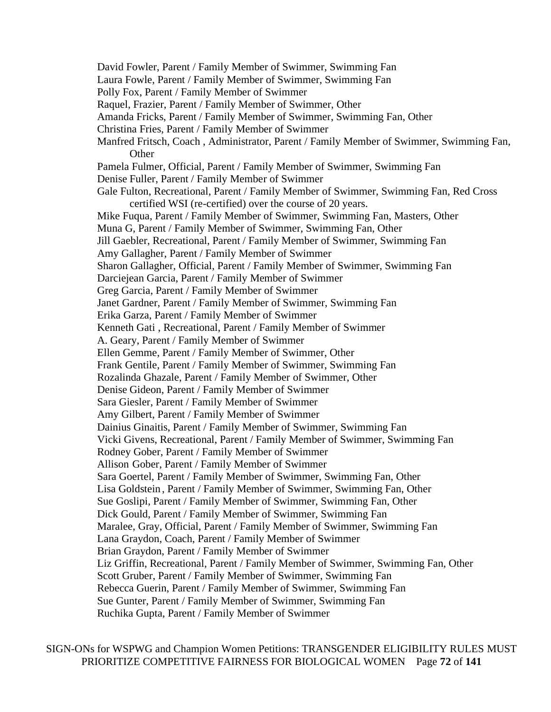David Fowler, Parent / Family Member of Swimmer, Swimming Fan Laura Fowle, Parent / Family Member of Swimmer, Swimming Fan Polly Fox, Parent / Family Member of Swimmer Raquel, Frazier, Parent / Family Member of Swimmer, Other Amanda Fricks, Parent / Family Member of Swimmer, Swimming Fan, Other Christina Fries, Parent / Family Member of Swimmer Manfred Fritsch, Coach , Administrator, Parent / Family Member of Swimmer, Swimming Fan, **Other** Pamela Fulmer, Official, Parent / Family Member of Swimmer, Swimming Fan Denise Fuller, Parent / Family Member of Swimmer Gale Fulton, Recreational, Parent / Family Member of Swimmer, Swimming Fan, Red Cross certified WSI (re-certified) over the course of 20 years. Mike Fuqua, Parent / Family Member of Swimmer, Swimming Fan, Masters, Other Muna G, Parent / Family Member of Swimmer, Swimming Fan, Other Jill Gaebler, Recreational, Parent / Family Member of Swimmer, Swimming Fan Amy Gallagher, Parent / Family Member of Swimmer Sharon Gallagher, Official, Parent / Family Member of Swimmer, Swimming Fan Darciejean Garcia, Parent / Family Member of Swimmer Greg Garcia, Parent / Family Member of Swimmer Janet Gardner, Parent / Family Member of Swimmer, Swimming Fan Erika Garza, Parent / Family Member of Swimmer Kenneth Gati , Recreational, Parent / Family Member of Swimmer A. Geary, Parent / Family Member of Swimmer Ellen Gemme, Parent / Family Member of Swimmer, Other Frank Gentile, Parent / Family Member of Swimmer, Swimming Fan Rozalinda Ghazale, Parent / Family Member of Swimmer, Other Denise Gideon, Parent / Family Member of Swimmer Sara Giesler, Parent / Family Member of Swimmer Amy Gilbert, Parent / Family Member of Swimmer Dainius Ginaitis, Parent / Family Member of Swimmer, Swimming Fan Vicki Givens, Recreational, Parent / Family Member of Swimmer, Swimming Fan Rodney Gober, Parent / Family Member of Swimmer Allison Gober, Parent / Family Member of Swimmer Sara Goertel, Parent / Family Member of Swimmer, Swimming Fan, Other Lisa Goldstein , Parent / Family Member of Swimmer, Swimming Fan, Other Sue Goslipi, Parent / Family Member of Swimmer, Swimming Fan, Other Dick Gould, Parent / Family Member of Swimmer, Swimming Fan Maralee, Gray, Official, Parent / Family Member of Swimmer, Swimming Fan Lana Graydon, Coach, Parent / Family Member of Swimmer Brian Graydon, Parent / Family Member of Swimmer Liz Griffin, Recreational, Parent / Family Member of Swimmer, Swimming Fan, Other Scott Gruber, Parent / Family Member of Swimmer, Swimming Fan Rebecca Guerin, Parent / Family Member of Swimmer, Swimming Fan Sue Gunter, Parent / Family Member of Swimmer, Swimming Fan Ruchika Gupta, Parent / Family Member of Swimmer

SIGN-ONs for WSPWG and Champion Women Petitions: TRANSGENDER ELIGIBILITY RULES MUST PRIORITIZE COMPETITIVE FAIRNESS FOR BIOLOGICAL WOMEN Page **72** of **141**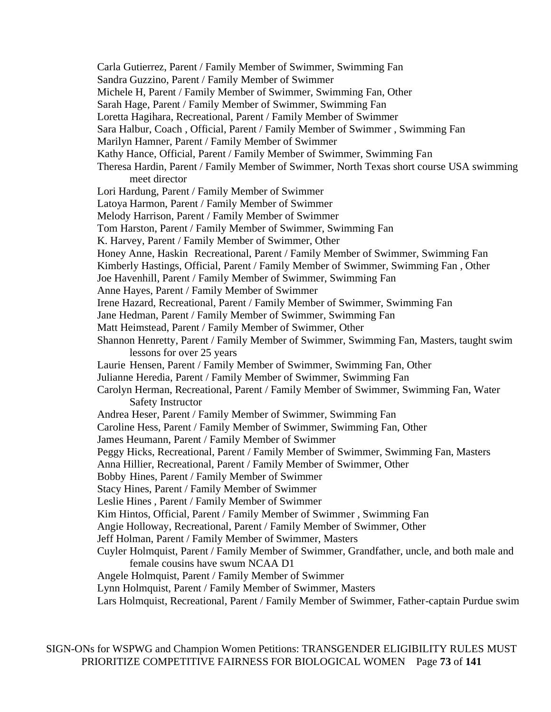Carla Gutierrez, Parent / Family Member of Swimmer, Swimming Fan Sandra Guzzino, Parent / Family Member of Swimmer Michele H, Parent / Family Member of Swimmer, Swimming Fan, Other Sarah Hage, Parent / Family Member of Swimmer, Swimming Fan Loretta Hagihara, Recreational, Parent / Family Member of Swimmer Sara Halbur, Coach , Official, Parent / Family Member of Swimmer , Swimming Fan Marilyn Hamner, Parent / Family Member of Swimmer Kathy Hance, Official, Parent / Family Member of Swimmer, Swimming Fan Theresa Hardin, Parent / Family Member of Swimmer, North Texas short course USA swimming meet director Lori Hardung, Parent / Family Member of Swimmer Latoya Harmon, Parent / Family Member of Swimmer Melody Harrison, Parent / Family Member of Swimmer Tom Harston, Parent / Family Member of Swimmer, Swimming Fan K. Harvey, Parent / Family Member of Swimmer, Other Honey Anne, Haskin Recreational, Parent / Family Member of Swimmer, Swimming Fan Kimberly Hastings, Official, Parent / Family Member of Swimmer, Swimming Fan , Other Joe Havenhill, Parent / Family Member of Swimmer, Swimming Fan Anne Hayes, Parent / Family Member of Swimmer Irene Hazard, Recreational, Parent / Family Member of Swimmer, Swimming Fan Jane Hedman, Parent / Family Member of Swimmer, Swimming Fan Matt Heimstead, Parent / Family Member of Swimmer, Other Shannon Henretty, Parent / Family Member of Swimmer, Swimming Fan, Masters, taught swim lessons for over 25 years Laurie Hensen, Parent / Family Member of Swimmer, Swimming Fan, Other Julianne Heredia, Parent / Family Member of Swimmer, Swimming Fan Carolyn Herman, Recreational, Parent / Family Member of Swimmer, Swimming Fan, Water Safety Instructor Andrea Heser, Parent / Family Member of Swimmer, Swimming Fan Caroline Hess, Parent / Family Member of Swimmer, Swimming Fan, Other James Heumann, Parent / Family Member of Swimmer Peggy Hicks, Recreational, Parent / Family Member of Swimmer, Swimming Fan, Masters Anna Hillier, Recreational, Parent / Family Member of Swimmer, Other Bobby Hines, Parent / Family Member of Swimmer Stacy Hines, Parent / Family Member of Swimmer Leslie Hines , Parent / Family Member of Swimmer Kim Hintos, Official, Parent / Family Member of Swimmer , Swimming Fan Angie Holloway, Recreational, Parent / Family Member of Swimmer, Other Jeff Holman, Parent / Family Member of Swimmer, Masters Cuyler Holmquist, Parent / Family Member of Swimmer, Grandfather, uncle, and both male and female cousins have swum NCAA D1 Angele Holmquist, Parent / Family Member of Swimmer Lynn Holmquist, Parent / Family Member of Swimmer, Masters Lars Holmquist, Recreational, Parent / Family Member of Swimmer, Father-captain Purdue swim

SIGN-ONs for WSPWG and Champion Women Petitions: TRANSGENDER ELIGIBILITY RULES MUST PRIORITIZE COMPETITIVE FAIRNESS FOR BIOLOGICAL WOMEN Page **73** of **141**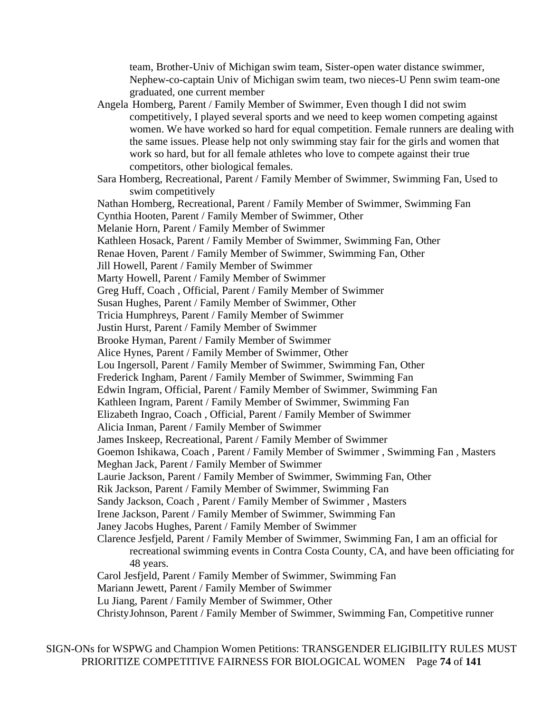team, Brother-Univ of Michigan swim team, Sister-open water distance swimmer, Nephew-co-captain Univ of Michigan swim team, two nieces-U Penn swim team-one graduated, one current member

Angela Homberg, Parent / Family Member of Swimmer, Even though I did not swim competitively, I played several sports and we need to keep women competing against women. We have worked so hard for equal competition. Female runners are dealing with the same issues. Please help not only swimming stay fair for the girls and women that work so hard, but for all female athletes who love to compete against their true competitors, other biological females.

Sara Homberg, Recreational, Parent / Family Member of Swimmer, Swimming Fan, Used to swim competitively

Nathan Homberg, Recreational, Parent / Family Member of Swimmer, Swimming Fan Cynthia Hooten, Parent / Family Member of Swimmer, Other Melanie Horn, Parent / Family Member of Swimmer Kathleen Hosack, Parent / Family Member of Swimmer, Swimming Fan, Other Renae Hoven, Parent / Family Member of Swimmer, Swimming Fan, Other Jill Howell, Parent / Family Member of Swimmer Marty Howell, Parent / Family Member of Swimmer Greg Huff, Coach , Official, Parent / Family Member of Swimmer Susan Hughes, Parent / Family Member of Swimmer, Other Tricia Humphreys, Parent / Family Member of Swimmer Justin Hurst, Parent / Family Member of Swimmer Brooke Hyman, Parent / Family Member of Swimmer Alice Hynes, Parent / Family Member of Swimmer, Other Lou Ingersoll, Parent / Family Member of Swimmer, Swimming Fan, Other Frederick Ingham, Parent / Family Member of Swimmer, Swimming Fan Edwin Ingram, Official, Parent / Family Member of Swimmer, Swimming Fan Kathleen Ingram, Parent / Family Member of Swimmer, Swimming Fan Elizabeth Ingrao, Coach , Official, Parent / Family Member of Swimmer Alicia Inman, Parent / Family Member of Swimmer James Inskeep, Recreational, Parent / Family Member of Swimmer Goemon Ishikawa, Coach , Parent / Family Member of Swimmer , Swimming Fan , Masters Meghan Jack, Parent / Family Member of Swimmer Laurie Jackson, Parent / Family Member of Swimmer, Swimming Fan, Other Rik Jackson, Parent / Family Member of Swimmer, Swimming Fan Sandy Jackson, Coach , Parent / Family Member of Swimmer , Masters Irene Jackson, Parent / Family Member of Swimmer, Swimming Fan Janey Jacobs Hughes, Parent / Family Member of Swimmer Clarence Jesfjeld, Parent / Family Member of Swimmer, Swimming Fan, I am an official for recreational swimming events in Contra Costa County, CA, and have been officiating for 48 years. Carol Jesfjeld, Parent / Family Member of Swimmer, Swimming Fan Mariann Jewett, Parent / Family Member of Swimmer Lu Jiang, Parent / Family Member of Swimmer, Other

ChristyJohnson, Parent / Family Member of Swimmer, Swimming Fan, Competitive runner

SIGN-ONs for WSPWG and Champion Women Petitions: TRANSGENDER ELIGIBILITY RULES MUST PRIORITIZE COMPETITIVE FAIRNESS FOR BIOLOGICAL WOMEN Page **74** of **141**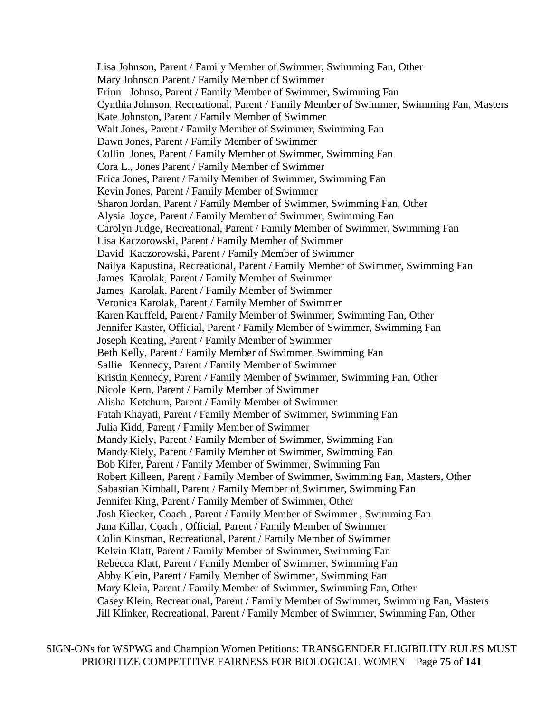Lisa Johnson, Parent / Family Member of Swimmer, Swimming Fan, Other Mary Johnson Parent / Family Member of Swimmer Erinn Johnso, Parent / Family Member of Swimmer, Swimming Fan Cynthia Johnson, Recreational, Parent / Family Member of Swimmer, Swimming Fan, Masters Kate Johnston, Parent / Family Member of Swimmer Walt Jones, Parent / Family Member of Swimmer, Swimming Fan Dawn Jones, Parent / Family Member of Swimmer Collin Jones, Parent / Family Member of Swimmer, Swimming Fan Cora L., Jones Parent / Family Member of Swimmer Erica Jones, Parent / Family Member of Swimmer, Swimming Fan Kevin Jones, Parent / Family Member of Swimmer Sharon Jordan, Parent / Family Member of Swimmer, Swimming Fan, Other Alysia Joyce, Parent / Family Member of Swimmer, Swimming Fan Carolyn Judge, Recreational, Parent / Family Member of Swimmer, Swimming Fan Lisa Kaczorowski, Parent / Family Member of Swimmer David Kaczorowski, Parent / Family Member of Swimmer Nailya Kapustina, Recreational, Parent / Family Member of Swimmer, Swimming Fan James Karolak, Parent / Family Member of Swimmer James Karolak, Parent / Family Member of Swimmer Veronica Karolak, Parent / Family Member of Swimmer Karen Kauffeld, Parent / Family Member of Swimmer, Swimming Fan, Other Jennifer Kaster, Official, Parent / Family Member of Swimmer, Swimming Fan Joseph Keating, Parent / Family Member of Swimmer Beth Kelly, Parent / Family Member of Swimmer, Swimming Fan Sallie Kennedy, Parent / Family Member of Swimmer Kristin Kennedy, Parent / Family Member of Swimmer, Swimming Fan, Other Nicole Kern, Parent / Family Member of Swimmer Alisha Ketchum, Parent / Family Member of Swimmer Fatah Khayati, Parent / Family Member of Swimmer, Swimming Fan Julia Kidd, Parent / Family Member of Swimmer Mandy Kiely, Parent / Family Member of Swimmer, Swimming Fan Mandy Kiely, Parent / Family Member of Swimmer, Swimming Fan Bob Kifer, Parent / Family Member of Swimmer, Swimming Fan Robert Killeen, Parent / Family Member of Swimmer, Swimming Fan, Masters, Other Sabastian Kimball, Parent / Family Member of Swimmer, Swimming Fan Jennifer King, Parent / Family Member of Swimmer, Other Josh Kiecker, Coach , Parent / Family Member of Swimmer , Swimming Fan Jana Killar, Coach , Official, Parent / Family Member of Swimmer Colin Kinsman, Recreational, Parent / Family Member of Swimmer Kelvin Klatt, Parent / Family Member of Swimmer, Swimming Fan Rebecca Klatt, Parent / Family Member of Swimmer, Swimming Fan Abby Klein, Parent / Family Member of Swimmer, Swimming Fan Mary Klein, Parent / Family Member of Swimmer, Swimming Fan, Other Casey Klein, Recreational, Parent / Family Member of Swimmer, Swimming Fan, Masters Jill Klinker, Recreational, Parent / Family Member of Swimmer, Swimming Fan, Other

SIGN-ONs for WSPWG and Champion Women Petitions: TRANSGENDER ELIGIBILITY RULES MUST PRIORITIZE COMPETITIVE FAIRNESS FOR BIOLOGICAL WOMEN Page **75** of **141**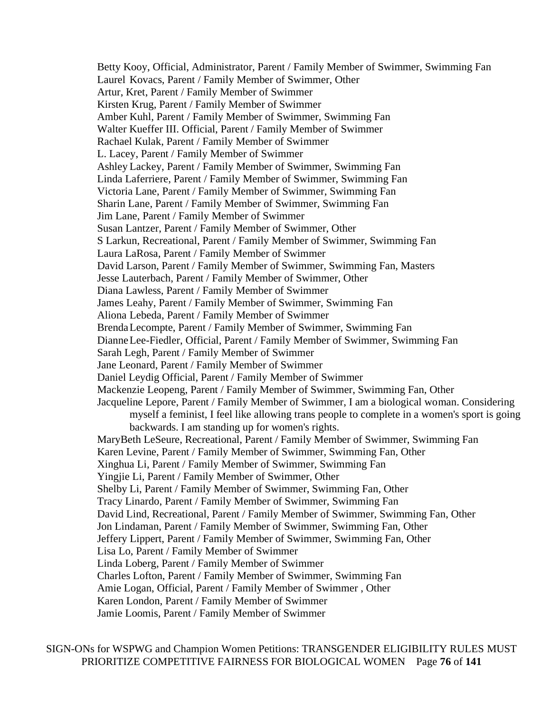Betty Kooy, Official, Administrator, Parent / Family Member of Swimmer, Swimming Fan Laurel Kovacs, Parent / Family Member of Swimmer, Other Artur, Kret, Parent / Family Member of Swimmer Kirsten Krug, Parent / Family Member of Swimmer Amber Kuhl, Parent / Family Member of Swimmer, Swimming Fan Walter Kueffer III. Official, Parent / Family Member of Swimmer Rachael Kulak, Parent / Family Member of Swimmer L. Lacey, Parent / Family Member of Swimmer Ashley Lackey, Parent / Family Member of Swimmer, Swimming Fan Linda Laferriere, Parent / Family Member of Swimmer, Swimming Fan Victoria Lane, Parent / Family Member of Swimmer, Swimming Fan Sharin Lane, Parent / Family Member of Swimmer, Swimming Fan Jim Lane, Parent / Family Member of Swimmer Susan Lantzer, Parent / Family Member of Swimmer, Other S Larkun, Recreational, Parent / Family Member of Swimmer, Swimming Fan Laura LaRosa, Parent / Family Member of Swimmer David Larson, Parent / Family Member of Swimmer, Swimming Fan, Masters Jesse Lauterbach, Parent / Family Member of Swimmer, Other Diana Lawless, Parent / Family Member of Swimmer James Leahy, Parent / Family Member of Swimmer, Swimming Fan Aliona Lebeda, Parent / Family Member of Swimmer BrendaLecompte, Parent / Family Member of Swimmer, Swimming Fan DianneLee-Fiedler, Official, Parent / Family Member of Swimmer, Swimming Fan Sarah Legh, Parent / Family Member of Swimmer Jane Leonard, Parent / Family Member of Swimmer Daniel Leydig Official, Parent / Family Member of Swimmer Mackenzie Leopeng, Parent / Family Member of Swimmer, Swimming Fan, Other Jacqueline Lepore, Parent / Family Member of Swimmer, I am a biological woman. Considering myself a feminist, I feel like allowing trans people to complete in a women's sport is going backwards. I am standing up for women's rights. MaryBeth LeSeure, Recreational, Parent / Family Member of Swimmer, Swimming Fan Karen Levine, Parent / Family Member of Swimmer, Swimming Fan, Other Xinghua Li, Parent / Family Member of Swimmer, Swimming Fan Yingjie Li, Parent / Family Member of Swimmer, Other Shelby Li, Parent / Family Member of Swimmer, Swimming Fan, Other Tracy Linardo, Parent / Family Member of Swimmer, Swimming Fan David Lind, Recreational, Parent / Family Member of Swimmer, Swimming Fan, Other Jon Lindaman, Parent / Family Member of Swimmer, Swimming Fan, Other Jeffery Lippert, Parent / Family Member of Swimmer, Swimming Fan, Other Lisa Lo, Parent / Family Member of Swimmer Linda Loberg, Parent / Family Member of Swimmer Charles Lofton, Parent / Family Member of Swimmer, Swimming Fan Amie Logan, Official, Parent / Family Member of Swimmer , Other Karen London, Parent / Family Member of Swimmer Jamie Loomis, Parent / Family Member of Swimmer

SIGN-ONs for WSPWG and Champion Women Petitions: TRANSGENDER ELIGIBILITY RULES MUST PRIORITIZE COMPETITIVE FAIRNESS FOR BIOLOGICAL WOMEN Page **76** of **141**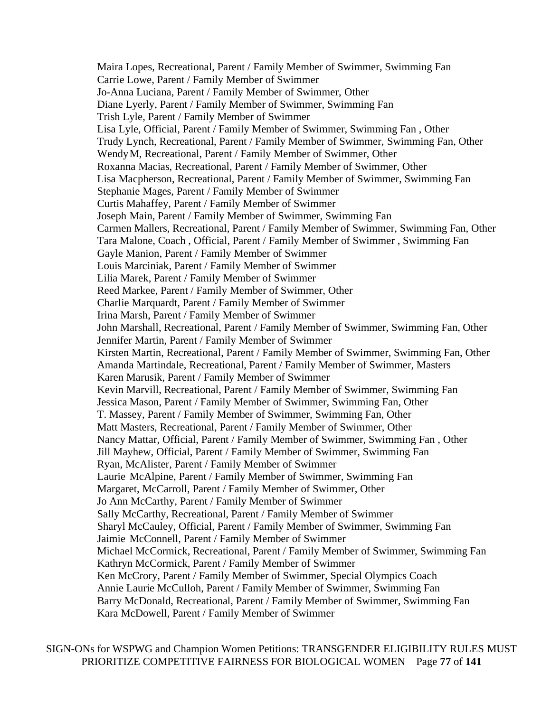Maira Lopes, Recreational, Parent / Family Member of Swimmer, Swimming Fan Carrie Lowe, Parent / Family Member of Swimmer Jo-Anna Luciana, Parent / Family Member of Swimmer, Other Diane Lyerly, Parent / Family Member of Swimmer, Swimming Fan Trish Lyle, Parent / Family Member of Swimmer Lisa Lyle, Official, Parent / Family Member of Swimmer, Swimming Fan , Other Trudy Lynch, Recreational, Parent / Family Member of Swimmer, Swimming Fan, Other WendyM, Recreational, Parent / Family Member of Swimmer, Other Roxanna Macias, Recreational, Parent / Family Member of Swimmer, Other Lisa Macpherson, Recreational, Parent / Family Member of Swimmer, Swimming Fan Stephanie Mages, Parent / Family Member of Swimmer Curtis Mahaffey, Parent / Family Member of Swimmer Joseph Main, Parent / Family Member of Swimmer, Swimming Fan Carmen Mallers, Recreational, Parent / Family Member of Swimmer, Swimming Fan, Other Tara Malone, Coach , Official, Parent / Family Member of Swimmer , Swimming Fan Gayle Manion, Parent / Family Member of Swimmer Louis Marciniak, Parent / Family Member of Swimmer Lilia Marek, Parent / Family Member of Swimmer Reed Markee, Parent / Family Member of Swimmer, Other Charlie Marquardt, Parent / Family Member of Swimmer Irina Marsh, Parent / Family Member of Swimmer John Marshall, Recreational, Parent / Family Member of Swimmer, Swimming Fan, Other Jennifer Martin, Parent / Family Member of Swimmer Kirsten Martin, Recreational, Parent / Family Member of Swimmer, Swimming Fan, Other Amanda Martindale, Recreational, Parent / Family Member of Swimmer, Masters Karen Marusik, Parent / Family Member of Swimmer Kevin Marvill, Recreational, Parent / Family Member of Swimmer, Swimming Fan Jessica Mason, Parent / Family Member of Swimmer, Swimming Fan, Other T. Massey, Parent / Family Member of Swimmer, Swimming Fan, Other Matt Masters, Recreational, Parent / Family Member of Swimmer, Other Nancy Mattar, Official, Parent / Family Member of Swimmer, Swimming Fan , Other Jill Mayhew, Official, Parent / Family Member of Swimmer, Swimming Fan Ryan, McAlister, Parent / Family Member of Swimmer Laurie McAlpine, Parent / Family Member of Swimmer, Swimming Fan Margaret, McCarroll, Parent / Family Member of Swimmer, Other Jo Ann McCarthy, Parent / Family Member of Swimmer Sally McCarthy, Recreational, Parent / Family Member of Swimmer Sharyl McCauley, Official, Parent / Family Member of Swimmer, Swimming Fan Jaimie McConnell, Parent / Family Member of Swimmer Michael McCormick, Recreational, Parent / Family Member of Swimmer, Swimming Fan Kathryn McCormick, Parent / Family Member of Swimmer Ken McCrory, Parent / Family Member of Swimmer, Special Olympics Coach Annie Laurie McCulloh, Parent / Family Member of Swimmer, Swimming Fan Barry McDonald, Recreational, Parent / Family Member of Swimmer, Swimming Fan Kara McDowell, Parent / Family Member of Swimmer

SIGN-ONs for WSPWG and Champion Women Petitions: TRANSGENDER ELIGIBILITY RULES MUST PRIORITIZE COMPETITIVE FAIRNESS FOR BIOLOGICAL WOMEN Page **77** of **141**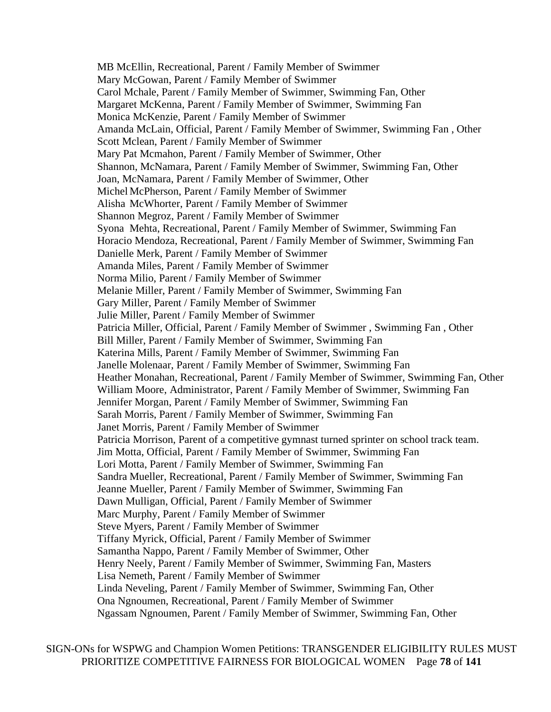MB McEllin, Recreational, Parent / Family Member of Swimmer Mary McGowan, Parent / Family Member of Swimmer Carol Mchale, Parent / Family Member of Swimmer, Swimming Fan, Other Margaret McKenna, Parent / Family Member of Swimmer, Swimming Fan Monica McKenzie, Parent / Family Member of Swimmer Amanda McLain, Official, Parent / Family Member of Swimmer, Swimming Fan , Other Scott Mclean, Parent / Family Member of Swimmer Mary Pat Mcmahon, Parent / Family Member of Swimmer, Other Shannon, McNamara, Parent / Family Member of Swimmer, Swimming Fan, Other Joan, McNamara, Parent / Family Member of Swimmer, Other Michel McPherson, Parent / Family Member of Swimmer Alisha McWhorter, Parent / Family Member of Swimmer Shannon Megroz, Parent / Family Member of Swimmer Syona Mehta, Recreational, Parent / Family Member of Swimmer, Swimming Fan Horacio Mendoza, Recreational, Parent / Family Member of Swimmer, Swimming Fan Danielle Merk, Parent / Family Member of Swimmer Amanda Miles, Parent / Family Member of Swimmer Norma Milio, Parent / Family Member of Swimmer Melanie Miller, Parent / Family Member of Swimmer, Swimming Fan Gary Miller, Parent / Family Member of Swimmer Julie Miller, Parent / Family Member of Swimmer Patricia Miller, Official, Parent / Family Member of Swimmer , Swimming Fan , Other Bill Miller, Parent / Family Member of Swimmer, Swimming Fan Katerina Mills, Parent / Family Member of Swimmer, Swimming Fan Janelle Molenaar, Parent / Family Member of Swimmer, Swimming Fan Heather Monahan, Recreational, Parent / Family Member of Swimmer, Swimming Fan, Other William Moore, Administrator, Parent / Family Member of Swimmer, Swimming Fan Jennifer Morgan, Parent / Family Member of Swimmer, Swimming Fan Sarah Morris, Parent / Family Member of Swimmer, Swimming Fan Janet Morris, Parent / Family Member of Swimmer Patricia Morrison, Parent of a competitive gymnast turned sprinter on school track team. Jim Motta, Official, Parent / Family Member of Swimmer, Swimming Fan Lori Motta, Parent / Family Member of Swimmer, Swimming Fan Sandra Mueller, Recreational, Parent / Family Member of Swimmer, Swimming Fan Jeanne Mueller, Parent / Family Member of Swimmer, Swimming Fan Dawn Mulligan, Official, Parent / Family Member of Swimmer Marc Murphy, Parent / Family Member of Swimmer Steve Myers, Parent / Family Member of Swimmer Tiffany Myrick, Official, Parent / Family Member of Swimmer Samantha Nappo, Parent / Family Member of Swimmer, Other Henry Neely, Parent / Family Member of Swimmer, Swimming Fan, Masters Lisa Nemeth, Parent / Family Member of Swimmer Linda Neveling, Parent / Family Member of Swimmer, Swimming Fan, Other Ona Ngnoumen, Recreational, Parent / Family Member of Swimmer Ngassam Ngnoumen, Parent / Family Member of Swimmer, Swimming Fan, Other

SIGN-ONs for WSPWG and Champion Women Petitions: TRANSGENDER ELIGIBILITY RULES MUST PRIORITIZE COMPETITIVE FAIRNESS FOR BIOLOGICAL WOMEN Page **78** of **141**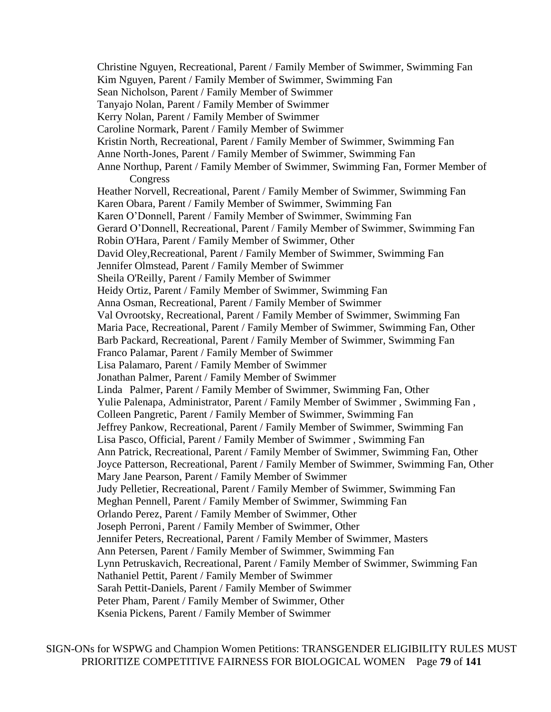Christine Nguyen, Recreational, Parent / Family Member of Swimmer, Swimming Fan Kim Nguyen, Parent / Family Member of Swimmer, Swimming Fan Sean Nicholson, Parent / Family Member of Swimmer Tanyajo Nolan, Parent / Family Member of Swimmer Kerry Nolan, Parent / Family Member of Swimmer Caroline Normark, Parent / Family Member of Swimmer Kristin North, Recreational, Parent / Family Member of Swimmer, Swimming Fan Anne North-Jones, Parent / Family Member of Swimmer, Swimming Fan Anne Northup, Parent / Family Member of Swimmer, Swimming Fan, Former Member of Congress Heather Norvell, Recreational, Parent / Family Member of Swimmer, Swimming Fan Karen Obara, Parent / Family Member of Swimmer, Swimming Fan Karen O'Donnell, Parent / Family Member of Swimmer, Swimming Fan Gerard O'Donnell, Recreational, Parent / Family Member of Swimmer, Swimming Fan Robin O'Hara, Parent / Family Member of Swimmer, Other David Oley,Recreational, Parent / Family Member of Swimmer, Swimming Fan Jennifer Olmstead, Parent / Family Member of Swimmer Sheila O'Reilly, Parent / Family Member of Swimmer Heidy Ortiz, Parent / Family Member of Swimmer, Swimming Fan Anna Osman, Recreational, Parent / Family Member of Swimmer Val Ovrootsky, Recreational, Parent / Family Member of Swimmer, Swimming Fan Maria Pace, Recreational, Parent / Family Member of Swimmer, Swimming Fan, Other Barb Packard, Recreational, Parent / Family Member of Swimmer, Swimming Fan Franco Palamar, Parent / Family Member of Swimmer Lisa Palamaro, Parent / Family Member of Swimmer Jonathan Palmer, Parent / Family Member of Swimmer Linda Palmer, Parent / Family Member of Swimmer, Swimming Fan, Other Yulie Palenapa, Administrator, Parent / Family Member of Swimmer , Swimming Fan , Colleen Pangretic, Parent / Family Member of Swimmer, Swimming Fan Jeffrey Pankow, Recreational, Parent / Family Member of Swimmer, Swimming Fan Lisa Pasco, Official, Parent / Family Member of Swimmer , Swimming Fan Ann Patrick, Recreational, Parent / Family Member of Swimmer, Swimming Fan, Other Joyce Patterson, Recreational, Parent / Family Member of Swimmer, Swimming Fan, Other Mary Jane Pearson, Parent / Family Member of Swimmer Judy Pelletier, Recreational, Parent / Family Member of Swimmer, Swimming Fan Meghan Pennell, Parent / Family Member of Swimmer, Swimming Fan Orlando Perez, Parent / Family Member of Swimmer, Other Joseph Perroni, Parent / Family Member of Swimmer, Other Jennifer Peters, Recreational, Parent / Family Member of Swimmer, Masters Ann Petersen, Parent / Family Member of Swimmer, Swimming Fan Lynn Petruskavich, Recreational, Parent / Family Member of Swimmer, Swimming Fan Nathaniel Pettit, Parent / Family Member of Swimmer Sarah Pettit-Daniels, Parent / Family Member of Swimmer Peter Pham, Parent / Family Member of Swimmer, Other Ksenia Pickens, Parent / Family Member of Swimmer

SIGN-ONs for WSPWG and Champion Women Petitions: TRANSGENDER ELIGIBILITY RULES MUST PRIORITIZE COMPETITIVE FAIRNESS FOR BIOLOGICAL WOMEN Page **79** of **141**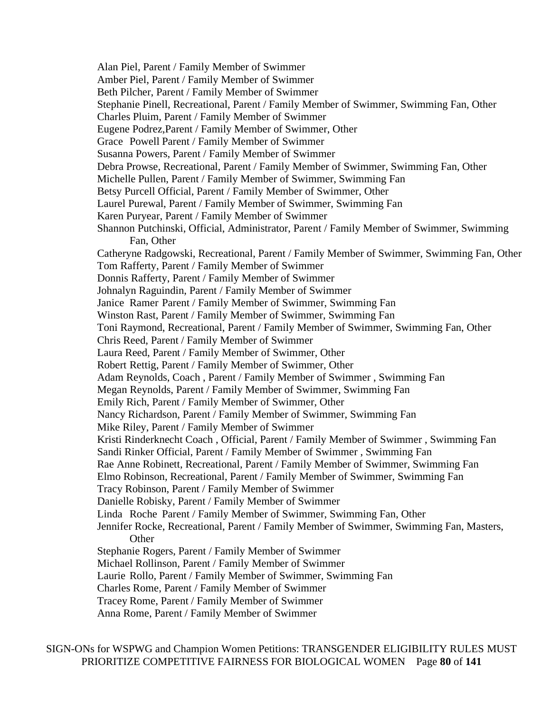Alan Piel, Parent / Family Member of Swimmer Amber Piel, Parent / Family Member of Swimmer Beth Pilcher, Parent / Family Member of Swimmer Stephanie Pinell, Recreational, Parent / Family Member of Swimmer, Swimming Fan, Other Charles Pluim, Parent / Family Member of Swimmer Eugene Podrez,Parent / Family Member of Swimmer, Other Grace Powell Parent / Family Member of Swimmer Susanna Powers, Parent / Family Member of Swimmer Debra Prowse, Recreational, Parent / Family Member of Swimmer, Swimming Fan, Other Michelle Pullen, Parent / Family Member of Swimmer, Swimming Fan Betsy Purcell Official, Parent / Family Member of Swimmer, Other Laurel Purewal, Parent / Family Member of Swimmer, Swimming Fan Karen Puryear, Parent / Family Member of Swimmer Shannon Putchinski, Official, Administrator, Parent / Family Member of Swimmer, Swimming Fan, Other Catheryne Radgowski, Recreational, Parent / Family Member of Swimmer, Swimming Fan, Other Tom Rafferty, Parent / Family Member of Swimmer Donnis Rafferty, Parent / Family Member of Swimmer Johnalyn Raguindin, Parent / Family Member of Swimmer Janice Ramer Parent / Family Member of Swimmer, Swimming Fan Winston Rast, Parent / Family Member of Swimmer, Swimming Fan Toni Raymond, Recreational, Parent / Family Member of Swimmer, Swimming Fan, Other Chris Reed, Parent / Family Member of Swimmer Laura Reed, Parent / Family Member of Swimmer, Other Robert Rettig, Parent / Family Member of Swimmer, Other Adam Reynolds, Coach, Parent / Family Member of Swimmer, Swimming Fan Megan Reynolds, Parent / Family Member of Swimmer, Swimming Fan Emily Rich, Parent / Family Member of Swimmer, Other Nancy Richardson, Parent / Family Member of Swimmer, Swimming Fan Mike Riley, Parent / Family Member of Swimmer Kristi Rinderknecht Coach , Official, Parent / Family Member of Swimmer , Swimming Fan Sandi Rinker Official, Parent / Family Member of Swimmer , Swimming Fan Rae Anne Robinett, Recreational, Parent / Family Member of Swimmer, Swimming Fan Elmo Robinson, Recreational, Parent / Family Member of Swimmer, Swimming Fan Tracy Robinson, Parent / Family Member of Swimmer Danielle Robisky, Parent / Family Member of Swimmer Linda Roche Parent / Family Member of Swimmer, Swimming Fan, Other Jennifer Rocke, Recreational, Parent / Family Member of Swimmer, Swimming Fan, Masters, **Other** Stephanie Rogers, Parent / Family Member of Swimmer Michael Rollinson, Parent / Family Member of Swimmer Laurie Rollo, Parent / Family Member of Swimmer, Swimming Fan Charles Rome, Parent / Family Member of Swimmer Tracey Rome, Parent / Family Member of Swimmer Anna Rome, Parent / Family Member of Swimmer

SIGN-ONs for WSPWG and Champion Women Petitions: TRANSGENDER ELIGIBILITY RULES MUST PRIORITIZE COMPETITIVE FAIRNESS FOR BIOLOGICAL WOMEN Page **80** of **141**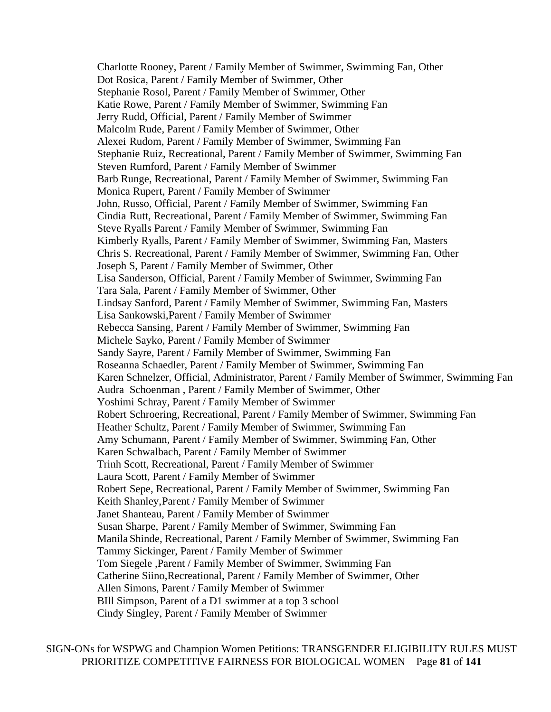Charlotte Rooney, Parent / Family Member of Swimmer, Swimming Fan, Other Dot Rosica, Parent / Family Member of Swimmer, Other Stephanie Rosol, Parent / Family Member of Swimmer, Other Katie Rowe, Parent / Family Member of Swimmer, Swimming Fan Jerry Rudd, Official, Parent / Family Member of Swimmer Malcolm Rude, Parent / Family Member of Swimmer, Other Alexei Rudom, Parent / Family Member of Swimmer, Swimming Fan Stephanie Ruiz, Recreational, Parent / Family Member of Swimmer, Swimming Fan Steven Rumford, Parent / Family Member of Swimmer Barb Runge, Recreational, Parent / Family Member of Swimmer, Swimming Fan Monica Rupert, Parent / Family Member of Swimmer John, Russo, Official, Parent / Family Member of Swimmer, Swimming Fan Cindia Rutt, Recreational, Parent / Family Member of Swimmer, Swimming Fan Steve Ryalls Parent / Family Member of Swimmer, Swimming Fan Kimberly Ryalls, Parent / Family Member of Swimmer, Swimming Fan, Masters Chris S. Recreational, Parent / Family Member of Swimmer, Swimming Fan, Other Joseph S, Parent / Family Member of Swimmer, Other Lisa Sanderson, Official, Parent / Family Member of Swimmer, Swimming Fan Tara Sala, Parent / Family Member of Swimmer, Other Lindsay Sanford, Parent / Family Member of Swimmer, Swimming Fan, Masters Lisa Sankowski,Parent / Family Member of Swimmer Rebecca Sansing, Parent / Family Member of Swimmer, Swimming Fan Michele Sayko, Parent / Family Member of Swimmer Sandy Sayre, Parent / Family Member of Swimmer, Swimming Fan Roseanna Schaedler, Parent / Family Member of Swimmer, Swimming Fan Karen Schnelzer, Official, Administrator, Parent / Family Member of Swimmer, Swimming Fan Audra Schoenman , Parent / Family Member of Swimmer, Other Yoshimi Schray, Parent / Family Member of Swimmer Robert Schroering, Recreational, Parent / Family Member of Swimmer, Swimming Fan Heather Schultz, Parent / Family Member of Swimmer, Swimming Fan Amy Schumann, Parent / Family Member of Swimmer, Swimming Fan, Other Karen Schwalbach, Parent / Family Member of Swimmer Trinh Scott, Recreational, Parent / Family Member of Swimmer Laura Scott, Parent / Family Member of Swimmer Robert Sepe, Recreational, Parent / Family Member of Swimmer, Swimming Fan Keith Shanley,Parent / Family Member of Swimmer Janet Shanteau, Parent / Family Member of Swimmer Susan Sharpe, Parent / Family Member of Swimmer, Swimming Fan Manila Shinde, Recreational, Parent / Family Member of Swimmer, Swimming Fan Tammy Sickinger, Parent / Family Member of Swimmer Tom Siegele ,Parent / Family Member of Swimmer, Swimming Fan Catherine Siino,Recreational, Parent / Family Member of Swimmer, Other Allen Simons, Parent / Family Member of Swimmer BIll Simpson, Parent of a D1 swimmer at a top 3 school Cindy Singley, Parent / Family Member of Swimmer

SIGN-ONs for WSPWG and Champion Women Petitions: TRANSGENDER ELIGIBILITY RULES MUST PRIORITIZE COMPETITIVE FAIRNESS FOR BIOLOGICAL WOMEN Page **81** of **141**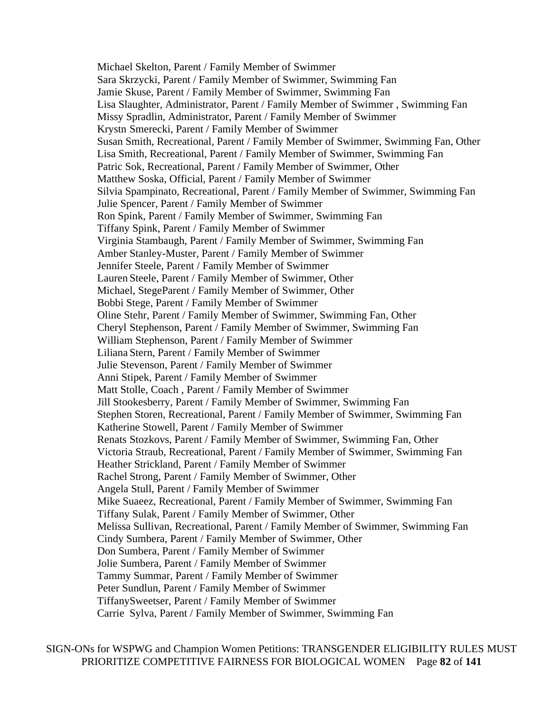Michael Skelton, Parent / Family Member of Swimmer Sara Skrzycki, Parent / Family Member of Swimmer, Swimming Fan Jamie Skuse, Parent / Family Member of Swimmer, Swimming Fan Lisa Slaughter, Administrator, Parent / Family Member of Swimmer , Swimming Fan Missy Spradlin, Administrator, Parent / Family Member of Swimmer Krystn Smerecki, Parent / Family Member of Swimmer Susan Smith, Recreational, Parent / Family Member of Swimmer, Swimming Fan, Other Lisa Smith, Recreational, Parent / Family Member of Swimmer, Swimming Fan Patric Sok, Recreational, Parent / Family Member of Swimmer, Other Matthew Soska, Official, Parent / Family Member of Swimmer Silvia Spampinato, Recreational, Parent / Family Member of Swimmer, Swimming Fan Julie Spencer, Parent / Family Member of Swimmer Ron Spink, Parent / Family Member of Swimmer, Swimming Fan Tiffany Spink, Parent / Family Member of Swimmer Virginia Stambaugh, Parent / Family Member of Swimmer, Swimming Fan Amber Stanley-Muster, Parent / Family Member of Swimmer Jennifer Steele, Parent / Family Member of Swimmer Lauren Steele, Parent / Family Member of Swimmer, Other Michael, StegeParent / Family Member of Swimmer, Other Bobbi Stege, Parent / Family Member of Swimmer Oline Stehr, Parent / Family Member of Swimmer, Swimming Fan, Other Cheryl Stephenson, Parent / Family Member of Swimmer, Swimming Fan William Stephenson, Parent / Family Member of Swimmer Liliana Stern, Parent / Family Member of Swimmer Julie Stevenson, Parent / Family Member of Swimmer Anni Stipek, Parent / Family Member of Swimmer Matt Stolle, Coach , Parent / Family Member of Swimmer Jill Stookesberry, Parent / Family Member of Swimmer, Swimming Fan Stephen Storen, Recreational, Parent / Family Member of Swimmer, Swimming Fan Katherine Stowell, Parent / Family Member of Swimmer Renats Stozkovs, Parent / Family Member of Swimmer, Swimming Fan, Other Victoria Straub, Recreational, Parent / Family Member of Swimmer, Swimming Fan Heather Strickland, Parent / Family Member of Swimmer Rachel Strong, Parent / Family Member of Swimmer, Other Angela Stull, Parent / Family Member of Swimmer Mike Suaeez, Recreational, Parent / Family Member of Swimmer, Swimming Fan Tiffany Sulak, Parent / Family Member of Swimmer, Other Melissa Sullivan, Recreational, Parent / Family Member of Swimmer, Swimming Fan Cindy Sumbera, Parent / Family Member of Swimmer, Other Don Sumbera, Parent / Family Member of Swimmer Jolie Sumbera, Parent / Family Member of Swimmer Tammy Summar, Parent / Family Member of Swimmer Peter Sundlun, Parent / Family Member of Swimmer TiffanySweetser, Parent / Family Member of Swimmer Carrie Sylva, Parent / Family Member of Swimmer, Swimming Fan

SIGN-ONs for WSPWG and Champion Women Petitions: TRANSGENDER ELIGIBILITY RULES MUST PRIORITIZE COMPETITIVE FAIRNESS FOR BIOLOGICAL WOMEN Page **82** of **141**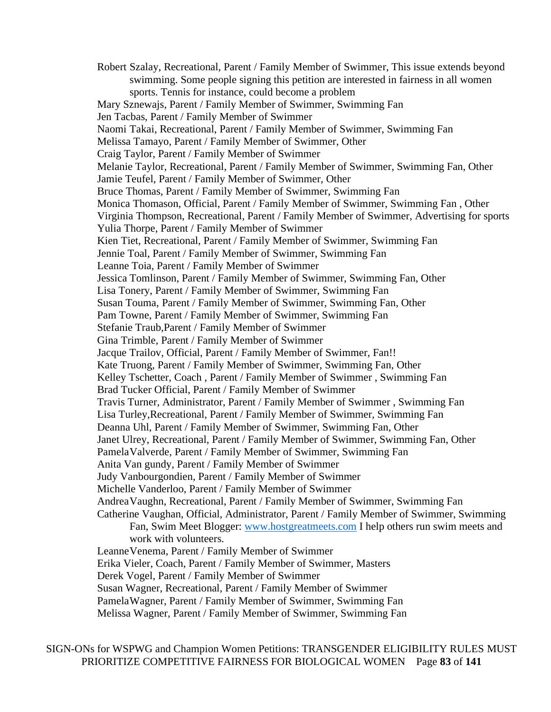Robert Szalay, Recreational, Parent / Family Member of Swimmer, This issue extends beyond swimming. Some people signing this petition are interested in fairness in all women sports. Tennis for instance, could become a problem Mary Sznewajs, Parent / Family Member of Swimmer, Swimming Fan Jen Tacbas, Parent / Family Member of Swimmer Naomi Takai, Recreational, Parent / Family Member of Swimmer, Swimming Fan Melissa Tamayo, Parent / Family Member of Swimmer, Other Craig Taylor, Parent / Family Member of Swimmer Melanie Taylor, Recreational, Parent / Family Member of Swimmer, Swimming Fan, Other Jamie Teufel, Parent / Family Member of Swimmer, Other Bruce Thomas, Parent / Family Member of Swimmer, Swimming Fan Monica Thomason, Official, Parent / Family Member of Swimmer, Swimming Fan , Other Virginia Thompson, Recreational, Parent / Family Member of Swimmer, Advertising for sports Yulia Thorpe, Parent / Family Member of Swimmer Kien Tiet, Recreational, Parent / Family Member of Swimmer, Swimming Fan Jennie Toal, Parent / Family Member of Swimmer, Swimming Fan Leanne Toia, Parent / Family Member of Swimmer Jessica Tomlinson, Parent / Family Member of Swimmer, Swimming Fan, Other Lisa Tonery, Parent / Family Member of Swimmer, Swimming Fan Susan Touma, Parent / Family Member of Swimmer, Swimming Fan, Other Pam Towne, Parent / Family Member of Swimmer, Swimming Fan Stefanie Traub,Parent / Family Member of Swimmer Gina Trimble, Parent / Family Member of Swimmer Jacque Trailov, Official, Parent / Family Member of Swimmer, Fan!! Kate Truong, Parent / Family Member of Swimmer, Swimming Fan, Other Kelley Tschetter, Coach , Parent / Family Member of Swimmer , Swimming Fan Brad Tucker Official, Parent / Family Member of Swimmer Travis Turner, Administrator, Parent / Family Member of Swimmer , Swimming Fan Lisa Turley,Recreational, Parent / Family Member of Swimmer, Swimming Fan Deanna Uhl, Parent / Family Member of Swimmer, Swimming Fan, Other Janet Ulrey, Recreational, Parent / Family Member of Swimmer, Swimming Fan, Other PamelaValverde, Parent / Family Member of Swimmer, Swimming Fan Anita Van gundy, Parent / Family Member of Swimmer Judy Vanbourgondien, Parent / Family Member of Swimmer Michelle Vanderloo, Parent / Family Member of Swimmer AndreaVaughn, Recreational, Parent / Family Member of Swimmer, Swimming Fan Catherine Vaughan, Official, Administrator, Parent / Family Member of Swimmer, Swimming Fan, Swim Meet Blogger: [www.hostgreatmeets.com](http://www.hostgreatmeets.com/) I help others run swim meets and work with volunteers. LeanneVenema, Parent / Family Member of Swimmer Erika Vieler, Coach, Parent / Family Member of Swimmer, Masters Derek Vogel, Parent / Family Member of Swimmer Susan Wagner, Recreational, Parent / Family Member of Swimmer PamelaWagner, Parent / Family Member of Swimmer, Swimming Fan

Melissa Wagner, Parent / Family Member of Swimmer, Swimming Fan

SIGN-ONs for WSPWG and Champion Women Petitions: TRANSGENDER ELIGIBILITY RULES MUST PRIORITIZE COMPETITIVE FAIRNESS FOR BIOLOGICAL WOMEN Page **83** of **141**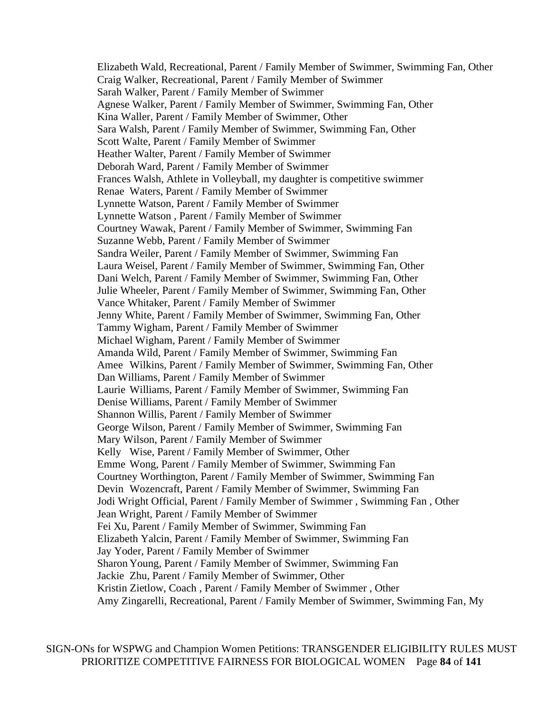Elizabeth Wald, Recreational, Parent / Family Member of Swimmer, Swimming Fan, Other Craig Walker, Recreational, Parent / Family Member of Swimmer Sarah Walker, Parent / Family Member of Swimmer Agnese Walker, Parent / Family Member of Swimmer, Swimming Fan, Other Kina Waller, Parent / Family Member of Swimmer, Other Sara Walsh, Parent / Family Member of Swimmer, Swimming Fan, Other Scott Walte, Parent / Family Member of Swimmer Heather Walter, Parent / Family Member of Swimmer Deborah Ward, Parent / Family Member of Swimmer Frances Walsh, Athlete in Volleyball, my daughter is competitive swimmer Renae Waters, Parent / Family Member of Swimmer Lynnette Watson, Parent / Family Member of Swimmer Lynnette Watson , Parent / Family Member of Swimmer Courtney Wawak, Parent / Family Member of Swimmer, Swimming Fan Suzanne Webb, Parent / Family Member of Swimmer Sandra Weiler, Parent / Family Member of Swimmer, Swimming Fan Laura Weisel, Parent / Family Member of Swimmer, Swimming Fan, Other Dani Welch, Parent / Family Member of Swimmer, Swimming Fan, Other Julie Wheeler, Parent / Family Member of Swimmer, Swimming Fan, Other Vance Whitaker, Parent / Family Member of Swimmer Jenny White, Parent / Family Member of Swimmer, Swimming Fan, Other Tammy Wigham, Parent / Family Member of Swimmer Michael Wigham, Parent / Family Member of Swimmer Amanda Wild, Parent / Family Member of Swimmer, Swimming Fan Amee Wilkins, Parent / Family Member of Swimmer, Swimming Fan, Other Dan Williams, Parent / Family Member of Swimmer Laurie Williams, Parent / Family Member of Swimmer, Swimming Fan Denise Williams, Parent / Family Member of Swimmer Shannon Willis, Parent / Family Member of Swimmer George Wilson, Parent / Family Member of Swimmer, Swimming Fan Mary Wilson, Parent / Family Member of Swimmer Kelly Wise, Parent / Family Member of Swimmer, Other Emme Wong, Parent / Family Member of Swimmer, Swimming Fan Courtney Worthington, Parent / Family Member of Swimmer, Swimming Fan Devin Wozencraft, Parent / Family Member of Swimmer, Swimming Fan Jodi Wright Official, Parent / Family Member of Swimmer , Swimming Fan , Other Jean Wright, Parent / Family Member of Swimmer Fei Xu, Parent / Family Member of Swimmer, Swimming Fan Elizabeth Yalcin, Parent / Family Member of Swimmer, Swimming Fan Jay Yoder, Parent / Family Member of Swimmer Sharon Young, Parent / Family Member of Swimmer, Swimming Fan Jackie Zhu, Parent / Family Member of Swimmer, Other Kristin Zietlow, Coach , Parent / Family Member of Swimmer , Other Amy Zingarelli, Recreational, Parent / Family Member of Swimmer, Swimming Fan, My

SIGN-ONs for WSPWG and Champion Women Petitions: TRANSGENDER ELIGIBILITY RULES MUST PRIORITIZE COMPETITIVE FAIRNESS FOR BIOLOGICAL WOMEN Page **84** of **141**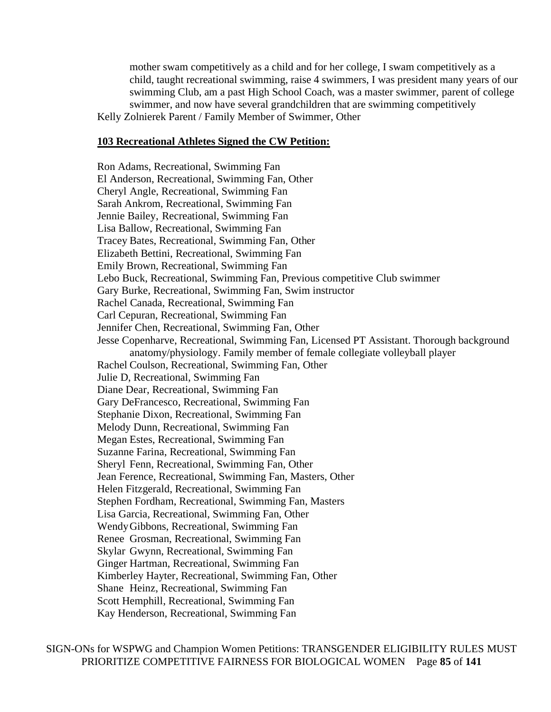mother swam competitively as a child and for her college, I swam competitively as a child, taught recreational swimming, raise 4 swimmers, I was president many years of our swimming Club, am a past High School Coach, was a master swimmer, parent of college swimmer, and now have several grandchildren that are swimming competitively Kelly Zolnierek Parent / Family Member of Swimmer, Other

#### **103 Recreational Athletes Signed the CW Petition:**

Ron Adams, Recreational, Swimming Fan El Anderson, Recreational, Swimming Fan, Other Cheryl Angle, Recreational, Swimming Fan Sarah Ankrom, Recreational, Swimming Fan Jennie Bailey, Recreational, Swimming Fan Lisa Ballow, Recreational, Swimming Fan Tracey Bates, Recreational, Swimming Fan, Other Elizabeth Bettini, Recreational, Swimming Fan Emily Brown, Recreational, Swimming Fan Lebo Buck, Recreational, Swimming Fan, Previous competitive Club swimmer Gary Burke, Recreational, Swimming Fan, Swim instructor Rachel Canada, Recreational, Swimming Fan Carl Cepuran, Recreational, Swimming Fan Jennifer Chen, Recreational, Swimming Fan, Other Jesse Copenharve, Recreational, Swimming Fan, Licensed PT Assistant. Thorough background anatomy/physiology. Family member of female collegiate volleyball player Rachel Coulson, Recreational, Swimming Fan, Other Julie D, Recreational, Swimming Fan Diane Dear, Recreational, Swimming Fan Gary DeFrancesco, Recreational, Swimming Fan Stephanie Dixon, Recreational, Swimming Fan Melody Dunn, Recreational, Swimming Fan Megan Estes, Recreational, Swimming Fan Suzanne Farina, Recreational, Swimming Fan Sheryl Fenn, Recreational, Swimming Fan, Other Jean Ference, Recreational, Swimming Fan, Masters, Other Helen Fitzgerald, Recreational, Swimming Fan Stephen Fordham, Recreational, Swimming Fan, Masters Lisa Garcia, Recreational, Swimming Fan, Other WendyGibbons, Recreational, Swimming Fan Renee Grosman, Recreational, Swimming Fan Skylar Gwynn, Recreational, Swimming Fan Ginger Hartman, Recreational, Swimming Fan Kimberley Hayter, Recreational, Swimming Fan, Other Shane Heinz, Recreational, Swimming Fan Scott Hemphill, Recreational, Swimming Fan Kay Henderson, Recreational, Swimming Fan

SIGN-ONs for WSPWG and Champion Women Petitions: TRANSGENDER ELIGIBILITY RULES MUST PRIORITIZE COMPETITIVE FAIRNESS FOR BIOLOGICAL WOMEN Page **85** of **141**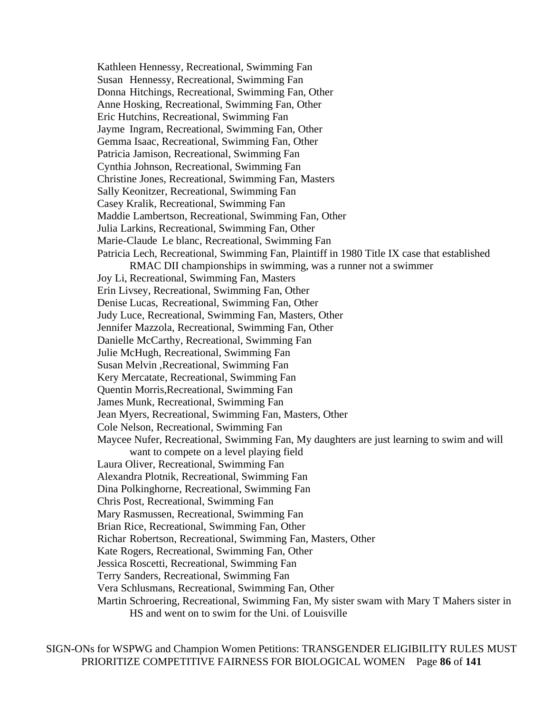Kathleen Hennessy, Recreational, Swimming Fan Susan Hennessy, Recreational, Swimming Fan Donna Hitchings, Recreational, Swimming Fan, Other Anne Hosking, Recreational, Swimming Fan, Other Eric Hutchins, Recreational, Swimming Fan Jayme Ingram, Recreational, Swimming Fan, Other Gemma Isaac, Recreational, Swimming Fan, Other Patricia Jamison, Recreational, Swimming Fan Cynthia Johnson, Recreational, Swimming Fan Christine Jones, Recreational, Swimming Fan, Masters Sally Keonitzer, Recreational, Swimming Fan Casey Kralik, Recreational, Swimming Fan Maddie Lambertson, Recreational, Swimming Fan, Other Julia Larkins, Recreational, Swimming Fan, Other Marie-Claude Le blanc, Recreational, Swimming Fan Patricia Lech, Recreational, Swimming Fan, Plaintiff in 1980 Title IX case that established RMAC DII championships in swimming, was a runner not a swimmer Joy Li, Recreational, Swimming Fan, Masters Erin Livsey, Recreational, Swimming Fan, Other Denise Lucas, Recreational, Swimming Fan, Other Judy Luce, Recreational, Swimming Fan, Masters, Other Jennifer Mazzola, Recreational, Swimming Fan, Other Danielle McCarthy, Recreational, Swimming Fan Julie McHugh, Recreational, Swimming Fan Susan Melvin ,Recreational, Swimming Fan Kery Mercatate, Recreational, Swimming Fan Quentin Morris,Recreational, Swimming Fan James Munk, Recreational, Swimming Fan Jean Myers, Recreational, Swimming Fan, Masters, Other Cole Nelson, Recreational, Swimming Fan Maycee Nufer, Recreational, Swimming Fan, My daughters are just learning to swim and will want to compete on a level playing field Laura Oliver, Recreational, Swimming Fan Alexandra Plotnik, Recreational, Swimming Fan Dina Polkinghorne, Recreational, Swimming Fan Chris Post, Recreational, Swimming Fan Mary Rasmussen, Recreational, Swimming Fan Brian Rice, Recreational, Swimming Fan, Other Richar Robertson, Recreational, Swimming Fan, Masters, Other Kate Rogers, Recreational, Swimming Fan, Other Jessica Roscetti, Recreational, Swimming Fan Terry Sanders, Recreational, Swimming Fan Vera Schlusmans, Recreational, Swimming Fan, Other Martin Schroering, Recreational, Swimming Fan, My sister swam with Mary T Mahers sister in HS and went on to swim for the Uni. of Louisville

SIGN-ONs for WSPWG and Champion Women Petitions: TRANSGENDER ELIGIBILITY RULES MUST PRIORITIZE COMPETITIVE FAIRNESS FOR BIOLOGICAL WOMEN Page **86** of **141**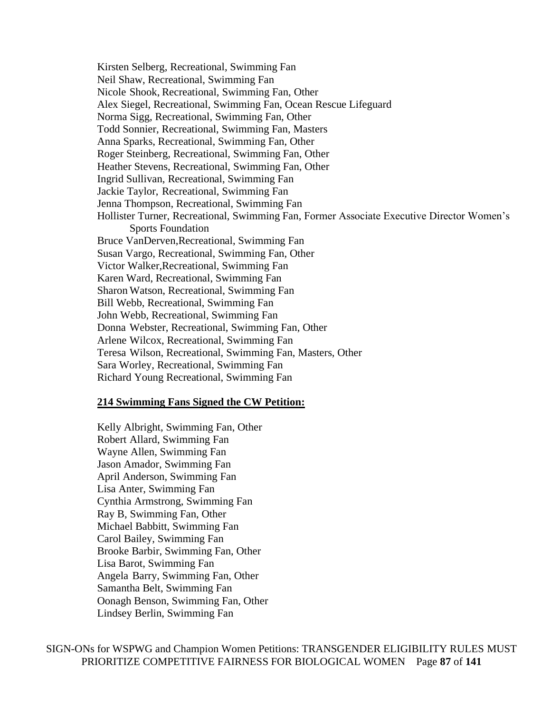Kirsten Selberg, Recreational, Swimming Fan Neil Shaw, Recreational, Swimming Fan Nicole Shook, Recreational, Swimming Fan, Other Alex Siegel, Recreational, Swimming Fan, Ocean Rescue Lifeguard Norma Sigg, Recreational, Swimming Fan, Other Todd Sonnier, Recreational, Swimming Fan, Masters Anna Sparks, Recreational, Swimming Fan, Other Roger Steinberg, Recreational, Swimming Fan, Other Heather Stevens, Recreational, Swimming Fan, Other Ingrid Sullivan, Recreational, Swimming Fan Jackie Taylor, Recreational, Swimming Fan Jenna Thompson, Recreational, Swimming Fan Hollister Turner, Recreational, Swimming Fan, Former Associate Executive Director Women's Sports Foundation Bruce VanDerven,Recreational, Swimming Fan Susan Vargo, Recreational, Swimming Fan, Other Victor Walker,Recreational, Swimming Fan Karen Ward, Recreational, Swimming Fan Sharon Watson, Recreational, Swimming Fan Bill Webb, Recreational, Swimming Fan John Webb, Recreational, Swimming Fan Donna Webster, Recreational, Swimming Fan, Other Arlene Wilcox, Recreational, Swimming Fan Teresa Wilson, Recreational, Swimming Fan, Masters, Other Sara Worley, Recreational, Swimming Fan Richard Young Recreational, Swimming Fan

### **214 Swimming Fans Signed the CW Petition:**

Kelly Albright, Swimming Fan, Other Robert Allard, Swimming Fan Wayne Allen, Swimming Fan Jason Amador, Swimming Fan April Anderson, Swimming Fan Lisa Anter, Swimming Fan Cynthia Armstrong, Swimming Fan Ray B, Swimming Fan, Other Michael Babbitt, Swimming Fan Carol Bailey, Swimming Fan Brooke Barbir, Swimming Fan, Other Lisa Barot, Swimming Fan Angela Barry, Swimming Fan, Other Samantha Belt, Swimming Fan Oonagh Benson, Swimming Fan, Other Lindsey Berlin, Swimming Fan

SIGN-ONs for WSPWG and Champion Women Petitions: TRANSGENDER ELIGIBILITY RULES MUST PRIORITIZE COMPETITIVE FAIRNESS FOR BIOLOGICAL WOMEN Page **87** of **141**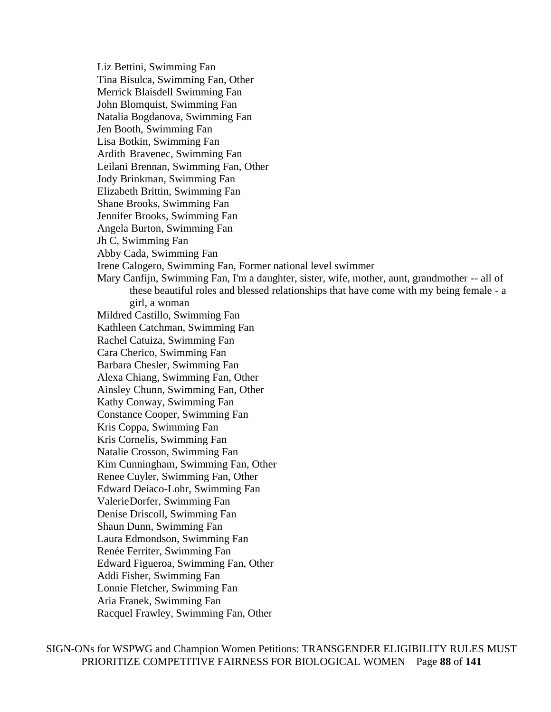Liz Bettini, Swimming Fan Tina Bisulca, Swimming Fan, Other Merrick Blaisdell Swimming Fan John Blomquist, Swimming Fan Natalia Bogdanova, Swimming Fan Jen Booth, Swimming Fan Lisa Botkin, Swimming Fan Ardith Bravenec, Swimming Fan Leilani Brennan, Swimming Fan, Other Jody Brinkman, Swimming Fan Elizabeth Brittin, Swimming Fan Shane Brooks, Swimming Fan Jennifer Brooks, Swimming Fan Angela Burton, Swimming Fan Jh C, Swimming Fan Abby Cada, Swimming Fan Irene Calogero, Swimming Fan, Former national level swimmer Mary Canfijn, Swimming Fan, I'm a daughter, sister, wife, mother, aunt, grandmother -- all of these beautiful roles and blessed relationships that have come with my being female - a girl, a woman Mildred Castillo, Swimming Fan Kathleen Catchman, Swimming Fan Rachel Catuiza, Swimming Fan Cara Cherico, Swimming Fan Barbara Chesler, Swimming Fan Alexa Chiang, Swimming Fan, Other Ainsley Chunn, Swimming Fan, Other Kathy Conway, Swimming Fan Constance Cooper, Swimming Fan Kris Coppa, Swimming Fan Kris Cornelis, Swimming Fan Natalie Crosson, Swimming Fan Kim Cunningham, Swimming Fan, Other Renee Cuyler, Swimming Fan, Other Edward Deiaco-Lohr, Swimming Fan ValerieDorfer, Swimming Fan Denise Driscoll, Swimming Fan Shaun Dunn, Swimming Fan Laura Edmondson, Swimming Fan Renée Ferriter, Swimming Fan Edward Figueroa, Swimming Fan, Other Addi Fisher, Swimming Fan Lonnie Fletcher, Swimming Fan Aria Franek, Swimming Fan Racquel Frawley, Swimming Fan, Other

SIGN-ONs for WSPWG and Champion Women Petitions: TRANSGENDER ELIGIBILITY RULES MUST PRIORITIZE COMPETITIVE FAIRNESS FOR BIOLOGICAL WOMEN Page **88** of **141**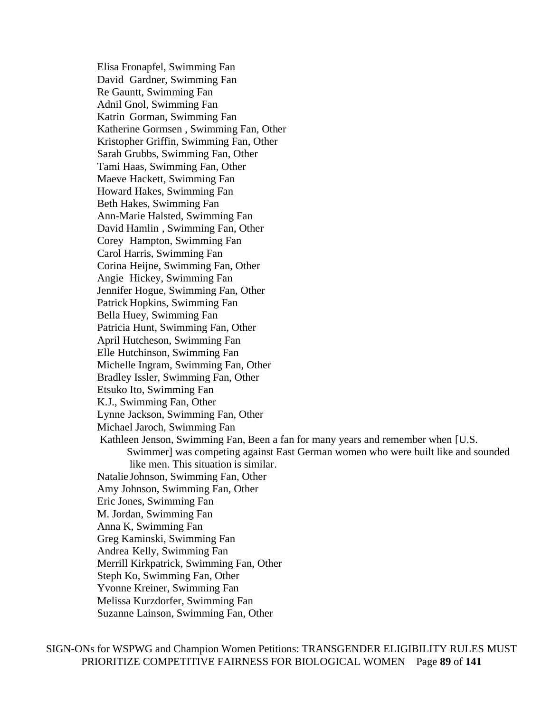Elisa Fronapfel, Swimming Fan David Gardner, Swimming Fan Re Gauntt, Swimming Fan Adnil Gnol, Swimming Fan Katrin Gorman, Swimming Fan Katherine Gormsen , Swimming Fan, Other Kristopher Griffin, Swimming Fan, Other Sarah Grubbs, Swimming Fan, Other Tami Haas, Swimming Fan, Other Maeve Hackett, Swimming Fan Howard Hakes, Swimming Fan Beth Hakes, Swimming Fan Ann-Marie Halsted, Swimming Fan David Hamlin , Swimming Fan, Other Corey Hampton, Swimming Fan Carol Harris, Swimming Fan Corina Heijne, Swimming Fan, Other Angie Hickey, Swimming Fan Jennifer Hogue, Swimming Fan, Other Patrick Hopkins, Swimming Fan Bella Huey, Swimming Fan Patricia Hunt, Swimming Fan, Other April Hutcheson, Swimming Fan Elle Hutchinson, Swimming Fan Michelle Ingram, Swimming Fan, Other Bradley Issler, Swimming Fan, Other Etsuko Ito, Swimming Fan K.J., Swimming Fan, Other Lynne Jackson, Swimming Fan, Other Michael Jaroch, Swimming Fan Kathleen Jenson, Swimming Fan, Been a fan for many years and remember when [U.S. Swimmer] was competing against East German women who were built like and sounded like men. This situation is similar. Natalie Johnson, Swimming Fan, Other Amy Johnson, Swimming Fan, Other Eric Jones, Swimming Fan M. Jordan, Swimming Fan Anna K, Swimming Fan Greg Kaminski, Swimming Fan Andrea Kelly, Swimming Fan Merrill Kirkpatrick, Swimming Fan, Other Steph Ko, Swimming Fan, Other Yvonne Kreiner, Swimming Fan Melissa Kurzdorfer, Swimming Fan Suzanne Lainson, Swimming Fan, Other

SIGN-ONs for WSPWG and Champion Women Petitions: TRANSGENDER ELIGIBILITY RULES MUST PRIORITIZE COMPETITIVE FAIRNESS FOR BIOLOGICAL WOMEN Page **89** of **141**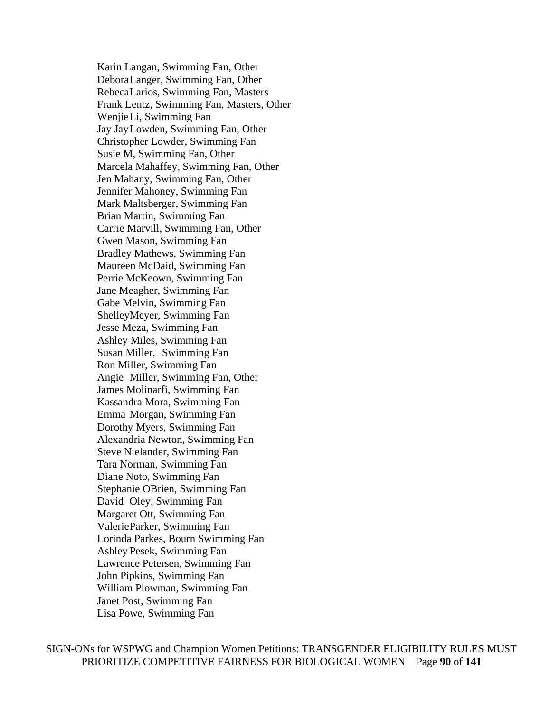Karin Langan, Swimming Fan, Other DeboraLanger, Swimming Fan, Other RebecaLarios, Swimming Fan, Masters Frank Lentz, Swimming Fan, Masters, Other WenjieLi, Swimming Fan Jay JayLowden, Swimming Fan, Other Christopher Lowder, Swimming Fan Susie M, Swimming Fan, Other Marcela Mahaffey, Swimming Fan, Other Jen Mahany, Swimming Fan, Other Jennifer Mahoney, Swimming Fan Mark Maltsberger, Swimming Fan Brian Martin, Swimming Fan Carrie Marvill, Swimming Fan, Other Gwen Mason, Swimming Fan Bradley Mathews, Swimming Fan Maureen McDaid, Swimming Fan Perrie McKeown, Swimming Fan Jane Meagher, Swimming Fan Gabe Melvin, Swimming Fan ShelleyMeyer, Swimming Fan Jesse Meza, Swimming Fan Ashley Miles, Swimming Fan Susan Miller, Swimming Fan Ron Miller, Swimming Fan Angie Miller, Swimming Fan, Other James Molinarfi, Swimming Fan Kassandra Mora, Swimming Fan Emma Morgan, Swimming Fan Dorothy Myers, Swimming Fan Alexandria Newton, Swimming Fan Steve Nielander, Swimming Fan Tara Norman, Swimming Fan Diane Noto, Swimming Fan Stephanie OBrien, Swimming Fan David Oley, Swimming Fan Margaret Ott, Swimming Fan ValerieParker, Swimming Fan Lorinda Parkes, Bourn Swimming Fan Ashley Pesek, Swimming Fan Lawrence Petersen, Swimming Fan John Pipkins, Swimming Fan William Plowman, Swimming Fan Janet Post, Swimming Fan Lisa Powe, Swimming Fan

SIGN-ONs for WSPWG and Champion Women Petitions: TRANSGENDER ELIGIBILITY RULES MUST PRIORITIZE COMPETITIVE FAIRNESS FOR BIOLOGICAL WOMEN Page **90** of **141**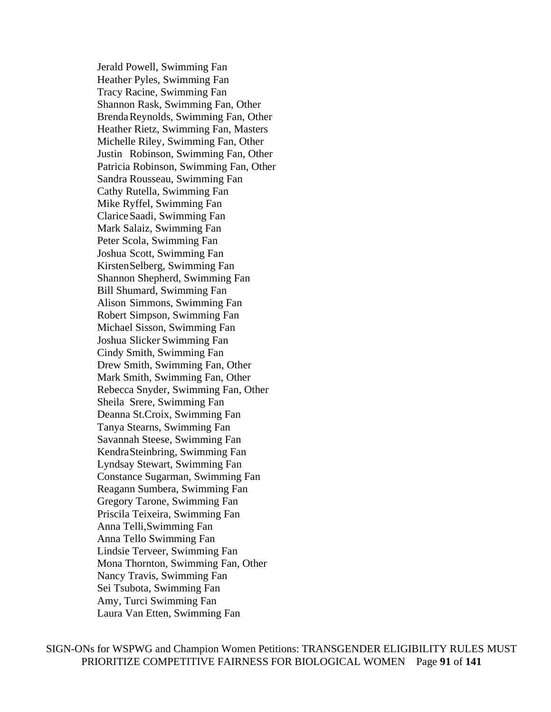Jerald Powell, Swimming Fan Heather Pyles, Swimming Fan Tracy Racine, Swimming Fan Shannon Rask, Swimming Fan, Other BrendaReynolds, Swimming Fan, Other Heather Rietz, Swimming Fan, Masters Michelle Riley, Swimming Fan, Other Justin Robinson, Swimming Fan, Other Patricia Robinson, Swimming Fan, Other Sandra Rousseau, Swimming Fan Cathy Rutella, Swimming Fan Mike Ryffel, Swimming Fan ClariceSaadi, Swimming Fan Mark Salaiz, Swimming Fan Peter Scola, Swimming Fan Joshua Scott, Swimming Fan KirstenSelberg, Swimming Fan Shannon Shepherd, Swimming Fan Bill Shumard, Swimming Fan Alison Simmons, Swimming Fan Robert Simpson, Swimming Fan Michael Sisson, Swimming Fan Joshua Slicker Swimming Fan Cindy Smith, Swimming Fan Drew Smith, Swimming Fan, Other Mark Smith, Swimming Fan, Other Rebecca Snyder, Swimming Fan, Other Sheila Srere, Swimming Fan Deanna St.Croix, Swimming Fan Tanya Stearns, Swimming Fan Savannah Steese, Swimming Fan KendraSteinbring, Swimming Fan Lyndsay Stewart, Swimming Fan Constance Sugarman, Swimming Fan Reagann Sumbera, Swimming Fan Gregory Tarone, Swimming Fan Priscila Teixeira, Swimming Fan Anna Telli,Swimming Fan Anna Tello Swimming Fan Lindsie Terveer, Swimming Fan Mona Thornton, Swimming Fan, Other Nancy Travis, Swimming Fan Sei Tsubota, Swimming Fan Amy, Turci Swimming Fan Laura Van Etten, Swimming Fan

SIGN-ONs for WSPWG and Champion Women Petitions: TRANSGENDER ELIGIBILITY RULES MUST PRIORITIZE COMPETITIVE FAIRNESS FOR BIOLOGICAL WOMEN Page **91** of **141**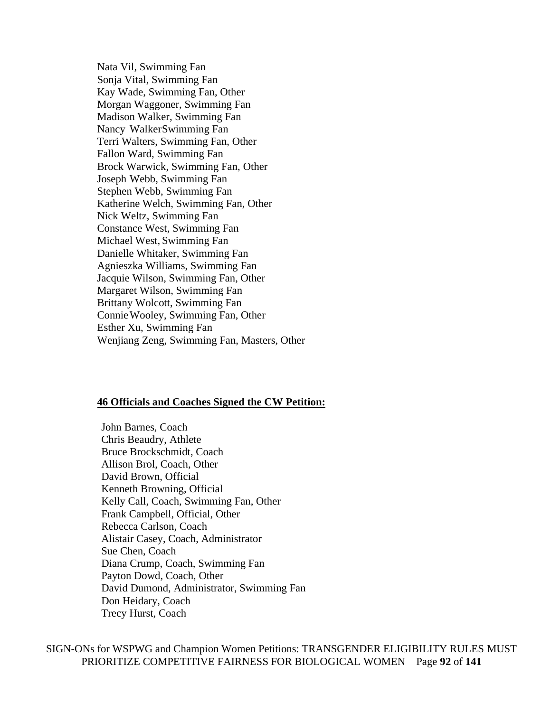Nata Vil, Swimming Fan Sonja Vital, Swimming Fan Kay Wade, Swimming Fan, Other Morgan Waggoner, Swimming Fan Madison Walker, Swimming Fan Nancy WalkerSwimming Fan Terri Walters, Swimming Fan, Other Fallon Ward, Swimming Fan Brock Warwick, Swimming Fan, Other Joseph Webb, Swimming Fan Stephen Webb, Swimming Fan Katherine Welch, Swimming Fan, Other Nick Weltz, Swimming Fan Constance West, Swimming Fan Michael West, Swimming Fan Danielle Whitaker, Swimming Fan Agnieszka Williams, Swimming Fan Jacquie Wilson, Swimming Fan, Other Margaret Wilson, Swimming Fan Brittany Wolcott, Swimming Fan ConnieWooley, Swimming Fan, Other Esther Xu, Swimming Fan Wenjiang Zeng, Swimming Fan, Masters, Other

#### **46 Officials and Coaches Signed the CW Petition:**

John Barnes, Coach Chris Beaudry, Athlete Bruce Brockschmidt, Coach Allison Brol, Coach, Other David Brown, Official Kenneth Browning, Official Kelly Call, Coach, Swimming Fan, Other Frank Campbell, Official, Other Rebecca Carlson, Coach Alistair Casey, Coach, Administrator Sue Chen, Coach Diana Crump, Coach, Swimming Fan Payton Dowd, Coach, Other David Dumond, Administrator, Swimming Fan Don Heidary, Coach Trecy Hurst, Coach

SIGN-ONs for WSPWG and Champion Women Petitions: TRANSGENDER ELIGIBILITY RULES MUST PRIORITIZE COMPETITIVE FAIRNESS FOR BIOLOGICAL WOMEN Page **92** of **141**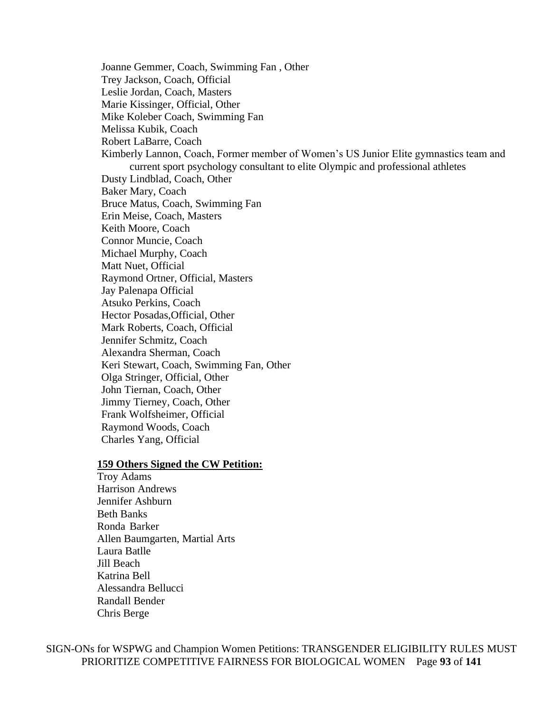Joanne Gemmer, Coach, Swimming Fan , Other Trey Jackson, Coach, Official Leslie Jordan, Coach, Masters Marie Kissinger, Official, Other Mike Koleber Coach, Swimming Fan Melissa Kubik, Coach Robert LaBarre, Coach Kimberly Lannon, Coach, Former member of Women's US Junior Elite gymnastics team and current sport psychology consultant to elite Olympic and professional athletes Dusty Lindblad, Coach, Other Baker Mary, Coach Bruce Matus, Coach, Swimming Fan Erin Meise, Coach, Masters Keith Moore, Coach Connor Muncie, Coach Michael Murphy, Coach Matt Nuet, Official Raymond Ortner, Official, Masters Jay Palenapa Official Atsuko Perkins, Coach Hector Posadas,Official, Other Mark Roberts, Coach, Official Jennifer Schmitz, Coach Alexandra Sherman, Coach Keri Stewart, Coach, Swimming Fan, Other Olga Stringer, Official, Other John Tiernan, Coach, Other Jimmy Tierney, Coach, Other Frank Wolfsheimer, Official Raymond Woods, Coach Charles Yang, Official

# **159 Others Signed the CW Petition:**

Troy Adams Harrison Andrews Jennifer Ashburn Beth Banks Ronda Barker Allen Baumgarten, Martial Arts Laura Batlle Jill Beach Katrina Bell Alessandra Bellucci Randall Bender Chris Berge

SIGN-ONs for WSPWG and Champion Women Petitions: TRANSGENDER ELIGIBILITY RULES MUST PRIORITIZE COMPETITIVE FAIRNESS FOR BIOLOGICAL WOMEN Page **93** of **141**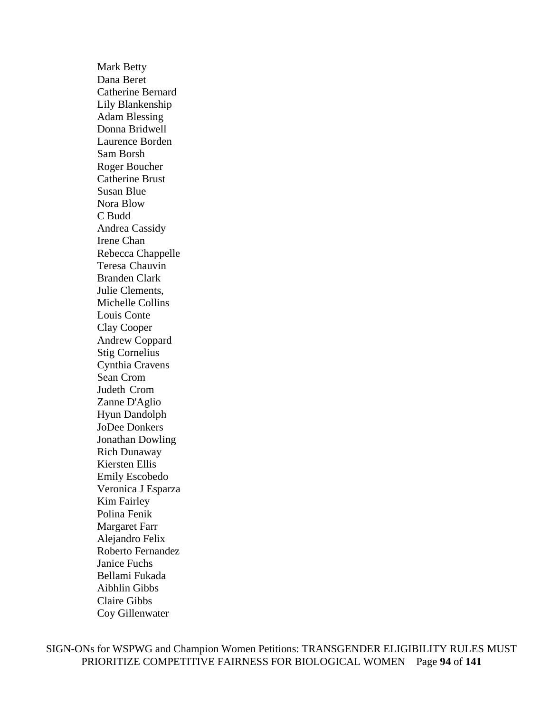Mark Betty Dana Beret Catherine Bernard Lily Blankenship Adam Blessing Donna Bridwell Laurence Borden Sam Borsh Roger Boucher Catherine Brust Susan Blue Nora Blow C Budd Andrea Cassidy Irene Chan Rebecca Chappelle Teresa Chauvin Branden Clark Julie Clements, Michelle Collins Louis Conte Clay Cooper Andrew Coppard Stig Cornelius Cynthia Cravens Sean Crom Judeth Crom Zanne D'Aglio Hyun Dandolph JoDee Donkers Jonathan Dowling Rich Dunaway Kiersten Ellis Emily Escobedo Veronica J Esparza Kim Fairley Polina Fenik Margaret Farr Alejandro Felix Roberto Fernandez Janice Fuchs Bellami Fukada Aibhlin Gibbs Claire Gibbs Coy Gillenwater

SIGN-ONs for WSPWG and Champion Women Petitions: TRANSGENDER ELIGIBILITY RULES MUST PRIORITIZE COMPETITIVE FAIRNESS FOR BIOLOGICAL WOMEN Page **94** of **141**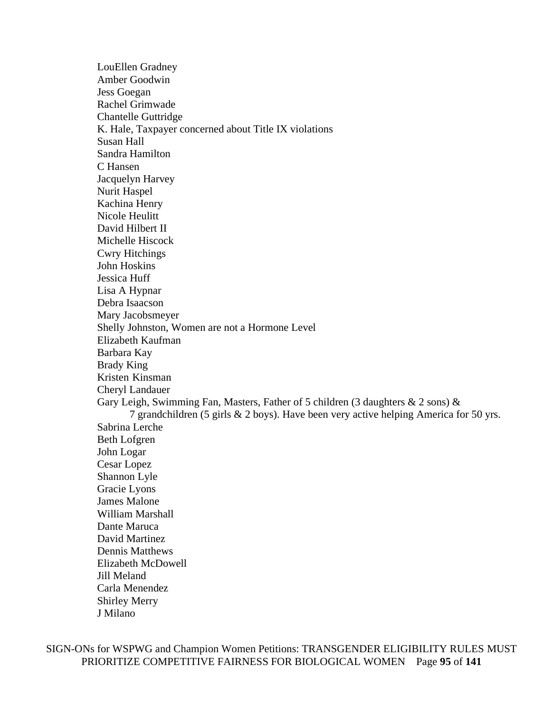LouEllen Gradney Amber Goodwin Jess Goegan Rachel Grimwade Chantelle Guttridge K. Hale, Taxpayer concerned about Title IX violations Susan Hall Sandra Hamilton C Hansen Jacquelyn Harvey Nurit Haspel Kachina Henry Nicole Heulitt David Hilbert II Michelle Hiscock Cwry Hitchings John Hoskins Jessica Huff Lisa A Hypnar Debra Isaacson Mary Jacobsmeyer Shelly Johnston, Women are not a Hormone Level Elizabeth Kaufman Barbara Kay Brady King Kristen Kinsman Cheryl Landauer Gary Leigh, Swimming Fan, Masters, Father of 5 children (3 daughters  $\&$  2 sons)  $\&$ 7 grandchildren (5 girls & 2 boys). Have been very active helping America for 50 yrs. Sabrina Lerche Beth Lofgren John Logar Cesar Lopez Shannon Lyle Gracie Lyons James Malone William Marshall Dante Maruca David Martinez Dennis Matthews Elizabeth McDowell Jill Meland Carla Menendez Shirley Merry J Milano

SIGN-ONs for WSPWG and Champion Women Petitions: TRANSGENDER ELIGIBILITY RULES MUST PRIORITIZE COMPETITIVE FAIRNESS FOR BIOLOGICAL WOMEN Page **95** of **141**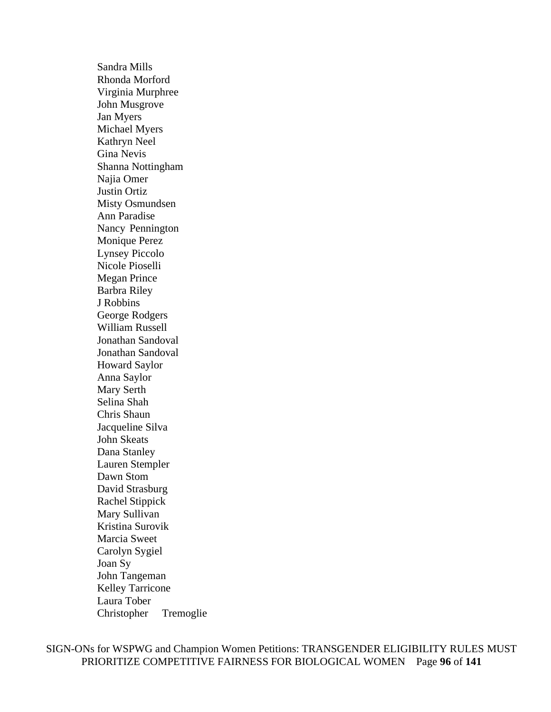Sandra Mills Rhonda Morford Virginia Murphree John Musgrove Jan Myers Michael Myers Kathryn Neel Gina Nevis Shanna Nottingham Najia Omer Justin Ortiz Misty Osmundsen Ann Paradise Nancy Pennington Monique Perez Lynsey Piccolo Nicole Pioselli Megan Prince Barbra Riley J Robbins George Rodgers William Russell Jonathan Sandoval Jonathan Sandoval Howard Saylor Anna Saylor Mary Serth Selina Shah Chris Shaun Jacqueline Silva John Skeats Dana Stanley Lauren Stempler Dawn Stom David Strasburg Rachel Stippick Mary Sullivan Kristina Surovik Marcia Sweet Carolyn Sygiel Joan Sy John Tangeman Kelley Tarricone Laura Tober Christopher Tremoglie

SIGN-ONs for WSPWG and Champion Women Petitions: TRANSGENDER ELIGIBILITY RULES MUST PRIORITIZE COMPETITIVE FAIRNESS FOR BIOLOGICAL WOMEN Page **96** of **141**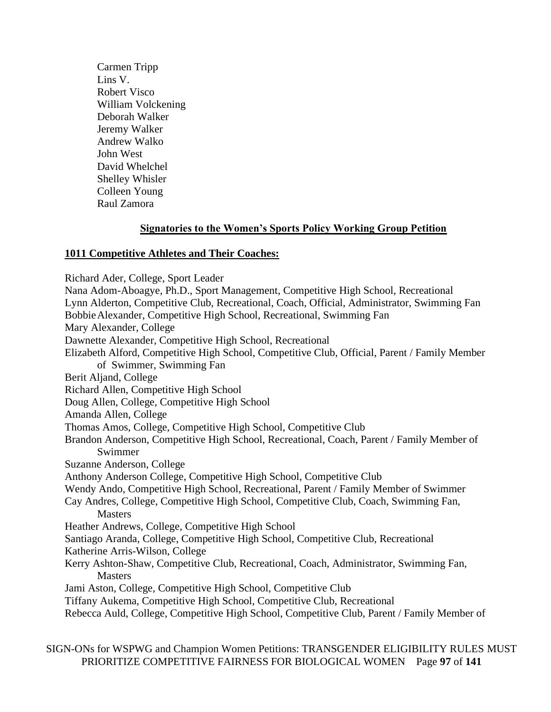Carmen Tripp Lins V. Robert Visco William Volckening Deborah Walker Jeremy Walker Andrew Walko John West David Whelchel Shelley Whisler Colleen Young Raul Zamora

# **Signatories to the Women's Sports Policy Working Group Petition**

## **1011 Competitive Athletes and Their Coaches:**

Richard Ader, College, Sport Leader

Nana Adom-Aboagye, Ph.D., Sport Management, Competitive High School, Recreational Lynn Alderton, Competitive Club, Recreational, Coach, Official, Administrator, Swimming Fan BobbieAlexander, Competitive High School, Recreational, Swimming Fan Mary Alexander, College Dawnette Alexander, Competitive High School, Recreational Elizabeth Alford, Competitive High School, Competitive Club, Official, Parent / Family Member of Swimmer, Swimming Fan Berit Aljand, College Richard Allen, Competitive High School Doug Allen, College, Competitive High School Amanda Allen, College Thomas Amos, College, Competitive High School, Competitive Club Brandon Anderson, Competitive High School, Recreational, Coach, Parent / Family Member of Swimmer Suzanne Anderson, College Anthony Anderson College, Competitive High School, Competitive Club Wendy Ando, Competitive High School, Recreational, Parent / Family Member of Swimmer Cay Andres, College, Competitive High School, Competitive Club, Coach, Swimming Fan, **Masters** Heather Andrews, College, Competitive High School Santiago Aranda, College, Competitive High School, Competitive Club, Recreational Katherine Arris-Wilson, College Kerry Ashton-Shaw, Competitive Club, Recreational, Coach, Administrator, Swimming Fan, **Masters** Jami Aston, College, Competitive High School, Competitive Club Tiffany Aukema, Competitive High School, Competitive Club, Recreational Rebecca Auld, College, Competitive High School, Competitive Club, Parent / Family Member of

SIGN-ONs for WSPWG and Champion Women Petitions: TRANSGENDER ELIGIBILITY RULES MUST PRIORITIZE COMPETITIVE FAIRNESS FOR BIOLOGICAL WOMEN Page **97** of **141**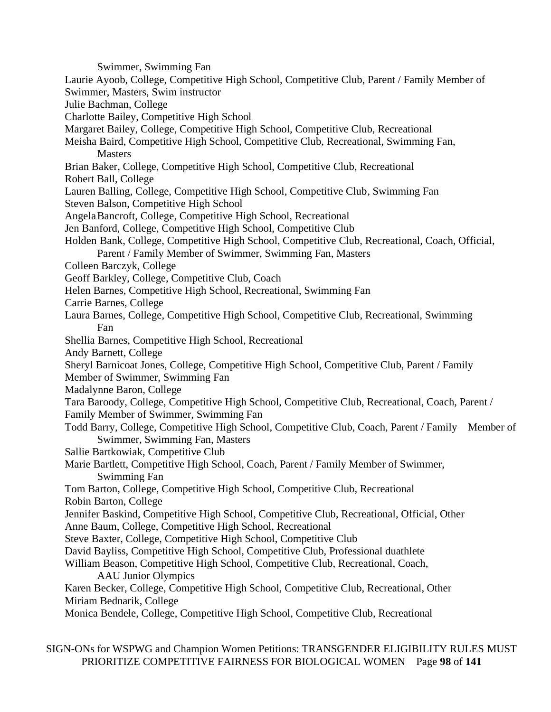Swimmer, Swimming Fan Laurie Ayoob, College, Competitive High School, Competitive Club, Parent / Family Member of Swimmer, Masters, Swim instructor Julie Bachman, College Charlotte Bailey, Competitive High School Margaret Bailey, College, Competitive High School, Competitive Club, Recreational Meisha Baird, Competitive High School, Competitive Club, Recreational, Swimming Fan, **Masters** Brian Baker, College, Competitive High School, Competitive Club, Recreational Robert Ball, College Lauren Balling, College, Competitive High School, Competitive Club, Swimming Fan Steven Balson, Competitive High School AngelaBancroft, College, Competitive High School, Recreational Jen Banford, College, Competitive High School, Competitive Club Holden Bank, College, Competitive High School, Competitive Club, Recreational, Coach, Official, Parent / Family Member of Swimmer, Swimming Fan, Masters Colleen Barczyk, College Geoff Barkley, College, Competitive Club, Coach Helen Barnes, Competitive High School, Recreational, Swimming Fan Carrie Barnes, College Laura Barnes, College, Competitive High School, Competitive Club, Recreational, Swimming Fan Shellia Barnes, Competitive High School, Recreational Andy Barnett, College Sheryl Barnicoat Jones, College, Competitive High School, Competitive Club, Parent / Family Member of Swimmer, Swimming Fan Madalynne Baron, College Tara Baroody, College, Competitive High School, Competitive Club, Recreational, Coach, Parent / Family Member of Swimmer, Swimming Fan Todd Barry, College, Competitive High School, Competitive Club, Coach, Parent / Family Member of Swimmer, Swimming Fan, Masters Sallie Bartkowiak, Competitive Club Marie Bartlett, Competitive High School, Coach, Parent / Family Member of Swimmer, Swimming Fan Tom Barton, College, Competitive High School, Competitive Club, Recreational Robin Barton, College Jennifer Baskind, Competitive High School, Competitive Club, Recreational, Official, Other Anne Baum, College, Competitive High School, Recreational Steve Baxter, College, Competitive High School, Competitive Club David Bayliss, Competitive High School, Competitive Club, Professional duathlete William Beason, Competitive High School, Competitive Club, Recreational, Coach, AAU Junior Olympics Karen Becker, College, Competitive High School, Competitive Club, Recreational, Other Miriam Bednarik, College Monica Bendele, College, Competitive High School, Competitive Club, Recreational

SIGN-ONs for WSPWG and Champion Women Petitions: TRANSGENDER ELIGIBILITY RULES MUST PRIORITIZE COMPETITIVE FAIRNESS FOR BIOLOGICAL WOMEN Page **98** of **141**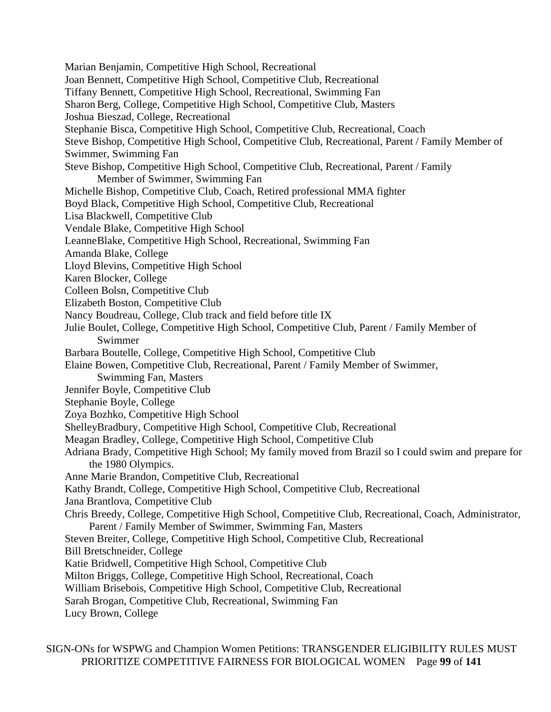Marian Benjamin, Competitive High School, Recreational Joan Bennett, Competitive High School, Competitive Club, Recreational Tiffany Bennett, Competitive High School, Recreational, Swimming Fan Sharon Berg, College, Competitive High School, Competitive Club, Masters Joshua Bieszad, College, Recreational Stephanie Bisca, Competitive High School, Competitive Club, Recreational, Coach Steve Bishop, Competitive High School, Competitive Club, Recreational, Parent / Family Member of Swimmer, Swimming Fan Steve Bishop, Competitive High School, Competitive Club, Recreational, Parent / Family Member of Swimmer, Swimming Fan Michelle Bishop, Competitive Club, Coach, Retired professional MMA fighter Boyd Black, Competitive High School, Competitive Club, Recreational Lisa Blackwell, Competitive Club Vendale Blake, Competitive High School LeanneBlake, Competitive High School, Recreational, Swimming Fan Amanda Blake, College Lloyd Blevins, Competitive High School Karen Blocker, College Colleen Bolsn, Competitive Club Elizabeth Boston, Competitive Club Nancy Boudreau, College, Club track and field before title IX Julie Boulet, College, Competitive High School, Competitive Club, Parent / Family Member of Swimmer Barbara Boutelle, College, Competitive High School, Competitive Club Elaine Bowen, Competitive Club, Recreational, Parent / Family Member of Swimmer, Swimming Fan, Masters Jennifer Boyle, Competitive Club Stephanie Boyle, College Zoya Bozhko, Competitive High School ShelleyBradbury, Competitive High School, Competitive Club, Recreational Meagan Bradley, College, Competitive High School, Competitive Club Adriana Brady, Competitive High School; My family moved from Brazil so I could swim and prepare for the 1980 Olympics. Anne Marie Brandon, Competitive Club, Recreational Kathy Brandt, College, Competitive High School, Competitive Club, Recreational Jana Brantlova, Competitive Club Chris Breedy, College, Competitive High School, Competitive Club, Recreational, Coach, Administrator, Parent / Family Member of Swimmer, Swimming Fan, Masters Steven Breiter, College, Competitive High School, Competitive Club, Recreational Bill Bretschneider, College Katie Bridwell, Competitive High School, Competitive Club Milton Briggs, College, Competitive High School, Recreational, Coach William Brisebois, Competitive High School, Competitive Club, Recreational Sarah Brogan, Competitive Club, Recreational, Swimming Fan Lucy Brown, College

SIGN-ONs for WSPWG and Champion Women Petitions: TRANSGENDER ELIGIBILITY RULES MUST PRIORITIZE COMPETITIVE FAIRNESS FOR BIOLOGICAL WOMEN Page **99** of **141**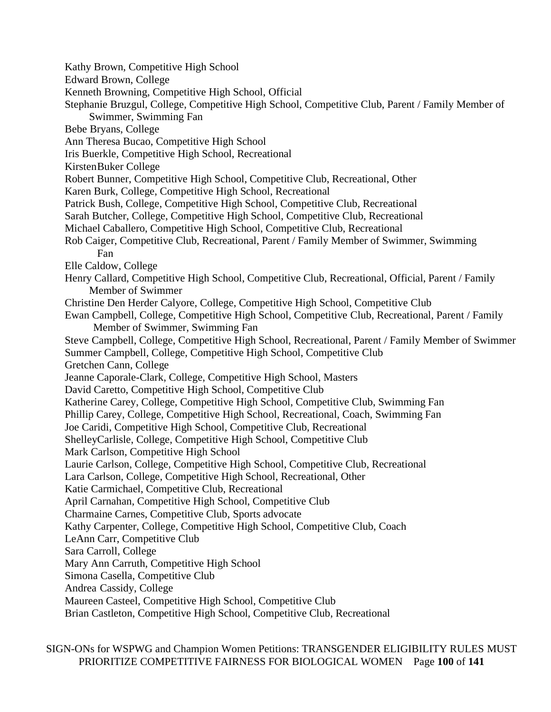- Kathy Brown, Competitive High School
- Edward Brown, College
- Kenneth Browning, Competitive High School, Official
- Stephanie Bruzgul, College, Competitive High School, Competitive Club, Parent / Family Member of Swimmer, Swimming Fan
- Bebe Bryans, College
- Ann Theresa Bucao, Competitive High School
- Iris Buerkle, Competitive High School, Recreational
- KirstenBuker College
- Robert Bunner, Competitive High School, Competitive Club, Recreational, Other
- Karen Burk, College, Competitive High School, Recreational
- Patrick Bush, College, Competitive High School, Competitive Club, Recreational
- Sarah Butcher, College, Competitive High School, Competitive Club, Recreational
- Michael Caballero, Competitive High School, Competitive Club, Recreational
- Rob Caiger, Competitive Club, Recreational, Parent / Family Member of Swimmer, Swimming Fan
- Elle Caldow, College
- Henry Callard, Competitive High School, Competitive Club, Recreational, Official, Parent / Family Member of Swimmer
- Christine Den Herder Calyore, College, Competitive High School, Competitive Club
- Ewan Campbell, College, Competitive High School, Competitive Club, Recreational, Parent / Family Member of Swimmer, Swimming Fan
- Steve Campbell, College, Competitive High School, Recreational, Parent / Family Member of Swimmer Summer Campbell, College, Competitive High School, Competitive Club
- Gretchen Cann, College
- Jeanne Caporale-Clark, College, Competitive High School, Masters
- David Caretto, Competitive High School, Competitive Club
- Katherine Carey, College, Competitive High School, Competitive Club, Swimming Fan
- Phillip Carey, College, Competitive High School, Recreational, Coach, Swimming Fan
- Joe Caridi, Competitive High School, Competitive Club, Recreational
- ShelleyCarlisle, College, Competitive High School, Competitive Club
- Mark Carlson, Competitive High School
- Laurie Carlson, College, Competitive High School, Competitive Club, Recreational
- Lara Carlson, College, Competitive High School, Recreational, Other
- Katie Carmichael, Competitive Club, Recreational
- April Carnahan, Competitive High School, Competitive Club
- Charmaine Carnes, Competitive Club, Sports advocate
- Kathy Carpenter, College, Competitive High School, Competitive Club, Coach
- LeAnn Carr, Competitive Club
- Sara Carroll, College
- Mary Ann Carruth, Competitive High School
- Simona Casella, Competitive Club
- Andrea Cassidy, College
- Maureen Casteel, Competitive High School, Competitive Club
- Brian Castleton, Competitive High School, Competitive Club, Recreational

SIGN-ONs for WSPWG and Champion Women Petitions: TRANSGENDER ELIGIBILITY RULES MUST PRIORITIZE COMPETITIVE FAIRNESS FOR BIOLOGICAL WOMEN Page **100** of **141**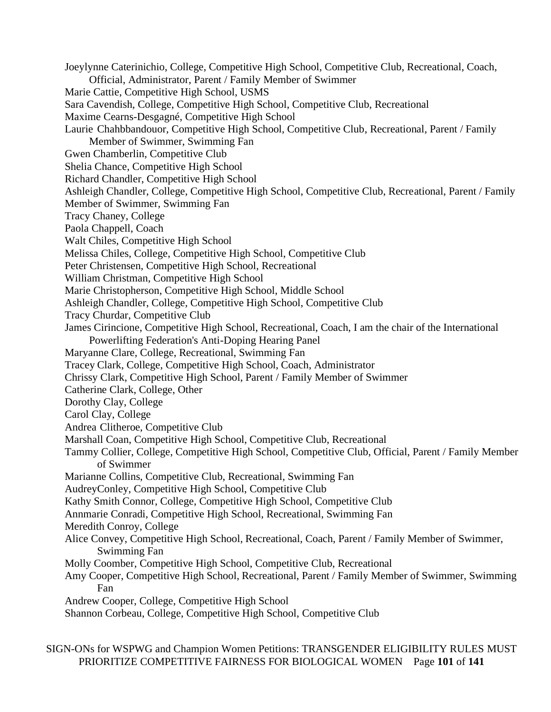Joeylynne Caterinichio, College, Competitive High School, Competitive Club, Recreational, Coach, Official, Administrator, Parent / Family Member of Swimmer Marie Cattie, Competitive High School, USMS Sara Cavendish, College, Competitive High School, Competitive Club, Recreational Maxime Cearns-Desgagné, Competitive High School Laurie Chahbbandouor, Competitive High School, Competitive Club, Recreational, Parent / Family Member of Swimmer, Swimming Fan Gwen Chamberlin, Competitive Club Shelia Chance, Competitive High School Richard Chandler, Competitive High School Ashleigh Chandler, College, Competitive High School, Competitive Club, Recreational, Parent / Family Member of Swimmer, Swimming Fan Tracy Chaney, College Paola Chappell, Coach Walt Chiles, Competitive High School Melissa Chiles, College, Competitive High School, Competitive Club Peter Christensen, Competitive High School, Recreational William Christman, Competitive High School Marie Christopherson, Competitive High School, Middle School Ashleigh Chandler, College, Competitive High School, Competitive Club Tracy Churdar, Competitive Club James Cirincione, Competitive High School, Recreational, Coach, I am the chair of the International Powerlifting Federation's Anti-Doping Hearing Panel Maryanne Clare, College, Recreational, Swimming Fan Tracey Clark, College, Competitive High School, Coach, Administrator Chrissy Clark, Competitive High School, Parent / Family Member of Swimmer Catherine Clark, College, Other Dorothy Clay, College Carol Clay, College Andrea Clitheroe, Competitive Club Marshall Coan, Competitive High School, Competitive Club, Recreational Tammy Collier, College, Competitive High School, Competitive Club, Official, Parent / Family Member of Swimmer Marianne Collins, Competitive Club, Recreational, Swimming Fan AudreyConley, Competitive High School, Competitive Club Kathy Smith Connor, College, Competitive High School, Competitive Club Annmarie Conradi, Competitive High School, Recreational, Swimming Fan Meredith Conroy, College Alice Convey, Competitive High School, Recreational, Coach, Parent / Family Member of Swimmer, Swimming Fan Molly Coomber, Competitive High School, Competitive Club, Recreational Amy Cooper, Competitive High School, Recreational, Parent / Family Member of Swimmer, Swimming Fan Andrew Cooper, College, Competitive High School Shannon Corbeau, College, Competitive High School, Competitive Club

SIGN-ONs for WSPWG and Champion Women Petitions: TRANSGENDER ELIGIBILITY RULES MUST PRIORITIZE COMPETITIVE FAIRNESS FOR BIOLOGICAL WOMEN Page **101** of **141**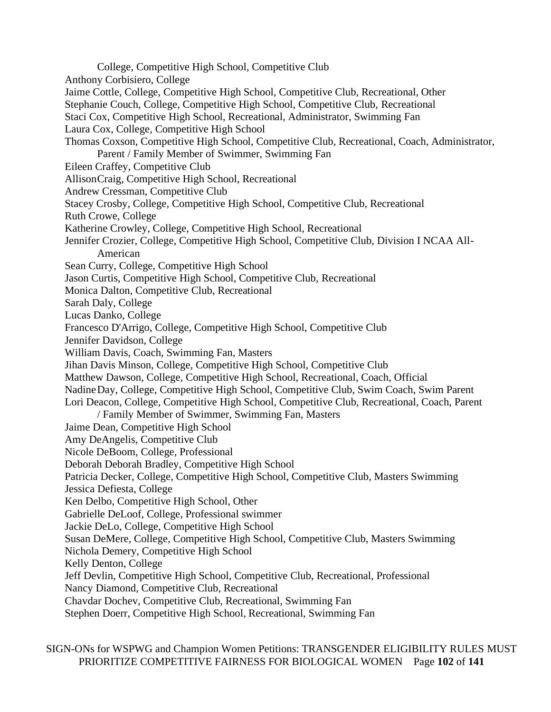College, Competitive High School, Competitive Club Anthony Corbisiero, College Jaime Cottle, College, Competitive High School, Competitive Club, Recreational, Other Stephanie Couch, College, Competitive High School, Competitive Club, Recreational Staci Cox, Competitive High School, Recreational, Administrator, Swimming Fan Laura Cox, College, Competitive High School Thomas Coxson, Competitive High School, Competitive Club, Recreational, Coach, Administrator, Parent / Family Member of Swimmer, Swimming Fan Eileen Craffey, Competitive Club AllisonCraig, Competitive High School, Recreational Andrew Cressman, Competitive Club Stacey Crosby, College, Competitive High School, Competitive Club, Recreational Ruth Crowe, College Katherine Crowley, College, Competitive High School, Recreational Jennifer Crozier, College, Competitive High School, Competitive Club, Division I NCAA All-American Sean Curry, College, Competitive High School Jason Curtis, Competitive High School, Competitive Club, Recreational Monica Dalton, Competitive Club, Recreational Sarah Daly, College Lucas Danko, College Francesco D'Arrigo, College, Competitive High School, Competitive Club Jennifer Davidson, College William Davis, Coach, Swimming Fan, Masters Jihan Davis Minson, College, Competitive High School, Competitive Club Matthew Dawson, College, Competitive High School, Recreational, Coach, Official NadineDay, College, Competitive High School, Competitive Club, Swim Coach, Swim Parent Lori Deacon, College, Competitive High School, Competitive Club, Recreational, Coach, Parent / Family Member of Swimmer, Swimming Fan, Masters Jaime Dean, Competitive High School Amy DeAngelis, Competitive Club Nicole DeBoom, College, Professional Deborah Deborah Bradley, Competitive High School Patricia Decker, College, Competitive High School, Competitive Club, Masters Swimming Jessica Defiesta, College Ken Delbo, Competitive High School, Other Gabrielle DeLoof, College, Professional swimmer Jackie DeLo, College, Competitive High School Susan DeMere, College, Competitive High School, Competitive Club, Masters Swimming Nichola Demery, Competitive High School Kelly Denton, College Jeff Devlin, Competitive High School, Competitive Club, Recreational, Professional Nancy Diamond, Competitive Club, Recreational Chavdar Dochev, Competitive Club, Recreational, Swimming Fan Stephen Doerr, Competitive High School, Recreational, Swimming Fan

SIGN-ONs for WSPWG and Champion Women Petitions: TRANSGENDER ELIGIBILITY RULES MUST PRIORITIZE COMPETITIVE FAIRNESS FOR BIOLOGICAL WOMEN Page **102** of **141**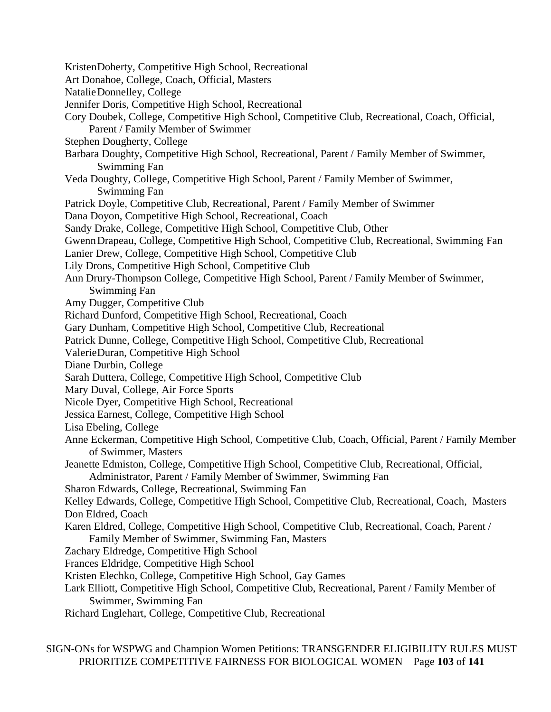- KristenDoherty, Competitive High School, Recreational
- Art Donahoe, College, Coach, Official, Masters
- NatalieDonnelley, College
- Jennifer Doris, Competitive High School, Recreational
- Cory Doubek, College, Competitive High School, Competitive Club, Recreational, Coach, Official, Parent / Family Member of Swimmer
- Stephen Dougherty, College
- Barbara Doughty, Competitive High School, Recreational, Parent / Family Member of Swimmer, Swimming Fan
- Veda Doughty, College, Competitive High School, Parent / Family Member of Swimmer, Swimming Fan
- Patrick Doyle, Competitive Club, Recreational, Parent / Family Member of Swimmer
- Dana Doyon, Competitive High School, Recreational, Coach
- Sandy Drake, College, Competitive High School, Competitive Club, Other
- GwennDrapeau, College, Competitive High School, Competitive Club, Recreational, Swimming Fan
- Lanier Drew, College, Competitive High School, Competitive Club
- Lily Drons, Competitive High School, Competitive Club
- Ann Drury-Thompson College, Competitive High School, Parent / Family Member of Swimmer, Swimming Fan
- Amy Dugger, Competitive Club
- Richard Dunford, Competitive High School, Recreational, Coach
- Gary Dunham, Competitive High School, Competitive Club, Recreational
- Patrick Dunne, College, Competitive High School, Competitive Club, Recreational
- ValerieDuran, Competitive High School
- Diane Durbin, College
- Sarah Duttera, College, Competitive High School, Competitive Club
- Mary Duval, College, Air Force Sports
- Nicole Dyer, Competitive High School, Recreational
- Jessica Earnest, College, Competitive High School
- Lisa Ebeling, College
- Anne Eckerman, Competitive High School, Competitive Club, Coach, Official, Parent / Family Member of Swimmer, Masters
- Jeanette Edmiston, College, Competitive High School, Competitive Club, Recreational, Official, Administrator, Parent / Family Member of Swimmer, Swimming Fan
- Sharon Edwards, College, Recreational, Swimming Fan

Kelley Edwards, College, Competitive High School, Competitive Club, Recreational, Coach, Masters Don Eldred, Coach

- Karen Eldred, College, Competitive High School, Competitive Club, Recreational, Coach, Parent / Family Member of Swimmer, Swimming Fan, Masters
- Zachary Eldredge, Competitive High School
- Frances Eldridge, Competitive High School
- Kristen Elechko, College, Competitive High School, Gay Games
- Lark Elliott, Competitive High School, Competitive Club, Recreational, Parent / Family Member of Swimmer, Swimming Fan
- Richard Englehart, College, Competitive Club, Recreational

SIGN-ONs for WSPWG and Champion Women Petitions: TRANSGENDER ELIGIBILITY RULES MUST PRIORITIZE COMPETITIVE FAIRNESS FOR BIOLOGICAL WOMEN Page **103** of **141**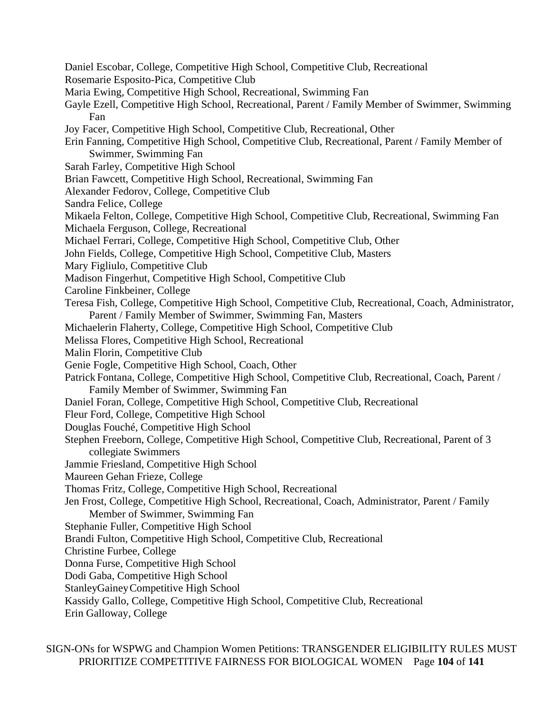Daniel Escobar, College, Competitive High School, Competitive Club, Recreational Rosemarie Esposito-Pica, Competitive Club Maria Ewing, Competitive High School, Recreational, Swimming Fan Gayle Ezell, Competitive High School, Recreational, Parent / Family Member of Swimmer, Swimming Fan Joy Facer, Competitive High School, Competitive Club, Recreational, Other Erin Fanning, Competitive High School, Competitive Club, Recreational, Parent / Family Member of Swimmer, Swimming Fan Sarah Farley, Competitive High School Brian Fawcett, Competitive High School, Recreational, Swimming Fan Alexander Fedorov, College, Competitive Club Sandra Felice, College Mikaela Felton, College, Competitive High School, Competitive Club, Recreational, Swimming Fan Michaela Ferguson, College, Recreational Michael Ferrari, College, Competitive High School, Competitive Club, Other John Fields, College, Competitive High School, Competitive Club, Masters Mary Figliulo, Competitive Club Madison Fingerhut, Competitive High School, Competitive Club Caroline Finkbeiner, College Teresa Fish, College, Competitive High School, Competitive Club, Recreational, Coach, Administrator, Parent / Family Member of Swimmer, Swimming Fan, Masters Michaelerin Flaherty, College, Competitive High School, Competitive Club Melissa Flores, Competitive High School, Recreational Malin Florin, Competitive Club Genie Fogle, Competitive High School, Coach, Other Patrick Fontana, College, Competitive High School, Competitive Club, Recreational, Coach, Parent / Family Member of Swimmer, Swimming Fan Daniel Foran, College, Competitive High School, Competitive Club, Recreational Fleur Ford, College, Competitive High School Douglas Fouché, Competitive High School Stephen Freeborn, College, Competitive High School, Competitive Club, Recreational, Parent of 3 collegiate Swimmers Jammie Friesland, Competitive High School Maureen Gehan Frieze, College Thomas Fritz, College, Competitive High School, Recreational Jen Frost, College, Competitive High School, Recreational, Coach, Administrator, Parent / Family Member of Swimmer, Swimming Fan Stephanie Fuller, Competitive High School Brandi Fulton, Competitive High School, Competitive Club, Recreational Christine Furbee, College Donna Furse, Competitive High School Dodi Gaba, Competitive High School StanleyGaineyCompetitive High School Kassidy Gallo, College, Competitive High School, Competitive Club, Recreational Erin Galloway, College

SIGN-ONs for WSPWG and Champion Women Petitions: TRANSGENDER ELIGIBILITY RULES MUST PRIORITIZE COMPETITIVE FAIRNESS FOR BIOLOGICAL WOMEN Page **104** of **141**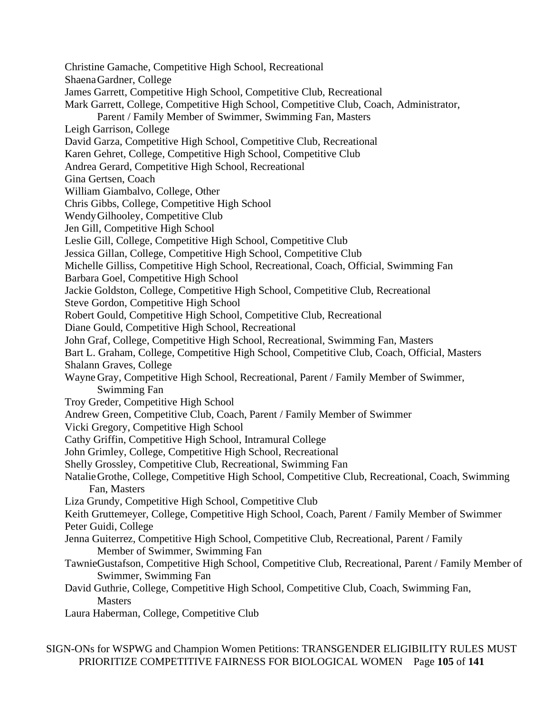Christine Gamache, Competitive High School, Recreational ShaenaGardner, College James Garrett, Competitive High School, Competitive Club, Recreational Mark Garrett, College, Competitive High School, Competitive Club, Coach, Administrator, Parent / Family Member of Swimmer, Swimming Fan, Masters Leigh Garrison, College David Garza, Competitive High School, Competitive Club, Recreational Karen Gehret, College, Competitive High School, Competitive Club Andrea Gerard, Competitive High School, Recreational Gina Gertsen, Coach William Giambalvo, College, Other Chris Gibbs, College, Competitive High School WendyGilhooley, Competitive Club Jen Gill, Competitive High School Leslie Gill, College, Competitive High School, Competitive Club Jessica Gillan, College, Competitive High School, Competitive Club Michelle Gilliss, Competitive High School, Recreational, Coach, Official, Swimming Fan Barbara Goel, Competitive High School Jackie Goldston, College, Competitive High School, Competitive Club, Recreational Steve Gordon, Competitive High School Robert Gould, Competitive High School, Competitive Club, Recreational Diane Gould, Competitive High School, Recreational John Graf, College, Competitive High School, Recreational, Swimming Fan, Masters Bart L. Graham, College, Competitive High School, Competitive Club, Coach, Official, Masters Shalann Graves, College Wayne Gray, Competitive High School, Recreational, Parent / Family Member of Swimmer, Swimming Fan Troy Greder, Competitive High School Andrew Green, Competitive Club, Coach, Parent / Family Member of Swimmer Vicki Gregory, Competitive High School Cathy Griffin, Competitive High School, Intramural College John Grimley, College, Competitive High School, Recreational Shelly Grossley, Competitive Club, Recreational, Swimming Fan NatalieGrothe, College, Competitive High School, Competitive Club, Recreational, Coach, Swimming Fan, Masters Liza Grundy, Competitive High School, Competitive Club Keith Gruttemeyer, College, Competitive High School, Coach, Parent / Family Member of Swimmer Peter Guidi, College Jenna Guiterrez, Competitive High School, Competitive Club, Recreational, Parent / Family Member of Swimmer, Swimming Fan TawnieGustafson, Competitive High School, Competitive Club, Recreational, Parent / Family Member of Swimmer, Swimming Fan David Guthrie, College, Competitive High School, Competitive Club, Coach, Swimming Fan, **Masters** Laura Haberman, College, Competitive Club

SIGN-ONs for WSPWG and Champion Women Petitions: TRANSGENDER ELIGIBILITY RULES MUST PRIORITIZE COMPETITIVE FAIRNESS FOR BIOLOGICAL WOMEN Page **105** of **141**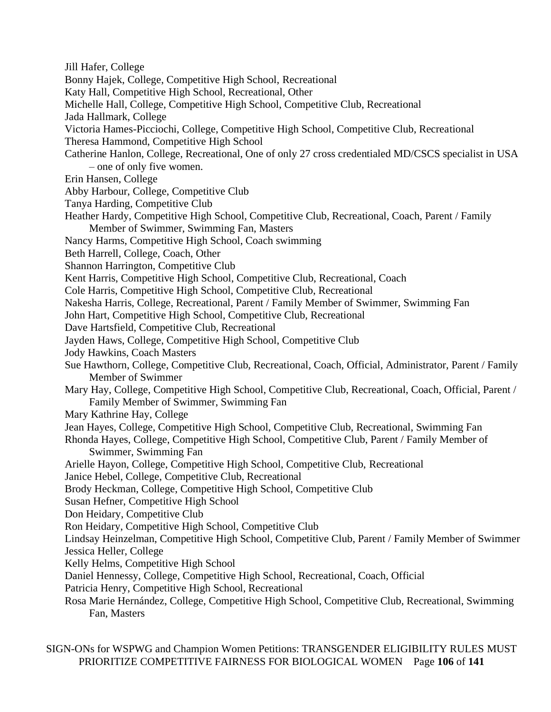Jill Hafer, College

- Bonny Hajek, College, Competitive High School, Recreational
- Katy Hall, Competitive High School, Recreational, Other
- Michelle Hall, College, Competitive High School, Competitive Club, Recreational
- Jada Hallmark, College
- Victoria Hames-Picciochi, College, Competitive High School, Competitive Club, Recreational
- Theresa Hammond, Competitive High School
- Catherine Hanlon, College, Recreational, One of only 27 cross credentialed MD/CSCS specialist in USA – one of only five women.
- Erin Hansen, College
- Abby Harbour, College, Competitive Club
- Tanya Harding, Competitive Club
- Heather Hardy, Competitive High School, Competitive Club, Recreational, Coach, Parent / Family Member of Swimmer, Swimming Fan, Masters
- Nancy Harms, Competitive High School, Coach swimming
- Beth Harrell, College, Coach, Other
- Shannon Harrington, Competitive Club
- Kent Harris, Competitive High School, Competitive Club, Recreational, Coach
- Cole Harris, Competitive High School, Competitive Club, Recreational
- Nakesha Harris, College, Recreational, Parent / Family Member of Swimmer, Swimming Fan
- John Hart, Competitive High School, Competitive Club, Recreational
- Dave Hartsfield, Competitive Club, Recreational
- Jayden Haws, College, Competitive High School, Competitive Club
- Jody Hawkins, Coach Masters
- Sue Hawthorn, College, Competitive Club, Recreational, Coach, Official, Administrator, Parent / Family Member of Swimmer
- Mary Hay, College, Competitive High School, Competitive Club, Recreational, Coach, Official, Parent / Family Member of Swimmer, Swimming Fan
- Mary Kathrine Hay, College
- Jean Hayes, College, Competitive High School, Competitive Club, Recreational, Swimming Fan
- Rhonda Hayes, College, Competitive High School, Competitive Club, Parent / Family Member of Swimmer, Swimming Fan
- Arielle Hayon, College, Competitive High School, Competitive Club, Recreational
- Janice Hebel, College, Competitive Club, Recreational
- Brody Heckman, College, Competitive High School, Competitive Club
- Susan Hefner, Competitive High School
- Don Heidary, Competitive Club
- Ron Heidary, Competitive High School, Competitive Club
- Lindsay Heinzelman, Competitive High School, Competitive Club, Parent / Family Member of Swimmer Jessica Heller, College
- Kelly Helms, Competitive High School
- Daniel Hennessy, College, Competitive High School, Recreational, Coach, Official
- Patricia Henry, Competitive High School, Recreational
- Rosa Marie Hernández, College, Competitive High School, Competitive Club, Recreational, Swimming Fan, Masters

SIGN-ONs for WSPWG and Champion Women Petitions: TRANSGENDER ELIGIBILITY RULES MUST PRIORITIZE COMPETITIVE FAIRNESS FOR BIOLOGICAL WOMEN Page **106** of **141**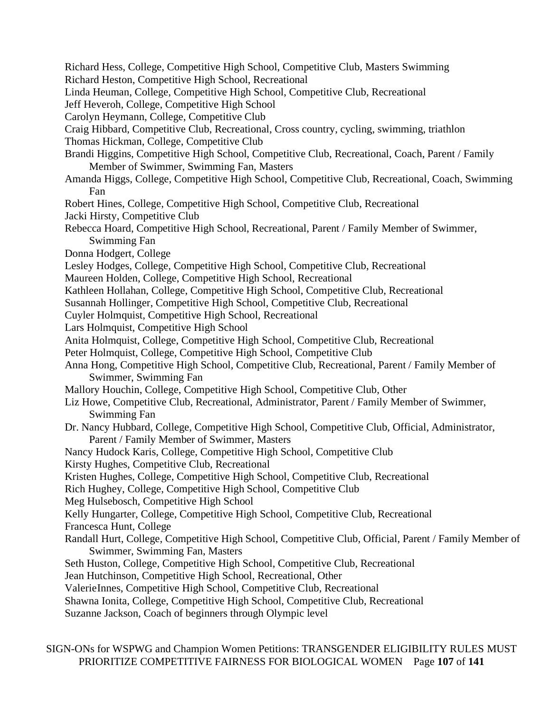Richard Hess, College, Competitive High School, Competitive Club, Masters Swimming Richard Heston, Competitive High School, Recreational Linda Heuman, College, Competitive High School, Competitive Club, Recreational Jeff Heveroh, College, Competitive High School Carolyn Heymann, College, Competitive Club Craig Hibbard, Competitive Club, Recreational, Cross country, cycling, swimming, triathlon Thomas Hickman, College, Competitive Club Brandi Higgins, Competitive High School, Competitive Club, Recreational, Coach, Parent / Family Member of Swimmer, Swimming Fan, Masters Amanda Higgs, College, Competitive High School, Competitive Club, Recreational, Coach, Swimming Fan Robert Hines, College, Competitive High School, Competitive Club, Recreational Jacki Hirsty, Competitive Club Rebecca Hoard, Competitive High School, Recreational, Parent / Family Member of Swimmer, Swimming Fan Donna Hodgert, College Lesley Hodges, College, Competitive High School, Competitive Club, Recreational Maureen Holden, College, Competitive High School, Recreational Kathleen Hollahan, College, Competitive High School, Competitive Club, Recreational Susannah Hollinger, Competitive High School, Competitive Club, Recreational Cuyler Holmquist, Competitive High School, Recreational Lars Holmquist, Competitive High School Anita Holmquist, College, Competitive High School, Competitive Club, Recreational Peter Holmquist, College, Competitive High School, Competitive Club Anna Hong, Competitive High School, Competitive Club, Recreational, Parent / Family Member of Swimmer, Swimming Fan Mallory Houchin, College, Competitive High School, Competitive Club, Other Liz Howe, Competitive Club, Recreational, Administrator, Parent / Family Member of Swimmer, Swimming Fan Dr. Nancy Hubbard, College, Competitive High School, Competitive Club, Official, Administrator, Parent / Family Member of Swimmer, Masters Nancy Hudock Karis, College, Competitive High School, Competitive Club Kirsty Hughes, Competitive Club, Recreational Kristen Hughes, College, Competitive High School, Competitive Club, Recreational Rich Hughey, College, Competitive High School, Competitive Club Meg Hulsebosch, Competitive High School Kelly Hungarter, College, Competitive High School, Competitive Club, Recreational Francesca Hunt, College Randall Hurt, College, Competitive High School, Competitive Club, Official, Parent / Family Member of Swimmer, Swimming Fan, Masters Seth Huston, College, Competitive High School, Competitive Club, Recreational Jean Hutchinson, Competitive High School, Recreational, Other ValerieInnes, Competitive High School, Competitive Club, Recreational Shawna Ionita, College, Competitive High School, Competitive Club, Recreational Suzanne Jackson, Coach of beginners through Olympic level

SIGN-ONs for WSPWG and Champion Women Petitions: TRANSGENDER ELIGIBILITY RULES MUST PRIORITIZE COMPETITIVE FAIRNESS FOR BIOLOGICAL WOMEN Page **107** of **141**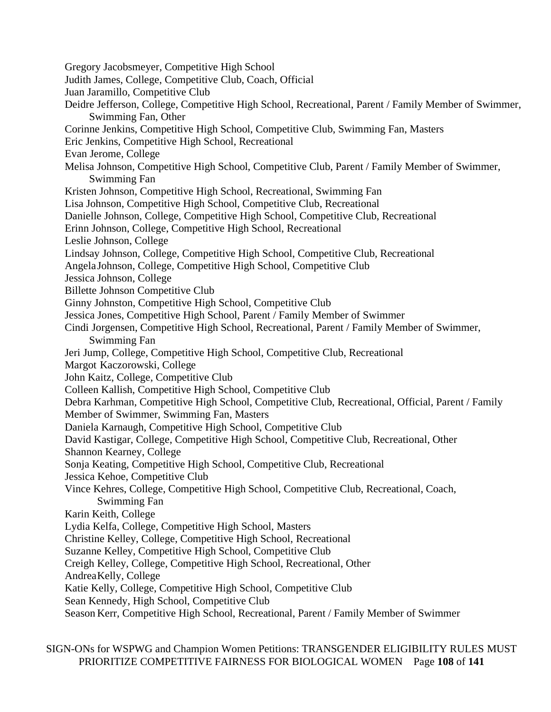Gregory Jacobsmeyer, Competitive High School Judith James, College, Competitive Club, Coach, Official Juan Jaramillo, Competitive Club Deidre Jefferson, College, Competitive High School, Recreational, Parent / Family Member of Swimmer, Swimming Fan, Other Corinne Jenkins, Competitive High School, Competitive Club, Swimming Fan, Masters Eric Jenkins, Competitive High School, Recreational Evan Jerome, College Melisa Johnson, Competitive High School, Competitive Club, Parent / Family Member of Swimmer, Swimming Fan Kristen Johnson, Competitive High School, Recreational, Swimming Fan Lisa Johnson, Competitive High School, Competitive Club, Recreational Danielle Johnson, College, Competitive High School, Competitive Club, Recreational Erinn Johnson, College, Competitive High School, Recreational Leslie Johnson, College Lindsay Johnson, College, Competitive High School, Competitive Club, Recreational AngelaJohnson, College, Competitive High School, Competitive Club Jessica Johnson, College Billette Johnson Competitive Club Ginny Johnston, Competitive High School, Competitive Club Jessica Jones, Competitive High School, Parent / Family Member of Swimmer Cindi Jorgensen, Competitive High School, Recreational, Parent / Family Member of Swimmer, Swimming Fan Jeri Jump, College, Competitive High School, Competitive Club, Recreational Margot Kaczorowski, College John Kaitz, College, Competitive Club Colleen Kallish, Competitive High School, Competitive Club Debra Karhman, Competitive High School, Competitive Club, Recreational, Official, Parent / Family Member of Swimmer, Swimming Fan, Masters Daniela Karnaugh, Competitive High School, Competitive Club David Kastigar, College, Competitive High School, Competitive Club, Recreational, Other Shannon Kearney, College Sonja Keating, Competitive High School, Competitive Club, Recreational Jessica Kehoe, Competitive Club Vince Kehres, College, Competitive High School, Competitive Club, Recreational, Coach, Swimming Fan Karin Keith, College Lydia Kelfa, College, Competitive High School, Masters Christine Kelley, College, Competitive High School, Recreational Suzanne Kelley, Competitive High School, Competitive Club Creigh Kelley, College, Competitive High School, Recreational, Other AndreaKelly, College Katie Kelly, College, Competitive High School, Competitive Club Sean Kennedy, High School, Competitive Club Season Kerr, Competitive High School, Recreational, Parent / Family Member of Swimmer

SIGN-ONs for WSPWG and Champion Women Petitions: TRANSGENDER ELIGIBILITY RULES MUST PRIORITIZE COMPETITIVE FAIRNESS FOR BIOLOGICAL WOMEN Page **108** of **141**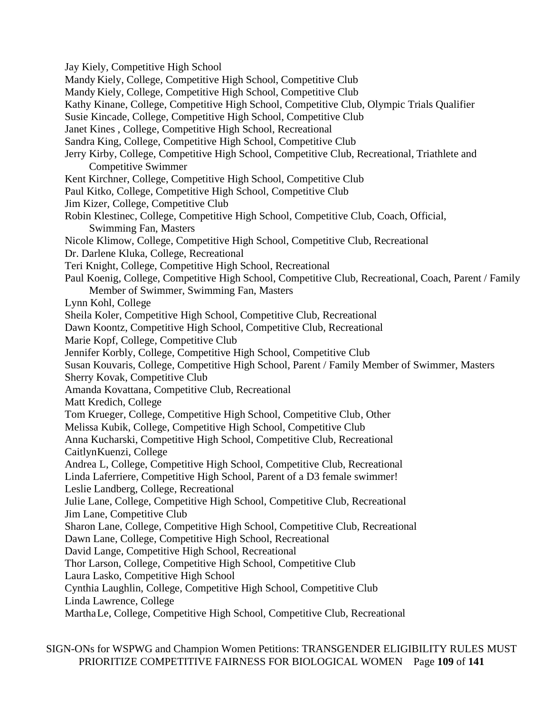Jay Kiely, Competitive High School

Mandy Kiely, College, Competitive High School, Competitive Club

Mandy Kiely, College, Competitive High School, Competitive Club

Kathy Kinane, College, Competitive High School, Competitive Club, Olympic Trials Qualifier

Susie Kincade, College, Competitive High School, Competitive Club

Janet Kines , College, Competitive High School, Recreational

Sandra King, College, Competitive High School, Competitive Club

- Jerry Kirby, College, Competitive High School, Competitive Club, Recreational, Triathlete and Competitive Swimmer
- Kent Kirchner, College, Competitive High School, Competitive Club
- Paul Kitko, College, Competitive High School, Competitive Club

Jim Kizer, College, Competitive Club

- Robin Klestinec, College, Competitive High School, Competitive Club, Coach, Official, Swimming Fan, Masters
- Nicole Klimow, College, Competitive High School, Competitive Club, Recreational

Dr. Darlene Kluka, College, Recreational

- Teri Knight, College, Competitive High School, Recreational
- Paul Koenig, College, Competitive High School, Competitive Club, Recreational, Coach, Parent / Family Member of Swimmer, Swimming Fan, Masters

Lynn Kohl, College

Sheila Koler, Competitive High School, Competitive Club, Recreational

Dawn Koontz, Competitive High School, Competitive Club, Recreational

Marie Kopf, College, Competitive Club

Jennifer Korbly, College, Competitive High School, Competitive Club

Susan Kouvaris, College, Competitive High School, Parent / Family Member of Swimmer, Masters

Sherry Kovak, Competitive Club

Amanda Kovattana, Competitive Club, Recreational

Matt Kredich, College

Tom Krueger, College, Competitive High School, Competitive Club, Other

Melissa Kubik, College, Competitive High School, Competitive Club

Anna Kucharski, Competitive High School, Competitive Club, Recreational CaitlynKuenzi, College

Andrea L, College, Competitive High School, Competitive Club, Recreational

Linda Laferriere, Competitive High School, Parent of a D3 female swimmer!

Leslie Landberg, College, Recreational

Julie Lane, College, Competitive High School, Competitive Club, Recreational Jim Lane, Competitive Club

Sharon Lane, College, Competitive High School, Competitive Club, Recreational

Dawn Lane, College, Competitive High School, Recreational

David Lange, Competitive High School, Recreational

Thor Larson, College, Competitive High School, Competitive Club

Laura Lasko, Competitive High School

Cynthia Laughlin, College, Competitive High School, Competitive Club

Linda Lawrence, College

MarthaLe, College, Competitive High School, Competitive Club, Recreational

SIGN-ONs for WSPWG and Champion Women Petitions: TRANSGENDER ELIGIBILITY RULES MUST PRIORITIZE COMPETITIVE FAIRNESS FOR BIOLOGICAL WOMEN Page **109** of **141**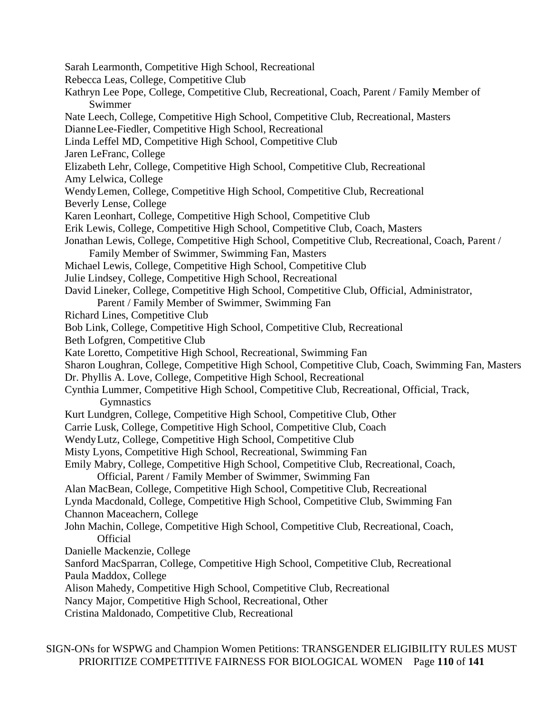Sarah Learmonth, Competitive High School, Recreational Rebecca Leas, College, Competitive Club Kathryn Lee Pope, College, Competitive Club, Recreational, Coach, Parent / Family Member of Swimmer Nate Leech, College, Competitive High School, Competitive Club, Recreational, Masters DianneLee-Fiedler, Competitive High School, Recreational Linda Leffel MD, Competitive High School, Competitive Club Jaren LeFranc, College Elizabeth Lehr, College, Competitive High School, Competitive Club, Recreational Amy Lelwica, College WendyLemen, College, Competitive High School, Competitive Club, Recreational Beverly Lense, College Karen Leonhart, College, Competitive High School, Competitive Club Erik Lewis, College, Competitive High School, Competitive Club, Coach, Masters Jonathan Lewis, College, Competitive High School, Competitive Club, Recreational, Coach, Parent / Family Member of Swimmer, Swimming Fan, Masters Michael Lewis, College, Competitive High School, Competitive Club Julie Lindsey, College, Competitive High School, Recreational David Lineker, College, Competitive High School, Competitive Club, Official, Administrator, Parent / Family Member of Swimmer, Swimming Fan Richard Lines, Competitive Club Bob Link, College, Competitive High School, Competitive Club, Recreational Beth Lofgren, Competitive Club Kate Loretto, Competitive High School, Recreational, Swimming Fan Sharon Loughran, College, Competitive High School, Competitive Club, Coach, Swimming Fan, Masters Dr. Phyllis A. Love, College, Competitive High School, Recreational Cynthia Lummer, Competitive High School, Competitive Club, Recreational, Official, Track, Gymnastics Kurt Lundgren, College, Competitive High School, Competitive Club, Other Carrie Lusk, College, Competitive High School, Competitive Club, Coach WendyLutz, College, Competitive High School, Competitive Club Misty Lyons, Competitive High School, Recreational, Swimming Fan Emily Mabry, College, Competitive High School, Competitive Club, Recreational, Coach, Official, Parent / Family Member of Swimmer, Swimming Fan Alan MacBean, College, Competitive High School, Competitive Club, Recreational Lynda Macdonald, College, Competitive High School, Competitive Club, Swimming Fan Channon Maceachern, College John Machin, College, Competitive High School, Competitive Club, Recreational, Coach, **Official** Danielle Mackenzie, College Sanford MacSparran, College, Competitive High School, Competitive Club, Recreational Paula Maddox, College Alison Mahedy, Competitive High School, Competitive Club, Recreational Nancy Major, Competitive High School, Recreational, Other Cristina Maldonado, Competitive Club, Recreational

SIGN-ONs for WSPWG and Champion Women Petitions: TRANSGENDER ELIGIBILITY RULES MUST PRIORITIZE COMPETITIVE FAIRNESS FOR BIOLOGICAL WOMEN Page **110** of **141**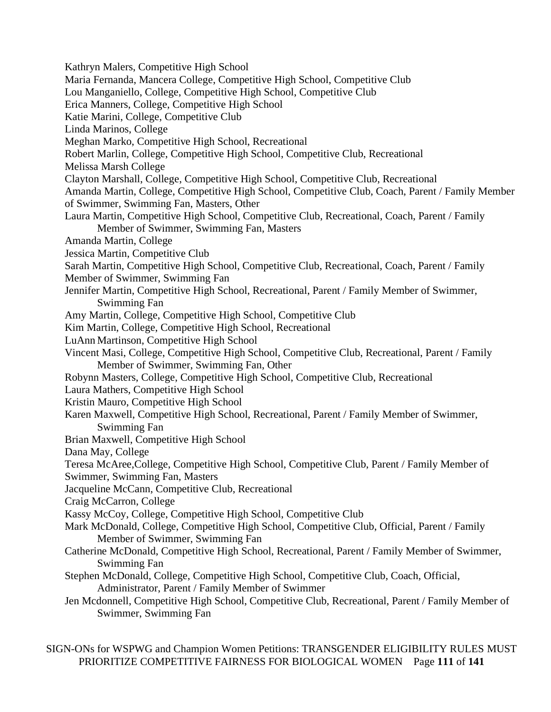Kathryn Malers, Competitive High School Maria Fernanda, Mancera College, Competitive High School, Competitive Club Lou Manganiello, College, Competitive High School, Competitive Club Erica Manners, College, Competitive High School Katie Marini, College, Competitive Club Linda Marinos, College Meghan Marko, Competitive High School, Recreational Robert Marlin, College, Competitive High School, Competitive Club, Recreational Melissa Marsh College Clayton Marshall, College, Competitive High School, Competitive Club, Recreational Amanda Martin, College, Competitive High School, Competitive Club, Coach, Parent / Family Member of Swimmer, Swimming Fan, Masters, Other Laura Martin, Competitive High School, Competitive Club, Recreational, Coach, Parent / Family Member of Swimmer, Swimming Fan, Masters Amanda Martin, College Jessica Martin, Competitive Club Sarah Martin, Competitive High School, Competitive Club, Recreational, Coach, Parent / Family Member of Swimmer, Swimming Fan Jennifer Martin, Competitive High School, Recreational, Parent / Family Member of Swimmer, Swimming Fan Amy Martin, College, Competitive High School, Competitive Club Kim Martin, College, Competitive High School, Recreational LuAnn Martinson, Competitive High School Vincent Masi, College, Competitive High School, Competitive Club, Recreational, Parent / Family Member of Swimmer, Swimming Fan, Other Robynn Masters, College, Competitive High School, Competitive Club, Recreational Laura Mathers, Competitive High School Kristin Mauro, Competitive High School Karen Maxwell, Competitive High School, Recreational, Parent / Family Member of Swimmer, Swimming Fan Brian Maxwell, Competitive High School Dana May, College Teresa McAree,College, Competitive High School, Competitive Club, Parent / Family Member of Swimmer, Swimming Fan, Masters Jacqueline McCann, Competitive Club, Recreational Craig McCarron, College Kassy McCoy, College, Competitive High School, Competitive Club Mark McDonald, College, Competitive High School, Competitive Club, Official, Parent / Family Member of Swimmer, Swimming Fan Catherine McDonald, Competitive High School, Recreational, Parent / Family Member of Swimmer, Swimming Fan Stephen McDonald, College, Competitive High School, Competitive Club, Coach, Official, Administrator, Parent / Family Member of Swimmer Jen Mcdonnell, Competitive High School, Competitive Club, Recreational, Parent / Family Member of Swimmer, Swimming Fan

SIGN-ONs for WSPWG and Champion Women Petitions: TRANSGENDER ELIGIBILITY RULES MUST PRIORITIZE COMPETITIVE FAIRNESS FOR BIOLOGICAL WOMEN Page **111** of **141**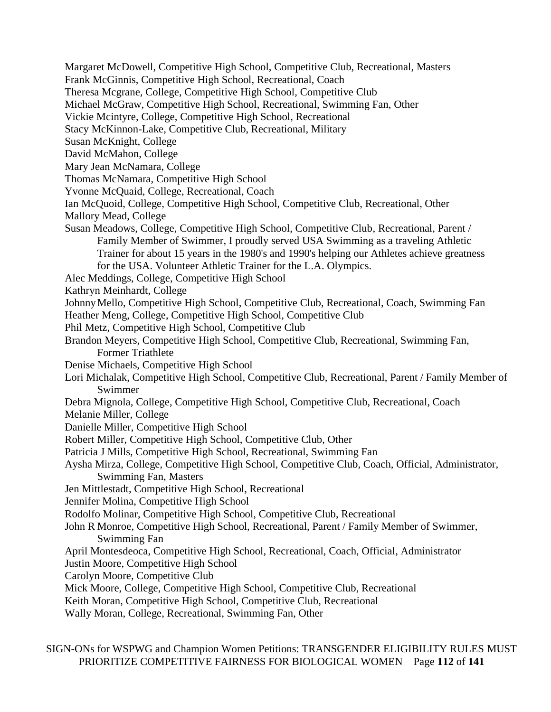Margaret McDowell, Competitive High School, Competitive Club, Recreational, Masters

- Frank McGinnis, Competitive High School, Recreational, Coach
- Theresa Mcgrane, College, Competitive High School, Competitive Club

Michael McGraw, Competitive High School, Recreational, Swimming Fan, Other

Vickie Mcintyre, College, Competitive High School, Recreational

Stacy McKinnon-Lake, Competitive Club, Recreational, Military

Susan McKnight, College

David McMahon, College

Mary Jean McNamara, College

Thomas McNamara, Competitive High School

Yvonne McQuaid, College, Recreational, Coach

Ian McQuoid, College, Competitive High School, Competitive Club, Recreational, Other Mallory Mead, College

Susan Meadows, College, Competitive High School, Competitive Club, Recreational, Parent / Family Member of Swimmer, I proudly served USA Swimming as a traveling Athletic Trainer for about 15 years in the 1980's and 1990's helping our Athletes achieve greatness for the USA. Volunteer Athletic Trainer for the L.A. Olympics.

Alec Meddings, College, Competitive High School

Kathryn Meinhardt, College

JohnnyMello, Competitive High School, Competitive Club, Recreational, Coach, Swimming Fan

Heather Meng, College, Competitive High School, Competitive Club

Phil Metz, Competitive High School, Competitive Club

Brandon Meyers, Competitive High School, Competitive Club, Recreational, Swimming Fan, Former Triathlete

- Denise Michaels, Competitive High School
- Lori Michalak, Competitive High School, Competitive Club, Recreational, Parent / Family Member of Swimmer
- Debra Mignola, College, Competitive High School, Competitive Club, Recreational, Coach

Melanie Miller, College

Danielle Miller, Competitive High School

Robert Miller, Competitive High School, Competitive Club, Other

Patricia J Mills, Competitive High School, Recreational, Swimming Fan

Aysha Mirza, College, Competitive High School, Competitive Club, Coach, Official, Administrator, Swimming Fan, Masters

Jen Mittlestadt, Competitive High School, Recreational

Jennifer Molina, Competitive High School

Rodolfo Molinar, Competitive High School, Competitive Club, Recreational

John R Monroe, Competitive High School, Recreational, Parent / Family Member of Swimmer, Swimming Fan

April Montesdeoca, Competitive High School, Recreational, Coach, Official, Administrator

Justin Moore, Competitive High School

Carolyn Moore, Competitive Club

Mick Moore, College, Competitive High School, Competitive Club, Recreational

Keith Moran, Competitive High School, Competitive Club, Recreational

Wally Moran, College, Recreational, Swimming Fan, Other

SIGN-ONs for WSPWG and Champion Women Petitions: TRANSGENDER ELIGIBILITY RULES MUST PRIORITIZE COMPETITIVE FAIRNESS FOR BIOLOGICAL WOMEN Page **112** of **141**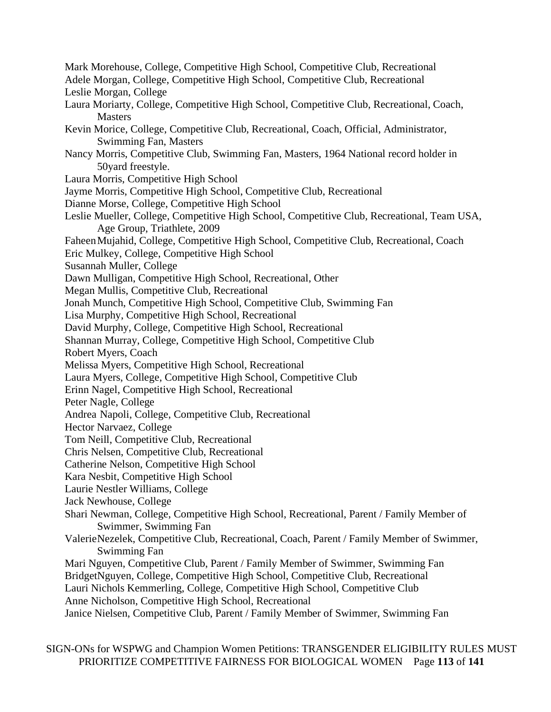- Mark Morehouse, College, Competitive High School, Competitive Club, Recreational
- Adele Morgan, College, Competitive High School, Competitive Club, Recreational Leslie Morgan, College
- Laura Moriarty, College, Competitive High School, Competitive Club, Recreational, Coach, **Masters**
- Kevin Morice, College, Competitive Club, Recreational, Coach, Official, Administrator, Swimming Fan, Masters
- Nancy Morris, Competitive Club, Swimming Fan, Masters, 1964 National record holder in 50yard freestyle.
- Laura Morris, Competitive High School
- Jayme Morris, Competitive High School, Competitive Club, Recreational
- Dianne Morse, College, Competitive High School
- Leslie Mueller, College, Competitive High School, Competitive Club, Recreational, Team USA, Age Group, Triathlete, 2009
- FaheenMujahid, College, Competitive High School, Competitive Club, Recreational, Coach
- Eric Mulkey, College, Competitive High School
- Susannah Muller, College
- Dawn Mulligan, Competitive High School, Recreational, Other
- Megan Mullis, Competitive Club, Recreational
- Jonah Munch, Competitive High School, Competitive Club, Swimming Fan
- Lisa Murphy, Competitive High School, Recreational
- David Murphy, College, Competitive High School, Recreational
- Shannan Murray, College, Competitive High School, Competitive Club
- Robert Myers, Coach
- Melissa Myers, Competitive High School, Recreational
- Laura Myers, College, Competitive High School, Competitive Club
- Erinn Nagel, Competitive High School, Recreational
- Peter Nagle, College
- Andrea Napoli, College, Competitive Club, Recreational
- Hector Narvaez, College
- Tom Neill, Competitive Club, Recreational
- Chris Nelsen, Competitive Club, Recreational
- Catherine Nelson, Competitive High School
- Kara Nesbit, Competitive High School
- Laurie Nestler Williams, College
- Jack Newhouse, College
- Shari Newman, College, Competitive High School, Recreational, Parent / Family Member of Swimmer, Swimming Fan
- ValerieNezelek, Competitive Club, Recreational, Coach, Parent / Family Member of Swimmer, Swimming Fan
- Mari Nguyen, Competitive Club, Parent / Family Member of Swimmer, Swimming Fan
- BridgetNguyen, College, Competitive High School, Competitive Club, Recreational
- Lauri Nichols Kemmerling, College, Competitive High School, Competitive Club
- Anne Nicholson, Competitive High School, Recreational
- Janice Nielsen, Competitive Club, Parent / Family Member of Swimmer, Swimming Fan

SIGN-ONs for WSPWG and Champion Women Petitions: TRANSGENDER ELIGIBILITY RULES MUST PRIORITIZE COMPETITIVE FAIRNESS FOR BIOLOGICAL WOMEN Page **113** of **141**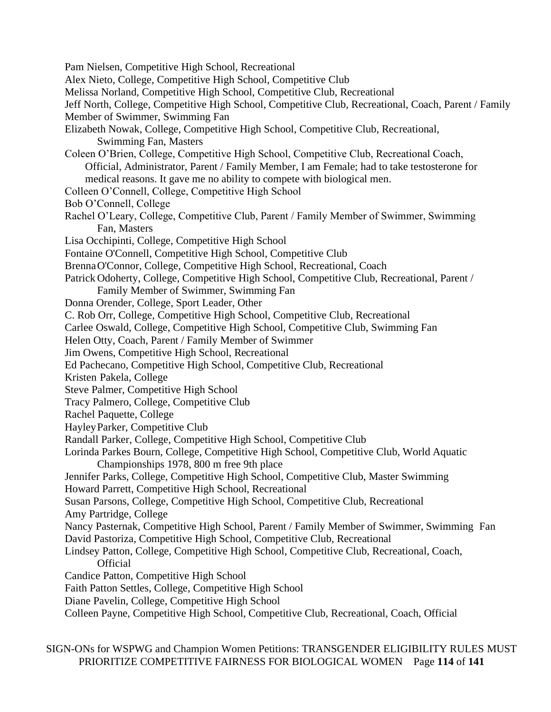Pam Nielsen, Competitive High School, Recreational Alex Nieto, College, Competitive High School, Competitive Club Melissa Norland, Competitive High School, Competitive Club, Recreational Jeff North, College, Competitive High School, Competitive Club, Recreational, Coach, Parent / Family Member of Swimmer, Swimming Fan Elizabeth Nowak, College, Competitive High School, Competitive Club, Recreational, Swimming Fan, Masters Coleen O'Brien, College, Competitive High School, Competitive Club, Recreational Coach, Official, Administrator, Parent / Family Member, I am Female; had to take testosterone for medical reasons. It gave me no ability to compete with biological men. Colleen O'Connell, College, Competitive High School Bob O'Connell, College Rachel O'Leary, College, Competitive Club, Parent / Family Member of Swimmer, Swimming Fan, Masters Lisa Occhipinti, College, Competitive High School Fontaine O'Connell, Competitive High School, Competitive Club BrennaO'Connor, College, Competitive High School, Recreational, Coach Patrick Odoherty, College, Competitive High School, Competitive Club, Recreational, Parent / Family Member of Swimmer, Swimming Fan Donna Orender, College, Sport Leader, Other C. Rob Orr, College, Competitive High School, Competitive Club, Recreational Carlee Oswald, College, Competitive High School, Competitive Club, Swimming Fan Helen Otty, Coach, Parent / Family Member of Swimmer Jim Owens, Competitive High School, Recreational Ed Pachecano, Competitive High School, Competitive Club, Recreational Kristen Pakela, College Steve Palmer, Competitive High School Tracy Palmero, College, Competitive Club Rachel Paquette, College HayleyParker, Competitive Club Randall Parker, College, Competitive High School, Competitive Club Lorinda Parkes Bourn, College, Competitive High School, Competitive Club, World Aquatic Championships 1978, 800 m free 9th place Jennifer Parks, College, Competitive High School, Competitive Club, Master Swimming Howard Parrett, Competitive High School, Recreational Susan Parsons, College, Competitive High School, Competitive Club, Recreational Amy Partridge, College Nancy Pasternak, Competitive High School, Parent / Family Member of Swimmer, Swimming Fan David Pastoriza, Competitive High School, Competitive Club, Recreational Lindsey Patton, College, Competitive High School, Competitive Club, Recreational, Coach, **Official** Candice Patton, Competitive High School Faith Patton Settles, College, Competitive High School Diane Pavelin, College, Competitive High School Colleen Payne, Competitive High School, Competitive Club, Recreational, Coach, Official

SIGN-ONs for WSPWG and Champion Women Petitions: TRANSGENDER ELIGIBILITY RULES MUST PRIORITIZE COMPETITIVE FAIRNESS FOR BIOLOGICAL WOMEN Page **114** of **141**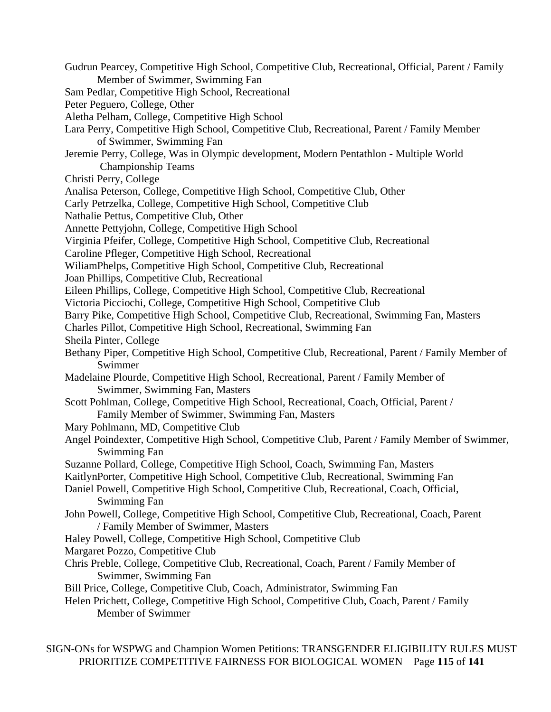Gudrun Pearcey, Competitive High School, Competitive Club, Recreational, Official, Parent / Family Member of Swimmer, Swimming Fan Sam Pedlar, Competitive High School, Recreational Peter Peguero, College, Other Aletha Pelham, College, Competitive High School Lara Perry, Competitive High School, Competitive Club, Recreational, Parent / Family Member of Swimmer, Swimming Fan Jeremie Perry, College, Was in Olympic development, Modern Pentathlon - Multiple World Championship Teams Christi Perry, College Analisa Peterson, College, Competitive High School, Competitive Club, Other Carly Petrzelka, College, Competitive High School, Competitive Club Nathalie Pettus, Competitive Club, Other Annette Pettyjohn, College, Competitive High School Virginia Pfeifer, College, Competitive High School, Competitive Club, Recreational Caroline Pfleger, Competitive High School, Recreational WiliamPhelps, Competitive High School, Competitive Club, Recreational Joan Phillips, Competitive Club, Recreational Eileen Phillips, College, Competitive High School, Competitive Club, Recreational Victoria Picciochi, College, Competitive High School, Competitive Club Barry Pike, Competitive High School, Competitive Club, Recreational, Swimming Fan, Masters Charles Pillot, Competitive High School, Recreational, Swimming Fan Sheila Pinter, College Bethany Piper, Competitive High School, Competitive Club, Recreational, Parent / Family Member of Swimmer Madelaine Plourde, Competitive High School, Recreational, Parent / Family Member of Swimmer, Swimming Fan, Masters Scott Pohlman, College, Competitive High School, Recreational, Coach, Official, Parent / Family Member of Swimmer, Swimming Fan, Masters Mary Pohlmann, MD, Competitive Club Angel Poindexter, Competitive High School, Competitive Club, Parent / Family Member of Swimmer, Swimming Fan Suzanne Pollard, College, Competitive High School, Coach, Swimming Fan, Masters KaitlynPorter, Competitive High School, Competitive Club, Recreational, Swimming Fan Daniel Powell, Competitive High School, Competitive Club, Recreational, Coach, Official, Swimming Fan John Powell, College, Competitive High School, Competitive Club, Recreational, Coach, Parent / Family Member of Swimmer, Masters Haley Powell, College, Competitive High School, Competitive Club Margaret Pozzo, Competitive Club Chris Preble, College, Competitive Club, Recreational, Coach, Parent / Family Member of Swimmer, Swimming Fan Bill Price, College, Competitive Club, Coach, Administrator, Swimming Fan Helen Prichett, College, Competitive High School, Competitive Club, Coach, Parent / Family Member of Swimmer

SIGN-ONs for WSPWG and Champion Women Petitions: TRANSGENDER ELIGIBILITY RULES MUST PRIORITIZE COMPETITIVE FAIRNESS FOR BIOLOGICAL WOMEN Page **115** of **141**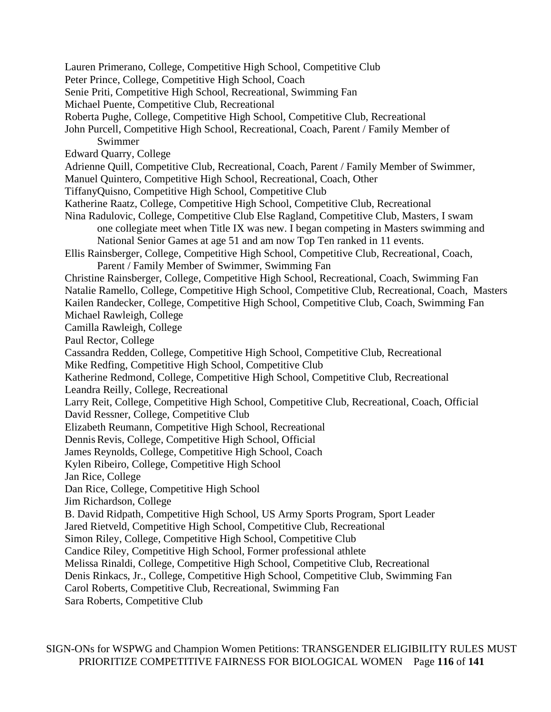- Lauren Primerano, College, Competitive High School, Competitive Club
- Peter Prince, College, Competitive High School, Coach
- Senie Priti, Competitive High School, Recreational, Swimming Fan
- Michael Puente, Competitive Club, Recreational
- Roberta Pughe, College, Competitive High School, Competitive Club, Recreational
- John Purcell, Competitive High School, Recreational, Coach, Parent / Family Member of Swimmer
- Edward Quarry, College
- Adrienne Quill, Competitive Club, Recreational, Coach, Parent / Family Member of Swimmer,
- Manuel Quintero, Competitive High School, Recreational, Coach, Other
- TiffanyQuisno, Competitive High School, Competitive Club
- Katherine Raatz, College, Competitive High School, Competitive Club, Recreational
- Nina Radulovic, College, Competitive Club Else Ragland, Competitive Club, Masters, I swam one collegiate meet when Title IX was new. I began competing in Masters swimming and National Senior Games at age 51 and am now Top Ten ranked in 11 events.
- Ellis Rainsberger, College, Competitive High School, Competitive Club, Recreational, Coach, Parent / Family Member of Swimmer, Swimming Fan
- Christine Rainsberger, College, Competitive High School, Recreational, Coach, Swimming Fan Natalie Ramello, College, Competitive High School, Competitive Club, Recreational, Coach, Masters
- Kailen Randecker, College, Competitive High School, Competitive Club, Coach, Swimming Fan

Michael Rawleigh, College

- Camilla Rawleigh, College
- Paul Rector, College
- Cassandra Redden, College, Competitive High School, Competitive Club, Recreational
- Mike Redfing, Competitive High School, Competitive Club
- Katherine Redmond, College, Competitive High School, Competitive Club, Recreational Leandra Reilly, College, Recreational
- Larry Reit, College, Competitive High School, Competitive Club, Recreational, Coach, Official David Ressner, College, Competitive Club
- Elizabeth Reumann, Competitive High School, Recreational
- Dennis Revis, College, Competitive High School, Official
- James Reynolds, College, Competitive High School, Coach
- Kylen Ribeiro, College, Competitive High School
- Jan Rice, College
- Dan Rice, College, Competitive High School
- Jim Richardson, College
- B. David Ridpath, Competitive High School, US Army Sports Program, Sport Leader
- Jared Rietveld, Competitive High School, Competitive Club, Recreational
- Simon Riley, College, Competitive High School, Competitive Club
- Candice Riley, Competitive High School, Former professional athlete
- Melissa Rinaldi, College, Competitive High School, Competitive Club, Recreational
- Denis Rinkacs, Jr., College, Competitive High School, Competitive Club, Swimming Fan
- Carol Roberts, Competitive Club, Recreational, Swimming Fan
- Sara Roberts, Competitive Club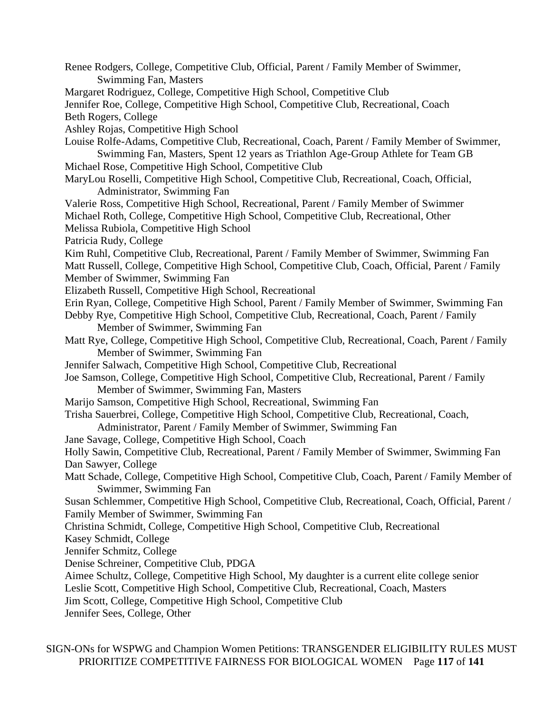Renee Rodgers, College, Competitive Club, Official, Parent / Family Member of Swimmer, Swimming Fan, Masters Margaret Rodriguez, College, Competitive High School, Competitive Club Jennifer Roe, College, Competitive High School, Competitive Club, Recreational, Coach Beth Rogers, College Ashley Rojas, Competitive High School Louise Rolfe-Adams, Competitive Club, Recreational, Coach, Parent / Family Member of Swimmer, Swimming Fan, Masters, Spent 12 years as Triathlon Age-Group Athlete for Team GB Michael Rose, Competitive High School, Competitive Club MaryLou Roselli, Competitive High School, Competitive Club, Recreational, Coach, Official, Administrator, Swimming Fan Valerie Ross, Competitive High School, Recreational, Parent / Family Member of Swimmer Michael Roth, College, Competitive High School, Competitive Club, Recreational, Other Melissa Rubiola, Competitive High School Patricia Rudy, College Kim Ruhl, Competitive Club, Recreational, Parent / Family Member of Swimmer, Swimming Fan Matt Russell, College, Competitive High School, Competitive Club, Coach, Official, Parent / Family Member of Swimmer, Swimming Fan Elizabeth Russell, Competitive High School, Recreational Erin Ryan, College, Competitive High School, Parent / Family Member of Swimmer, Swimming Fan Debby Rye, Competitive High School, Competitive Club, Recreational, Coach, Parent / Family Member of Swimmer, Swimming Fan Matt Rye, College, Competitive High School, Competitive Club, Recreational, Coach, Parent / Family Member of Swimmer, Swimming Fan Jennifer Salwach, Competitive High School, Competitive Club, Recreational Joe Samson, College, Competitive High School, Competitive Club, Recreational, Parent / Family Member of Swimmer, Swimming Fan, Masters Marijo Samson, Competitive High School, Recreational, Swimming Fan Trisha Sauerbrei, College, Competitive High School, Competitive Club, Recreational, Coach, Administrator, Parent / Family Member of Swimmer, Swimming Fan Jane Savage, College, Competitive High School, Coach Holly Sawin, Competitive Club, Recreational, Parent / Family Member of Swimmer, Swimming Fan Dan Sawyer, College Matt Schade, College, Competitive High School, Competitive Club, Coach, Parent / Family Member of Swimmer, Swimming Fan Susan Schlemmer, Competitive High School, Competitive Club, Recreational, Coach, Official, Parent / Family Member of Swimmer, Swimming Fan Christina Schmidt, College, Competitive High School, Competitive Club, Recreational Kasey Schmidt, College Jennifer Schmitz, College Denise Schreiner, Competitive Club, PDGA Aimee Schultz, College, Competitive High School, My daughter is a current elite college senior Leslie Scott, Competitive High School, Competitive Club, Recreational, Coach, Masters Jim Scott, College, Competitive High School, Competitive Club Jennifer Sees, College, Other

SIGN-ONs for WSPWG and Champion Women Petitions: TRANSGENDER ELIGIBILITY RULES MUST PRIORITIZE COMPETITIVE FAIRNESS FOR BIOLOGICAL WOMEN Page **117** of **141**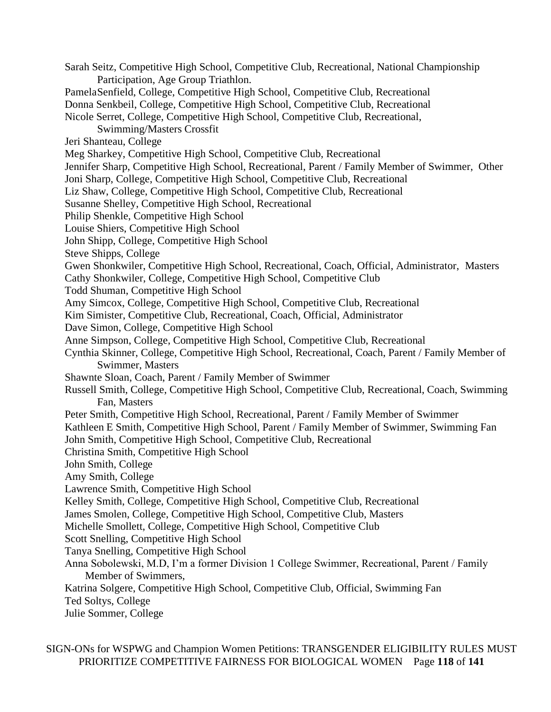Sarah Seitz, Competitive High School, Competitive Club, Recreational, National Championship Participation, Age Group Triathlon. PamelaSenfield, College, Competitive High School, Competitive Club, Recreational Donna Senkbeil, College, Competitive High School, Competitive Club, Recreational Nicole Serret, College, Competitive High School, Competitive Club, Recreational, Swimming/Masters Crossfit Jeri Shanteau, College Meg Sharkey, Competitive High School, Competitive Club, Recreational Jennifer Sharp, Competitive High School, Recreational, Parent / Family Member of Swimmer, Other Joni Sharp, College, Competitive High School, Competitive Club, Recreational Liz Shaw, College, Competitive High School, Competitive Club, Recreational Susanne Shelley, Competitive High School, Recreational Philip Shenkle, Competitive High School Louise Shiers, Competitive High School John Shipp, College, Competitive High School Steve Shipps, College Gwen Shonkwiler, Competitive High School, Recreational, Coach, Official, Administrator, Masters Cathy Shonkwiler, College, Competitive High School, Competitive Club Todd Shuman, Competitive High School Amy Simcox, College, Competitive High School, Competitive Club, Recreational Kim Simister, Competitive Club, Recreational, Coach, Official, Administrator Dave Simon, College, Competitive High School Anne Simpson, College, Competitive High School, Competitive Club, Recreational Cynthia Skinner, College, Competitive High School, Recreational, Coach, Parent / Family Member of Swimmer, Masters Shawnte Sloan, Coach, Parent / Family Member of Swimmer Russell Smith, College, Competitive High School, Competitive Club, Recreational, Coach, Swimming Fan, Masters Peter Smith, Competitive High School, Recreational, Parent / Family Member of Swimmer Kathleen E Smith, Competitive High School, Parent / Family Member of Swimmer, Swimming Fan John Smith, Competitive High School, Competitive Club, Recreational Christina Smith, Competitive High School John Smith, College Amy Smith, College Lawrence Smith, Competitive High School Kelley Smith, College, Competitive High School, Competitive Club, Recreational James Smolen, College, Competitive High School, Competitive Club, Masters Michelle Smollett, College, Competitive High School, Competitive Club Scott Snelling, Competitive High School Tanya Snelling, Competitive High School Anna Sobolewski, M.D, I'm a former Division 1 College Swimmer, Recreational, Parent / Family Member of Swimmers, Katrina Solgere, Competitive High School, Competitive Club, Official, Swimming Fan Ted Soltys, College Julie Sommer, College

SIGN-ONs for WSPWG and Champion Women Petitions: TRANSGENDER ELIGIBILITY RULES MUST PRIORITIZE COMPETITIVE FAIRNESS FOR BIOLOGICAL WOMEN Page **118** of **141**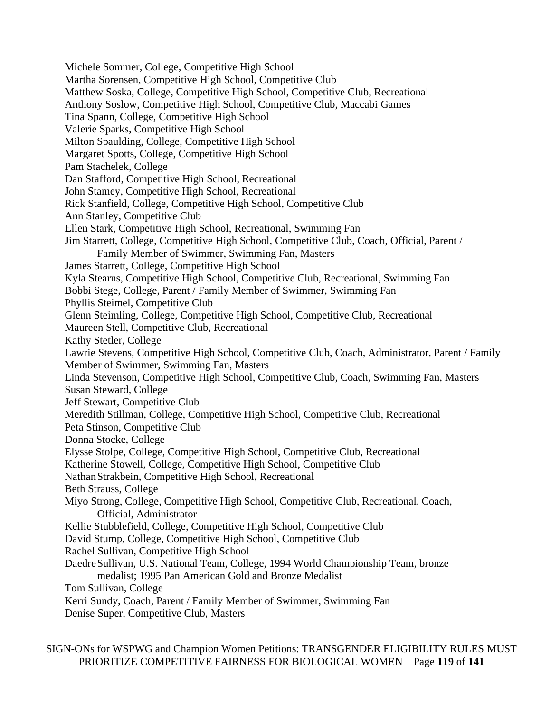Michele Sommer, College, Competitive High School Martha Sorensen, Competitive High School, Competitive Club Matthew Soska, College, Competitive High School, Competitive Club, Recreational Anthony Soslow, Competitive High School, Competitive Club, Maccabi Games Tina Spann, College, Competitive High School Valerie Sparks, Competitive High School Milton Spaulding, College, Competitive High School Margaret Spotts, College, Competitive High School Pam Stachelek, College Dan Stafford, Competitive High School, Recreational John Stamey, Competitive High School, Recreational Rick Stanfield, College, Competitive High School, Competitive Club Ann Stanley, Competitive Club Ellen Stark, Competitive High School, Recreational, Swimming Fan Jim Starrett, College, Competitive High School, Competitive Club, Coach, Official, Parent / Family Member of Swimmer, Swimming Fan, Masters James Starrett, College, Competitive High School Kyla Stearns, Competitive High School, Competitive Club, Recreational, Swimming Fan Bobbi Stege, College, Parent / Family Member of Swimmer, Swimming Fan Phyllis Steimel, Competitive Club Glenn Steimling, College, Competitive High School, Competitive Club, Recreational Maureen Stell, Competitive Club, Recreational Kathy Stetler, College Lawrie Stevens, Competitive High School, Competitive Club, Coach, Administrator, Parent / Family Member of Swimmer, Swimming Fan, Masters Linda Stevenson, Competitive High School, Competitive Club, Coach, Swimming Fan, Masters Susan Steward, College Jeff Stewart, Competitive Club Meredith Stillman, College, Competitive High School, Competitive Club, Recreational Peta Stinson, Competitive Club Donna Stocke, College Elysse Stolpe, College, Competitive High School, Competitive Club, Recreational Katherine Stowell, College, Competitive High School, Competitive Club NathanStrakbein, Competitive High School, Recreational Beth Strauss, College Miyo Strong, College, Competitive High School, Competitive Club, Recreational, Coach, Official, Administrator Kellie Stubblefield, College, Competitive High School, Competitive Club David Stump, College, Competitive High School, Competitive Club Rachel Sullivan, Competitive High School DaedreSullivan, U.S. National Team, College, 1994 World Championship Team, bronze medalist; 1995 Pan American Gold and Bronze Medalist Tom Sullivan, College Kerri Sundy, Coach, Parent / Family Member of Swimmer, Swimming Fan Denise Super, Competitive Club, Masters

SIGN-ONs for WSPWG and Champion Women Petitions: TRANSGENDER ELIGIBILITY RULES MUST PRIORITIZE COMPETITIVE FAIRNESS FOR BIOLOGICAL WOMEN Page **119** of **141**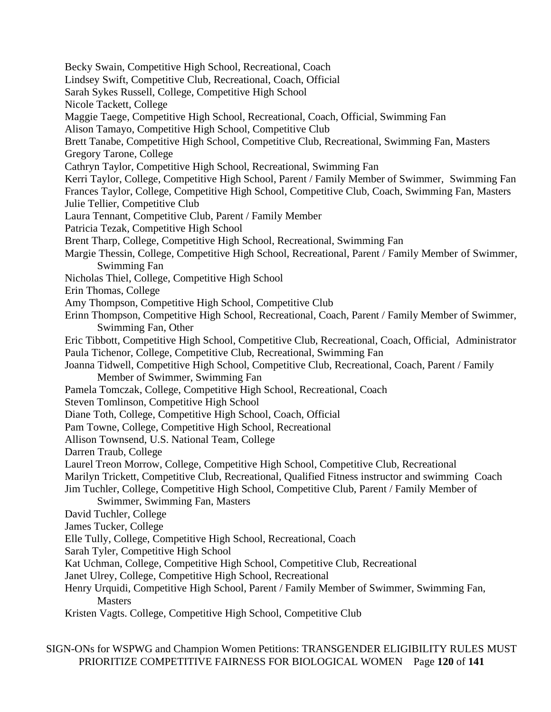Becky Swain, Competitive High School, Recreational, Coach Lindsey Swift, Competitive Club, Recreational, Coach, Official Sarah Sykes Russell, College, Competitive High School Nicole Tackett, College Maggie Taege, Competitive High School, Recreational, Coach, Official, Swimming Fan Alison Tamayo, Competitive High School, Competitive Club Brett Tanabe, Competitive High School, Competitive Club, Recreational, Swimming Fan, Masters Gregory Tarone, College Cathryn Taylor, Competitive High School, Recreational, Swimming Fan Kerri Taylor, College, Competitive High School, Parent / Family Member of Swimmer, Swimming Fan Frances Taylor, College, Competitive High School, Competitive Club, Coach, Swimming Fan, Masters Julie Tellier, Competitive Club Laura Tennant, Competitive Club, Parent / Family Member Patricia Tezak, Competitive High School Brent Tharp, College, Competitive High School, Recreational, Swimming Fan Margie Thessin, College, Competitive High School, Recreational, Parent / Family Member of Swimmer, Swimming Fan Nicholas Thiel, College, Competitive High School Erin Thomas, College Amy Thompson, Competitive High School, Competitive Club Erinn Thompson, Competitive High School, Recreational, Coach, Parent / Family Member of Swimmer, Swimming Fan, Other Eric Tibbott, Competitive High School, Competitive Club, Recreational, Coach, Official, Administrator Paula Tichenor, College, Competitive Club, Recreational, Swimming Fan Joanna Tidwell, Competitive High School, Competitive Club, Recreational, Coach, Parent / Family Member of Swimmer, Swimming Fan Pamela Tomczak, College, Competitive High School, Recreational, Coach Steven Tomlinson, Competitive High School Diane Toth, College, Competitive High School, Coach, Official Pam Towne, College, Competitive High School, Recreational Allison Townsend, U.S. National Team, College Darren Traub, College Laurel Treon Morrow, College, Competitive High School, Competitive Club, Recreational Marilyn Trickett, Competitive Club, Recreational, Qualified Fitness instructor and swimming Coach Jim Tuchler, College, Competitive High School, Competitive Club, Parent / Family Member of Swimmer, Swimming Fan, Masters David Tuchler, College James Tucker, College Elle Tully, College, Competitive High School, Recreational, Coach Sarah Tyler, Competitive High School Kat Uchman, College, Competitive High School, Competitive Club, Recreational Janet Ulrey, College, Competitive High School, Recreational Henry Urquidi, Competitive High School, Parent / Family Member of Swimmer, Swimming Fan, **Masters** Kristen Vagts. College, Competitive High School, Competitive Club

SIGN-ONs for WSPWG and Champion Women Petitions: TRANSGENDER ELIGIBILITY RULES MUST PRIORITIZE COMPETITIVE FAIRNESS FOR BIOLOGICAL WOMEN Page **120** of **141**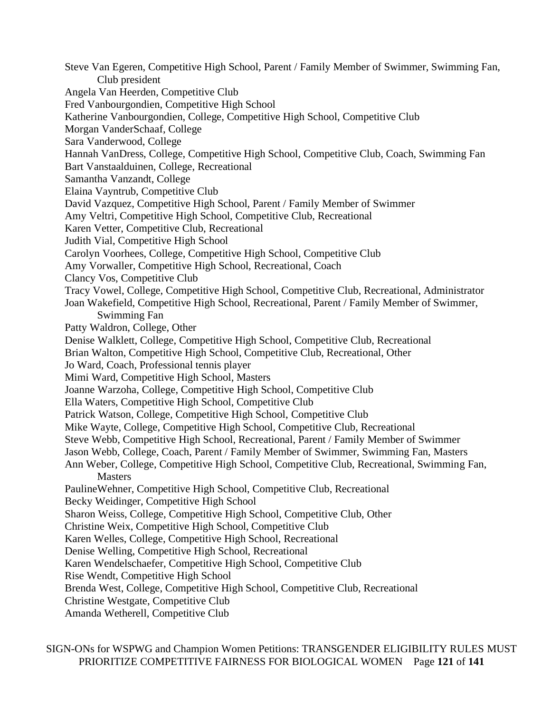Steve Van Egeren, Competitive High School, Parent / Family Member of Swimmer, Swimming Fan, Club president Angela Van Heerden, Competitive Club Fred Vanbourgondien, Competitive High School Katherine Vanbourgondien, College, Competitive High School, Competitive Club Morgan VanderSchaaf, College Sara Vanderwood, College Hannah VanDress, College, Competitive High School, Competitive Club, Coach, Swimming Fan Bart Vanstaalduinen, College, Recreational Samantha Vanzandt, College Elaina Vayntrub, Competitive Club David Vazquez, Competitive High School, Parent / Family Member of Swimmer Amy Veltri, Competitive High School, Competitive Club, Recreational Karen Vetter, Competitive Club, Recreational Judith Vial, Competitive High School Carolyn Voorhees, College, Competitive High School, Competitive Club Amy Vorwaller, Competitive High School, Recreational, Coach Clancy Vos, Competitive Club Tracy Vowel, College, Competitive High School, Competitive Club, Recreational, Administrator Joan Wakefield, Competitive High School, Recreational, Parent / Family Member of Swimmer, Swimming Fan Patty Waldron, College, Other Denise Walklett, College, Competitive High School, Competitive Club, Recreational Brian Walton, Competitive High School, Competitive Club, Recreational, Other Jo Ward, Coach, Professional tennis player Mimi Ward, Competitive High School, Masters Joanne Warzoha, College, Competitive High School, Competitive Club Ella Waters, Competitive High School, Competitive Club Patrick Watson, College, Competitive High School, Competitive Club Mike Wayte, College, Competitive High School, Competitive Club, Recreational Steve Webb, Competitive High School, Recreational, Parent / Family Member of Swimmer Jason Webb, College, Coach, Parent / Family Member of Swimmer, Swimming Fan, Masters Ann Weber, College, Competitive High School, Competitive Club, Recreational, Swimming Fan, **Masters** PaulineWehner, Competitive High School, Competitive Club, Recreational Becky Weidinger, Competitive High School Sharon Weiss, College, Competitive High School, Competitive Club, Other Christine Weix, Competitive High School, Competitive Club Karen Welles, College, Competitive High School, Recreational Denise Welling, Competitive High School, Recreational Karen Wendelschaefer, Competitive High School, Competitive Club Rise Wendt, Competitive High School Brenda West, College, Competitive High School, Competitive Club, Recreational Christine Westgate, Competitive Club Amanda Wetherell, Competitive Club

SIGN-ONs for WSPWG and Champion Women Petitions: TRANSGENDER ELIGIBILITY RULES MUST PRIORITIZE COMPETITIVE FAIRNESS FOR BIOLOGICAL WOMEN Page **121** of **141**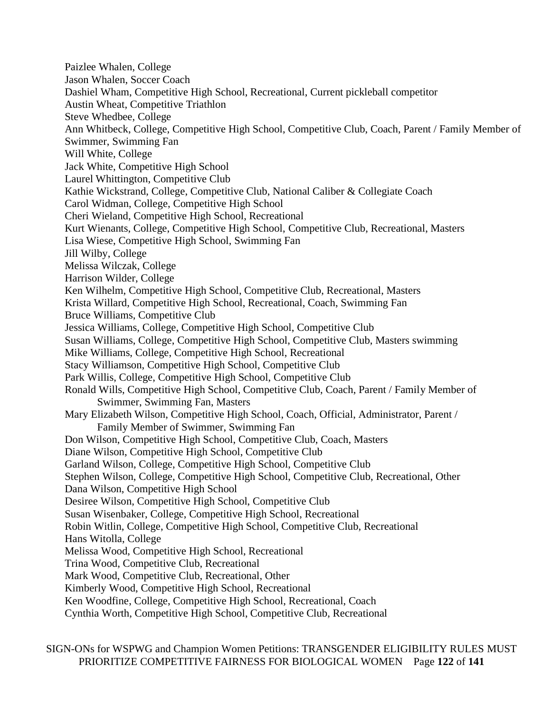Paizlee Whalen, College Jason Whalen, Soccer Coach Dashiel Wham, Competitive High School, Recreational, Current pickleball competitor Austin Wheat, Competitive Triathlon Steve Whedbee, College Ann Whitbeck, College, Competitive High School, Competitive Club, Coach, Parent / Family Member of Swimmer, Swimming Fan Will White, College Jack White, Competitive High School Laurel Whittington, Competitive Club Kathie Wickstrand, College, Competitive Club, National Caliber & Collegiate Coach Carol Widman, College, Competitive High School Cheri Wieland, Competitive High School, Recreational Kurt Wienants, College, Competitive High School, Competitive Club, Recreational, Masters Lisa Wiese, Competitive High School, Swimming Fan Jill Wilby, College Melissa Wilczak, College Harrison Wilder, College Ken Wilhelm, Competitive High School, Competitive Club, Recreational, Masters Krista Willard, Competitive High School, Recreational, Coach, Swimming Fan Bruce Williams, Competitive Club Jessica Williams, College, Competitive High School, Competitive Club Susan Williams, College, Competitive High School, Competitive Club, Masters swimming Mike Williams, College, Competitive High School, Recreational Stacy Williamson, Competitive High School, Competitive Club Park Willis, College, Competitive High School, Competitive Club Ronald Wills, Competitive High School, Competitive Club, Coach, Parent / Family Member of Swimmer, Swimming Fan, Masters Mary Elizabeth Wilson, Competitive High School, Coach, Official, Administrator, Parent / Family Member of Swimmer, Swimming Fan Don Wilson, Competitive High School, Competitive Club, Coach, Masters Diane Wilson, Competitive High School, Competitive Club Garland Wilson, College, Competitive High School, Competitive Club Stephen Wilson, College, Competitive High School, Competitive Club, Recreational, Other Dana Wilson, Competitive High School Desiree Wilson, Competitive High School, Competitive Club Susan Wisenbaker, College, Competitive High School, Recreational Robin Witlin, College, Competitive High School, Competitive Club, Recreational Hans Witolla, College Melissa Wood, Competitive High School, Recreational Trina Wood, Competitive Club, Recreational Mark Wood, Competitive Club, Recreational, Other Kimberly Wood, Competitive High School, Recreational Ken Woodfine, College, Competitive High School, Recreational, Coach Cynthia Worth, Competitive High School, Competitive Club, Recreational

SIGN-ONs for WSPWG and Champion Women Petitions: TRANSGENDER ELIGIBILITY RULES MUST PRIORITIZE COMPETITIVE FAIRNESS FOR BIOLOGICAL WOMEN Page **122** of **141**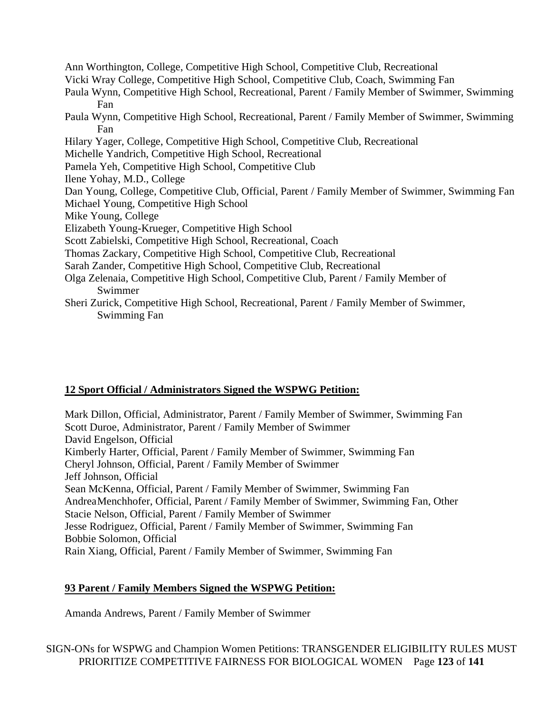Ann Worthington, College, Competitive High School, Competitive Club, Recreational Vicki Wray College, Competitive High School, Competitive Club, Coach, Swimming Fan Paula Wynn, Competitive High School, Recreational, Parent / Family Member of Swimmer, Swimming Fan Paula Wynn, Competitive High School, Recreational, Parent / Family Member of Swimmer, Swimming Fan Hilary Yager, College, Competitive High School, Competitive Club, Recreational Michelle Yandrich, Competitive High School, Recreational Pamela Yeh, Competitive High School, Competitive Club Ilene Yohay, M.D., College Dan Young, College, Competitive Club, Official, Parent / Family Member of Swimmer, Swimming Fan Michael Young, Competitive High School Mike Young, College Elizabeth Young-Krueger, Competitive High School Scott Zabielski, Competitive High School, Recreational, Coach Thomas Zackary, Competitive High School, Competitive Club, Recreational Sarah Zander, Competitive High School, Competitive Club, Recreational Olga Zelenaia, Competitive High School, Competitive Club, Parent / Family Member of Swimmer Sheri Zurick, Competitive High School, Recreational, Parent / Family Member of Swimmer,

## **12 Sport Official / Administrators Signed the WSPWG Petition:**

Swimming Fan

Mark Dillon, Official, Administrator, Parent / Family Member of Swimmer, Swimming Fan Scott Duroe, Administrator, Parent / Family Member of Swimmer David Engelson, Official Kimberly Harter, Official, Parent / Family Member of Swimmer, Swimming Fan Cheryl Johnson, Official, Parent / Family Member of Swimmer Jeff Johnson, Official Sean McKenna, Official, Parent / Family Member of Swimmer, Swimming Fan AndreaMenchhofer, Official, Parent / Family Member of Swimmer, Swimming Fan, Other Stacie Nelson, Official, Parent / Family Member of Swimmer Jesse Rodriguez, Official, Parent / Family Member of Swimmer, Swimming Fan Bobbie Solomon, Official Rain Xiang, Official, Parent / Family Member of Swimmer, Swimming Fan

# **93 Parent / Family Members Signed the WSPWG Petition:**

Amanda Andrews, Parent / Family Member of Swimmer

SIGN-ONs for WSPWG and Champion Women Petitions: TRANSGENDER ELIGIBILITY RULES MUST PRIORITIZE COMPETITIVE FAIRNESS FOR BIOLOGICAL WOMEN Page **123** of **141**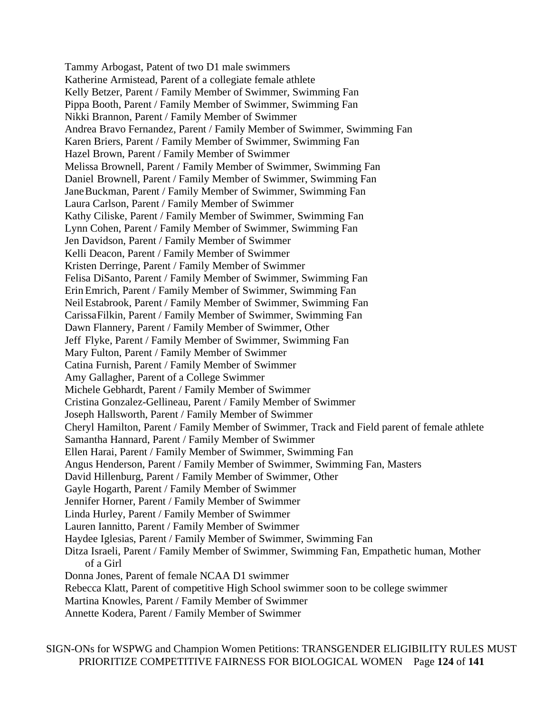Tammy Arbogast, Patent of two D1 male swimmers Katherine Armistead, Parent of a collegiate female athlete Kelly Betzer, Parent / Family Member of Swimmer, Swimming Fan Pippa Booth, Parent / Family Member of Swimmer, Swimming Fan Nikki Brannon, Parent / Family Member of Swimmer Andrea Bravo Fernandez, Parent / Family Member of Swimmer, Swimming Fan Karen Briers, Parent / Family Member of Swimmer, Swimming Fan Hazel Brown, Parent / Family Member of Swimmer Melissa Brownell, Parent / Family Member of Swimmer, Swimming Fan Daniel Brownell, Parent / Family Member of Swimmer, Swimming Fan JaneBuckman, Parent / Family Member of Swimmer, Swimming Fan Laura Carlson, Parent / Family Member of Swimmer Kathy Ciliske, Parent / Family Member of Swimmer, Swimming Fan Lynn Cohen, Parent / Family Member of Swimmer, Swimming Fan Jen Davidson, Parent / Family Member of Swimmer Kelli Deacon, Parent / Family Member of Swimmer Kristen Derringe, Parent / Family Member of Swimmer Felisa DiSanto, Parent / Family Member of Swimmer, Swimming Fan ErinEmrich, Parent / Family Member of Swimmer, Swimming Fan Neil Estabrook, Parent / Family Member of Swimmer, Swimming Fan CarissaFilkin, Parent / Family Member of Swimmer, Swimming Fan Dawn Flannery, Parent / Family Member of Swimmer, Other Jeff Flyke, Parent / Family Member of Swimmer, Swimming Fan Mary Fulton, Parent / Family Member of Swimmer Catina Furnish, Parent / Family Member of Swimmer Amy Gallagher, Parent of a College Swimmer Michele Gebhardt, Parent / Family Member of Swimmer Cristina Gonzalez-Gellineau, Parent / Family Member of Swimmer Joseph Hallsworth, Parent / Family Member of Swimmer Cheryl Hamilton, Parent / Family Member of Swimmer, Track and Field parent of female athlete Samantha Hannard, Parent / Family Member of Swimmer Ellen Harai, Parent / Family Member of Swimmer, Swimming Fan Angus Henderson, Parent / Family Member of Swimmer, Swimming Fan, Masters David Hillenburg, Parent / Family Member of Swimmer, Other Gayle Hogarth, Parent / Family Member of Swimmer Jennifer Horner, Parent / Family Member of Swimmer Linda Hurley, Parent / Family Member of Swimmer Lauren Iannitto, Parent / Family Member of Swimmer Haydee Iglesias, Parent / Family Member of Swimmer, Swimming Fan Ditza Israeli, Parent / Family Member of Swimmer, Swimming Fan, Empathetic human, Mother of a Girl Donna Jones, Parent of female NCAA D1 swimmer Rebecca Klatt, Parent of competitive High School swimmer soon to be college swimmer Martina Knowles, Parent / Family Member of Swimmer Annette Kodera, Parent / Family Member of Swimmer

SIGN-ONs for WSPWG and Champion Women Petitions: TRANSGENDER ELIGIBILITY RULES MUST PRIORITIZE COMPETITIVE FAIRNESS FOR BIOLOGICAL WOMEN Page **124** of **141**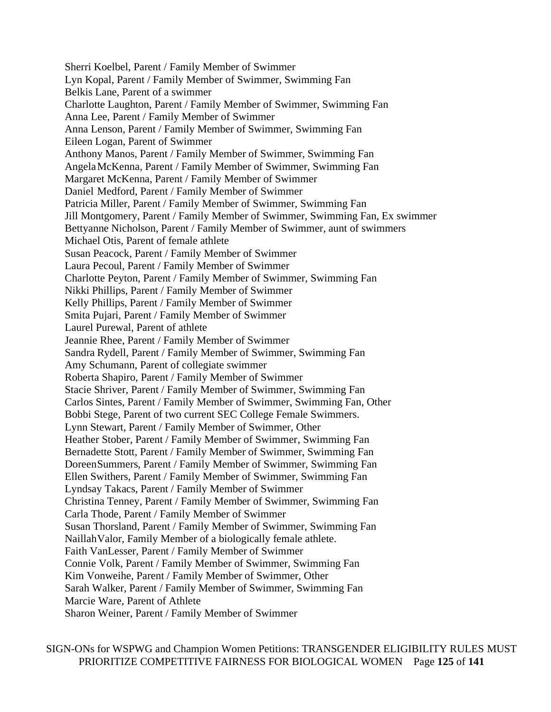Sherri Koelbel, Parent / Family Member of Swimmer Lyn Kopal, Parent / Family Member of Swimmer, Swimming Fan Belkis Lane, Parent of a swimmer Charlotte Laughton, Parent / Family Member of Swimmer, Swimming Fan Anna Lee, Parent / Family Member of Swimmer Anna Lenson, Parent / Family Member of Swimmer, Swimming Fan Eileen Logan, Parent of Swimmer Anthony Manos, Parent / Family Member of Swimmer, Swimming Fan AngelaMcKenna, Parent / Family Member of Swimmer, Swimming Fan Margaret McKenna, Parent / Family Member of Swimmer Daniel Medford, Parent / Family Member of Swimmer Patricia Miller, Parent / Family Member of Swimmer, Swimming Fan Jill Montgomery, Parent / Family Member of Swimmer, Swimming Fan, Ex swimmer Bettyanne Nicholson, Parent / Family Member of Swimmer, aunt of swimmers Michael Otis, Parent of female athlete Susan Peacock, Parent / Family Member of Swimmer Laura Pecoul, Parent / Family Member of Swimmer Charlotte Peyton, Parent / Family Member of Swimmer, Swimming Fan Nikki Phillips, Parent / Family Member of Swimmer Kelly Phillips, Parent / Family Member of Swimmer Smita Pujari, Parent / Family Member of Swimmer Laurel Purewal, Parent of athlete Jeannie Rhee, Parent / Family Member of Swimmer Sandra Rydell, Parent / Family Member of Swimmer, Swimming Fan Amy Schumann, Parent of collegiate swimmer Roberta Shapiro, Parent / Family Member of Swimmer Stacie Shriver, Parent / Family Member of Swimmer, Swimming Fan Carlos Sintes, Parent / Family Member of Swimmer, Swimming Fan, Other Bobbi Stege, Parent of two current SEC College Female Swimmers. Lynn Stewart, Parent / Family Member of Swimmer, Other Heather Stober, Parent / Family Member of Swimmer, Swimming Fan Bernadette Stott, Parent / Family Member of Swimmer, Swimming Fan DoreenSummers, Parent / Family Member of Swimmer, Swimming Fan Ellen Swithers, Parent / Family Member of Swimmer, Swimming Fan Lyndsay Takacs, Parent / Family Member of Swimmer Christina Tenney, Parent / Family Member of Swimmer, Swimming Fan Carla Thode, Parent / Family Member of Swimmer Susan Thorsland, Parent / Family Member of Swimmer, Swimming Fan NaillahValor, Family Member of a biologically female athlete. Faith VanLesser, Parent / Family Member of Swimmer Connie Volk, Parent / Family Member of Swimmer, Swimming Fan Kim Vonweihe, Parent / Family Member of Swimmer, Other Sarah Walker, Parent / Family Member of Swimmer, Swimming Fan Marcie Ware, Parent of Athlete Sharon Weiner, Parent / Family Member of Swimmer

SIGN-ONs for WSPWG and Champion Women Petitions: TRANSGENDER ELIGIBILITY RULES MUST PRIORITIZE COMPETITIVE FAIRNESS FOR BIOLOGICAL WOMEN Page **125** of **141**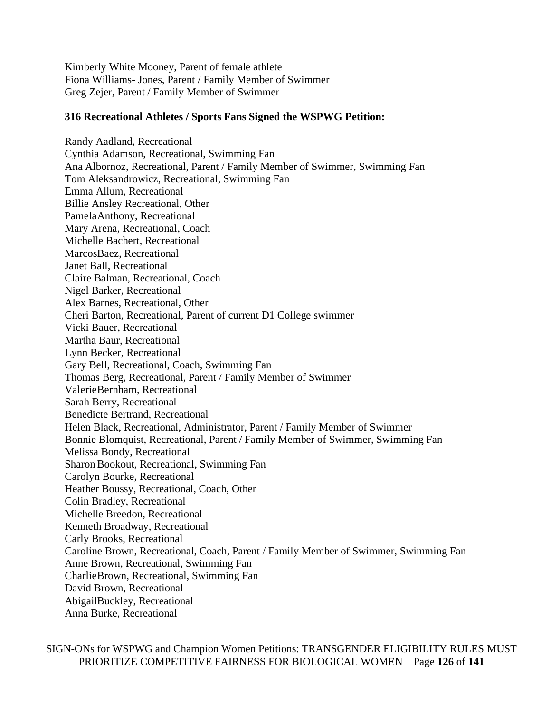Kimberly White Mooney, Parent of female athlete Fiona Williams- Jones, Parent / Family Member of Swimmer Greg Zejer, Parent / Family Member of Swimmer

### **316 Recreational Athletes / Sports Fans Signed the WSPWG Petition:**

Randy Aadland, Recreational Cynthia Adamson, Recreational, Swimming Fan Ana Albornoz, Recreational, Parent / Family Member of Swimmer, Swimming Fan Tom Aleksandrowicz, Recreational, Swimming Fan Emma Allum, Recreational Billie Ansley Recreational, Other PamelaAnthony, Recreational Mary Arena, Recreational, Coach Michelle Bachert, Recreational MarcosBaez, Recreational Janet Ball, Recreational Claire Balman, Recreational, Coach Nigel Barker, Recreational Alex Barnes, Recreational, Other Cheri Barton, Recreational, Parent of current D1 College swimmer Vicki Bauer, Recreational Martha Baur, Recreational Lynn Becker, Recreational Gary Bell, Recreational, Coach, Swimming Fan Thomas Berg, Recreational, Parent / Family Member of Swimmer ValerieBernham, Recreational Sarah Berry, Recreational Benedicte Bertrand, Recreational Helen Black, Recreational, Administrator, Parent / Family Member of Swimmer Bonnie Blomquist, Recreational, Parent / Family Member of Swimmer, Swimming Fan Melissa Bondy, Recreational Sharon Bookout, Recreational, Swimming Fan Carolyn Bourke, Recreational Heather Boussy, Recreational, Coach, Other Colin Bradley, Recreational Michelle Breedon, Recreational Kenneth Broadway, Recreational Carly Brooks, Recreational Caroline Brown, Recreational, Coach, Parent / Family Member of Swimmer, Swimming Fan Anne Brown, Recreational, Swimming Fan CharlieBrown, Recreational, Swimming Fan David Brown, Recreational AbigailBuckley, Recreational Anna Burke, Recreational

SIGN-ONs for WSPWG and Champion Women Petitions: TRANSGENDER ELIGIBILITY RULES MUST PRIORITIZE COMPETITIVE FAIRNESS FOR BIOLOGICAL WOMEN Page **126** of **141**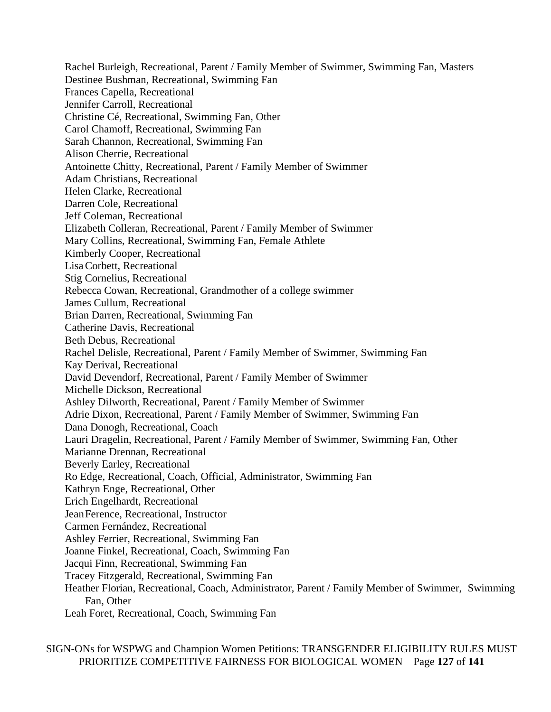Rachel Burleigh, Recreational, Parent / Family Member of Swimmer, Swimming Fan, Masters Destinee Bushman, Recreational, Swimming Fan Frances Capella, Recreational Jennifer Carroll, Recreational Christine Cé, Recreational, Swimming Fan, Other Carol Chamoff, Recreational, Swimming Fan Sarah Channon, Recreational, Swimming Fan Alison Cherrie, Recreational Antoinette Chitty, Recreational, Parent / Family Member of Swimmer Adam Christians, Recreational Helen Clarke, Recreational Darren Cole, Recreational Jeff Coleman, Recreational Elizabeth Colleran, Recreational, Parent / Family Member of Swimmer Mary Collins, Recreational, Swimming Fan, Female Athlete Kimberly Cooper, Recreational LisaCorbett, Recreational Stig Cornelius, Recreational Rebecca Cowan, Recreational, Grandmother of a college swimmer James Cullum, Recreational Brian Darren, Recreational, Swimming Fan Catherine Davis, Recreational Beth Debus, Recreational Rachel Delisle, Recreational, Parent / Family Member of Swimmer, Swimming Fan Kay Derival, Recreational David Devendorf, Recreational, Parent / Family Member of Swimmer Michelle Dickson, Recreational Ashley Dilworth, Recreational, Parent / Family Member of Swimmer Adrie Dixon, Recreational, Parent / Family Member of Swimmer, Swimming Fan Dana Donogh, Recreational, Coach Lauri Dragelin, Recreational, Parent / Family Member of Swimmer, Swimming Fan, Other Marianne Drennan, Recreational Beverly Earley, Recreational Ro Edge, Recreational, Coach, Official, Administrator, Swimming Fan Kathryn Enge, Recreational, Other Erich Engelhardt, Recreational JeanFerence, Recreational, Instructor Carmen Fernández, Recreational Ashley Ferrier, Recreational, Swimming Fan Joanne Finkel, Recreational, Coach, Swimming Fan Jacqui Finn, Recreational, Swimming Fan Tracey Fitzgerald, Recreational, Swimming Fan Heather Florian, Recreational, Coach, Administrator, Parent / Family Member of Swimmer, Swimming Fan, Other Leah Foret, Recreational, Coach, Swimming Fan

SIGN-ONs for WSPWG and Champion Women Petitions: TRANSGENDER ELIGIBILITY RULES MUST PRIORITIZE COMPETITIVE FAIRNESS FOR BIOLOGICAL WOMEN Page **127** of **141**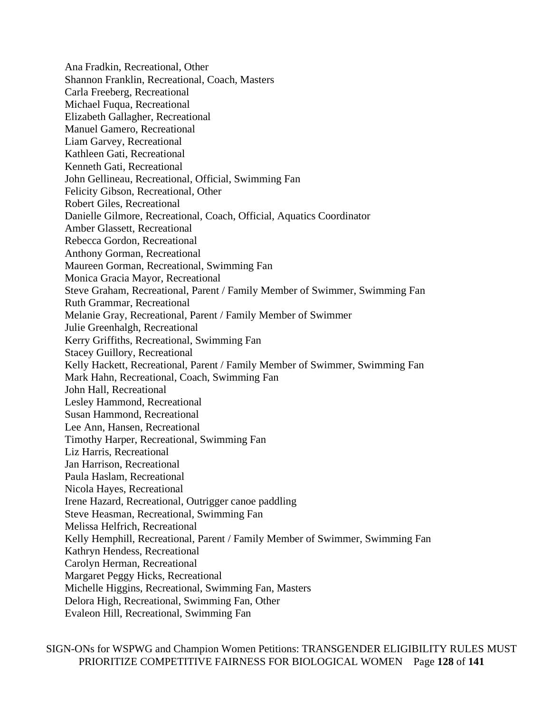Ana Fradkin, Recreational, Other Shannon Franklin, Recreational, Coach, Masters Carla Freeberg, Recreational Michael Fuqua, Recreational Elizabeth Gallagher, Recreational Manuel Gamero, Recreational Liam Garvey, Recreational Kathleen Gati, Recreational Kenneth Gati, Recreational John Gellineau, Recreational, Official, Swimming Fan Felicity Gibson, Recreational, Other Robert Giles, Recreational Danielle Gilmore, Recreational, Coach, Official, Aquatics Coordinator Amber Glassett, Recreational Rebecca Gordon, Recreational Anthony Gorman, Recreational Maureen Gorman, Recreational, Swimming Fan Monica Gracia Mayor, Recreational Steve Graham, Recreational, Parent / Family Member of Swimmer, Swimming Fan Ruth Grammar, Recreational Melanie Gray, Recreational, Parent / Family Member of Swimmer Julie Greenhalgh, Recreational Kerry Griffiths, Recreational, Swimming Fan Stacey Guillory, Recreational Kelly Hackett, Recreational, Parent / Family Member of Swimmer, Swimming Fan Mark Hahn, Recreational, Coach, Swimming Fan John Hall, Recreational Lesley Hammond, Recreational Susan Hammond, Recreational Lee Ann, Hansen, Recreational Timothy Harper, Recreational, Swimming Fan Liz Harris, Recreational Jan Harrison, Recreational Paula Haslam, Recreational Nicola Hayes, Recreational Irene Hazard, Recreational, Outrigger canoe paddling Steve Heasman, Recreational, Swimming Fan Melissa Helfrich, Recreational Kelly Hemphill, Recreational, Parent / Family Member of Swimmer, Swimming Fan Kathryn Hendess, Recreational Carolyn Herman, Recreational Margaret Peggy Hicks, Recreational Michelle Higgins, Recreational, Swimming Fan, Masters Delora High, Recreational, Swimming Fan, Other Evaleon Hill, Recreational, Swimming Fan

SIGN-ONs for WSPWG and Champion Women Petitions: TRANSGENDER ELIGIBILITY RULES MUST PRIORITIZE COMPETITIVE FAIRNESS FOR BIOLOGICAL WOMEN Page **128** of **141**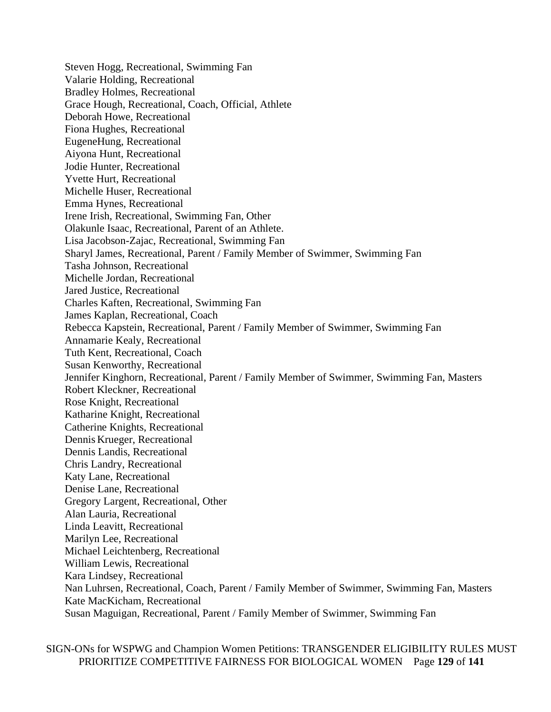Steven Hogg, Recreational, Swimming Fan Valarie Holding, Recreational Bradley Holmes, Recreational Grace Hough, Recreational, Coach, Official, Athlete Deborah Howe, Recreational Fiona Hughes, Recreational EugeneHung, Recreational Aiyona Hunt, Recreational Jodie Hunter, Recreational Yvette Hurt, Recreational Michelle Huser, Recreational Emma Hynes, Recreational Irene Irish, Recreational, Swimming Fan, Other Olakunle Isaac, Recreational, Parent of an Athlete. Lisa Jacobson-Zajac, Recreational, Swimming Fan Sharyl James, Recreational, Parent / Family Member of Swimmer, Swimming Fan Tasha Johnson, Recreational Michelle Jordan, Recreational Jared Justice, Recreational Charles Kaften, Recreational, Swimming Fan James Kaplan, Recreational, Coach Rebecca Kapstein, Recreational, Parent / Family Member of Swimmer, Swimming Fan Annamarie Kealy, Recreational Tuth Kent, Recreational, Coach Susan Kenworthy, Recreational Jennifer Kinghorn, Recreational, Parent / Family Member of Swimmer, Swimming Fan, Masters Robert Kleckner, Recreational Rose Knight, Recreational Katharine Knight, Recreational Catherine Knights, Recreational Dennis Krueger, Recreational Dennis Landis, Recreational Chris Landry, Recreational Katy Lane, Recreational Denise Lane, Recreational Gregory Largent, Recreational, Other Alan Lauria, Recreational Linda Leavitt, Recreational Marilyn Lee, Recreational Michael Leichtenberg, Recreational William Lewis, Recreational Kara Lindsey, Recreational Nan Luhrsen, Recreational, Coach, Parent / Family Member of Swimmer, Swimming Fan, Masters Kate MacKicham, Recreational Susan Maguigan, Recreational, Parent / Family Member of Swimmer, Swimming Fan

SIGN-ONs for WSPWG and Champion Women Petitions: TRANSGENDER ELIGIBILITY RULES MUST PRIORITIZE COMPETITIVE FAIRNESS FOR BIOLOGICAL WOMEN Page **129** of **141**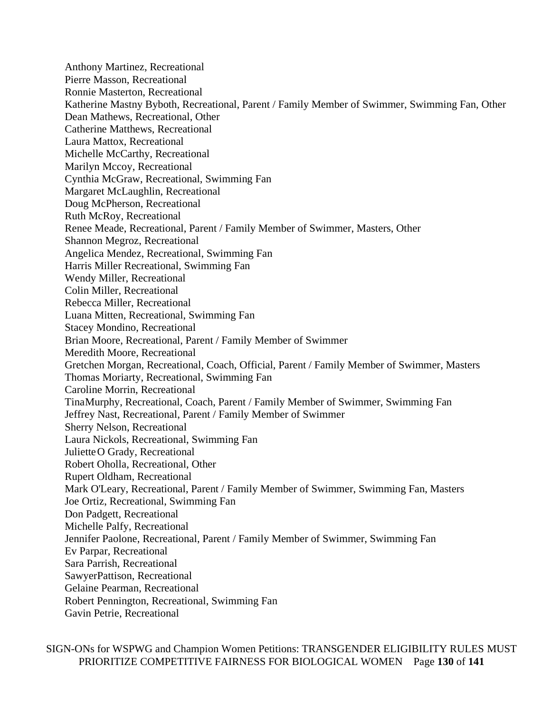Anthony Martinez, Recreational Pierre Masson, Recreational Ronnie Masterton, Recreational Katherine Mastny Byboth, Recreational, Parent / Family Member of Swimmer, Swimming Fan, Other Dean Mathews, Recreational, Other Catherine Matthews, Recreational Laura Mattox, Recreational Michelle McCarthy, Recreational Marilyn Mccoy, Recreational Cynthia McGraw, Recreational, Swimming Fan Margaret McLaughlin, Recreational Doug McPherson, Recreational Ruth McRoy, Recreational Renee Meade, Recreational, Parent / Family Member of Swimmer, Masters, Other Shannon Megroz, Recreational Angelica Mendez, Recreational, Swimming Fan Harris Miller Recreational, Swimming Fan Wendy Miller, Recreational Colin Miller, Recreational Rebecca Miller, Recreational Luana Mitten, Recreational, Swimming Fan Stacey Mondino, Recreational Brian Moore, Recreational, Parent / Family Member of Swimmer Meredith Moore, Recreational Gretchen Morgan, Recreational, Coach, Official, Parent / Family Member of Swimmer, Masters Thomas Moriarty, Recreational, Swimming Fan Caroline Morrin, Recreational TinaMurphy, Recreational, Coach, Parent / Family Member of Swimmer, Swimming Fan Jeffrey Nast, Recreational, Parent / Family Member of Swimmer Sherry Nelson, Recreational Laura Nickols, Recreational, Swimming Fan JulietteO Grady, Recreational Robert Oholla, Recreational, Other Rupert Oldham, Recreational Mark O'Leary, Recreational, Parent / Family Member of Swimmer, Swimming Fan, Masters Joe Ortiz, Recreational, Swimming Fan Don Padgett, Recreational Michelle Palfy, Recreational Jennifer Paolone, Recreational, Parent / Family Member of Swimmer, Swimming Fan Ev Parpar, Recreational Sara Parrish, Recreational SawyerPattison, Recreational Gelaine Pearman, Recreational Robert Pennington, Recreational, Swimming Fan Gavin Petrie, Recreational

SIGN-ONs for WSPWG and Champion Women Petitions: TRANSGENDER ELIGIBILITY RULES MUST PRIORITIZE COMPETITIVE FAIRNESS FOR BIOLOGICAL WOMEN Page **130** of **141**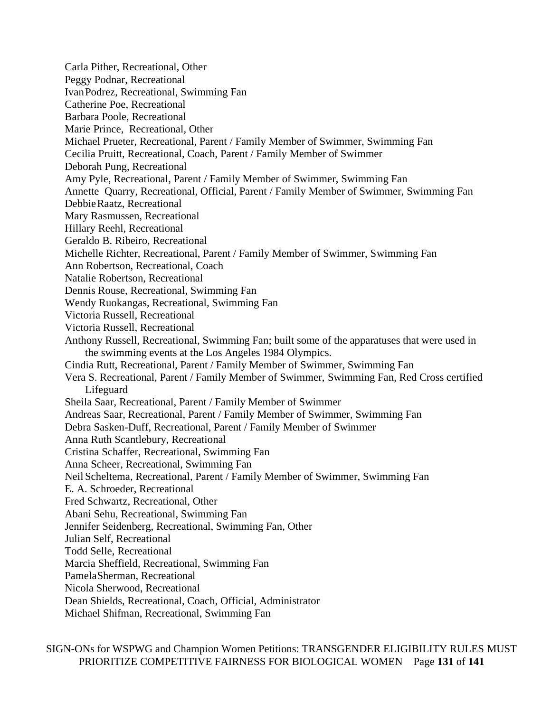Carla Pither, Recreational, Other Peggy Podnar, Recreational IvanPodrez, Recreational, Swimming Fan Catherine Poe, Recreational Barbara Poole, Recreational Marie Prince, Recreational, Other Michael Prueter, Recreational, Parent / Family Member of Swimmer, Swimming Fan Cecilia Pruitt, Recreational, Coach, Parent / Family Member of Swimmer Deborah Pung, Recreational Amy Pyle, Recreational, Parent / Family Member of Swimmer, Swimming Fan Annette Quarry, Recreational, Official, Parent / Family Member of Swimmer, Swimming Fan DebbieRaatz, Recreational Mary Rasmussen, Recreational Hillary Reehl, Recreational Geraldo B. Ribeiro, Recreational Michelle Richter, Recreational, Parent / Family Member of Swimmer, Swimming Fan Ann Robertson, Recreational, Coach Natalie Robertson, Recreational Dennis Rouse, Recreational, Swimming Fan Wendy Ruokangas, Recreational, Swimming Fan Victoria Russell, Recreational Victoria Russell, Recreational Anthony Russell, Recreational, Swimming Fan; built some of the apparatuses that were used in the swimming events at the Los Angeles 1984 Olympics. Cindia Rutt, Recreational, Parent / Family Member of Swimmer, Swimming Fan Vera S. Recreational, Parent / Family Member of Swimmer, Swimming Fan, Red Cross certified Lifeguard Sheila Saar, Recreational, Parent / Family Member of Swimmer Andreas Saar, Recreational, Parent / Family Member of Swimmer, Swimming Fan Debra Sasken-Duff, Recreational, Parent / Family Member of Swimmer Anna Ruth Scantlebury, Recreational Cristina Schaffer, Recreational, Swimming Fan Anna Scheer, Recreational, Swimming Fan Neil Scheltema, Recreational, Parent / Family Member of Swimmer, Swimming Fan E. A. Schroeder, Recreational Fred Schwartz, Recreational, Other Abani Sehu, Recreational, Swimming Fan Jennifer Seidenberg, Recreational, Swimming Fan, Other Julian Self, Recreational Todd Selle, Recreational Marcia Sheffield, Recreational, Swimming Fan PamelaSherman, Recreational Nicola Sherwood, Recreational Dean Shields, Recreational, Coach, Official, Administrator Michael Shifman, Recreational, Swimming Fan

SIGN-ONs for WSPWG and Champion Women Petitions: TRANSGENDER ELIGIBILITY RULES MUST PRIORITIZE COMPETITIVE FAIRNESS FOR BIOLOGICAL WOMEN Page **131** of **141**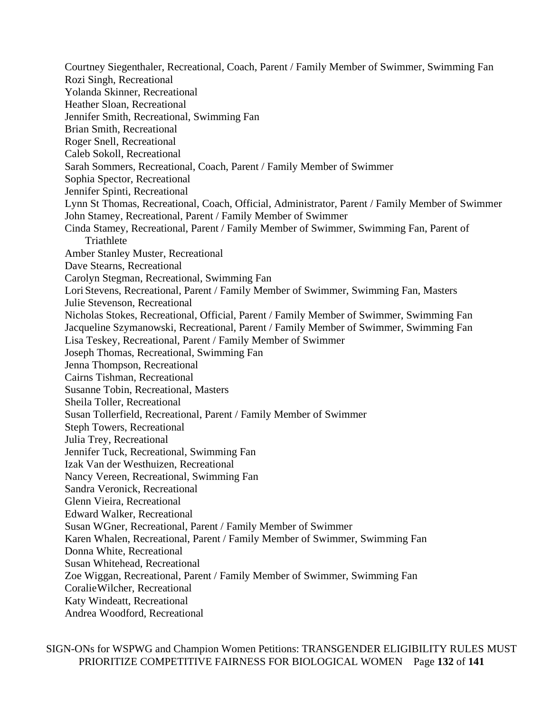Courtney Siegenthaler, Recreational, Coach, Parent / Family Member of Swimmer, Swimming Fan Rozi Singh, Recreational Yolanda Skinner, Recreational Heather Sloan, Recreational Jennifer Smith, Recreational, Swimming Fan Brian Smith, Recreational Roger Snell, Recreational Caleb Sokoll, Recreational Sarah Sommers, Recreational, Coach, Parent / Family Member of Swimmer Sophia Spector, Recreational Jennifer Spinti, Recreational Lynn St Thomas, Recreational, Coach, Official, Administrator, Parent / Family Member of Swimmer John Stamey, Recreational, Parent / Family Member of Swimmer Cinda Stamey, Recreational, Parent / Family Member of Swimmer, Swimming Fan, Parent of **Triathlete** Amber Stanley Muster, Recreational Dave Stearns, Recreational Carolyn Stegman, Recreational, Swimming Fan Lori Stevens, Recreational, Parent / Family Member of Swimmer, Swimming Fan, Masters Julie Stevenson, Recreational Nicholas Stokes, Recreational, Official, Parent / Family Member of Swimmer, Swimming Fan Jacqueline Szymanowski, Recreational, Parent / Family Member of Swimmer, Swimming Fan Lisa Teskey, Recreational, Parent / Family Member of Swimmer Joseph Thomas, Recreational, Swimming Fan Jenna Thompson, Recreational Cairns Tishman, Recreational Susanne Tobin, Recreational, Masters Sheila Toller, Recreational Susan Tollerfield, Recreational, Parent / Family Member of Swimmer Steph Towers, Recreational Julia Trey, Recreational Jennifer Tuck, Recreational, Swimming Fan Izak Van der Westhuizen, Recreational Nancy Vereen, Recreational, Swimming Fan Sandra Veronick, Recreational Glenn Vieira, Recreational Edward Walker, Recreational Susan WGner, Recreational, Parent / Family Member of Swimmer Karen Whalen, Recreational, Parent / Family Member of Swimmer, Swimming Fan Donna White, Recreational Susan Whitehead, Recreational Zoe Wiggan, Recreational, Parent / Family Member of Swimmer, Swimming Fan CoralieWilcher, Recreational Katy Windeatt, Recreational Andrea Woodford, Recreational

SIGN-ONs for WSPWG and Champion Women Petitions: TRANSGENDER ELIGIBILITY RULES MUST PRIORITIZE COMPETITIVE FAIRNESS FOR BIOLOGICAL WOMEN Page **132** of **141**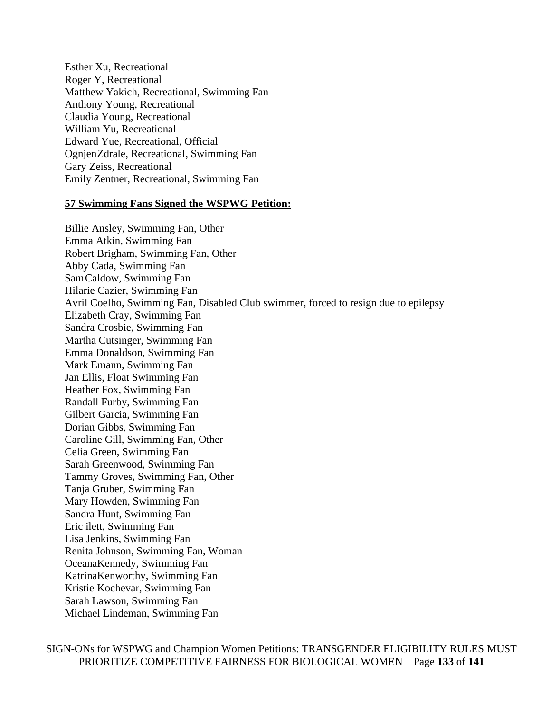Esther Xu, Recreational Roger Y, Recreational Matthew Yakich, Recreational, Swimming Fan Anthony Young, Recreational Claudia Young, Recreational William Yu, Recreational Edward Yue, Recreational, Official OgnjenZdrale, Recreational, Swimming Fan Gary Zeiss, Recreational Emily Zentner, Recreational, Swimming Fan

#### **57 Swimming Fans Signed the WSPWG Petition:**

Billie Ansley, Swimming Fan, Other Emma Atkin, Swimming Fan Robert Brigham, Swimming Fan, Other Abby Cada, Swimming Fan SamCaldow, Swimming Fan Hilarie Cazier, Swimming Fan Avril Coelho, Swimming Fan, Disabled Club swimmer, forced to resign due to epilepsy Elizabeth Cray, Swimming Fan Sandra Crosbie, Swimming Fan Martha Cutsinger, Swimming Fan Emma Donaldson, Swimming Fan Mark Emann, Swimming Fan Jan Ellis, Float Swimming Fan Heather Fox, Swimming Fan Randall Furby, Swimming Fan Gilbert Garcia, Swimming Fan Dorian Gibbs, Swimming Fan Caroline Gill, Swimming Fan, Other Celia Green, Swimming Fan Sarah Greenwood, Swimming Fan Tammy Groves, Swimming Fan, Other Tanja Gruber, Swimming Fan Mary Howden, Swimming Fan Sandra Hunt, Swimming Fan Eric ilett, Swimming Fan Lisa Jenkins, Swimming Fan Renita Johnson, Swimming Fan, Woman OceanaKennedy, Swimming Fan KatrinaKenworthy, Swimming Fan Kristie Kochevar, Swimming Fan Sarah Lawson, Swimming Fan Michael Lindeman, Swimming Fan

SIGN-ONs for WSPWG and Champion Women Petitions: TRANSGENDER ELIGIBILITY RULES MUST PRIORITIZE COMPETITIVE FAIRNESS FOR BIOLOGICAL WOMEN Page **133** of **141**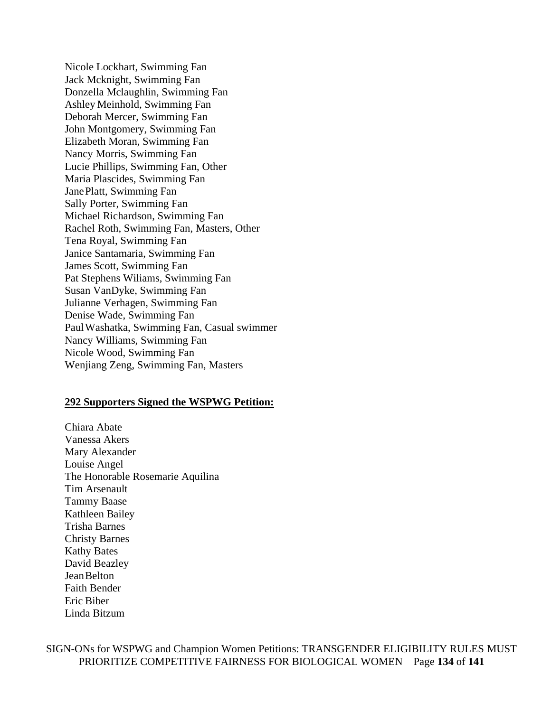Nicole Lockhart, Swimming Fan Jack Mcknight, Swimming Fan Donzella Mclaughlin, Swimming Fan Ashley Meinhold, Swimming Fan Deborah Mercer, Swimming Fan John Montgomery, Swimming Fan Elizabeth Moran, Swimming Fan Nancy Morris, Swimming Fan Lucie Phillips, Swimming Fan, Other Maria Plascides, Swimming Fan JanePlatt, Swimming Fan Sally Porter, Swimming Fan Michael Richardson, Swimming Fan Rachel Roth, Swimming Fan, Masters, Other Tena Royal, Swimming Fan Janice Santamaria, Swimming Fan James Scott, Swimming Fan Pat Stephens Wiliams, Swimming Fan Susan VanDyke, Swimming Fan Julianne Verhagen, Swimming Fan Denise Wade, Swimming Fan PaulWashatka, Swimming Fan, Casual swimmer Nancy Williams, Swimming Fan Nicole Wood, Swimming Fan Wenjiang Zeng, Swimming Fan, Masters

#### **292 Supporters Signed the WSPWG Petition:**

Chiara Abate Vanessa Akers Mary Alexander Louise Angel The Honorable Rosemarie Aquilina Tim Arsenault Tammy Baase Kathleen Bailey Trisha Barnes Christy Barnes Kathy Bates David Beazley JeanBelton Faith Bender Eric Biber Linda Bitzum

SIGN-ONs for WSPWG and Champion Women Petitions: TRANSGENDER ELIGIBILITY RULES MUST PRIORITIZE COMPETITIVE FAIRNESS FOR BIOLOGICAL WOMEN Page **134** of **141**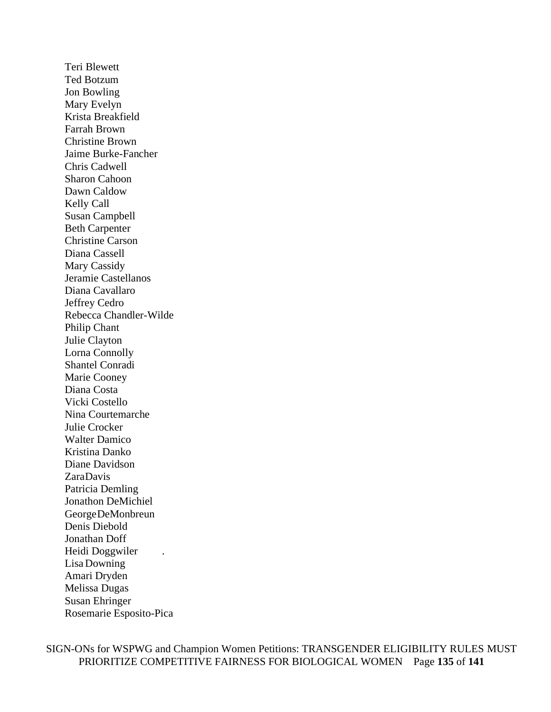Teri Blewett Ted Botzum Jon Bowling Mary Evelyn Krista Breakfield Farrah Brown Christine Brown Jaime Burke-Fancher Chris Cadwell Sharon Cahoon Dawn Caldow Kelly Call Susan Campbell Beth Carpenter Christine Carson Diana Cassell Mary Cassidy Jeramie Castellanos Diana Cavallaro Jeffrey Cedro Rebecca Chandler-Wilde Philip Chant Julie Clayton Lorna Connolly Shantel Conradi Marie Cooney Diana Costa Vicki Costello Nina Courtemarche Julie Crocker Walter Damico Kristina Danko Diane Davidson ZaraDavis Patricia Demling Jonathon DeMichiel GeorgeDeMonbreun Denis Diebold Jonathan Doff Heidi Doggwiler . Lisa Downing Amari Dryden Melissa Dugas Susan Ehringer Rosemarie Esposito-Pica

SIGN-ONs for WSPWG and Champion Women Petitions: TRANSGENDER ELIGIBILITY RULES MUST PRIORITIZE COMPETITIVE FAIRNESS FOR BIOLOGICAL WOMEN Page **135** of **141**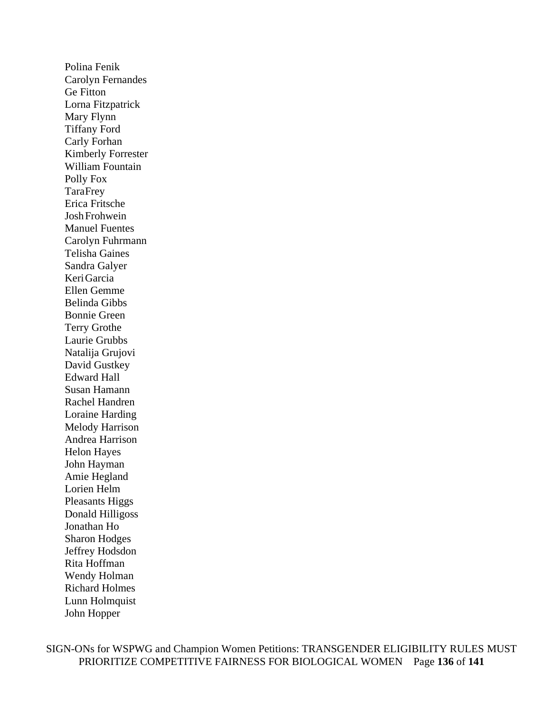Polina Fenik Carolyn Fernandes Ge Fitton Lorna Fitzpatrick Mary Flynn Tiffany Ford Carly Forhan Kimberly Forrester William Fountain Polly Fox TaraFrey Erica Fritsche JoshFrohwein Manuel Fuentes Carolyn Fuhrmann Telisha Gaines Sandra Galyer KeriGarcia Ellen Gemme Belinda Gibbs Bonnie Green Terry Grothe Laurie Grubbs Natalija Grujovi David Gustkey Edward Hall Susan Hamann Rachel Handren Loraine Harding Melody Harrison Andrea Harrison Helon Hayes John Hayman Amie Hegland Lorien Helm Pleasants Higgs Donald Hilligoss Jonathan Ho Sharon Hodges Jeffrey Hodsdon Rita Hoffman Wendy Holman Richard Holmes Lunn Holmquist John Hopper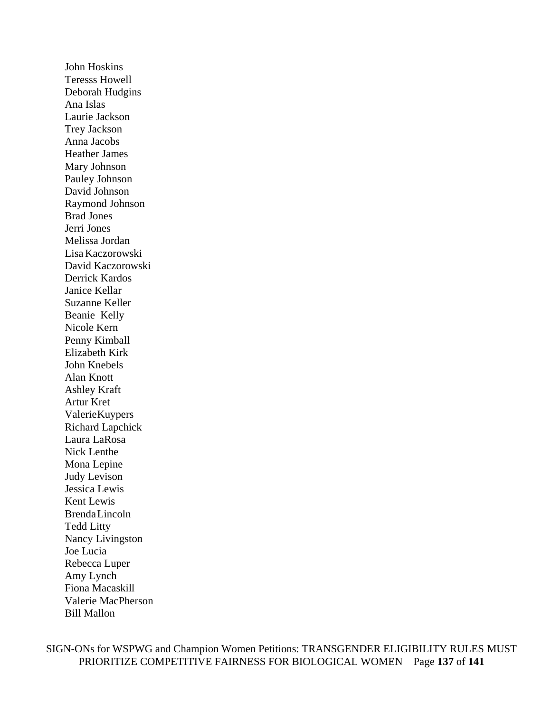John Hoskins Teresss Howell Deborah Hudgins Ana Islas Laurie Jackson Trey Jackson Anna Jacobs Heather James Mary Johnson Pauley Johnson David Johnson Raymond Johnson Brad Jones Jerri Jones Melissa Jordan Lisa Kaczorowski David Kaczorowski Derrick Kardos Janice Kellar Suzanne Keller Beanie Kelly Nicole Kern Penny Kimball Elizabeth Kirk John Knebels Alan Knott Ashley Kraft Artur Kret ValerieKuypers Richard Lapchick Laura LaRosa Nick Lenthe Mona Lepine Judy Levison Jessica Lewis Kent Lewis BrendaLincoln Tedd Litty Nancy Livingston Joe Lucia Rebecca Luper Amy Lynch Fiona Macaskill Valerie MacPherson Bill Mallon

SIGN-ONs for WSPWG and Champion Women Petitions: TRANSGENDER ELIGIBILITY RULES MUST PRIORITIZE COMPETITIVE FAIRNESS FOR BIOLOGICAL WOMEN Page **137** of **141**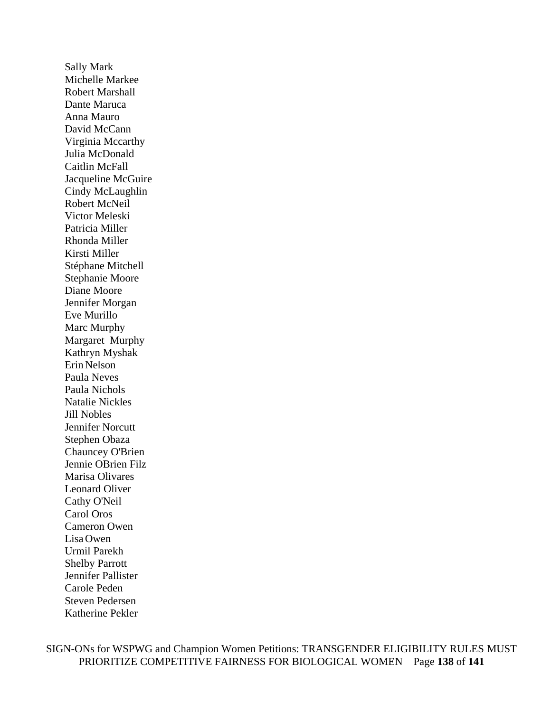Sally Mark Michelle Markee Robert Marshall Dante Maruca Anna Mauro David McCann Virginia Mccarthy Julia McDonald Caitlin McFall Jacqueline McGuire Cindy McLaughlin Robert McNeil Victor Meleski Patricia Miller Rhonda Miller Kirsti Miller Stéphane Mitchell Stephanie Moore Diane Moore Jennifer Morgan Eve Murillo Marc Murphy Margaret Murphy Kathryn Myshak Erin Nelson Paula Neves Paula Nichols Natalie Nickles Jill Nobles Jennifer Norcutt Stephen Obaza Chauncey O'Brien Jennie OBrien Filz Marisa Olivares Leonard Oliver Cathy O'Neil Carol Oros Cameron Owen Lisa Owen Urmil Parekh Shelby Parrott Jennifer Pallister Carole Peden Steven Pedersen Katherine Pekler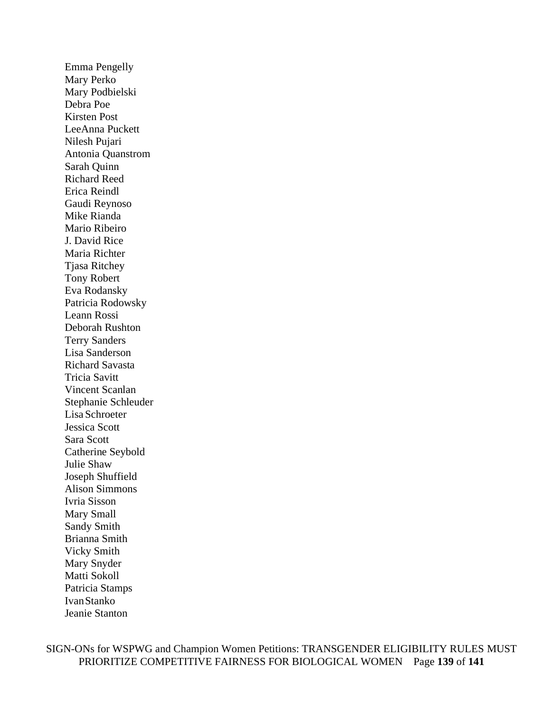Emma Pengelly Mary Perko Mary Podbielski Debra Poe Kirsten Post LeeAnna Puckett Nilesh Pujari Antonia Quanstrom Sarah Quinn Richard Reed Erica Reindl Gaudi Reynoso Mike Rianda Mario Ribeiro J. David Rice Maria Richter Tjasa Ritchey Tony Robert Eva Rodansky Patricia Rodowsky Leann Rossi Deborah Rushton Terry Sanders Lisa Sanderson Richard Savasta Tricia Savitt Vincent Scanlan Stephanie Schleuder Lisa Schroeter Jessica Scott Sara Scott Catherine Seybold Julie Shaw Joseph Shuffield Alison Simmons Ivria Sisson Mary Small Sandy Smith Brianna Smith Vicky Smith Mary Snyder Matti Sokoll Patricia Stamps IvanStanko Jeanie Stanton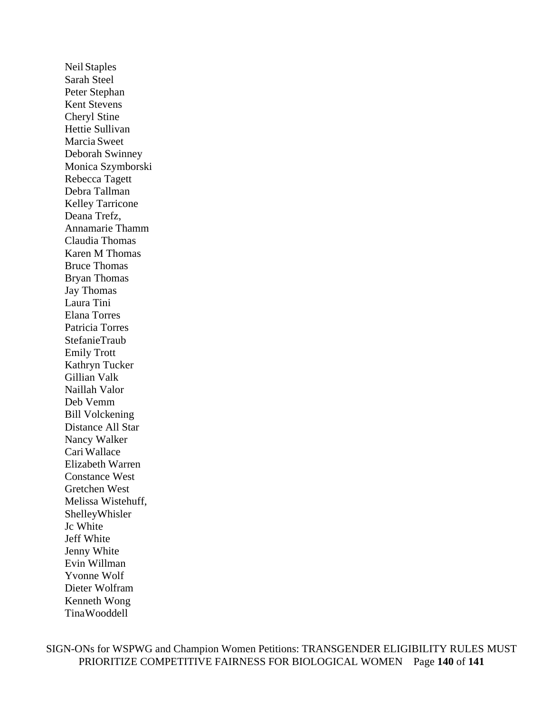Neil Staples Sarah Steel Peter Stephan Kent Stevens Cheryl Stine Hettie Sullivan Marcia Sweet Deborah Swinney Monica Szymborski Rebecca Tagett Debra Tallman Kelley Tarricone Deana Trefz, Annamarie Thamm Claudia Thomas Karen M Thomas Bruce Thomas Bryan Thomas Jay Thomas Laura Tini Elana Torres Patricia Torres StefanieTraub Emily Trott Kathryn Tucker Gillian Valk Naillah Valor Deb Vemm Bill Volckening Distance All Star Nancy Walker CariWallace Elizabeth Warren Constance West Gretchen West Melissa Wistehuff, ShelleyWhisler Jc White Jeff White Jenny White Evin Willman Yvonne Wolf Dieter Wolfram Kenneth Wong TinaWooddell

SIGN-ONs for WSPWG and Champion Women Petitions: TRANSGENDER ELIGIBILITY RULES MUST PRIORITIZE COMPETITIVE FAIRNESS FOR BIOLOGICAL WOMEN Page **140** of **141**